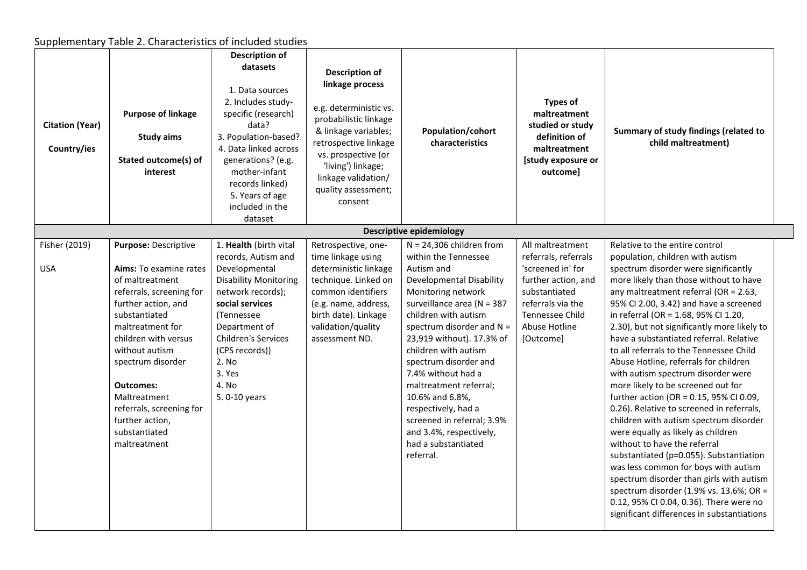## Supplementary Table 2. Characteristics of included studies

| <b>Citation (Year)</b><br>Country/ies | <b>Purpose of linkage</b><br><b>Study aims</b><br>Stated outcome(s) of<br>interest                                                                                                                                                                                                                                                           | <b>Description of</b><br>datasets<br>1. Data sources<br>2. Includes study-<br>specific (research)<br>data?<br>3. Population-based?<br>4. Data linked across<br>generations? (e.g.<br>mother-infant<br>records linked)<br>5. Years of age<br>included in the<br>dataset | <b>Description of</b><br>linkage process<br>e.g. deterministic vs.<br>probabilistic linkage<br>& linkage variables;<br>retrospective linkage<br>vs. prospective (or<br>'living') linkage;<br>linkage validation/<br>quality assessment;<br>consent | Population/cohort<br>characteristics                                                                                                                                                                                                                                                                                                                                                                                                                                                | <b>Types of</b><br>maltreatment<br>studied or study<br>definition of<br>maltreatment<br>[study exposure or<br>outcome]                                                      | Summary of study findings (related to<br>child maltreatment)                                                                                                                                                                                                                                                                                                                                                                                                                                                                                                                                                                                                                                                                                                                                                                                                                                                                                                                                                         |
|---------------------------------------|----------------------------------------------------------------------------------------------------------------------------------------------------------------------------------------------------------------------------------------------------------------------------------------------------------------------------------------------|------------------------------------------------------------------------------------------------------------------------------------------------------------------------------------------------------------------------------------------------------------------------|----------------------------------------------------------------------------------------------------------------------------------------------------------------------------------------------------------------------------------------------------|-------------------------------------------------------------------------------------------------------------------------------------------------------------------------------------------------------------------------------------------------------------------------------------------------------------------------------------------------------------------------------------------------------------------------------------------------------------------------------------|-----------------------------------------------------------------------------------------------------------------------------------------------------------------------------|----------------------------------------------------------------------------------------------------------------------------------------------------------------------------------------------------------------------------------------------------------------------------------------------------------------------------------------------------------------------------------------------------------------------------------------------------------------------------------------------------------------------------------------------------------------------------------------------------------------------------------------------------------------------------------------------------------------------------------------------------------------------------------------------------------------------------------------------------------------------------------------------------------------------------------------------------------------------------------------------------------------------|
|                                       |                                                                                                                                                                                                                                                                                                                                              |                                                                                                                                                                                                                                                                        |                                                                                                                                                                                                                                                    | <b>Descriptive epidemiology</b>                                                                                                                                                                                                                                                                                                                                                                                                                                                     |                                                                                                                                                                             |                                                                                                                                                                                                                                                                                                                                                                                                                                                                                                                                                                                                                                                                                                                                                                                                                                                                                                                                                                                                                      |
| Fisher (2019)<br><b>USA</b>           | Purpose: Descriptive<br>Aims: To examine rates<br>of maltreatment<br>referrals, screening for<br>further action, and<br>substantiated<br>maltreatment for<br>children with versus<br>without autism<br>spectrum disorder<br><b>Outcomes:</b><br>Maltreatment<br>referrals, screening for<br>further action,<br>substantiated<br>maltreatment | 1. Health (birth vital<br>records, Autism and<br>Developmental<br><b>Disability Monitoring</b><br>network records);<br>social services<br>(Tennessee<br>Department of<br>Children's Services<br>(CPS records))<br>2. No<br>3. Yes<br>4. No<br>5.0-10 years             | Retrospective, one-<br>time linkage using<br>deterministic linkage<br>technique. Linked on<br>common identifiers<br>(e.g. name, address,<br>birth date). Linkage<br>validation/quality<br>assessment ND.                                           | $N = 24,306$ children from<br>within the Tennessee<br>Autism and<br><b>Developmental Disability</b><br>Monitoring network<br>surveillance area (N = 387<br>children with autism<br>spectrum disorder and $N =$<br>23,919 without). 17.3% of<br>children with autism<br>spectrum disorder and<br>7.4% without had a<br>maltreatment referral;<br>10.6% and 6.8%,<br>respectively, had a<br>screened in referral; 3.9%<br>and 3.4%, respectively,<br>had a substantiated<br>referral. | All maltreatment<br>referrals, referrals<br>'screened in' for<br>further action, and<br>substantiated<br>referrals via the<br>Tennessee Child<br>Abuse Hotline<br>[Outcome] | Relative to the entire control<br>population, children with autism<br>spectrum disorder were significantly<br>more likely than those without to have<br>any maltreatment referral (OR = 2.63,<br>95% CI 2.00, 3.42) and have a screened<br>in referral (OR = 1.68, 95% CI 1.20,<br>2.30), but not significantly more likely to<br>have a substantiated referral. Relative<br>to all referrals to the Tennessee Child<br>Abuse Hotline, referrals for children<br>with autism spectrum disorder were<br>more likely to be screened out for<br>further action (OR = 0.15, 95% CI 0.09,<br>0.26). Relative to screened in referrals,<br>children with autism spectrum disorder<br>were equally as likely as children<br>without to have the referral<br>substantiated (p=0.055). Substantiation<br>was less common for boys with autism<br>spectrum disorder than girls with autism<br>spectrum disorder (1.9% vs. 13.6%; OR =<br>0.12, 95% CI 0.04, 0.36). There were no<br>significant differences in substantiations |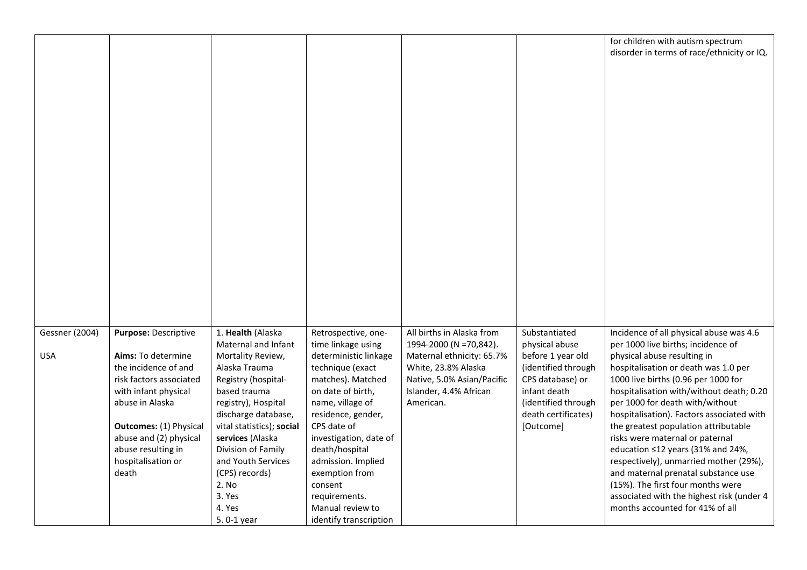| for children with autism spectrum<br>disorder in terms of race/ethnicity or IQ.<br>1. Health (Alaska<br>Incidence of all physical abuse was 4.6<br>Gessner (2004)<br><b>Purpose: Descriptive</b><br>Retrospective, one-<br>All births in Alaska from<br>Substantiated<br>Maternal and Infant<br>time linkage using<br>1994-2000 (N =70,842).<br>physical abuse<br>per 1000 live births; incidence of<br><b>USA</b><br>deterministic linkage<br>Maternal ethnicity: 65.7%<br>before 1 year old<br>physical abuse resulting in<br>Aims: To determine<br>Mortality Review,<br>the incidence of and<br>Alaska Trauma<br>technique (exact<br>White, 23.8% Alaska<br>(identified through<br>hospitalisation or death was 1.0 per<br>risk factors associated<br>matches). Matched<br>Native, 5.0% Asian/Pacific<br>CPS database) or<br>1000 live births (0.96 per 1000 for<br>Registry (hospital-<br>based trauma<br>Islander, 4.4% African<br>infant death<br>with infant physical<br>on date of birth,<br>hospitalisation with/without death; 0.20<br>abuse in Alaska<br>registry), Hospital<br>name, village of<br>American.<br>(identified through<br>per 1000 for death with/without<br>residence, gender,<br>death certificates)<br>discharge database,<br>hospitalisation). Factors associated with<br>CPS date of<br><b>Outcomes:</b> (1) Physical<br>vital statistics); social<br>[Outcome]<br>the greatest population attributable<br>abuse and (2) physical<br>services (Alaska<br>investigation, date of<br>risks were maternal or paternal<br>abuse resulting in<br>Division of Family<br>death/hospital<br>education ≤12 years (31% and 24%,<br>hospitalisation or<br>and Youth Services<br>admission. Implied<br>respectively), unmarried mother (29%), | death<br>(CPS) records)<br>exemption from<br>and maternal prenatal substance use<br>2. No<br>(15%). The first four months were<br>consent<br>3. Yes |  |  |  |  |
|-----------------------------------------------------------------------------------------------------------------------------------------------------------------------------------------------------------------------------------------------------------------------------------------------------------------------------------------------------------------------------------------------------------------------------------------------------------------------------------------------------------------------------------------------------------------------------------------------------------------------------------------------------------------------------------------------------------------------------------------------------------------------------------------------------------------------------------------------------------------------------------------------------------------------------------------------------------------------------------------------------------------------------------------------------------------------------------------------------------------------------------------------------------------------------------------------------------------------------------------------------------------------------------------------------------------------------------------------------------------------------------------------------------------------------------------------------------------------------------------------------------------------------------------------------------------------------------------------------------------------------------------------------------------------------------------------------------------------------------------------------------------|-----------------------------------------------------------------------------------------------------------------------------------------------------|--|--|--|--|
|                                                                                                                                                                                                                                                                                                                                                                                                                                                                                                                                                                                                                                                                                                                                                                                                                                                                                                                                                                                                                                                                                                                                                                                                                                                                                                                                                                                                                                                                                                                                                                                                                                                                                                                                                                 |                                                                                                                                                     |  |  |  |  |
|                                                                                                                                                                                                                                                                                                                                                                                                                                                                                                                                                                                                                                                                                                                                                                                                                                                                                                                                                                                                                                                                                                                                                                                                                                                                                                                                                                                                                                                                                                                                                                                                                                                                                                                                                                 |                                                                                                                                                     |  |  |  |  |
|                                                                                                                                                                                                                                                                                                                                                                                                                                                                                                                                                                                                                                                                                                                                                                                                                                                                                                                                                                                                                                                                                                                                                                                                                                                                                                                                                                                                                                                                                                                                                                                                                                                                                                                                                                 |                                                                                                                                                     |  |  |  |  |
|                                                                                                                                                                                                                                                                                                                                                                                                                                                                                                                                                                                                                                                                                                                                                                                                                                                                                                                                                                                                                                                                                                                                                                                                                                                                                                                                                                                                                                                                                                                                                                                                                                                                                                                                                                 |                                                                                                                                                     |  |  |  |  |
|                                                                                                                                                                                                                                                                                                                                                                                                                                                                                                                                                                                                                                                                                                                                                                                                                                                                                                                                                                                                                                                                                                                                                                                                                                                                                                                                                                                                                                                                                                                                                                                                                                                                                                                                                                 |                                                                                                                                                     |  |  |  |  |
|                                                                                                                                                                                                                                                                                                                                                                                                                                                                                                                                                                                                                                                                                                                                                                                                                                                                                                                                                                                                                                                                                                                                                                                                                                                                                                                                                                                                                                                                                                                                                                                                                                                                                                                                                                 |                                                                                                                                                     |  |  |  |  |
|                                                                                                                                                                                                                                                                                                                                                                                                                                                                                                                                                                                                                                                                                                                                                                                                                                                                                                                                                                                                                                                                                                                                                                                                                                                                                                                                                                                                                                                                                                                                                                                                                                                                                                                                                                 |                                                                                                                                                     |  |  |  |  |
|                                                                                                                                                                                                                                                                                                                                                                                                                                                                                                                                                                                                                                                                                                                                                                                                                                                                                                                                                                                                                                                                                                                                                                                                                                                                                                                                                                                                                                                                                                                                                                                                                                                                                                                                                                 |                                                                                                                                                     |  |  |  |  |
|                                                                                                                                                                                                                                                                                                                                                                                                                                                                                                                                                                                                                                                                                                                                                                                                                                                                                                                                                                                                                                                                                                                                                                                                                                                                                                                                                                                                                                                                                                                                                                                                                                                                                                                                                                 |                                                                                                                                                     |  |  |  |  |
|                                                                                                                                                                                                                                                                                                                                                                                                                                                                                                                                                                                                                                                                                                                                                                                                                                                                                                                                                                                                                                                                                                                                                                                                                                                                                                                                                                                                                                                                                                                                                                                                                                                                                                                                                                 |                                                                                                                                                     |  |  |  |  |
|                                                                                                                                                                                                                                                                                                                                                                                                                                                                                                                                                                                                                                                                                                                                                                                                                                                                                                                                                                                                                                                                                                                                                                                                                                                                                                                                                                                                                                                                                                                                                                                                                                                                                                                                                                 |                                                                                                                                                     |  |  |  |  |
|                                                                                                                                                                                                                                                                                                                                                                                                                                                                                                                                                                                                                                                                                                                                                                                                                                                                                                                                                                                                                                                                                                                                                                                                                                                                                                                                                                                                                                                                                                                                                                                                                                                                                                                                                                 |                                                                                                                                                     |  |  |  |  |
|                                                                                                                                                                                                                                                                                                                                                                                                                                                                                                                                                                                                                                                                                                                                                                                                                                                                                                                                                                                                                                                                                                                                                                                                                                                                                                                                                                                                                                                                                                                                                                                                                                                                                                                                                                 |                                                                                                                                                     |  |  |  |  |
|                                                                                                                                                                                                                                                                                                                                                                                                                                                                                                                                                                                                                                                                                                                                                                                                                                                                                                                                                                                                                                                                                                                                                                                                                                                                                                                                                                                                                                                                                                                                                                                                                                                                                                                                                                 |                                                                                                                                                     |  |  |  |  |
|                                                                                                                                                                                                                                                                                                                                                                                                                                                                                                                                                                                                                                                                                                                                                                                                                                                                                                                                                                                                                                                                                                                                                                                                                                                                                                                                                                                                                                                                                                                                                                                                                                                                                                                                                                 |                                                                                                                                                     |  |  |  |  |
|                                                                                                                                                                                                                                                                                                                                                                                                                                                                                                                                                                                                                                                                                                                                                                                                                                                                                                                                                                                                                                                                                                                                                                                                                                                                                                                                                                                                                                                                                                                                                                                                                                                                                                                                                                 |                                                                                                                                                     |  |  |  |  |
|                                                                                                                                                                                                                                                                                                                                                                                                                                                                                                                                                                                                                                                                                                                                                                                                                                                                                                                                                                                                                                                                                                                                                                                                                                                                                                                                                                                                                                                                                                                                                                                                                                                                                                                                                                 |                                                                                                                                                     |  |  |  |  |
|                                                                                                                                                                                                                                                                                                                                                                                                                                                                                                                                                                                                                                                                                                                                                                                                                                                                                                                                                                                                                                                                                                                                                                                                                                                                                                                                                                                                                                                                                                                                                                                                                                                                                                                                                                 |                                                                                                                                                     |  |  |  |  |
|                                                                                                                                                                                                                                                                                                                                                                                                                                                                                                                                                                                                                                                                                                                                                                                                                                                                                                                                                                                                                                                                                                                                                                                                                                                                                                                                                                                                                                                                                                                                                                                                                                                                                                                                                                 |                                                                                                                                                     |  |  |  |  |
|                                                                                                                                                                                                                                                                                                                                                                                                                                                                                                                                                                                                                                                                                                                                                                                                                                                                                                                                                                                                                                                                                                                                                                                                                                                                                                                                                                                                                                                                                                                                                                                                                                                                                                                                                                 |                                                                                                                                                     |  |  |  |  |
|                                                                                                                                                                                                                                                                                                                                                                                                                                                                                                                                                                                                                                                                                                                                                                                                                                                                                                                                                                                                                                                                                                                                                                                                                                                                                                                                                                                                                                                                                                                                                                                                                                                                                                                                                                 |                                                                                                                                                     |  |  |  |  |
|                                                                                                                                                                                                                                                                                                                                                                                                                                                                                                                                                                                                                                                                                                                                                                                                                                                                                                                                                                                                                                                                                                                                                                                                                                                                                                                                                                                                                                                                                                                                                                                                                                                                                                                                                                 |                                                                                                                                                     |  |  |  |  |
|                                                                                                                                                                                                                                                                                                                                                                                                                                                                                                                                                                                                                                                                                                                                                                                                                                                                                                                                                                                                                                                                                                                                                                                                                                                                                                                                                                                                                                                                                                                                                                                                                                                                                                                                                                 |                                                                                                                                                     |  |  |  |  |
|                                                                                                                                                                                                                                                                                                                                                                                                                                                                                                                                                                                                                                                                                                                                                                                                                                                                                                                                                                                                                                                                                                                                                                                                                                                                                                                                                                                                                                                                                                                                                                                                                                                                                                                                                                 |                                                                                                                                                     |  |  |  |  |
|                                                                                                                                                                                                                                                                                                                                                                                                                                                                                                                                                                                                                                                                                                                                                                                                                                                                                                                                                                                                                                                                                                                                                                                                                                                                                                                                                                                                                                                                                                                                                                                                                                                                                                                                                                 |                                                                                                                                                     |  |  |  |  |
|                                                                                                                                                                                                                                                                                                                                                                                                                                                                                                                                                                                                                                                                                                                                                                                                                                                                                                                                                                                                                                                                                                                                                                                                                                                                                                                                                                                                                                                                                                                                                                                                                                                                                                                                                                 |                                                                                                                                                     |  |  |  |  |
|                                                                                                                                                                                                                                                                                                                                                                                                                                                                                                                                                                                                                                                                                                                                                                                                                                                                                                                                                                                                                                                                                                                                                                                                                                                                                                                                                                                                                                                                                                                                                                                                                                                                                                                                                                 |                                                                                                                                                     |  |  |  |  |
|                                                                                                                                                                                                                                                                                                                                                                                                                                                                                                                                                                                                                                                                                                                                                                                                                                                                                                                                                                                                                                                                                                                                                                                                                                                                                                                                                                                                                                                                                                                                                                                                                                                                                                                                                                 |                                                                                                                                                     |  |  |  |  |
|                                                                                                                                                                                                                                                                                                                                                                                                                                                                                                                                                                                                                                                                                                                                                                                                                                                                                                                                                                                                                                                                                                                                                                                                                                                                                                                                                                                                                                                                                                                                                                                                                                                                                                                                                                 |                                                                                                                                                     |  |  |  |  |
|                                                                                                                                                                                                                                                                                                                                                                                                                                                                                                                                                                                                                                                                                                                                                                                                                                                                                                                                                                                                                                                                                                                                                                                                                                                                                                                                                                                                                                                                                                                                                                                                                                                                                                                                                                 |                                                                                                                                                     |  |  |  |  |
|                                                                                                                                                                                                                                                                                                                                                                                                                                                                                                                                                                                                                                                                                                                                                                                                                                                                                                                                                                                                                                                                                                                                                                                                                                                                                                                                                                                                                                                                                                                                                                                                                                                                                                                                                                 |                                                                                                                                                     |  |  |  |  |
|                                                                                                                                                                                                                                                                                                                                                                                                                                                                                                                                                                                                                                                                                                                                                                                                                                                                                                                                                                                                                                                                                                                                                                                                                                                                                                                                                                                                                                                                                                                                                                                                                                                                                                                                                                 |                                                                                                                                                     |  |  |  |  |
|                                                                                                                                                                                                                                                                                                                                                                                                                                                                                                                                                                                                                                                                                                                                                                                                                                                                                                                                                                                                                                                                                                                                                                                                                                                                                                                                                                                                                                                                                                                                                                                                                                                                                                                                                                 |                                                                                                                                                     |  |  |  |  |
|                                                                                                                                                                                                                                                                                                                                                                                                                                                                                                                                                                                                                                                                                                                                                                                                                                                                                                                                                                                                                                                                                                                                                                                                                                                                                                                                                                                                                                                                                                                                                                                                                                                                                                                                                                 |                                                                                                                                                     |  |  |  |  |
|                                                                                                                                                                                                                                                                                                                                                                                                                                                                                                                                                                                                                                                                                                                                                                                                                                                                                                                                                                                                                                                                                                                                                                                                                                                                                                                                                                                                                                                                                                                                                                                                                                                                                                                                                                 |                                                                                                                                                     |  |  |  |  |
|                                                                                                                                                                                                                                                                                                                                                                                                                                                                                                                                                                                                                                                                                                                                                                                                                                                                                                                                                                                                                                                                                                                                                                                                                                                                                                                                                                                                                                                                                                                                                                                                                                                                                                                                                                 |                                                                                                                                                     |  |  |  |  |
|                                                                                                                                                                                                                                                                                                                                                                                                                                                                                                                                                                                                                                                                                                                                                                                                                                                                                                                                                                                                                                                                                                                                                                                                                                                                                                                                                                                                                                                                                                                                                                                                                                                                                                                                                                 |                                                                                                                                                     |  |  |  |  |
|                                                                                                                                                                                                                                                                                                                                                                                                                                                                                                                                                                                                                                                                                                                                                                                                                                                                                                                                                                                                                                                                                                                                                                                                                                                                                                                                                                                                                                                                                                                                                                                                                                                                                                                                                                 |                                                                                                                                                     |  |  |  |  |
|                                                                                                                                                                                                                                                                                                                                                                                                                                                                                                                                                                                                                                                                                                                                                                                                                                                                                                                                                                                                                                                                                                                                                                                                                                                                                                                                                                                                                                                                                                                                                                                                                                                                                                                                                                 |                                                                                                                                                     |  |  |  |  |
|                                                                                                                                                                                                                                                                                                                                                                                                                                                                                                                                                                                                                                                                                                                                                                                                                                                                                                                                                                                                                                                                                                                                                                                                                                                                                                                                                                                                                                                                                                                                                                                                                                                                                                                                                                 |                                                                                                                                                     |  |  |  |  |
|                                                                                                                                                                                                                                                                                                                                                                                                                                                                                                                                                                                                                                                                                                                                                                                                                                                                                                                                                                                                                                                                                                                                                                                                                                                                                                                                                                                                                                                                                                                                                                                                                                                                                                                                                                 |                                                                                                                                                     |  |  |  |  |
|                                                                                                                                                                                                                                                                                                                                                                                                                                                                                                                                                                                                                                                                                                                                                                                                                                                                                                                                                                                                                                                                                                                                                                                                                                                                                                                                                                                                                                                                                                                                                                                                                                                                                                                                                                 |                                                                                                                                                     |  |  |  |  |
|                                                                                                                                                                                                                                                                                                                                                                                                                                                                                                                                                                                                                                                                                                                                                                                                                                                                                                                                                                                                                                                                                                                                                                                                                                                                                                                                                                                                                                                                                                                                                                                                                                                                                                                                                                 |                                                                                                                                                     |  |  |  |  |
|                                                                                                                                                                                                                                                                                                                                                                                                                                                                                                                                                                                                                                                                                                                                                                                                                                                                                                                                                                                                                                                                                                                                                                                                                                                                                                                                                                                                                                                                                                                                                                                                                                                                                                                                                                 |                                                                                                                                                     |  |  |  |  |
|                                                                                                                                                                                                                                                                                                                                                                                                                                                                                                                                                                                                                                                                                                                                                                                                                                                                                                                                                                                                                                                                                                                                                                                                                                                                                                                                                                                                                                                                                                                                                                                                                                                                                                                                                                 |                                                                                                                                                     |  |  |  |  |
| associated with the highest risk (under 4<br>requirements.                                                                                                                                                                                                                                                                                                                                                                                                                                                                                                                                                                                                                                                                                                                                                                                                                                                                                                                                                                                                                                                                                                                                                                                                                                                                                                                                                                                                                                                                                                                                                                                                                                                                                                      |                                                                                                                                                     |  |  |  |  |
| 4. Yes<br>Manual review to<br>months accounted for 41% of all                                                                                                                                                                                                                                                                                                                                                                                                                                                                                                                                                                                                                                                                                                                                                                                                                                                                                                                                                                                                                                                                                                                                                                                                                                                                                                                                                                                                                                                                                                                                                                                                                                                                                                   |                                                                                                                                                     |  |  |  |  |
|                                                                                                                                                                                                                                                                                                                                                                                                                                                                                                                                                                                                                                                                                                                                                                                                                                                                                                                                                                                                                                                                                                                                                                                                                                                                                                                                                                                                                                                                                                                                                                                                                                                                                                                                                                 | 5.0-1 year<br>identify transcription                                                                                                                |  |  |  |  |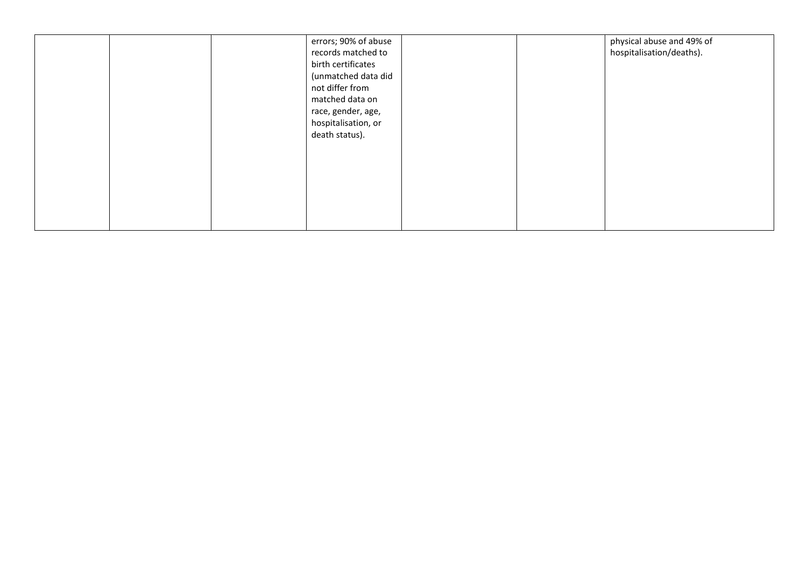|  | errors; 90% of abuse<br>records matched to<br>birth certificates<br>(unmatched data did<br>not differ from<br>matched data on<br>race, gender, age,<br>hospitalisation, or<br>death status). |  | physical abuse and 49% of<br>hospitalisation/deaths). |
|--|----------------------------------------------------------------------------------------------------------------------------------------------------------------------------------------------|--|-------------------------------------------------------|
|  |                                                                                                                                                                                              |  |                                                       |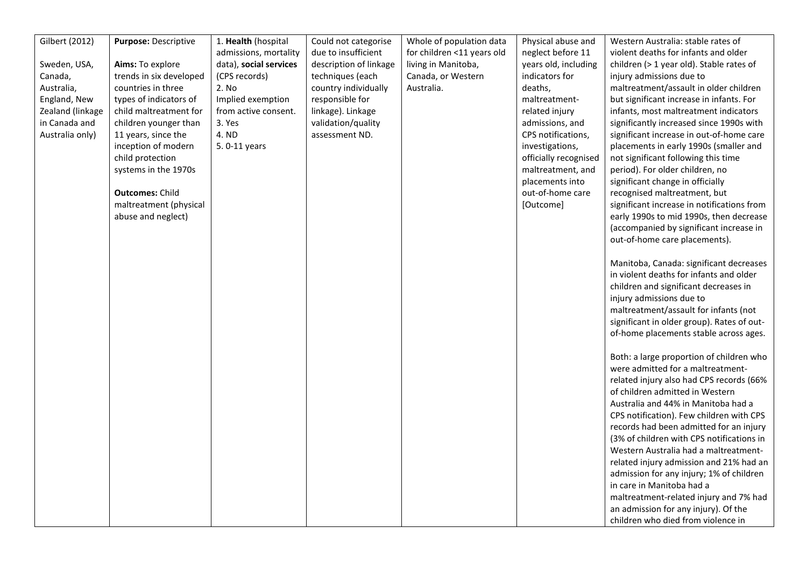| Gilbert (2012)<br>Sweden, USA,<br>Canada,<br>Australia,<br>England, New<br>Zealand (linkage<br>in Canada and<br>Australia only) | Purpose: Descriptive<br>Aims: To explore<br>trends in six developed<br>countries in three<br>types of indicators of<br>child maltreatment for<br>children younger than<br>11 years, since the<br>inception of modern<br>child protection<br>systems in the 1970s<br><b>Outcomes: Child</b><br>maltreatment (physical<br>abuse and neglect) | 1. Health (hospital<br>admissions, mortality<br>data), social services<br>(CPS records)<br>2. No<br>Implied exemption<br>from active consent.<br>3. Yes<br>4. ND<br>5.0-11 years | Could not categorise<br>due to insufficient<br>description of linkage<br>techniques (each<br>country individually<br>responsible for<br>linkage). Linkage<br>validation/quality<br>assessment ND. | Whole of population data<br>for children <11 years old<br>living in Manitoba,<br>Canada, or Western<br>Australia. | Physical abuse and<br>neglect before 11<br>years old, including<br>indicators for<br>deaths,<br>maltreatment-<br>related injury<br>admissions, and<br>CPS notifications,<br>investigations,<br>officially recognised<br>maltreatment, and<br>placements into<br>out-of-home care<br>[Outcome] | Western Australia: stable rates of<br>violent deaths for infants and older<br>children (> 1 year old). Stable rates of<br>injury admissions due to<br>maltreatment/assault in older children<br>but significant increase in infants. For<br>infants, most maltreatment indicators<br>significantly increased since 1990s with<br>significant increase in out-of-home care<br>placements in early 1990s (smaller and<br>not significant following this time<br>period). For older children, no<br>significant change in officially<br>recognised maltreatment, but<br>significant increase in notifications from<br>early 1990s to mid 1990s, then decrease<br>(accompanied by significant increase in<br>out-of-home care placements).<br>Manitoba, Canada: significant decreases<br>in violent deaths for infants and older<br>children and significant decreases in<br>injury admissions due to<br>maltreatment/assault for infants (not<br>significant in older group). Rates of out-<br>of-home placements stable across ages.<br>Both: a large proportion of children who<br>were admitted for a maltreatment-<br>related injury also had CPS records (66%<br>of children admitted in Western<br>Australia and 44% in Manitoba had a<br>CPS notification). Few children with CPS<br>records had been admitted for an injury<br>(3% of children with CPS notifications in<br>Western Australia had a maltreatment-<br>related injury admission and 21% had an<br>admission for any injury; 1% of children<br>in care in Manitoba had a<br>maltreatment-related injury and 7% had |
|---------------------------------------------------------------------------------------------------------------------------------|--------------------------------------------------------------------------------------------------------------------------------------------------------------------------------------------------------------------------------------------------------------------------------------------------------------------------------------------|----------------------------------------------------------------------------------------------------------------------------------------------------------------------------------|---------------------------------------------------------------------------------------------------------------------------------------------------------------------------------------------------|-------------------------------------------------------------------------------------------------------------------|-----------------------------------------------------------------------------------------------------------------------------------------------------------------------------------------------------------------------------------------------------------------------------------------------|--------------------------------------------------------------------------------------------------------------------------------------------------------------------------------------------------------------------------------------------------------------------------------------------------------------------------------------------------------------------------------------------------------------------------------------------------------------------------------------------------------------------------------------------------------------------------------------------------------------------------------------------------------------------------------------------------------------------------------------------------------------------------------------------------------------------------------------------------------------------------------------------------------------------------------------------------------------------------------------------------------------------------------------------------------------------------------------------------------------------------------------------------------------------------------------------------------------------------------------------------------------------------------------------------------------------------------------------------------------------------------------------------------------------------------------------------------------------------------------------------------------------------------------------------------------------------------------|
|                                                                                                                                 |                                                                                                                                                                                                                                                                                                                                            |                                                                                                                                                                                  |                                                                                                                                                                                                   |                                                                                                                   |                                                                                                                                                                                                                                                                                               | an admission for any injury). Of the<br>children who died from violence in                                                                                                                                                                                                                                                                                                                                                                                                                                                                                                                                                                                                                                                                                                                                                                                                                                                                                                                                                                                                                                                                                                                                                                                                                                                                                                                                                                                                                                                                                                           |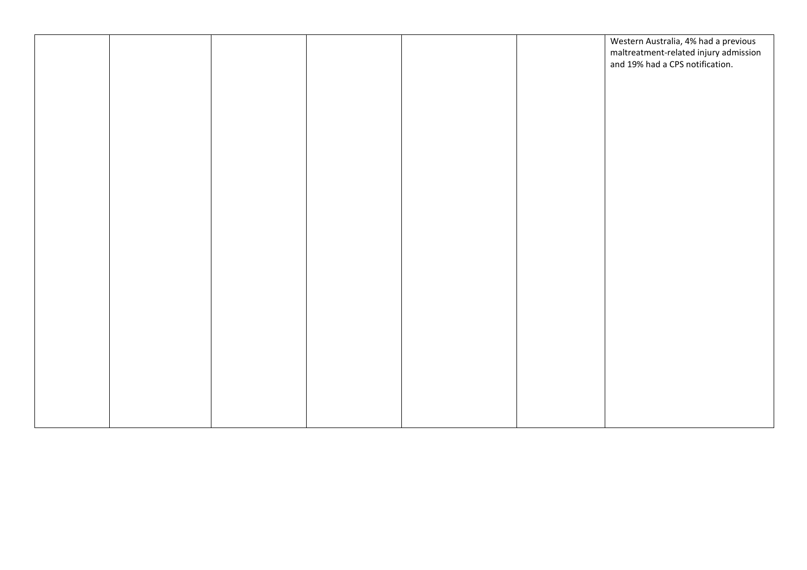|  |  |  | Western Australia, 4% had a previous  |
|--|--|--|---------------------------------------|
|  |  |  | maltreatment-related injury admission |
|  |  |  | and 19% had a CPS notification.       |
|  |  |  |                                       |
|  |  |  |                                       |
|  |  |  |                                       |
|  |  |  |                                       |
|  |  |  |                                       |
|  |  |  |                                       |
|  |  |  |                                       |
|  |  |  |                                       |
|  |  |  |                                       |
|  |  |  |                                       |
|  |  |  |                                       |
|  |  |  |                                       |
|  |  |  |                                       |
|  |  |  |                                       |
|  |  |  |                                       |
|  |  |  |                                       |
|  |  |  |                                       |
|  |  |  |                                       |
|  |  |  |                                       |
|  |  |  |                                       |
|  |  |  |                                       |
|  |  |  |                                       |
|  |  |  |                                       |
|  |  |  |                                       |
|  |  |  |                                       |
|  |  |  |                                       |
|  |  |  |                                       |
|  |  |  |                                       |
|  |  |  |                                       |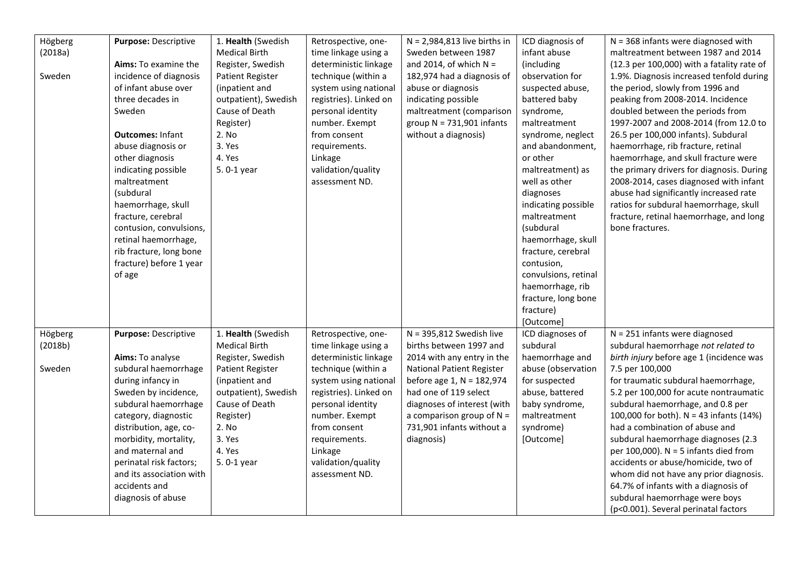| Högberg | Purpose: Descriptive     | 1. Health (Swedish   | Retrospective, one-    | $N = 2,984,813$ live births in   | ICD diagnosis of     | $N = 368$ infants were diagnosed with      |
|---------|--------------------------|----------------------|------------------------|----------------------------------|----------------------|--------------------------------------------|
| (2018a) |                          | <b>Medical Birth</b> | time linkage using a   | Sweden between 1987              | infant abuse         | maltreatment between 1987 and 2014         |
|         | Aims: To examine the     | Register, Swedish    | deterministic linkage  | and 2014, of which $N =$         | (including           | (12.3 per 100,000) with a fatality rate of |
| Sweden  | incidence of diagnosis   | Patient Register     | technique (within a    | 182,974 had a diagnosis of       | observation for      | 1.9%. Diagnosis increased tenfold during   |
|         | of infant abuse over     | (inpatient and       | system using national  | abuse or diagnosis               | suspected abuse,     | the period, slowly from 1996 and           |
|         | three decades in         | outpatient), Swedish | registries). Linked on | indicating possible              | battered baby        | peaking from 2008-2014. Incidence          |
|         | Sweden                   | Cause of Death       | personal identity      | maltreatment (comparison         | syndrome,            | doubled between the periods from           |
|         |                          | Register)            | number. Exempt         | group $N = 731,901$ infants      | maltreatment         | 1997-2007 and 2008-2014 (from 12.0 to      |
|         | <b>Outcomes: Infant</b>  | 2. No                | from consent           | without a diagnosis)             | syndrome, neglect    | 26.5 per 100,000 infants). Subdural        |
|         | abuse diagnosis or       | 3. Yes               | requirements.          |                                  | and abandonment,     | haemorrhage, rib fracture, retinal         |
|         | other diagnosis          | 4. Yes               | Linkage                |                                  | or other             | haemorrhage, and skull fracture were       |
|         | indicating possible      | 5.0-1 year           | validation/quality     |                                  | maltreatment) as     | the primary drivers for diagnosis. During  |
|         | maltreatment             |                      | assessment ND.         |                                  | well as other        | 2008-2014, cases diagnosed with infant     |
|         | (subdural                |                      |                        |                                  | diagnoses            | abuse had significantly increased rate     |
|         | haemorrhage, skull       |                      |                        |                                  | indicating possible  | ratios for subdural haemorrhage, skull     |
|         | fracture, cerebral       |                      |                        |                                  | maltreatment         | fracture, retinal haemorrhage, and long    |
|         | contusion, convulsions,  |                      |                        |                                  | (subdural            | bone fractures.                            |
|         | retinal haemorrhage,     |                      |                        |                                  | haemorrhage, skull   |                                            |
|         | rib fracture, long bone  |                      |                        |                                  | fracture, cerebral   |                                            |
|         | fracture) before 1 year  |                      |                        |                                  | contusion,           |                                            |
|         | of age                   |                      |                        |                                  | convulsions, retinal |                                            |
|         |                          |                      |                        |                                  | haemorrhage, rib     |                                            |
|         |                          |                      |                        |                                  | fracture, long bone  |                                            |
|         |                          |                      |                        |                                  | fracture)            |                                            |
|         |                          |                      |                        |                                  | [Outcome]            |                                            |
| Högberg | Purpose: Descriptive     | 1. Health (Swedish   | Retrospective, one-    | $N = 395,812$ Swedish live       | ICD diagnoses of     | $N = 251$ infants were diagnosed           |
| (2018b) |                          | <b>Medical Birth</b> | time linkage using a   | births between 1997 and          | subdural             | subdural haemorrhage not related to        |
|         | Aims: To analyse         | Register, Swedish    | deterministic linkage  | 2014 with any entry in the       | haemorrhage and      | birth injury before age 1 (incidence was   |
| Sweden  | subdural haemorrhage     | Patient Register     | technique (within a    | <b>National Patient Register</b> | abuse (observation   | 7.5 per 100,000                            |
|         | during infancy in        | (inpatient and       | system using national  | before age 1, N = 182,974        | for suspected        | for traumatic subdural haemorrhage,        |
|         | Sweden by incidence,     | outpatient), Swedish | registries). Linked on | had one of 119 select            | abuse, battered      | 5.2 per 100,000 for acute nontraumatic     |
|         | subdural haemorrhage     | Cause of Death       | personal identity      | diagnoses of interest (with      | baby syndrome,       | subdural haemorrhage, and 0.8 per          |
|         | category, diagnostic     | Register)            | number. Exempt         | a comparison group of $N =$      | maltreatment         | 100,000 for both). $N = 43$ infants (14%)  |
|         | distribution, age, co-   | 2. No                | from consent           | 731,901 infants without a        | syndrome)            | had a combination of abuse and             |
|         | morbidity, mortality,    | 3. Yes               | requirements.          | diagnosis)                       | [Outcome]            | subdural haemorrhage diagnoses (2.3        |
|         | and maternal and         | 4. Yes               | Linkage                |                                  |                      | per 100,000). $N = 5$ infants died from    |
|         | perinatal risk factors;  | 5.0-1 year           | validation/quality     |                                  |                      | accidents or abuse/homicide, two of        |
|         | and its association with |                      | assessment ND.         |                                  |                      | whom did not have any prior diagnosis.     |
|         | accidents and            |                      |                        |                                  |                      | 64.7% of infants with a diagnosis of       |
|         | diagnosis of abuse       |                      |                        |                                  |                      | subdural haemorrhage were boys             |
|         |                          |                      |                        |                                  |                      | (p<0.001). Several perinatal factors       |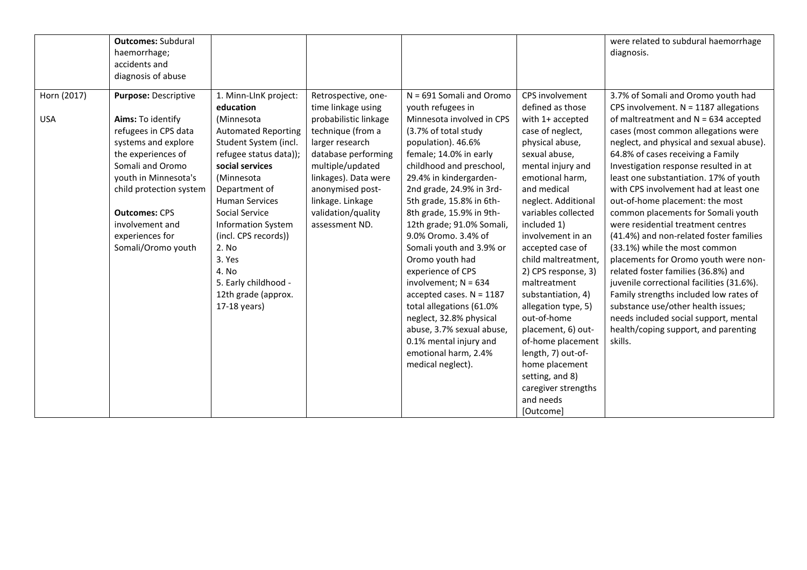|                           | <b>Outcomes: Subdural</b><br>haemorrhage;<br>accidents and<br>diagnosis of abuse                                                                                                                                                                                          |                                                                                                                                                                                                                                                                                                                 |                                                                                                                                                                                                                                                               |                                                                                                                                                                                                                                                                                                                                                                                                                        |                                                                                                                                                                                                                                                                                                                            | were related to subdural haemorrhage<br>diagnosis.                                                                                                                                                                                                                                                                                                                                                                                                                                                                                                                                                                                                    |
|---------------------------|---------------------------------------------------------------------------------------------------------------------------------------------------------------------------------------------------------------------------------------------------------------------------|-----------------------------------------------------------------------------------------------------------------------------------------------------------------------------------------------------------------------------------------------------------------------------------------------------------------|---------------------------------------------------------------------------------------------------------------------------------------------------------------------------------------------------------------------------------------------------------------|------------------------------------------------------------------------------------------------------------------------------------------------------------------------------------------------------------------------------------------------------------------------------------------------------------------------------------------------------------------------------------------------------------------------|----------------------------------------------------------------------------------------------------------------------------------------------------------------------------------------------------------------------------------------------------------------------------------------------------------------------------|-------------------------------------------------------------------------------------------------------------------------------------------------------------------------------------------------------------------------------------------------------------------------------------------------------------------------------------------------------------------------------------------------------------------------------------------------------------------------------------------------------------------------------------------------------------------------------------------------------------------------------------------------------|
| Horn (2017)<br><b>USA</b> | Purpose: Descriptive<br>Aims: To identify<br>refugees in CPS data<br>systems and explore<br>the experiences of<br>Somali and Oromo<br>youth in Minnesota's<br>child protection system<br><b>Outcomes: CPS</b><br>involvement and<br>experiences for<br>Somali/Oromo youth | 1. Minn-LInK project:<br>education<br>(Minnesota<br><b>Automated Reporting</b><br>Student System (incl.<br>refugee status data));<br>social services<br>(Minnesota<br>Department of<br><b>Human Services</b><br>Social Service<br><b>Information System</b><br>(incl. CPS records))<br>2. No<br>3. Yes<br>4. No | Retrospective, one-<br>time linkage using<br>probabilistic linkage<br>technique (from a<br>larger research<br>database performing<br>multiple/updated<br>linkages). Data were<br>anonymised post-<br>linkage. Linkage<br>validation/quality<br>assessment ND. | $N = 691$ Somali and Oromo<br>youth refugees in<br>Minnesota involved in CPS<br>(3.7% of total study<br>population). 46.6%<br>female; 14.0% in early<br>childhood and preschool,<br>29.4% in kindergarden-<br>2nd grade, 24.9% in 3rd-<br>5th grade, 15.8% in 6th-<br>8th grade, 15.9% in 9th-<br>12th grade; 91.0% Somali,<br>9.0% Oromo. 3.4% of<br>Somali youth and 3.9% or<br>Oromo youth had<br>experience of CPS | CPS involvement<br>defined as those<br>with 1+ accepted<br>case of neglect,<br>physical abuse,<br>sexual abuse,<br>mental injury and<br>emotional harm,<br>and medical<br>neglect. Additional<br>variables collected<br>included 1)<br>involvement in an<br>accepted case of<br>child maltreatment,<br>2) CPS response, 3) | 3.7% of Somali and Oromo youth had<br>CPS involvement. $N = 1187$ allegations<br>of maltreatment and $N = 634$ accepted<br>cases (most common allegations were<br>neglect, and physical and sexual abuse).<br>64.8% of cases receiving a Family<br>Investigation response resulted in at<br>least one substantiation. 17% of youth<br>with CPS involvement had at least one<br>out-of-home placement: the most<br>common placements for Somali youth<br>were residential treatment centres<br>(41.4%) and non-related foster families<br>(33.1%) while the most common<br>placements for Oromo youth were non-<br>related foster families (36.8%) and |
|                           |                                                                                                                                                                                                                                                                           | 5. Early childhood -<br>12th grade (approx.<br>17-18 years)                                                                                                                                                                                                                                                     |                                                                                                                                                                                                                                                               | involvement; $N = 634$<br>accepted cases. $N = 1187$<br>total allegations (61.0%<br>neglect, 32.8% physical<br>abuse, 3.7% sexual abuse,<br>0.1% mental injury and<br>emotional harm, 2.4%<br>medical neglect).                                                                                                                                                                                                        | maltreatment<br>substantiation, 4)<br>allegation type, 5)<br>out-of-home<br>placement, 6) out-<br>of-home placement<br>length, 7) out-of-<br>home placement<br>setting, and 8)<br>caregiver strengths<br>and needs<br>[Outcome]                                                                                            | juvenile correctional facilities (31.6%).<br>Family strengths included low rates of<br>substance use/other health issues;<br>needs included social support, mental<br>health/coping support, and parenting<br>skills.                                                                                                                                                                                                                                                                                                                                                                                                                                 |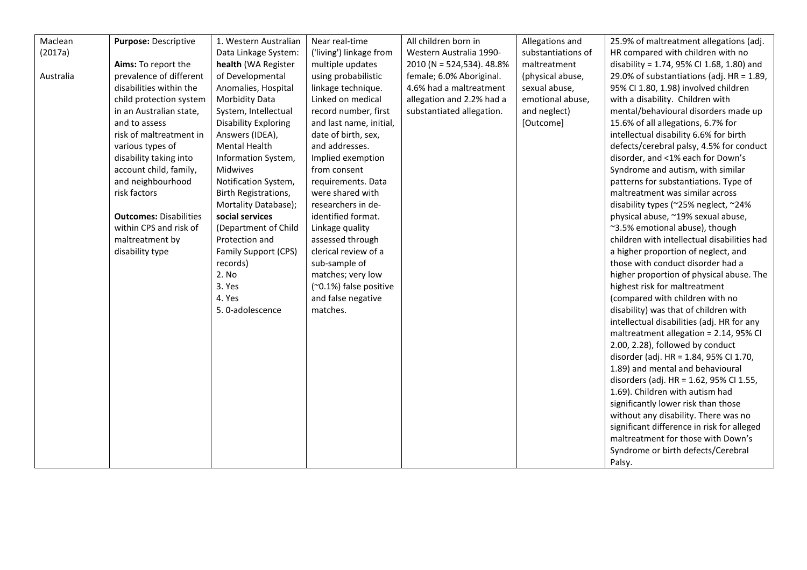| Maclean   | Purpose: Descriptive          | 1. Western Australian | Near real-time          | All children born in      | Allegations and    | 25.9% of maltreatment allegations (adj.     |
|-----------|-------------------------------|-----------------------|-------------------------|---------------------------|--------------------|---------------------------------------------|
| (2017a)   |                               | Data Linkage System:  | ('living') linkage from | Western Australia 1990-   | substantiations of | HR compared with children with no           |
|           | Aims: To report the           | health (WA Register   | multiple updates        | 2010 (N = 524,534). 48.8% | maltreatment       | disability = 1.74, 95% CI 1.68, 1.80) and   |
| Australia | prevalence of different       | of Developmental      | using probabilistic     | female; 6.0% Aboriginal.  | (physical abuse,   | 29.0% of substantiations (adj. HR = 1.89,   |
|           | disabilities within the       | Anomalies, Hospital   | linkage technique.      | 4.6% had a maltreatment   | sexual abuse,      | 95% CI 1.80, 1.98) involved children        |
|           | child protection system       | <b>Morbidity Data</b> | Linked on medical       | allegation and 2.2% had a | emotional abuse,   | with a disability. Children with            |
|           | in an Australian state,       | System, Intellectual  | record number, first    | substantiated allegation. | and neglect)       | mental/behavioural disorders made up        |
|           | and to assess                 | Disability Exploring  | and last name, initial, |                           | [Outcome]          | 15.6% of all allegations, 6.7% for          |
|           | risk of maltreatment in       | Answers (IDEA),       | date of birth, sex,     |                           |                    | intellectual disability 6.6% for birth      |
|           | various types of              | Mental Health         | and addresses.          |                           |                    | defects/cerebral palsy, 4.5% for conduct    |
|           | disability taking into        | Information System,   | Implied exemption       |                           |                    | disorder, and <1% each for Down's           |
|           | account child, family,        | Midwives              | from consent            |                           |                    | Syndrome and autism, with similar           |
|           | and neighbourhood             | Notification System,  | requirements. Data      |                           |                    | patterns for substantiations. Type of       |
|           | risk factors                  | Birth Registrations,  | were shared with        |                           |                    | maltreatment was similar across             |
|           |                               | Mortality Database);  | researchers in de-      |                           |                    | disability types (~25% neglect, ~24%        |
|           | <b>Outcomes: Disabilities</b> | social services       | identified format.      |                           |                    | physical abuse, ~19% sexual abuse,          |
|           | within CPS and risk of        | (Department of Child  | Linkage quality         |                           |                    | ~3.5% emotional abuse), though              |
|           | maltreatment by               | Protection and        | assessed through        |                           |                    | children with intellectual disabilities had |
|           | disability type               | Family Support (CPS)  | clerical review of a    |                           |                    | a higher proportion of neglect, and         |
|           |                               | records)              | sub-sample of           |                           |                    | those with conduct disorder had a           |
|           |                               | 2. No                 | matches; very low       |                           |                    | higher proportion of physical abuse. The    |
|           |                               | 3. Yes                | (~0.1%) false positive  |                           |                    | highest risk for maltreatment               |
|           |                               | 4. Yes                | and false negative      |                           |                    | (compared with children with no             |
|           |                               | 5. 0-adolescence      | matches.                |                           |                    | disability) was that of children with       |
|           |                               |                       |                         |                           |                    | intellectual disabilities (adj. HR for any  |
|           |                               |                       |                         |                           |                    | maltreatment allegation = 2.14, 95% CI      |
|           |                               |                       |                         |                           |                    | 2.00, 2.28), followed by conduct            |
|           |                               |                       |                         |                           |                    | disorder (adj. HR = 1.84, 95% Cl 1.70,      |
|           |                               |                       |                         |                           |                    | 1.89) and mental and behavioural            |
|           |                               |                       |                         |                           |                    | disorders (adj. HR = 1.62, 95% CI 1.55,     |
|           |                               |                       |                         |                           |                    | 1.69). Children with autism had             |
|           |                               |                       |                         |                           |                    | significantly lower risk than those         |
|           |                               |                       |                         |                           |                    | without any disability. There was no        |
|           |                               |                       |                         |                           |                    | significant difference in risk for alleged  |
|           |                               |                       |                         |                           |                    | maltreatment for those with Down's          |
|           |                               |                       |                         |                           |                    | Syndrome or birth defects/Cerebral          |
|           |                               |                       |                         |                           |                    | Palsy.                                      |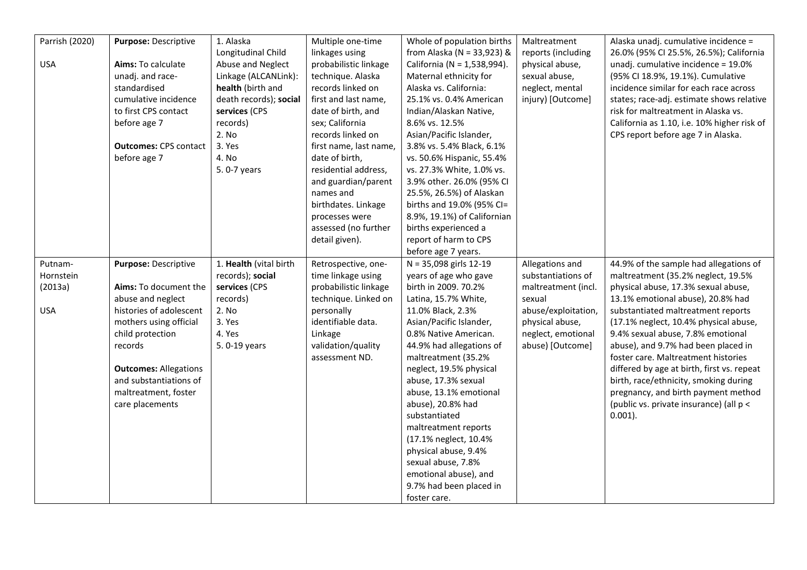| Parrish (2020) | Purpose: Descriptive         | 1. Alaska              | Multiple one-time      | Whole of population births     | Maltreatment        | Alaska unadj. cumulative incidence =        |
|----------------|------------------------------|------------------------|------------------------|--------------------------------|---------------------|---------------------------------------------|
|                |                              | Longitudinal Child     | linkages using         | from Alaska ( $N = 33,923$ ) & | reports (including  | 26.0% (95% CI 25.5%, 26.5%); California     |
| <b>USA</b>     | Aims: To calculate           | Abuse and Neglect      | probabilistic linkage  | California (N = 1,538,994).    | physical abuse,     | unadj. cumulative incidence = 19.0%         |
|                | unadj. and race-             | Linkage (ALCANLink):   | technique. Alaska      | Maternal ethnicity for         | sexual abuse,       | (95% CI 18.9%, 19.1%). Cumulative           |
|                | standardised                 | health (birth and      | records linked on      | Alaska vs. California:         | neglect, mental     | incidence similar for each race across      |
|                | cumulative incidence         | death records); social | first and last name,   | 25.1% vs. 0.4% American        | injury) [Outcome]   | states; race-adj. estimate shows relative   |
|                | to first CPS contact         | services (CPS          | date of birth, and     | Indian/Alaskan Native,         |                     | risk for maltreatment in Alaska vs.         |
|                | before age 7                 | records)               | sex; California        | 8.6% vs. 12.5%                 |                     | California as 1.10, i.e. 10% higher risk of |
|                |                              | 2. No                  | records linked on      | Asian/Pacific Islander,        |                     | CPS report before age 7 in Alaska.          |
|                | <b>Outcomes: CPS contact</b> | 3. Yes                 | first name, last name, | 3.8% vs. 5.4% Black, 6.1%      |                     |                                             |
|                | before age 7                 | 4. No                  | date of birth,         | vs. 50.6% Hispanic, 55.4%      |                     |                                             |
|                |                              | 5.0-7 years            | residential address,   | vs. 27.3% White, 1.0% vs.      |                     |                                             |
|                |                              |                        | and guardian/parent    | 3.9% other. 26.0% (95% CI      |                     |                                             |
|                |                              |                        | names and              | 25.5%, 26.5%) of Alaskan       |                     |                                             |
|                |                              |                        | birthdates. Linkage    | births and 19.0% (95% CI=      |                     |                                             |
|                |                              |                        | processes were         | 8.9%, 19.1%) of Californian    |                     |                                             |
|                |                              |                        | assessed (no further   | births experienced a           |                     |                                             |
|                |                              |                        | detail given).         | report of harm to CPS          |                     |                                             |
|                |                              |                        |                        | before age 7 years.            |                     |                                             |
| Putnam-        | Purpose: Descriptive         | 1. Health (vital birth | Retrospective, one-    | $N = 35,098$ girls 12-19       | Allegations and     | 44.9% of the sample had allegations of      |
| Hornstein      |                              | records); social       | time linkage using     | years of age who gave          | substantiations of  | maltreatment (35.2% neglect, 19.5%          |
| (2013a)        | Aims: To document the        | services (CPS          | probabilistic linkage  | birth in 2009. 70.2%           | maltreatment (incl. | physical abuse, 17.3% sexual abuse,         |
|                | abuse and neglect            | records)               | technique. Linked on   | Latina, 15.7% White,           | sexual              | 13.1% emotional abuse), 20.8% had           |
| <b>USA</b>     | histories of adolescent      | 2. No                  | personally             | 11.0% Black, 2.3%              | abuse/exploitation, | substantiated maltreatment reports          |
|                | mothers using official       | 3. Yes                 | identifiable data.     | Asian/Pacific Islander,        | physical abuse,     | (17.1% neglect, 10.4% physical abuse,       |
|                | child protection             | 4. Yes                 | Linkage                | 0.8% Native American.          | neglect, emotional  | 9.4% sexual abuse, 7.8% emotional           |
|                | records                      | 5.0-19 years           | validation/quality     | 44.9% had allegations of       | abuse) [Outcome]    | abuse), and 9.7% had been placed in         |
|                |                              |                        | assessment ND.         | maltreatment (35.2%            |                     | foster care. Maltreatment histories         |
|                | <b>Outcomes: Allegations</b> |                        |                        | neglect, 19.5% physical        |                     | differed by age at birth, first vs. repeat  |
|                | and substantiations of       |                        |                        | abuse, 17.3% sexual            |                     | birth, race/ethnicity, smoking during       |
|                | maltreatment, foster         |                        |                        | abuse, 13.1% emotional         |                     | pregnancy, and birth payment method         |
|                | care placements              |                        |                        | abuse), 20.8% had              |                     | (public vs. private insurance) (all p <     |
|                |                              |                        |                        | substantiated                  |                     | $0.001$ ).                                  |
|                |                              |                        |                        | maltreatment reports           |                     |                                             |
|                |                              |                        |                        | (17.1% neglect, 10.4%          |                     |                                             |
|                |                              |                        |                        | physical abuse, 9.4%           |                     |                                             |
|                |                              |                        |                        | sexual abuse, 7.8%             |                     |                                             |
|                |                              |                        |                        | emotional abuse), and          |                     |                                             |
|                |                              |                        |                        | 9.7% had been placed in        |                     |                                             |
|                |                              |                        |                        | foster care.                   |                     |                                             |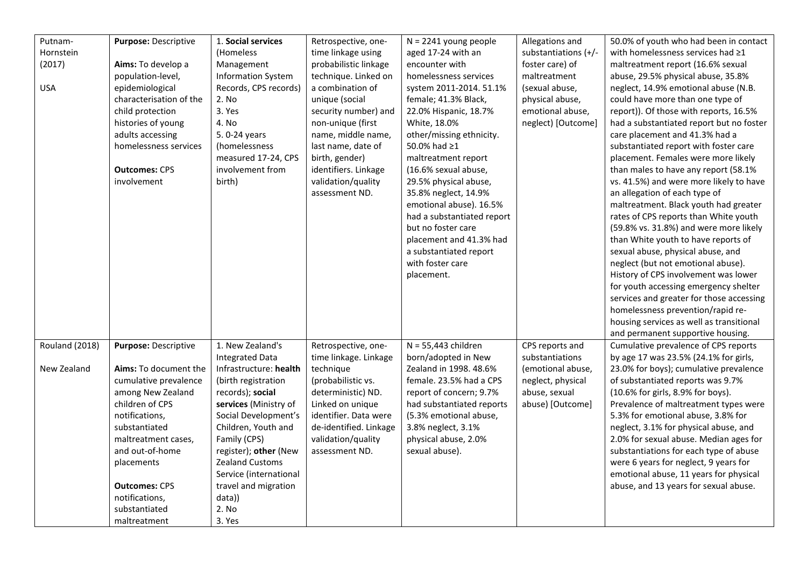| Putnam-               | Purpose: Descriptive         | 1. Social services        | Retrospective, one-    | $N = 2241$ young people    | Allegations and      | 50.0% of youth who had been in contact   |
|-----------------------|------------------------------|---------------------------|------------------------|----------------------------|----------------------|------------------------------------------|
| Hornstein             |                              | (Homeless                 | time linkage using     | aged 17-24 with an         | substantiations (+/- | with homelessness services had ≥1        |
| (2017)                | Aims: To develop a           | Management                | probabilistic linkage  | encounter with             | foster care) of      | maltreatment report (16.6% sexual        |
|                       | population-level,            | <b>Information System</b> | technique. Linked on   | homelessness services      | maltreatment         | abuse, 29.5% physical abuse, 35.8%       |
| <b>USA</b>            | epidemiological              | Records, CPS records)     | a combination of       | system 2011-2014. 51.1%    | (sexual abuse,       | neglect, 14.9% emotional abuse (N.B.     |
|                       | characterisation of the      | 2. No                     | unique (social         | female; 41.3% Black,       | physical abuse,      | could have more than one type of         |
|                       | child protection             | 3. Yes                    | security number) and   | 22.0% Hispanic, 18.7%      | emotional abuse,     | report)). Of those with reports, 16.5%   |
|                       | histories of young           | 4. No                     | non-unique (first      | White, 18.0%               | neglect) [Outcome]   | had a substantiated report but no foster |
|                       | adults accessing             | 5.0-24 years              | name, middle name,     | other/missing ethnicity.   |                      | care placement and 41.3% had a           |
|                       | homelessness services        | (homelessness             | last name, date of     | 50.0% had ≥1               |                      | substantiated report with foster care    |
|                       |                              | measured 17-24, CPS       | birth, gender)         | maltreatment report        |                      | placement. Females were more likely      |
|                       |                              | involvement from          | identifiers. Linkage   | (16.6% sexual abuse,       |                      | than males to have any report (58.1%     |
|                       | <b>Outcomes: CPS</b>         |                           |                        |                            |                      |                                          |
|                       | involvement                  | birth)                    | validation/quality     | 29.5% physical abuse,      |                      | vs. 41.5%) and were more likely to have  |
|                       |                              |                           | assessment ND.         | 35.8% neglect, 14.9%       |                      | an allegation of each type of            |
|                       |                              |                           |                        | emotional abuse). 16.5%    |                      | maltreatment. Black youth had greater    |
|                       |                              |                           |                        | had a substantiated report |                      | rates of CPS reports than White youth    |
|                       |                              |                           |                        | but no foster care         |                      | (59.8% vs. 31.8%) and were more likely   |
|                       |                              |                           |                        | placement and 41.3% had    |                      | than White youth to have reports of      |
|                       |                              |                           |                        | a substantiated report     |                      | sexual abuse, physical abuse, and        |
|                       |                              |                           |                        | with foster care           |                      | neglect (but not emotional abuse).       |
|                       |                              |                           |                        | placement.                 |                      | History of CPS involvement was lower     |
|                       |                              |                           |                        |                            |                      | for youth accessing emergency shelter    |
|                       |                              |                           |                        |                            |                      | services and greater for those accessing |
|                       |                              |                           |                        |                            |                      | homelessness prevention/rapid re-        |
|                       |                              |                           |                        |                            |                      | housing services as well as transitional |
|                       |                              |                           |                        |                            |                      | and permanent supportive housing.        |
| <b>Rouland (2018)</b> | Purpose: Descriptive         | 1. New Zealand's          | Retrospective, one-    | $N = 55,443$ children      | CPS reports and      | Cumulative prevalence of CPS reports     |
|                       |                              | <b>Integrated Data</b>    | time linkage. Linkage  | born/adopted in New        | substantiations      | by age 17 was 23.5% (24.1% for girls,    |
| New Zealand           | <b>Aims:</b> To document the | Infrastructure: health    | technique              | Zealand in 1998. 48.6%     | (emotional abuse,    | 23.0% for boys); cumulative prevalence   |
|                       | cumulative prevalence        | (birth registration       | (probabilistic vs.     | female. 23.5% had a CPS    | neglect, physical    | of substantiated reports was 9.7%        |
|                       | among New Zealand            | records); social          | deterministic) ND.     | report of concern; 9.7%    | abuse, sexual        | (10.6% for girls, 8.9% for boys).        |
|                       | children of CPS              | services (Ministry of     | Linked on unique       | had substantiated reports  | abuse) [Outcome]     | Prevalence of maltreatment types were    |
|                       | notifications,               | Social Development's      | identifier. Data were  | (5.3% emotional abuse,     |                      | 5.3% for emotional abuse, 3.8% for       |
|                       | substantiated                | Children, Youth and       | de-identified. Linkage | 3.8% neglect, 3.1%         |                      | neglect, 3.1% for physical abuse, and    |
|                       | maltreatment cases,          | Family (CPS)              | validation/quality     | physical abuse, 2.0%       |                      | 2.0% for sexual abuse. Median ages for   |
|                       | and out-of-home              | register); other (New     | assessment ND.         | sexual abuse).             |                      | substantiations for each type of abuse   |
|                       | placements                   | Zealand Customs           |                        |                            |                      | were 6 years for neglect, 9 years for    |
|                       |                              | Service (international    |                        |                            |                      | emotional abuse, 11 years for physical   |
|                       | <b>Outcomes: CPS</b>         | travel and migration      |                        |                            |                      | abuse, and 13 years for sexual abuse.    |
|                       | notifications,               | data))                    |                        |                            |                      |                                          |
|                       | substantiated                | 2. No                     |                        |                            |                      |                                          |
|                       | maltreatment                 | 3. Yes                    |                        |                            |                      |                                          |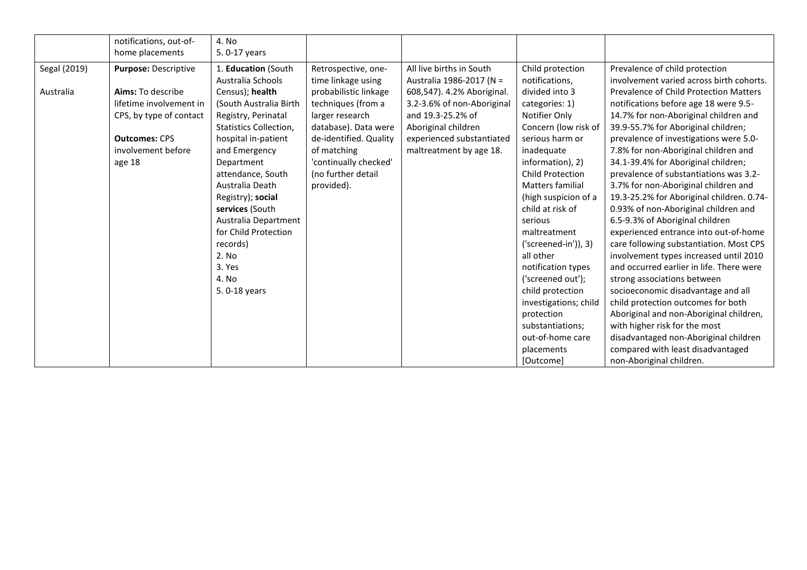|              | notifications, out-of-  | 4. No                         |                        |                            |                         |                                               |
|--------------|-------------------------|-------------------------------|------------------------|----------------------------|-------------------------|-----------------------------------------------|
|              | home placements         | 5.0-17 years                  |                        |                            |                         |                                               |
| Segal (2019) | Purpose: Descriptive    | 1. Education (South           | Retrospective, one-    | All live births in South   | Child protection        | Prevalence of child protection                |
|              |                         | Australia Schools             | time linkage using     | Australia 1986-2017 (N =   | notifications,          | involvement varied across birth cohorts.      |
| Australia    | Aims: To describe       | Census); health               | probabilistic linkage  | 608,547). 4.2% Aboriginal. | divided into 3          | <b>Prevalence of Child Protection Matters</b> |
|              | lifetime involvement in | (South Australia Birth        | techniques (from a     | 3.2-3.6% of non-Aboriginal | categories: 1)          | notifications before age 18 were 9.5-         |
|              | CPS, by type of contact | Registry, Perinatal           | larger research        | and 19.3-25.2% of          | Notifier Only           | 14.7% for non-Aboriginal children and         |
|              |                         | <b>Statistics Collection,</b> | database). Data were   | Aboriginal children        | Concern (low risk of    | 39.9-55.7% for Aboriginal children;           |
|              | <b>Outcomes: CPS</b>    | hospital in-patient           | de-identified. Quality | experienced substantiated  | serious harm or         | prevalence of investigations were 5.0-        |
|              | involvement before      | and Emergency                 | of matching            | maltreatment by age 18.    | inadequate              | 7.8% for non-Aboriginal children and          |
|              | age 18                  | Department                    | 'continually checked'  |                            | information), 2)        | 34.1-39.4% for Aboriginal children;           |
|              |                         | attendance, South             | (no further detail     |                            | <b>Child Protection</b> | prevalence of substantiations was 3.2-        |
|              |                         | Australia Death               | provided).             |                            | Matters familial        | 3.7% for non-Aboriginal children and          |
|              |                         | Registry); social             |                        |                            | (high suspicion of a    | 19.3-25.2% for Aboriginal children. 0.74-     |
|              |                         | services (South               |                        |                            | child at risk of        | 0.93% of non-Aboriginal children and          |
|              |                         | Australia Department          |                        |                            | serious                 | 6.5-9.3% of Aboriginal children               |
|              |                         | for Child Protection          |                        |                            | maltreatment            | experienced entrance into out-of-home         |
|              |                         | records)                      |                        |                            | $('screened-in'))$ , 3) | care following substantiation. Most CPS       |
|              |                         | 2. No                         |                        |                            | all other               | involvement types increased until 2010        |
|              |                         | 3. Yes                        |                        |                            | notification types      | and occurred earlier in life. There were      |
|              |                         | 4. No                         |                        |                            | ('screened out');       | strong associations between                   |
|              |                         | 5.0-18 years                  |                        |                            | child protection        | socioeconomic disadvantage and all            |
|              |                         |                               |                        |                            | investigations; child   | child protection outcomes for both            |
|              |                         |                               |                        |                            | protection              | Aboriginal and non-Aboriginal children,       |
|              |                         |                               |                        |                            | substantiations;        | with higher risk for the most                 |
|              |                         |                               |                        |                            | out-of-home care        | disadvantaged non-Aboriginal children         |
|              |                         |                               |                        |                            | placements              | compared with least disadvantaged             |
|              |                         |                               |                        |                            | [Outcome]               | non-Aboriginal children.                      |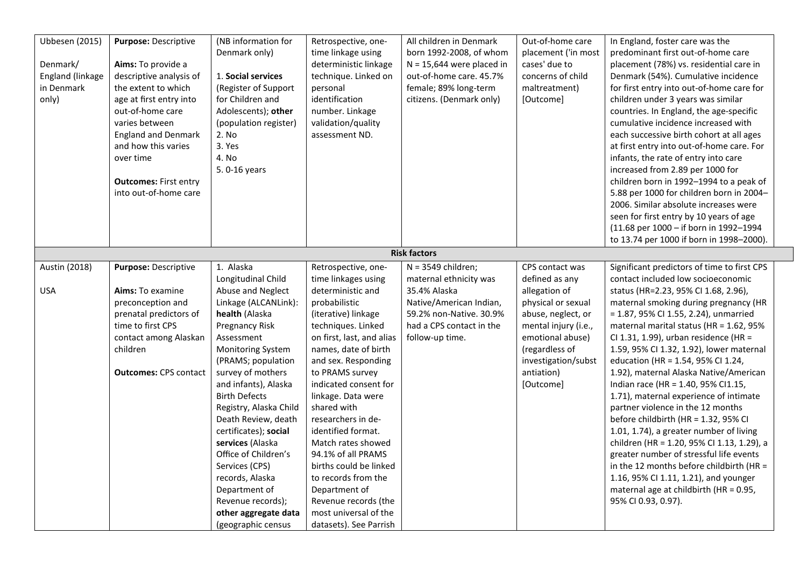| <b>Ubbesen</b> (2015)<br>Denmark/<br>England (linkage<br>in Denmark<br>only) | Purpose: Descriptive<br>Aims: To provide a<br>descriptive analysis of<br>the extent to which<br>age at first entry into<br>out-of-home care<br>varies between<br><b>England and Denmark</b><br>and how this varies<br>over time | (NB information for<br>Denmark only)<br>1. Social services<br>(Register of Support<br>for Children and<br>Adolescents); other<br>(population register)<br>2. No<br>3. Yes<br>4. No                                                                                                                                                                                                                                                                                | Retrospective, one-<br>time linkage using<br>deterministic linkage<br>technique. Linked on<br>personal<br>identification<br>number. Linkage<br>validation/quality<br>assessment ND.                                                                                                                                                                                                                                                                                               | All children in Denmark<br>born 1992-2008, of whom<br>$N = 15,644$ were placed in<br>out-of-home care. 45.7%<br>female; 89% long-term<br>citizens. (Denmark only) | Out-of-home care<br>placement ('in most<br>cases' due to<br>concerns of child<br>maltreatment)<br>[Outcome]                                                               | In England, foster care was the<br>predominant first out-of-home care<br>placement (78%) vs. residential care in<br>Denmark (54%). Cumulative incidence<br>for first entry into out-of-home care for<br>children under 3 years was similar<br>countries. In England, the age-specific<br>cumulative incidence increased with<br>each successive birth cohort at all ages<br>at first entry into out-of-home care. For<br>infants, the rate of entry into care                                                                                                                                                                                                                                                                                                                                  |
|------------------------------------------------------------------------------|---------------------------------------------------------------------------------------------------------------------------------------------------------------------------------------------------------------------------------|-------------------------------------------------------------------------------------------------------------------------------------------------------------------------------------------------------------------------------------------------------------------------------------------------------------------------------------------------------------------------------------------------------------------------------------------------------------------|-----------------------------------------------------------------------------------------------------------------------------------------------------------------------------------------------------------------------------------------------------------------------------------------------------------------------------------------------------------------------------------------------------------------------------------------------------------------------------------|-------------------------------------------------------------------------------------------------------------------------------------------------------------------|---------------------------------------------------------------------------------------------------------------------------------------------------------------------------|------------------------------------------------------------------------------------------------------------------------------------------------------------------------------------------------------------------------------------------------------------------------------------------------------------------------------------------------------------------------------------------------------------------------------------------------------------------------------------------------------------------------------------------------------------------------------------------------------------------------------------------------------------------------------------------------------------------------------------------------------------------------------------------------|
|                                                                              | <b>Outcomes: First entry</b><br>into out-of-home care                                                                                                                                                                           | 5.0-16 years                                                                                                                                                                                                                                                                                                                                                                                                                                                      |                                                                                                                                                                                                                                                                                                                                                                                                                                                                                   |                                                                                                                                                                   |                                                                                                                                                                           | increased from 2.89 per 1000 for<br>children born in 1992-1994 to a peak of<br>5.88 per 1000 for children born in 2004-<br>2006. Similar absolute increases were<br>seen for first entry by 10 years of age<br>(11.68 per 1000 - if born in 1992-1994<br>to 13.74 per 1000 if born in 1998-2000).                                                                                                                                                                                                                                                                                                                                                                                                                                                                                              |
|                                                                              |                                                                                                                                                                                                                                 |                                                                                                                                                                                                                                                                                                                                                                                                                                                                   |                                                                                                                                                                                                                                                                                                                                                                                                                                                                                   | <b>Risk factors</b>                                                                                                                                               |                                                                                                                                                                           |                                                                                                                                                                                                                                                                                                                                                                                                                                                                                                                                                                                                                                                                                                                                                                                                |
| Austin (2018)                                                                | Purpose: Descriptive                                                                                                                                                                                                            | 1. Alaska<br>Longitudinal Child                                                                                                                                                                                                                                                                                                                                                                                                                                   | Retrospective, one-<br>time linkages using                                                                                                                                                                                                                                                                                                                                                                                                                                        | $N = 3549$ children;<br>maternal ethnicity was                                                                                                                    | CPS contact was<br>defined as any                                                                                                                                         | Significant predictors of time to first CPS<br>contact included low socioeconomic                                                                                                                                                                                                                                                                                                                                                                                                                                                                                                                                                                                                                                                                                                              |
| <b>USA</b>                                                                   | Aims: To examine<br>preconception and<br>prenatal predictors of<br>time to first CPS<br>contact among Alaskan<br>children<br><b>Outcomes: CPS contact</b>                                                                       | Abuse and Neglect<br>Linkage (ALCANLink):<br>health (Alaska<br>Pregnancy Risk<br>Assessment<br><b>Monitoring System</b><br>(PRAMS; population<br>survey of mothers<br>and infants), Alaska<br><b>Birth Defects</b><br>Registry, Alaska Child<br>Death Review, death<br>certificates); social<br>services (Alaska<br>Office of Children's<br>Services (CPS)<br>records, Alaska<br>Department of<br>Revenue records);<br>other aggregate data<br>(geographic census | deterministic and<br>probabilistic<br>(iterative) linkage<br>techniques. Linked<br>on first, last, and alias<br>names, date of birth<br>and sex. Responding<br>to PRAMS survey<br>indicated consent for<br>linkage. Data were<br>shared with<br>researchers in de-<br>identified format.<br>Match rates showed<br>94.1% of all PRAMS<br>births could be linked<br>to records from the<br>Department of<br>Revenue records (the<br>most universal of the<br>datasets). See Parrish | 35.4% Alaska<br>Native/American Indian,<br>59.2% non-Native. 30.9%<br>had a CPS contact in the<br>follow-up time.                                                 | allegation of<br>physical or sexual<br>abuse, neglect, or<br>mental injury (i.e.,<br>emotional abuse)<br>(regardless of<br>investigation/subst<br>antiation)<br>[Outcome] | status (HR=2.23, 95% CI 1.68, 2.96),<br>maternal smoking during pregnancy (HR<br>= 1.87, 95% CI 1.55, 2.24), unmarried<br>maternal marital status (HR = 1.62, 95%<br>CI 1.31, 1.99), urban residence (HR =<br>1.59, 95% CI 1.32, 1.92), lower maternal<br>education (HR = 1.54, 95% CI 1.24,<br>1.92), maternal Alaska Native/American<br>Indian race (HR = 1.40, 95% CI1.15,<br>1.71), maternal experience of intimate<br>partner violence in the 12 months<br>before childbirth (HR = 1.32, 95% CI<br>1.01, 1.74), a greater number of living<br>children (HR = 1.20, 95% CI 1.13, 1.29), a<br>greater number of stressful life events<br>in the 12 months before childbirth (HR =<br>1.16, 95% CI 1.11, 1.21), and younger<br>maternal age at childbirth (HR = 0.95,<br>95% CI 0.93, 0.97). |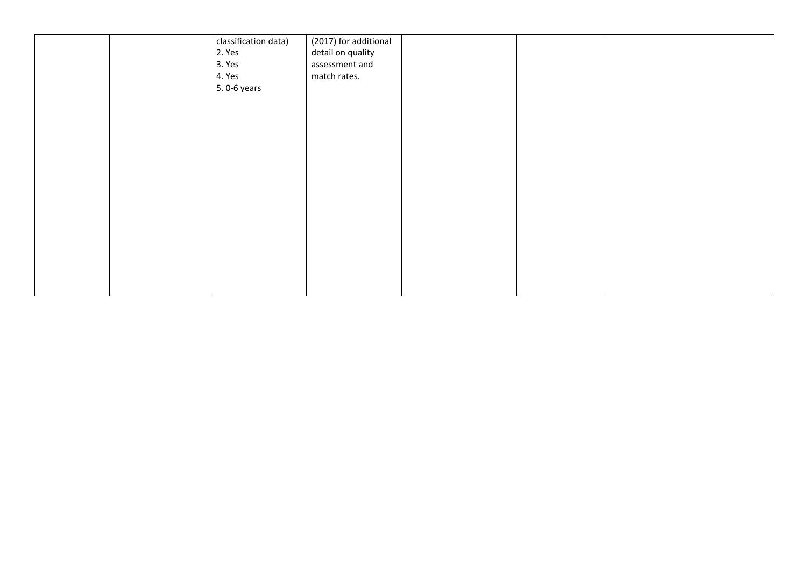|  | classification data) | (2017) for additional               |  |  |
|--|----------------------|-------------------------------------|--|--|
|  | 2. Yes<br>3. Yes     | detail on quality<br>assessment and |  |  |
|  | 4. Yes               | match rates.                        |  |  |
|  | 5.0-6 years          |                                     |  |  |
|  |                      |                                     |  |  |
|  |                      |                                     |  |  |
|  |                      |                                     |  |  |
|  |                      |                                     |  |  |
|  |                      |                                     |  |  |
|  |                      |                                     |  |  |
|  |                      |                                     |  |  |
|  |                      |                                     |  |  |
|  |                      |                                     |  |  |
|  |                      |                                     |  |  |
|  |                      |                                     |  |  |
|  |                      |                                     |  |  |
|  |                      |                                     |  |  |
|  |                      |                                     |  |  |
|  |                      |                                     |  |  |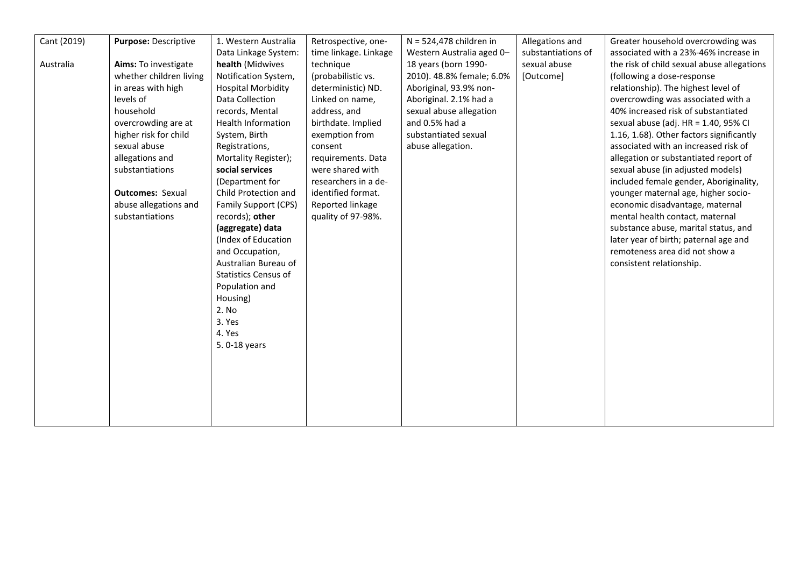| Cant (2019) | Purpose: Descriptive    | 1. Western Australia        | Retrospective, one-   | $N = 524,478$ children in | Allegations and    | Greater household overcrowding was         |
|-------------|-------------------------|-----------------------------|-----------------------|---------------------------|--------------------|--------------------------------------------|
|             |                         | Data Linkage System:        | time linkage. Linkage | Western Australia aged 0- | substantiations of | associated with a 23%-46% increase in      |
| Australia   | Aims: To investigate    | health (Midwives            | technique             | 18 years (born 1990-      | sexual abuse       | the risk of child sexual abuse allegations |
|             | whether children living | Notification System,        | (probabilistic vs.    | 2010). 48.8% female; 6.0% | [Outcome]          | (following a dose-response)                |
|             | in areas with high      | <b>Hospital Morbidity</b>   | deterministic) ND.    | Aboriginal, 93.9% non-    |                    | relationship). The highest level of        |
|             | levels of               | Data Collection             | Linked on name,       | Aboriginal. 2.1% had a    |                    | overcrowding was associated with a         |
|             | household               | records, Mental             | address, and          | sexual abuse allegation   |                    | 40% increased risk of substantiated        |
|             | overcrowding are at     | <b>Health Information</b>   | birthdate. Implied    | and 0.5% had a            |                    | sexual abuse (adj. HR = 1.40, 95% CI       |
|             | higher risk for child   | System, Birth               | exemption from        | substantiated sexual      |                    | 1.16, 1.68). Other factors significantly   |
|             | sexual abuse            | Registrations,              | consent               | abuse allegation.         |                    | associated with an increased risk of       |
|             | allegations and         | Mortality Register);        | requirements. Data    |                           |                    | allegation or substantiated report of      |
|             | substantiations         | social services             | were shared with      |                           |                    | sexual abuse (in adjusted models)          |
|             |                         | (Department for             | researchers in a de-  |                           |                    | included female gender, Aboriginality,     |
|             | <b>Outcomes: Sexual</b> | Child Protection and        | identified format.    |                           |                    | younger maternal age, higher socio-        |
|             | abuse allegations and   | Family Support (CPS)        | Reported linkage      |                           |                    | economic disadvantage, maternal            |
|             | substantiations         | records); other             | quality of 97-98%.    |                           |                    | mental health contact, maternal            |
|             |                         | (aggregate) data            |                       |                           |                    | substance abuse, marital status, and       |
|             |                         | (Index of Education         |                       |                           |                    | later year of birth; paternal age and      |
|             |                         | and Occupation,             |                       |                           |                    | remoteness area did not show a             |
|             |                         | Australian Bureau of        |                       |                           |                    | consistent relationship.                   |
|             |                         | <b>Statistics Census of</b> |                       |                           |                    |                                            |
|             |                         | Population and              |                       |                           |                    |                                            |
|             |                         | Housing)                    |                       |                           |                    |                                            |
|             |                         | 2. No                       |                       |                           |                    |                                            |
|             |                         | 3. Yes                      |                       |                           |                    |                                            |
|             |                         | 4. Yes                      |                       |                           |                    |                                            |
|             |                         | 5.0-18 years                |                       |                           |                    |                                            |
|             |                         |                             |                       |                           |                    |                                            |
|             |                         |                             |                       |                           |                    |                                            |
|             |                         |                             |                       |                           |                    |                                            |
|             |                         |                             |                       |                           |                    |                                            |
|             |                         |                             |                       |                           |                    |                                            |
|             |                         |                             |                       |                           |                    |                                            |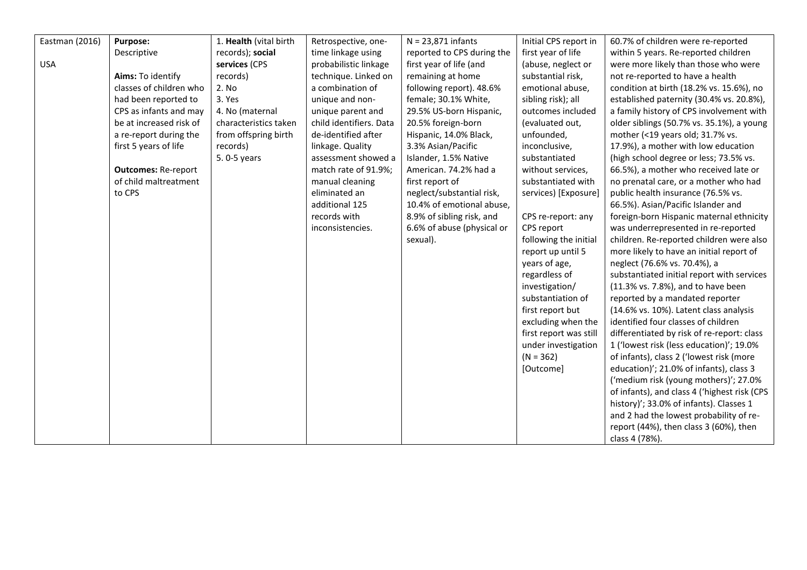| Eastman (2016) | Purpose:                   | 1. Health (vital birth | Retrospective, one-     | $N = 23,871$ infants       | Initial CPS report in  | 60.7% of children were re-reported           |
|----------------|----------------------------|------------------------|-------------------------|----------------------------|------------------------|----------------------------------------------|
|                | Descriptive                | records); social       | time linkage using      | reported to CPS during the | first year of life     | within 5 years. Re-reported children         |
| <b>USA</b>     |                            | services (CPS          | probabilistic linkage   | first year of life (and    | (abuse, neglect or     | were more likely than those who were         |
|                | Aims: To identify          | records)               | technique. Linked on    | remaining at home          | substantial risk,      | not re-reported to have a health             |
|                | classes of children who    | 2. No                  | a combination of        | following report). 48.6%   | emotional abuse,       | condition at birth (18.2% vs. 15.6%), no     |
|                | had been reported to       | 3. Yes                 | unique and non-         | female; 30.1% White,       | sibling risk); all     | established paternity (30.4% vs. 20.8%),     |
|                | CPS as infants and may     | 4. No (maternal        | unique parent and       | 29.5% US-born Hispanic,    | outcomes included      | a family history of CPS involvement with     |
|                | be at increased risk of    | characteristics taken  | child identifiers. Data | 20.5% foreign-born         | (evaluated out,        | older siblings (50.7% vs. 35.1%), a young    |
|                | a re-report during the     | from offspring birth   | de-identified after     | Hispanic, 14.0% Black,     | unfounded,             | mother (<19 years old; 31.7% vs.             |
|                | first 5 years of life      | records)               | linkage. Quality        | 3.3% Asian/Pacific         | inconclusive,          | 17.9%), a mother with low education          |
|                |                            | 5.0-5 years            | assessment showed a     | Islander, 1.5% Native      | substantiated          | (high school degree or less; 73.5% vs.       |
|                | <b>Outcomes: Re-report</b> |                        | match rate of 91.9%;    | American. 74.2% had a      | without services,      | 66.5%), a mother who received late or        |
|                | of child maltreatment      |                        | manual cleaning         | first report of            | substantiated with     | no prenatal care, or a mother who had        |
|                | to CPS                     |                        | eliminated an           | neglect/substantial risk,  | services) [Exposure]   | public health insurance (76.5% vs.           |
|                |                            |                        | additional 125          | 10.4% of emotional abuse,  |                        | 66.5%). Asian/Pacific Islander and           |
|                |                            |                        | records with            | 8.9% of sibling risk, and  | CPS re-report: any     | foreign-born Hispanic maternal ethnicity     |
|                |                            |                        | inconsistencies.        | 6.6% of abuse (physical or | CPS report             | was underrepresented in re-reported          |
|                |                            |                        |                         | sexual).                   | following the initial  | children. Re-reported children were also     |
|                |                            |                        |                         |                            | report up until 5      | more likely to have an initial report of     |
|                |                            |                        |                         |                            | years of age,          | neglect (76.6% vs. 70.4%), a                 |
|                |                            |                        |                         |                            | regardless of          | substantiated initial report with services   |
|                |                            |                        |                         |                            | investigation/         | (11.3% vs. 7.8%), and to have been           |
|                |                            |                        |                         |                            | substantiation of      | reported by a mandated reporter              |
|                |                            |                        |                         |                            | first report but       | (14.6% vs. 10%). Latent class analysis       |
|                |                            |                        |                         |                            | excluding when the     | identified four classes of children          |
|                |                            |                        |                         |                            | first report was still | differentiated by risk of re-report: class   |
|                |                            |                        |                         |                            | under investigation    | 1 ('lowest risk (less education)'; 19.0%     |
|                |                            |                        |                         |                            | $(N = 362)$            | of infants), class 2 ('lowest risk (more     |
|                |                            |                        |                         |                            | [Outcome]              | education)'; 21.0% of infants), class 3      |
|                |                            |                        |                         |                            |                        | ('medium risk (young mothers)'; 27.0%        |
|                |                            |                        |                         |                            |                        | of infants), and class 4 ('highest risk (CPS |
|                |                            |                        |                         |                            |                        | history)'; 33.0% of infants). Classes 1      |
|                |                            |                        |                         |                            |                        | and 2 had the lowest probability of re-      |
|                |                            |                        |                         |                            |                        | report (44%), then class 3 (60%), then       |
|                |                            |                        |                         |                            |                        | class 4 (78%).                               |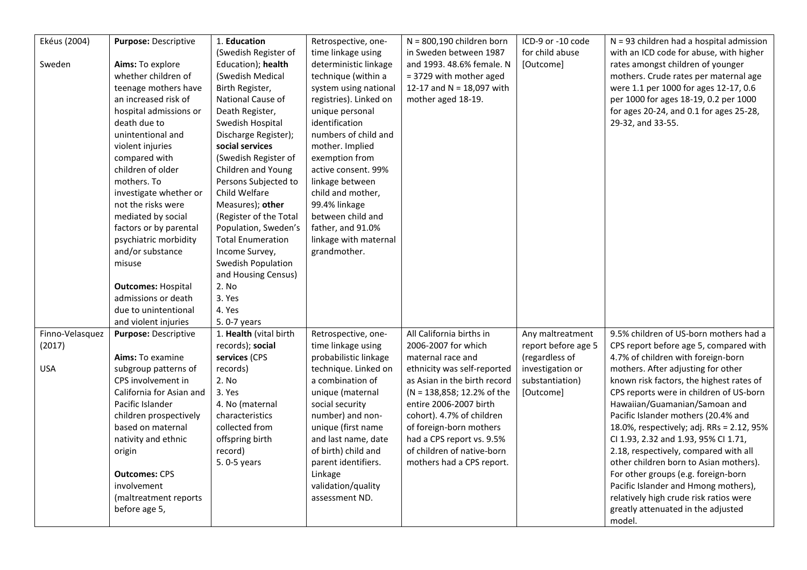| Ekéus (2004)    | Purpose: Descriptive      | 1. Education             | Retrospective, one-    | $N = 800,190$ children born  | ICD-9 or -10 code   | $N = 93$ children had a hospital admission |
|-----------------|---------------------------|--------------------------|------------------------|------------------------------|---------------------|--------------------------------------------|
|                 |                           | (Swedish Register of     | time linkage using     | in Sweden between 1987       | for child abuse     | with an ICD code for abuse, with higher    |
| Sweden          | Aims: To explore          | Education); health       | deterministic linkage  | and 1993. 48.6% female. N    | [Outcome]           | rates amongst children of younger          |
|                 | whether children of       | (Swedish Medical         | technique (within a    | = 3729 with mother aged      |                     | mothers. Crude rates per maternal age      |
|                 | teenage mothers have      | Birth Register,          | system using national  | 12-17 and N = 18,097 with    |                     | were 1.1 per 1000 for ages 12-17, 0.6      |
|                 | an increased risk of      | National Cause of        | registries). Linked on | mother aged 18-19.           |                     | per 1000 for ages 18-19, 0.2 per 1000      |
|                 | hospital admissions or    | Death Register,          | unique personal        |                              |                     | for ages 20-24, and 0.1 for ages 25-28,    |
|                 | death due to              | Swedish Hospital         | identification         |                              |                     | 29-32, and 33-55.                          |
|                 | unintentional and         | Discharge Register);     | numbers of child and   |                              |                     |                                            |
|                 | violent injuries          | social services          | mother. Implied        |                              |                     |                                            |
|                 | compared with             | (Swedish Register of     | exemption from         |                              |                     |                                            |
|                 | children of older         | Children and Young       | active consent. 99%    |                              |                     |                                            |
|                 | mothers. To               | Persons Subjected to     | linkage between        |                              |                     |                                            |
|                 | investigate whether or    | Child Welfare            | child and mother,      |                              |                     |                                            |
|                 | not the risks were        | Measures); other         | 99.4% linkage          |                              |                     |                                            |
|                 | mediated by social        | (Register of the Total   | between child and      |                              |                     |                                            |
|                 | factors or by parental    | Population, Sweden's     | father, and 91.0%      |                              |                     |                                            |
|                 | psychiatric morbidity     | <b>Total Enumeration</b> | linkage with maternal  |                              |                     |                                            |
|                 | and/or substance          | Income Survey,           | grandmother.           |                              |                     |                                            |
|                 | misuse                    | Swedish Population       |                        |                              |                     |                                            |
|                 |                           | and Housing Census)      |                        |                              |                     |                                            |
|                 | <b>Outcomes: Hospital</b> | 2. No                    |                        |                              |                     |                                            |
|                 | admissions or death       | 3. Yes                   |                        |                              |                     |                                            |
|                 | due to unintentional      | 4. Yes                   |                        |                              |                     |                                            |
|                 | and violent injuries      | 5.0-7 years              |                        |                              |                     |                                            |
| Finno-Velasquez | Purpose: Descriptive      | 1. Health (vital birth   | Retrospective, one-    | All California births in     | Any maltreatment    | 9.5% children of US-born mothers had a     |
| (2017)          |                           | records); social         | time linkage using     | 2006-2007 for which          | report before age 5 | CPS report before age 5, compared with     |
|                 | Aims: To examine          | services (CPS            | probabilistic linkage  | maternal race and            | (regardless of      | 4.7% of children with foreign-born         |
| <b>USA</b>      | subgroup patterns of      | records)                 | technique. Linked on   | ethnicity was self-reported  | investigation or    | mothers. After adjusting for other         |
|                 | CPS involvement in        | 2. No                    | a combination of       | as Asian in the birth record | substantiation)     | known risk factors, the highest rates of   |
|                 | California for Asian and  | 3. Yes                   | unique (maternal       | (N = 138,858; 12.2% of the   | [Outcome]           | CPS reports were in children of US-born    |
|                 | Pacific Islander          | 4. No (maternal          | social security        | entire 2006-2007 birth       |                     | Hawaiian/Guamanian/Samoan and              |
|                 | children prospectively    | characteristics          | number) and non-       | cohort). 4.7% of children    |                     | Pacific Islander mothers (20.4% and        |
|                 | based on maternal         | collected from           | unique (first name     | of foreign-born mothers      |                     | 18.0%, respectively; adj. RRs = 2.12, 95%  |
|                 | nativity and ethnic       | offspring birth          | and last name, date    | had a CPS report vs. 9.5%    |                     | CI 1.93, 2.32 and 1.93, 95% CI 1.71,       |
|                 | origin                    | record)                  | of birth) child and    | of children of native-born   |                     | 2.18, respectively, compared with all      |
|                 |                           | 5.0-5 years              | parent identifiers.    | mothers had a CPS report.    |                     | other children born to Asian mothers).     |
|                 | <b>Outcomes: CPS</b>      |                          | Linkage                |                              |                     | For other groups (e.g. foreign-born        |
|                 | involvement               |                          | validation/quality     |                              |                     | Pacific Islander and Hmong mothers),       |
|                 | (maltreatment reports     |                          | assessment ND.         |                              |                     | relatively high crude risk ratios were     |
|                 | before age 5,             |                          |                        |                              |                     | greatly attenuated in the adjusted         |
|                 |                           |                          |                        |                              |                     | model.                                     |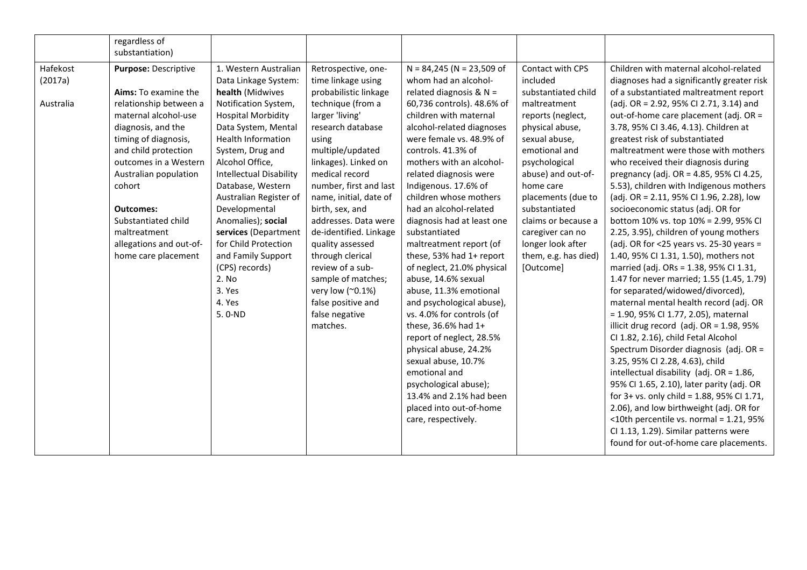|           | regardless of           |                                |                        |                                                  |                      |                                                                                         |
|-----------|-------------------------|--------------------------------|------------------------|--------------------------------------------------|----------------------|-----------------------------------------------------------------------------------------|
|           | substantiation)         |                                |                        |                                                  |                      |                                                                                         |
| Hafekost  | Purpose: Descriptive    | 1. Western Australian          | Retrospective, one-    | $N = 84,245$ (N = 23,509 of                      | Contact with CPS     | Children with maternal alcohol-related                                                  |
| (2017a)   |                         | Data Linkage System:           | time linkage using     | whom had an alcohol-                             | included             | diagnoses had a significantly greater risk                                              |
|           | Aims: To examine the    | health (Midwives               | probabilistic linkage  | related diagnosis & $N =$                        | substantiated child  | of a substantiated maltreatment report                                                  |
| Australia | relationship between a  | Notification System,           | technique (from a      | 60,736 controls). 48.6% of                       | maltreatment         | (adj. OR = 2.92, 95% CI 2.71, 3.14) and                                                 |
|           | maternal alcohol-use    | <b>Hospital Morbidity</b>      | larger 'living'        | children with maternal                           | reports (neglect,    | out-of-home care placement (adj. OR =                                                   |
|           | diagnosis, and the      | Data System, Mental            | research database      | alcohol-related diagnoses                        | physical abuse,      | 3.78, 95% CI 3.46, 4.13). Children at                                                   |
|           | timing of diagnosis,    | Health Information             | using                  | were female vs. 48.9% of                         | sexual abuse,        | greatest risk of substantiated                                                          |
|           | and child protection    | System, Drug and               | multiple/updated       | controls. 41.3% of                               | emotional and        | maltreatment were those with mothers                                                    |
|           | outcomes in a Western   | Alcohol Office,                | linkages). Linked on   | mothers with an alcohol-                         | psychological        | who received their diagnosis during                                                     |
|           | Australian population   | <b>Intellectual Disability</b> | medical record         | related diagnosis were                           | abuse) and out-of-   | pregnancy (adj. OR = 4.85, 95% CI 4.25,                                                 |
|           | cohort                  | Database, Western              | number, first and last | Indigenous. 17.6% of                             | home care            | 5.53), children with Indigenous mothers                                                 |
|           |                         | Australian Register of         | name, initial, date of | children whose mothers                           | placements (due to   | (adj. OR = 2.11, 95% CI 1.96, 2.28), low                                                |
|           | <b>Outcomes:</b>        | Developmental                  | birth, sex, and        | had an alcohol-related                           | substantiated        | socioeconomic status (adj. OR for                                                       |
|           | Substantiated child     | Anomalies); social             | addresses. Data were   | diagnosis had at least one                       | claims or because a  | bottom 10% vs. top 10% = 2.99, 95% CI                                                   |
|           | maltreatment            | services (Department           | de-identified. Linkage | substantiated                                    | caregiver can no     | 2.25, 3.95), children of young mothers                                                  |
|           | allegations and out-of- | for Child Protection           | quality assessed       | maltreatment report (of                          | longer look after    | (adj. OR for $<$ 25 years vs. 25-30 years =                                             |
|           | home care placement     | and Family Support             | through clerical       | these, 53% had 1+ report                         | them, e.g. has died) | 1.40, 95% CI 1.31, 1.50), mothers not                                                   |
|           |                         | (CPS) records)                 | review of a sub-       | of neglect, 21.0% physical                       | [Outcome]            | married (adj. ORs = 1.38, 95% CI 1.31,                                                  |
|           |                         | 2. No                          | sample of matches;     | abuse, 14.6% sexual                              |                      | 1.47 for never married; 1.55 (1.45, 1.79)                                               |
|           |                         | 3. Yes                         | very low (~0.1%)       | abuse, 11.3% emotional                           |                      | for separated/widowed/divorced),                                                        |
|           |                         | 4. Yes                         | false positive and     | and psychological abuse),                        |                      | maternal mental health record (adj. OR                                                  |
|           |                         | 5.0-ND                         | false negative         | vs. 4.0% for controls (of                        |                      | = 1.90, 95% CI 1.77, 2.05), maternal                                                    |
|           |                         |                                | matches.               | these, 36.6% had 1+                              |                      | illicit drug record (adj. OR = 1.98, 95%                                                |
|           |                         |                                |                        | report of neglect, 28.5%                         |                      | CI 1.82, 2.16), child Fetal Alcohol                                                     |
|           |                         |                                |                        | physical abuse, 24.2%                            |                      | Spectrum Disorder diagnosis (adj. OR =                                                  |
|           |                         |                                |                        | sexual abuse, 10.7%                              |                      | 3.25, 95% CI 2.28, 4.63), child                                                         |
|           |                         |                                |                        | emotional and                                    |                      | intellectual disability (adj. $OR = 1.86$ ,                                             |
|           |                         |                                |                        | psychological abuse);<br>13.4% and 2.1% had been |                      | 95% CI 1.65, 2.10), later parity (adj. OR<br>for 3+ vs. only child = 1.88, 95% CI 1.71, |
|           |                         |                                |                        | placed into out-of-home                          |                      | 2.06), and low birthweight (adj. OR for                                                 |
|           |                         |                                |                        |                                                  |                      | <10th percentile vs. normal = 1.21, 95%                                                 |
|           |                         |                                |                        | care, respectively.                              |                      | CI 1.13, 1.29). Similar patterns were                                                   |
|           |                         |                                |                        |                                                  |                      | found for out-of-home care placements.                                                  |
|           |                         |                                |                        |                                                  |                      |                                                                                         |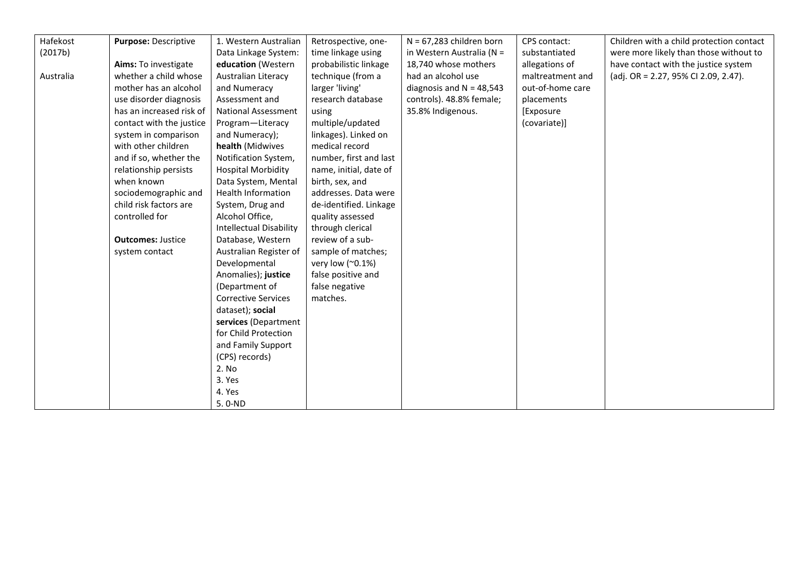| Hafekost  | <b>Purpose: Descriptive</b> | 1. Western Australian          | Retrospective, one-    | $N = 67,283$ children born | CPS contact:     | Children with a child protection contact |
|-----------|-----------------------------|--------------------------------|------------------------|----------------------------|------------------|------------------------------------------|
| (2017b)   |                             | Data Linkage System:           | time linkage using     | in Western Australia (N =  | substantiated    | were more likely than those without to   |
|           | Aims: To investigate        | education (Western             | probabilistic linkage  | 18,740 whose mothers       | allegations of   | have contact with the justice system     |
| Australia | whether a child whose       | Australian Literacy            | technique (from a      | had an alcohol use         | maltreatment and | (adj. OR = 2.27, 95% CI 2.09, 2.47).     |
|           | mother has an alcohol       | and Numeracy                   | larger 'living'        | diagnosis and $N = 48,543$ | out-of-home care |                                          |
|           | use disorder diagnosis      | Assessment and                 | research database      | controls). 48.8% female;   | placements       |                                          |
|           | has an increased risk of    | <b>National Assessment</b>     | using                  | 35.8% Indigenous.          | [Exposure        |                                          |
|           | contact with the justice    | Program-Literacy               | multiple/updated       |                            | (covariate)]     |                                          |
|           | system in comparison        | and Numeracy);                 | linkages). Linked on   |                            |                  |                                          |
|           | with other children         | health (Midwives               | medical record         |                            |                  |                                          |
|           | and if so, whether the      | Notification System,           | number, first and last |                            |                  |                                          |
|           | relationship persists       | <b>Hospital Morbidity</b>      | name, initial, date of |                            |                  |                                          |
|           | when known                  | Data System, Mental            | birth, sex, and        |                            |                  |                                          |
|           | sociodemographic and        | <b>Health Information</b>      | addresses. Data were   |                            |                  |                                          |
|           | child risk factors are      | System, Drug and               | de-identified. Linkage |                            |                  |                                          |
|           | controlled for              | Alcohol Office,                | quality assessed       |                            |                  |                                          |
|           |                             | <b>Intellectual Disability</b> | through clerical       |                            |                  |                                          |
|           | <b>Outcomes: Justice</b>    | Database, Western              | review of a sub-       |                            |                  |                                          |
|           | system contact              | Australian Register of         | sample of matches;     |                            |                  |                                          |
|           |                             | Developmental                  | very low (~0.1%)       |                            |                  |                                          |
|           |                             | Anomalies); justice            | false positive and     |                            |                  |                                          |
|           |                             | (Department of                 | false negative         |                            |                  |                                          |
|           |                             | <b>Corrective Services</b>     | matches.               |                            |                  |                                          |
|           |                             | dataset); social               |                        |                            |                  |                                          |
|           |                             | services (Department           |                        |                            |                  |                                          |
|           |                             | for Child Protection           |                        |                            |                  |                                          |
|           |                             | and Family Support             |                        |                            |                  |                                          |
|           |                             | (CPS) records)                 |                        |                            |                  |                                          |
|           |                             | 2. No                          |                        |                            |                  |                                          |
|           |                             | 3. Yes                         |                        |                            |                  |                                          |
|           |                             | 4. Yes                         |                        |                            |                  |                                          |
|           |                             | 5.0-ND                         |                        |                            |                  |                                          |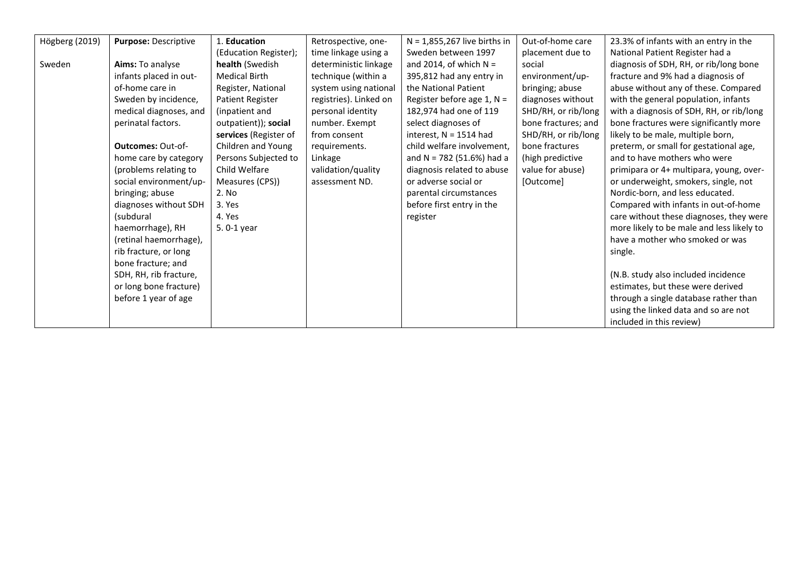| Högberg (2019) | Purpose: Descriptive     | 1. Education            | Retrospective, one-    | $N = 1,855,267$ live births in | Out-of-home care    | 23.3% of infants with an entry in the     |
|----------------|--------------------------|-------------------------|------------------------|--------------------------------|---------------------|-------------------------------------------|
|                |                          | (Education Register);   | time linkage using a   | Sweden between 1997            | placement due to    | National Patient Register had a           |
| Sweden         | Aims: To analyse         | health (Swedish         | deterministic linkage  | and 2014, of which $N =$       | social              | diagnosis of SDH, RH, or rib/long bone    |
|                | infants placed in out-   | <b>Medical Birth</b>    | technique (within a    | 395,812 had any entry in       | environment/up-     | fracture and 9% had a diagnosis of        |
|                | of-home care in          | Register, National      | system using national  | the National Patient           | bringing; abuse     | abuse without any of these. Compared      |
|                | Sweden by incidence,     | <b>Patient Register</b> | registries). Linked on | Register before age $1, N =$   | diagnoses without   | with the general population, infants      |
|                | medical diagnoses, and   | (inpatient and          | personal identity      | 182,974 had one of 119         | SHD/RH, or rib/long | with a diagnosis of SDH, RH, or rib/long  |
|                | perinatal factors.       | outpatient)); social    | number. Exempt         | select diagnoses of            | bone fractures; and | bone fractures were significantly more    |
|                |                          | services (Register of   | from consent           | interest, $N = 1514$ had       | SHD/RH, or rib/long | likely to be male, multiple born,         |
|                | <b>Outcomes: Out-of-</b> | Children and Young      | requirements.          | child welfare involvement,     | bone fractures      | preterm, or small for gestational age,    |
|                | home care by category    | Persons Subjected to    | Linkage                | and N = $782$ (51.6%) had a    | (high predictive    | and to have mothers who were              |
|                | (problems relating to    | Child Welfare           | validation/quality     | diagnosis related to abuse     | value for abuse)    | primipara or 4+ multipara, young, over-   |
|                | social environment/up-   | Measures (CPS))         | assessment ND.         | or adverse social or           | [Outcome]           | or underweight, smokers, single, not      |
|                | bringing; abuse          | 2. No                   |                        | parental circumstances         |                     | Nordic-born, and less educated.           |
|                | diagnoses without SDH    | 3. Yes                  |                        | before first entry in the      |                     | Compared with infants in out-of-home      |
|                | (subdural                | 4. Yes                  |                        | register                       |                     | care without these diagnoses, they were   |
|                | haemorrhage), RH         | 5.0-1 year              |                        |                                |                     | more likely to be male and less likely to |
|                | (retinal haemorrhage),   |                         |                        |                                |                     | have a mother who smoked or was           |
|                | rib fracture, or long    |                         |                        |                                |                     | single.                                   |
|                | bone fracture; and       |                         |                        |                                |                     |                                           |
|                | SDH, RH, rib fracture,   |                         |                        |                                |                     | (N.B. study also included incidence       |
|                | or long bone fracture)   |                         |                        |                                |                     | estimates, but these were derived         |
|                | before 1 year of age     |                         |                        |                                |                     | through a single database rather than     |
|                |                          |                         |                        |                                |                     | using the linked data and so are not      |
|                |                          |                         |                        |                                |                     | included in this review)                  |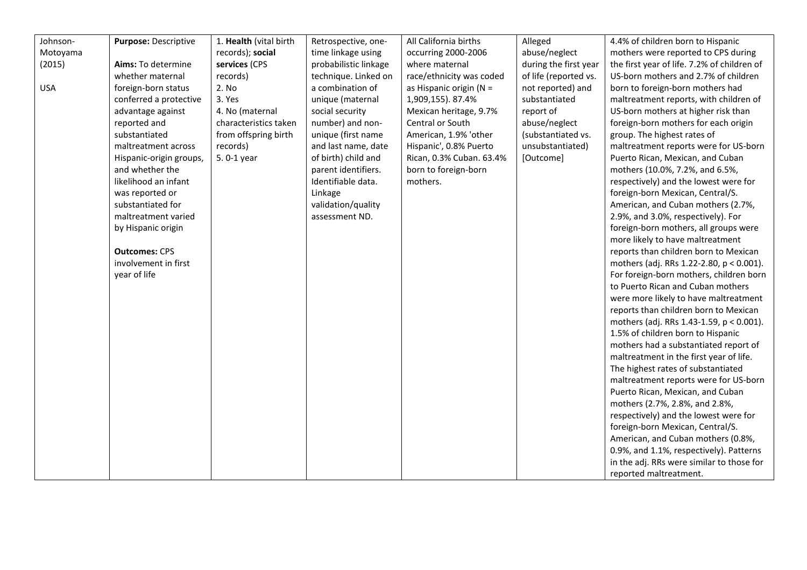| Johnson-   | Purpose: Descriptive    | 1. Health (vital birth | Retrospective, one-   | All California births    | Alleged               | 4.4% of children born to Hispanic           |
|------------|-------------------------|------------------------|-----------------------|--------------------------|-----------------------|---------------------------------------------|
| Motoyama   |                         | records); social       | time linkage using    | occurring 2000-2006      | abuse/neglect         | mothers were reported to CPS during         |
| (2015)     | Aims: To determine      | services (CPS          | probabilistic linkage | where maternal           | during the first year | the first year of life. 7.2% of children of |
|            | whether maternal        | records)               | technique. Linked on  | race/ethnicity was coded | of life (reported vs. | US-born mothers and 2.7% of children        |
| <b>USA</b> | foreign-born status     | 2. No                  | a combination of      | as Hispanic origin (N =  | not reported) and     | born to foreign-born mothers had            |
|            | conferred a protective  | 3. Yes                 | unique (maternal      | 1,909,155). 87.4%        | substantiated         | maltreatment reports, with children of      |
|            | advantage against       | 4. No (maternal        | social security       | Mexican heritage, 9.7%   | report of             | US-born mothers at higher risk than         |
|            | reported and            | characteristics taken  | number) and non-      | Central or South         | abuse/neglect         | foreign-born mothers for each origin        |
|            | substantiated           | from offspring birth   | unique (first name    | American, 1.9% 'other    | (substantiated vs.    | group. The highest rates of                 |
|            | maltreatment across     | records)               | and last name, date   | Hispanic', 0.8% Puerto   | unsubstantiated)      | maltreatment reports were for US-born       |
|            | Hispanic-origin groups, | 5.0-1 year             | of birth) child and   | Rican, 0.3% Cuban. 63.4% | [Outcome]             | Puerto Rican, Mexican, and Cuban            |
|            | and whether the         |                        | parent identifiers.   | born to foreign-born     |                       | mothers (10.0%, 7.2%, and 6.5%,             |
|            | likelihood an infant    |                        | Identifiable data.    | mothers.                 |                       | respectively) and the lowest were for       |
|            | was reported or         |                        | Linkage               |                          |                       | foreign-born Mexican, Central/S.            |
|            | substantiated for       |                        | validation/quality    |                          |                       | American, and Cuban mothers (2.7%,          |
|            | maltreatment varied     |                        | assessment ND.        |                          |                       | 2.9%, and 3.0%, respectively). For          |
|            | by Hispanic origin      |                        |                       |                          |                       | foreign-born mothers, all groups were       |
|            |                         |                        |                       |                          |                       | more likely to have maltreatment            |
|            | <b>Outcomes: CPS</b>    |                        |                       |                          |                       | reports than children born to Mexican       |
|            | involvement in first    |                        |                       |                          |                       | mothers (adj. RRs 1.22-2.80, p < 0.001).    |
|            | year of life            |                        |                       |                          |                       | For foreign-born mothers, children born     |
|            |                         |                        |                       |                          |                       | to Puerto Rican and Cuban mothers           |
|            |                         |                        |                       |                          |                       | were more likely to have maltreatment       |
|            |                         |                        |                       |                          |                       | reports than children born to Mexican       |
|            |                         |                        |                       |                          |                       | mothers (adj. RRs 1.43-1.59, p < 0.001).    |
|            |                         |                        |                       |                          |                       | 1.5% of children born to Hispanic           |
|            |                         |                        |                       |                          |                       | mothers had a substantiated report of       |
|            |                         |                        |                       |                          |                       | maltreatment in the first year of life.     |
|            |                         |                        |                       |                          |                       | The highest rates of substantiated          |
|            |                         |                        |                       |                          |                       | maltreatment reports were for US-born       |
|            |                         |                        |                       |                          |                       | Puerto Rican, Mexican, and Cuban            |
|            |                         |                        |                       |                          |                       | mothers (2.7%, 2.8%, and 2.8%,              |
|            |                         |                        |                       |                          |                       | respectively) and the lowest were for       |
|            |                         |                        |                       |                          |                       | foreign-born Mexican, Central/S.            |
|            |                         |                        |                       |                          |                       | American, and Cuban mothers (0.8%,          |
|            |                         |                        |                       |                          |                       | 0.9%, and 1.1%, respectively). Patterns     |
|            |                         |                        |                       |                          |                       | in the adj. RRs were similar to those for   |
|            |                         |                        |                       |                          |                       | reported maltreatment.                      |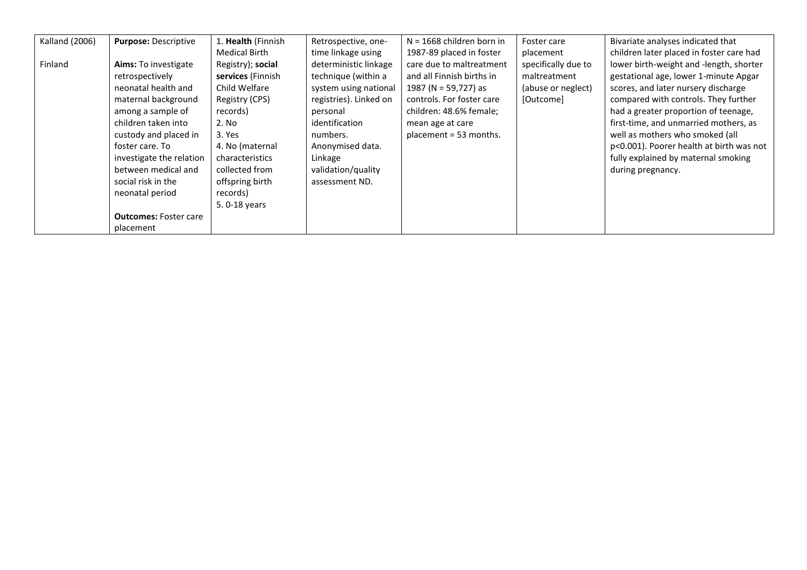| Kalland (2006) | Purpose: Descriptive         | 1. Health (Finnish | Retrospective, one-    | $N = 1668$ children born in | Foster care         | Bivariate analyses indicated that        |
|----------------|------------------------------|--------------------|------------------------|-----------------------------|---------------------|------------------------------------------|
|                |                              | Medical Birth      | time linkage using     | 1987-89 placed in foster    | placement           | children later placed in foster care had |
| Finland        | Aims: To investigate         | Registry); social  | deterministic linkage  | care due to maltreatment    | specifically due to | lower birth-weight and -length, shorter  |
|                | retrospectively              | services (Finnish  | technique (within a    | and all Finnish births in   | maltreatment        | gestational age, lower 1-minute Apgar    |
|                | neonatal health and          | Child Welfare      | system using national  | 1987 (N = 59,727) as        | (abuse or neglect)  | scores, and later nursery discharge      |
|                | maternal background          | Registry (CPS)     | registries). Linked on | controls. For foster care   | [Outcome]           | compared with controls. They further     |
|                | among a sample of            | records)           | personal               | children: 48.6% female;     |                     | had a greater proportion of teenage,     |
|                | children taken into          | 2. No              | identification         | mean age at care            |                     | first-time, and unmarried mothers, as    |
|                | custody and placed in        | 3. Yes             | numbers.               | placement = 53 months.      |                     | well as mothers who smoked (all          |
|                | foster care. To              | 4. No (maternal    | Anonymised data.       |                             |                     | p<0.001). Poorer health at birth was not |
|                | investigate the relation     | characteristics    | Linkage                |                             |                     | fully explained by maternal smoking      |
|                | between medical and          | collected from     | validation/quality     |                             |                     | during pregnancy.                        |
|                | social risk in the           | offspring birth    | assessment ND.         |                             |                     |                                          |
|                | neonatal period              | records)           |                        |                             |                     |                                          |
|                |                              | 5.0-18 years       |                        |                             |                     |                                          |
|                | <b>Outcomes: Foster care</b> |                    |                        |                             |                     |                                          |
|                | placement                    |                    |                        |                             |                     |                                          |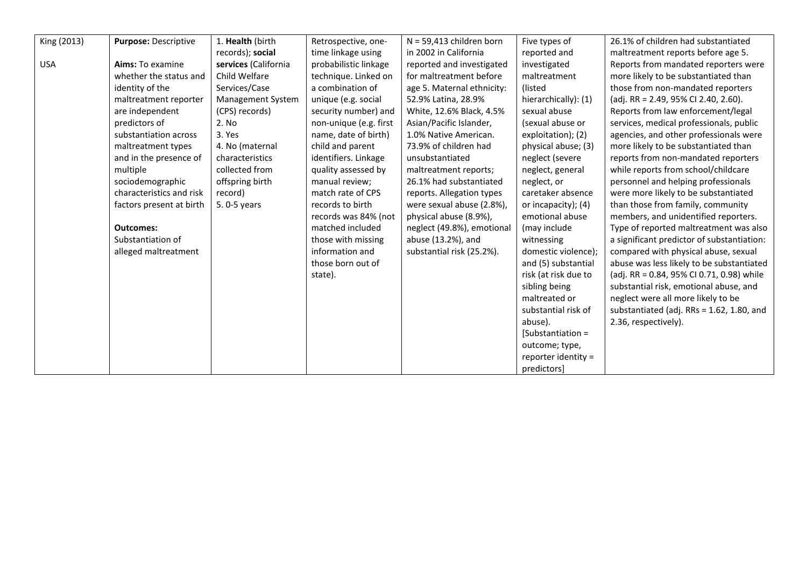| King (2013) | Purpose: Descriptive     | 1. Health (birth     | Retrospective, one-    | $N = 59,413$ children born | Five types of        | 26.1% of children had substantiated        |
|-------------|--------------------------|----------------------|------------------------|----------------------------|----------------------|--------------------------------------------|
|             |                          | records); social     | time linkage using     | in 2002 in California      | reported and         | maltreatment reports before age 5.         |
| <b>USA</b>  | Aims: To examine         | services (California | probabilistic linkage  | reported and investigated  | investigated         | Reports from mandated reporters were       |
|             | whether the status and   | Child Welfare        | technique. Linked on   | for maltreatment before    | maltreatment         | more likely to be substantiated than       |
|             | identity of the          | Services/Case        | a combination of       | age 5. Maternal ethnicity: | (listed)             | those from non-mandated reporters          |
|             | maltreatment reporter    | Management System    | unique (e.g. social    | 52.9% Latina, 28.9%        | hierarchically): (1) | (adj. RR = 2.49, 95% CI 2.40, 2.60).       |
|             | are independent          | (CPS) records)       | security number) and   | White, 12.6% Black, 4.5%   | sexual abuse         | Reports from law enforcement/legal         |
|             | predictors of            | 2. No                | non-unique (e.g. first | Asian/Pacific Islander,    | (sexual abuse or     | services, medical professionals, public    |
|             | substantiation across    | 3. Yes               | name, date of birth)   | 1.0% Native American.      | exploitation); (2)   | agencies, and other professionals were     |
|             | maltreatment types       | 4. No (maternal      | child and parent       | 73.9% of children had      | physical abuse; (3)  | more likely to be substantiated than       |
|             | and in the presence of   | characteristics      | identifiers. Linkage   | unsubstantiated            | neglect (severe      | reports from non-mandated reporters        |
|             | multiple                 | collected from       | quality assessed by    | maltreatment reports;      | neglect, general     | while reports from school/childcare        |
|             | sociodemographic         | offspring birth      | manual review;         | 26.1% had substantiated    | neglect, or          | personnel and helping professionals        |
|             | characteristics and risk | record)              | match rate of CPS      | reports. Allegation types  | caretaker absence    | were more likely to be substantiated       |
|             | factors present at birth | 5.0-5 years          | records to birth       | were sexual abuse (2.8%),  | or incapacity); (4)  | than those from family, community          |
|             |                          |                      | records was 84% (not   | physical abuse (8.9%),     | emotional abuse      | members, and unidentified reporters.       |
|             | <b>Outcomes:</b>         |                      | matched included       | neglect (49.8%), emotional | (may include         | Type of reported maltreatment was also     |
|             | Substantiation of        |                      | those with missing     | abuse (13.2%), and         | witnessing           | a significant predictor of substantiation: |
|             | alleged maltreatment     |                      | information and        | substantial risk (25.2%).  | domestic violence);  | compared with physical abuse, sexual       |
|             |                          |                      | those born out of      |                            | and (5) substantial  | abuse was less likely to be substantiated  |
|             |                          |                      | state).                |                            | risk (at risk due to | (adj. RR = 0.84, 95% CI 0.71, 0.98) while  |
|             |                          |                      |                        |                            | sibling being        | substantial risk, emotional abuse, and     |
|             |                          |                      |                        |                            | maltreated or        | neglect were all more likely to be         |
|             |                          |                      |                        |                            | substantial risk of  | substantiated (adj. RRs = 1.62, 1.80, and  |
|             |                          |                      |                        |                            | abuse).              | 2.36, respectively).                       |
|             |                          |                      |                        |                            | [Substantiation =    |                                            |
|             |                          |                      |                        |                            | outcome; type,       |                                            |
|             |                          |                      |                        |                            | reporter identity =  |                                            |
|             |                          |                      |                        |                            | predictors]          |                                            |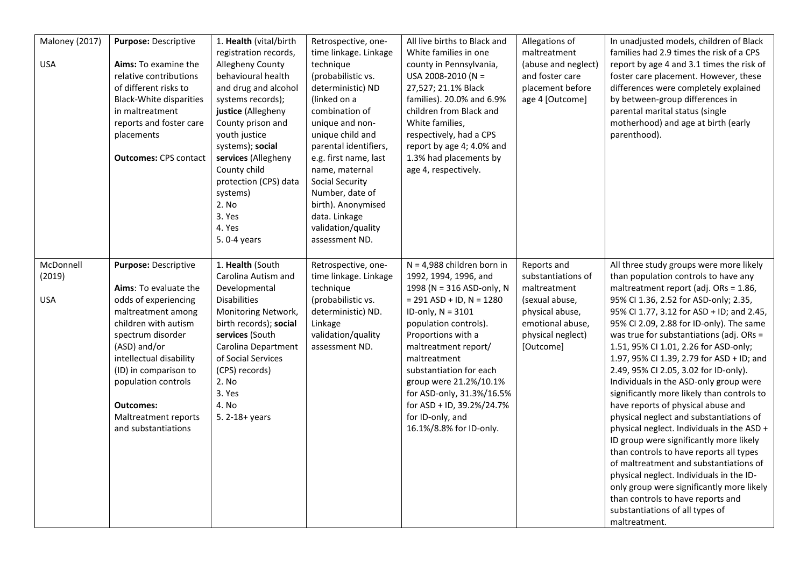| Maloney (2017)<br><b>USA</b>      | Purpose: Descriptive<br>Aims: To examine the<br>relative contributions<br>of different risks to<br><b>Black-White disparities</b><br>in maltreatment<br>reports and foster care<br>placements<br><b>Outcomes: CPS contact</b>                                                                          | 1. Health (vital/birth<br>registration records,<br>Allegheny County<br>behavioural health<br>and drug and alcohol<br>systems records);<br>justice (Allegheny<br>County prison and<br>youth justice<br>systems); social<br>services (Allegheny<br>County child<br>protection (CPS) data<br>systems)<br>2. No<br>3. Yes<br>4. Yes<br>5.0-4 years | Retrospective, one-<br>time linkage. Linkage<br>technique<br>(probabilistic vs.<br>deterministic) ND<br>(linked on a<br>combination of<br>unique and non-<br>unique child and<br>parental identifiers,<br>e.g. first name, last<br>name, maternal<br>Social Security<br>Number, date of<br>birth). Anonymised<br>data. Linkage<br>validation/quality<br>assessment ND. | All live births to Black and<br>White families in one<br>county in Pennsylvania,<br>USA 2008-2010 (N =<br>27,527; 21.1% Black<br>families). 20.0% and 6.9%<br>children from Black and<br>White families,<br>respectively, had a CPS<br>report by age 4; 4.0% and<br>1.3% had placements by<br>age 4, respectively.                                                                           | Allegations of<br>maltreatment<br>(abuse and neglect)<br>and foster care<br>placement before<br>age 4 [Outcome]                              | In unadjusted models, children of Black<br>families had 2.9 times the risk of a CPS<br>report by age 4 and 3.1 times the risk of<br>foster care placement. However, these<br>differences were completely explained<br>by between-group differences in<br>parental marital status (single<br>motherhood) and age at birth (early<br>parenthood).                                                                                                                                                                                                                                                                                                                                                                                                                                                                                                                                                                                                                                |
|-----------------------------------|--------------------------------------------------------------------------------------------------------------------------------------------------------------------------------------------------------------------------------------------------------------------------------------------------------|------------------------------------------------------------------------------------------------------------------------------------------------------------------------------------------------------------------------------------------------------------------------------------------------------------------------------------------------|------------------------------------------------------------------------------------------------------------------------------------------------------------------------------------------------------------------------------------------------------------------------------------------------------------------------------------------------------------------------|----------------------------------------------------------------------------------------------------------------------------------------------------------------------------------------------------------------------------------------------------------------------------------------------------------------------------------------------------------------------------------------------|----------------------------------------------------------------------------------------------------------------------------------------------|--------------------------------------------------------------------------------------------------------------------------------------------------------------------------------------------------------------------------------------------------------------------------------------------------------------------------------------------------------------------------------------------------------------------------------------------------------------------------------------------------------------------------------------------------------------------------------------------------------------------------------------------------------------------------------------------------------------------------------------------------------------------------------------------------------------------------------------------------------------------------------------------------------------------------------------------------------------------------------|
| McDonnell<br>(2019)<br><b>USA</b> | Purpose: Descriptive<br>Aims: To evaluate the<br>odds of experiencing<br>maltreatment among<br>children with autism<br>spectrum disorder<br>(ASD) and/or<br>intellectual disability<br>(ID) in comparison to<br>population controls<br><b>Outcomes:</b><br>Maltreatment reports<br>and substantiations | 1. Health (South<br>Carolina Autism and<br>Developmental<br><b>Disabilities</b><br>Monitoring Network,<br>birth records); social<br>services (South<br>Carolina Department<br>of Social Services<br>(CPS) records)<br>2. No<br>3. Yes<br>4. No<br>5. 2-18+ years                                                                               | Retrospective, one-<br>time linkage. Linkage<br>technique<br>(probabilistic vs.<br>deterministic) ND.<br>Linkage<br>validation/quality<br>assessment ND.                                                                                                                                                                                                               | $N = 4,988$ children born in<br>1992, 1994, 1996, and<br>1998 (N = 316 ASD-only, N<br>$= 291$ ASD + ID, N = 1280<br>ID-only, $N = 3101$<br>population controls).<br>Proportions with a<br>maltreatment report/<br>maltreatment<br>substantiation for each<br>group were 21.2%/10.1%<br>for ASD-only, 31.3%/16.5%<br>for ASD + ID, 39.2%/24.7%<br>for ID-only, and<br>16.1%/8.8% for ID-only. | Reports and<br>substantiations of<br>maltreatment<br>(sexual abuse,<br>physical abuse,<br>emotional abuse,<br>physical neglect)<br>[Outcome] | All three study groups were more likely<br>than population controls to have any<br>maltreatment report (adj. ORs = 1.86,<br>95% CI 1.36, 2.52 for ASD-only; 2.35,<br>95% Cl 1.77, 3.12 for ASD + ID; and 2.45,<br>95% CI 2.09, 2.88 for ID-only). The same<br>was true for substantiations (adj. ORs =<br>1.51, 95% CI 1.01, 2.26 for ASD-only;<br>1.97, 95% CI 1.39, 2.79 for ASD + ID; and<br>2.49, 95% CI 2.05, 3.02 for ID-only).<br>Individuals in the ASD-only group were<br>significantly more likely than controls to<br>have reports of physical abuse and<br>physical neglect and substantiations of<br>physical neglect. Individuals in the ASD +<br>ID group were significantly more likely<br>than controls to have reports all types<br>of maltreatment and substantiations of<br>physical neglect. Individuals in the ID-<br>only group were significantly more likely<br>than controls to have reports and<br>substantiations of all types of<br>maltreatment. |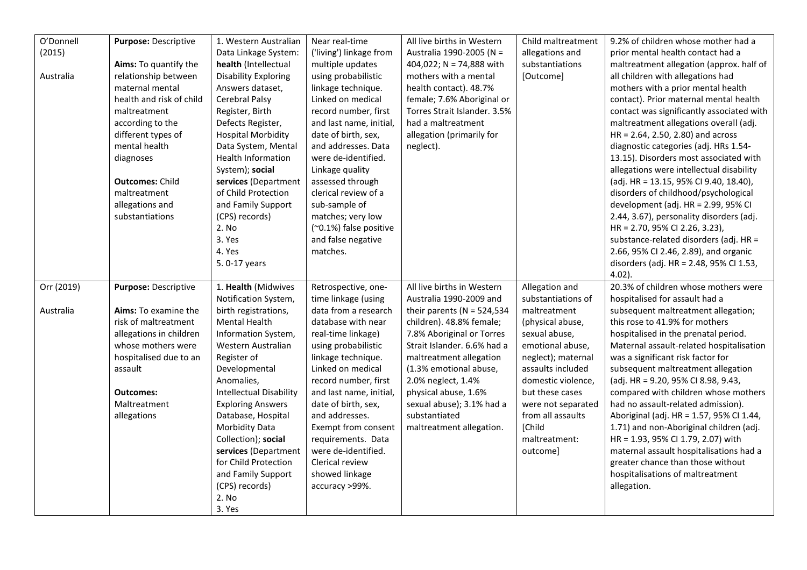| O'Donnell  | Purpose: Descriptive     | 1. Western Australian          | Near real-time          | All live births in Western    | Child maltreatment | 9.2% of children whose mother had a       |
|------------|--------------------------|--------------------------------|-------------------------|-------------------------------|--------------------|-------------------------------------------|
| (2015)     |                          | Data Linkage System:           | ('living') linkage from | Australia 1990-2005 (N =      | allegations and    | prior mental health contact had a         |
|            | Aims: To quantify the    | health (Intellectual           | multiple updates        | 404,022; N = 74,888 with      | substantiations    | maltreatment allegation (approx. half of  |
| Australia  | relationship between     | <b>Disability Exploring</b>    | using probabilistic     | mothers with a mental         | [Outcome]          | all children with allegations had         |
|            | maternal mental          | Answers dataset,               | linkage technique.      | health contact). 48.7%        |                    | mothers with a prior mental health        |
|            | health and risk of child | Cerebral Palsy                 | Linked on medical       | female; 7.6% Aboriginal or    |                    | contact). Prior maternal mental health    |
|            | maltreatment             | Register, Birth                | record number, first    | Torres Strait Islander. 3.5%  |                    | contact was significantly associated with |
|            | according to the         | Defects Register,              | and last name, initial, | had a maltreatment            |                    | maltreatment allegations overall (adj.    |
|            | different types of       | <b>Hospital Morbidity</b>      | date of birth, sex,     | allegation (primarily for     |                    | $HR = 2.64, 2.50, 2.80$ ) and across      |
|            | mental health            | Data System, Mental            | and addresses. Data     | neglect).                     |                    | diagnostic categories (adj. HRs 1.54-     |
|            | diagnoses                | <b>Health Information</b>      | were de-identified.     |                               |                    | 13.15). Disorders most associated with    |
|            |                          | System); social                | Linkage quality         |                               |                    | allegations were intellectual disability  |
|            | <b>Outcomes: Child</b>   | services (Department           | assessed through        |                               |                    | (adj. HR = 13.15, 95% CI 9.40, 18.40),    |
|            | maltreatment             | of Child Protection            | clerical review of a    |                               |                    | disorders of childhood/psychological      |
|            | allegations and          | and Family Support             | sub-sample of           |                               |                    | development (adj. HR = 2.99, 95% CI       |
|            | substantiations          | (CPS) records)                 | matches; very low       |                               |                    | 2.44, 3.67), personality disorders (adj.  |
|            |                          | 2. No                          | (~0.1%) false positive  |                               |                    | HR = 2.70, 95% CI 2.26, 3.23),            |
|            |                          | 3. Yes                         | and false negative      |                               |                    | substance-related disorders (adj. HR =    |
|            |                          | 4. Yes                         | matches.                |                               |                    | 2.66, 95% CI 2.46, 2.89), and organic     |
|            |                          | 5.0-17 years                   |                         |                               |                    | disorders (adj. HR = 2.48, 95% CI 1.53,   |
|            |                          |                                |                         |                               |                    | $4.02$ ).                                 |
| Orr (2019) | Purpose: Descriptive     | 1. Health (Midwives            | Retrospective, one-     | All live births in Western    | Allegation and     | 20.3% of children whose mothers were      |
|            |                          | Notification System,           | time linkage (using     | Australia 1990-2009 and       | substantiations of | hospitalised for assault had a            |
| Australia  | Aims: To examine the     | birth registrations,           | data from a research    | their parents ( $N = 524,534$ | maltreatment       | subsequent maltreatment allegation;       |
|            | risk of maltreatment     | <b>Mental Health</b>           | database with near      | children). 48.8% female;      | (physical abuse,   | this rose to 41.9% for mothers            |
|            | allegations in children  | Information System,            | real-time linkage)      | 7.8% Aboriginal or Torres     | sexual abuse,      | hospitalised in the prenatal period.      |
|            | whose mothers were       | Western Australian             | using probabilistic     | Strait Islander. 6.6% had a   | emotional abuse,   | Maternal assault-related hospitalisation  |
|            | hospitalised due to an   | Register of                    | linkage technique.      | maltreatment allegation       | neglect); maternal | was a significant risk factor for         |
|            | assault                  | Developmental                  | Linked on medical       | (1.3% emotional abuse,        | assaults included  | subsequent maltreatment allegation        |
|            |                          | Anomalies,                     | record number, first    | 2.0% neglect, 1.4%            | domestic violence, | (adj. HR = 9.20, 95% CI 8.98, 9.43,       |
|            | <b>Outcomes:</b>         | <b>Intellectual Disability</b> | and last name, initial, | physical abuse, 1.6%          | but these cases    | compared with children whose mothers      |
|            | Maltreatment             | <b>Exploring Answers</b>       | date of birth, sex,     | sexual abuse); 3.1% had a     | were not separated | had no assault-related admission).        |
|            | allegations              | Database, Hospital             | and addresses.          | substantiated                 | from all assaults  | Aboriginal (adj. HR = 1.57, 95% Cl 1.44,  |
|            |                          | <b>Morbidity Data</b>          | Exempt from consent     | maltreatment allegation.      | [Child             | 1.71) and non-Aboriginal children (adj.   |
|            |                          | Collection); social            | requirements. Data      |                               | maltreatment:      | HR = 1.93, 95% CI 1.79, 2.07) with        |
|            |                          | services (Department           | were de-identified.     |                               | outcome]           | maternal assault hospitalisations had a   |
|            |                          | for Child Protection           | Clerical review         |                               |                    | greater chance than those without         |
|            |                          | and Family Support             | showed linkage          |                               |                    | hospitalisations of maltreatment          |
|            |                          | (CPS) records)                 | accuracy >99%.          |                               |                    | allegation.                               |
|            |                          | 2. No                          |                         |                               |                    |                                           |
|            |                          | 3. Yes                         |                         |                               |                    |                                           |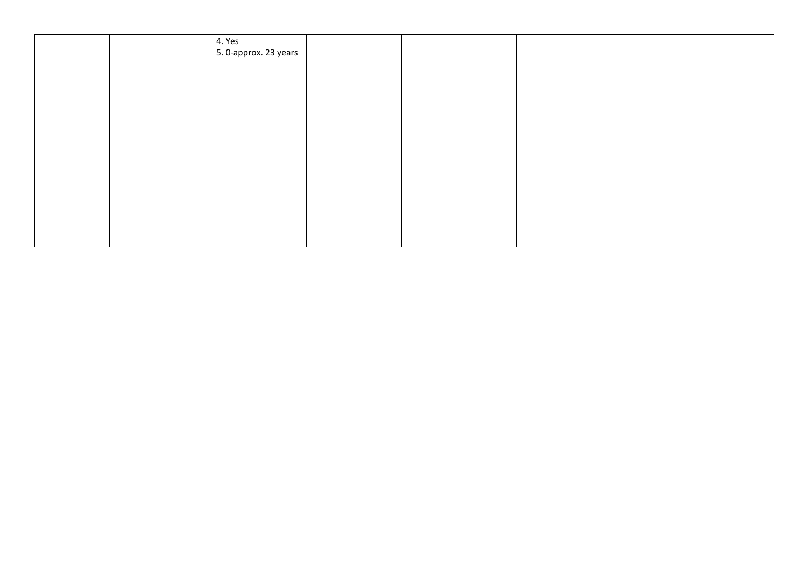|  | 4. Yes                |  |  |
|--|-----------------------|--|--|
|  | 5. 0-approx. 23 years |  |  |
|  |                       |  |  |
|  |                       |  |  |
|  |                       |  |  |
|  |                       |  |  |
|  |                       |  |  |
|  |                       |  |  |
|  |                       |  |  |
|  |                       |  |  |
|  |                       |  |  |
|  |                       |  |  |
|  |                       |  |  |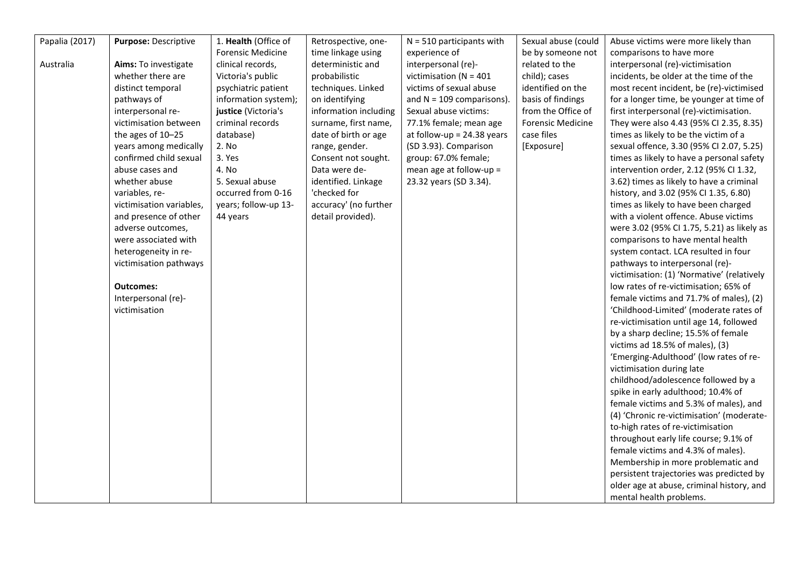| Papalia (2017) | Purpose: Descriptive     | 1. Health (Office of     | Retrospective, one-   | $N = 510$ participants with  | Sexual abuse (could      | Abuse victims were more likely than        |
|----------------|--------------------------|--------------------------|-----------------------|------------------------------|--------------------------|--------------------------------------------|
|                |                          | <b>Forensic Medicine</b> | time linkage using    | experience of                | be by someone not        | comparisons to have more                   |
| Australia      | Aims: To investigate     | clinical records,        | deterministic and     | interpersonal (re)-          | related to the           | interpersonal (re)-victimisation           |
|                | whether there are        | Victoria's public        | probabilistic         | victimisation ( $N = 401$    | child); cases            | incidents, be older at the time of the     |
|                | distinct temporal        | psychiatric patient      | techniques. Linked    | victims of sexual abuse      | identified on the        | most recent incident, be (re)-victimised   |
|                | pathways of              | information system);     | on identifying        | and $N = 109$ comparisons).  | basis of findings        | for a longer time, be younger at time of   |
|                | interpersonal re-        | justice (Victoria's      | information including | Sexual abuse victims:        | from the Office of       | first interpersonal (re)-victimisation.    |
|                | victimisation between    | criminal records         | surname, first name,  | 77.1% female; mean age       | <b>Forensic Medicine</b> | They were also 4.43 (95% CI 2.35, 8.35)    |
|                | the ages of 10-25        | database)                | date of birth or age  | at follow-up = $24.38$ years | case files               | times as likely to be the victim of a      |
|                | years among medically    | 2. No                    | range, gender.        | (SD 3.93). Comparison        | [Exposure]               | sexual offence, 3.30 (95% CI 2.07, 5.25)   |
|                | confirmed child sexual   | 3. Yes                   | Consent not sought.   | group: 67.0% female;         |                          | times as likely to have a personal safety  |
|                | abuse cases and          | 4. No                    | Data were de-         | mean age at follow-up =      |                          | intervention order, 2.12 (95% CI 1.32,     |
|                | whether abuse            | 5. Sexual abuse          | identified. Linkage   | 23.32 years (SD 3.34).       |                          | 3.62) times as likely to have a criminal   |
|                | variables, re-           | occurred from 0-16       | 'checked for          |                              |                          | history, and 3.02 (95% CI 1.35, 6.80)      |
|                | victimisation variables, | years; follow-up 13-     | accuracy' (no further |                              |                          | times as likely to have been charged       |
|                |                          |                          |                       |                              |                          |                                            |
|                | and presence of other    | 44 years                 | detail provided).     |                              |                          | with a violent offence. Abuse victims      |
|                | adverse outcomes,        |                          |                       |                              |                          | were 3.02 (95% CI 1.75, 5.21) as likely as |
|                | were associated with     |                          |                       |                              |                          | comparisons to have mental health          |
|                | heterogeneity in re-     |                          |                       |                              |                          | system contact. LCA resulted in four       |
|                | victimisation pathways   |                          |                       |                              |                          | pathways to interpersonal (re)-            |
|                |                          |                          |                       |                              |                          | victimisation: (1) 'Normative' (relatively |
|                | <b>Outcomes:</b>         |                          |                       |                              |                          | low rates of re-victimisation; 65% of      |
|                | Interpersonal (re)-      |                          |                       |                              |                          | female victims and 71.7% of males), (2)    |
|                | victimisation            |                          |                       |                              |                          | 'Childhood-Limited' (moderate rates of     |
|                |                          |                          |                       |                              |                          | re-victimisation until age 14, followed    |
|                |                          |                          |                       |                              |                          | by a sharp decline; 15.5% of female        |
|                |                          |                          |                       |                              |                          | victims ad 18.5% of males), (3)            |
|                |                          |                          |                       |                              |                          | 'Emerging-Adulthood' (low rates of re-     |
|                |                          |                          |                       |                              |                          | victimisation during late                  |
|                |                          |                          |                       |                              |                          | childhood/adolescence followed by a        |
|                |                          |                          |                       |                              |                          | spike in early adulthood; 10.4% of         |
|                |                          |                          |                       |                              |                          | female victims and 5.3% of males), and     |
|                |                          |                          |                       |                              |                          | (4) 'Chronic re-victimisation' (moderate-  |
|                |                          |                          |                       |                              |                          | to-high rates of re-victimisation          |
|                |                          |                          |                       |                              |                          | throughout early life course; 9.1% of      |
|                |                          |                          |                       |                              |                          | female victims and 4.3% of males).         |
|                |                          |                          |                       |                              |                          | Membership in more problematic and         |
|                |                          |                          |                       |                              |                          | persistent trajectories was predicted by   |
|                |                          |                          |                       |                              |                          | older age at abuse, criminal history, and  |
|                |                          |                          |                       |                              |                          | mental health problems.                    |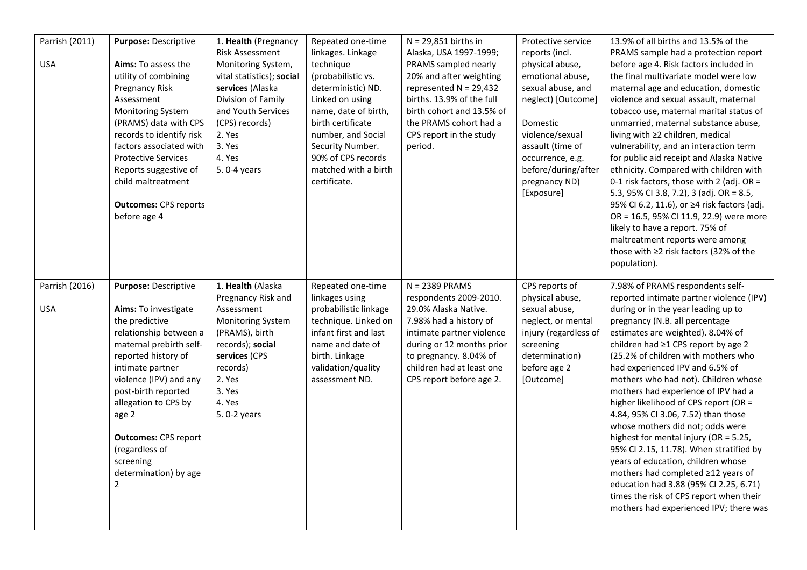| Parrish (2011)<br><b>USA</b> | <b>Purpose: Descriptive</b><br>Aims: To assess the<br>utility of combining<br>Pregnancy Risk<br>Assessment<br>Monitoring System<br>(PRAMS) data with CPS<br>records to identify risk<br>factors associated with<br><b>Protective Services</b><br>Reports suggestive of<br>child maltreatment<br><b>Outcomes: CPS reports</b><br>before age 4              | 1. Health (Pregnancy<br>Risk Assessment<br>Monitoring System,<br>vital statistics); social<br>services (Alaska<br>Division of Family<br>and Youth Services<br>(CPS) records)<br>2. Yes<br>3. Yes<br>4. Yes<br>5.0-4 years | Repeated one-time<br>linkages. Linkage<br>technique<br>(probabilistic vs.<br>deterministic) ND.<br>Linked on using<br>name, date of birth,<br>birth certificate<br>number, and Social<br>Security Number.<br>90% of CPS records<br>matched with a birth<br>certificate. | $N = 29,851$ births in<br>Alaska, USA 1997-1999;<br>PRAMS sampled nearly<br>20% and after weighting<br>represented $N = 29,432$<br>births. 13.9% of the full<br>birth cohort and 13.5% of<br>the PRAMS cohort had a<br>CPS report in the study<br>period. | Protective service<br>reports (incl.<br>physical abuse,<br>emotional abuse,<br>sexual abuse, and<br>neglect) [Outcome]<br>Domestic<br>violence/sexual<br>assault (time of<br>occurrence, e.g.<br>before/during/after<br>pregnancy ND)<br>[Exposure] | 13.9% of all births and 13.5% of the<br>PRAMS sample had a protection report<br>before age 4. Risk factors included in<br>the final multivariate model were low<br>maternal age and education, domestic<br>violence and sexual assault, maternal<br>tobacco use, maternal marital status of<br>unmarried, maternal substance abuse,<br>living with $\geq 2$ children, medical<br>vulnerability, and an interaction term<br>for public aid receipt and Alaska Native<br>ethnicity. Compared with children with<br>0-1 risk factors, those with 2 (adj. OR =<br>5.3, 95% CI 3.8, 7.2), 3 (adj. OR = 8.5,<br>95% CI 6.2, 11.6), or ≥4 risk factors (adj.<br>OR = 16.5, 95% CI 11.9, 22.9) were more<br>likely to have a report. 75% of<br>maltreatment reports were among<br>those with ≥2 risk factors (32% of the<br>population). |
|------------------------------|-----------------------------------------------------------------------------------------------------------------------------------------------------------------------------------------------------------------------------------------------------------------------------------------------------------------------------------------------------------|---------------------------------------------------------------------------------------------------------------------------------------------------------------------------------------------------------------------------|-------------------------------------------------------------------------------------------------------------------------------------------------------------------------------------------------------------------------------------------------------------------------|-----------------------------------------------------------------------------------------------------------------------------------------------------------------------------------------------------------------------------------------------------------|-----------------------------------------------------------------------------------------------------------------------------------------------------------------------------------------------------------------------------------------------------|----------------------------------------------------------------------------------------------------------------------------------------------------------------------------------------------------------------------------------------------------------------------------------------------------------------------------------------------------------------------------------------------------------------------------------------------------------------------------------------------------------------------------------------------------------------------------------------------------------------------------------------------------------------------------------------------------------------------------------------------------------------------------------------------------------------------------------|
| Parrish (2016)<br><b>USA</b> | Purpose: Descriptive<br>Aims: To investigate<br>the predictive<br>relationship between a<br>maternal prebirth self-<br>reported history of<br>intimate partner<br>violence (IPV) and any<br>post-birth reported<br>allegation to CPS by<br>age 2<br><b>Outcomes: CPS report</b><br>(regardless of<br>screening<br>determination) by age<br>$\overline{c}$ | 1. Health (Alaska<br>Pregnancy Risk and<br>Assessment<br><b>Monitoring System</b><br>(PRAMS), birth<br>records); social<br>services (CPS<br>records)<br>2. Yes<br>3. Yes<br>4. Yes<br>5. 0-2 years                        | Repeated one-time<br>linkages using<br>probabilistic linkage<br>technique. Linked on<br>infant first and last<br>name and date of<br>birth. Linkage<br>validation/quality<br>assessment ND.                                                                             | $N = 2389$ PRAMS<br>respondents 2009-2010.<br>29.0% Alaska Native.<br>7.98% had a history of<br>intimate partner violence<br>during or 12 months prior<br>to pregnancy. 8.04% of<br>children had at least one<br>CPS report before age 2.                 | CPS reports of<br>physical abuse,<br>sexual abuse,<br>neglect, or mental<br>injury (regardless of<br>screening<br>determination)<br>before age 2<br>[Outcome]                                                                                       | 7.98% of PRAMS respondents self-<br>reported intimate partner violence (IPV)<br>during or in the year leading up to<br>pregnancy (N.B. all percentage<br>estimates are weighted). 8.04% of<br>children had ≥1 CPS report by age 2<br>(25.2% of children with mothers who<br>had experienced IPV and 6.5% of<br>mothers who had not). Children whose<br>mothers had experience of IPV had a<br>higher likelihood of CPS report (OR =<br>4.84, 95% CI 3.06, 7.52) than those<br>whose mothers did not; odds were<br>highest for mental injury (OR = 5.25,<br>95% CI 2.15, 11.78). When stratified by<br>years of education, children whose<br>mothers had completed ≥12 years of<br>education had 3.88 (95% CI 2.25, 6.71)<br>times the risk of CPS report when their<br>mothers had experienced IPV; there was                    |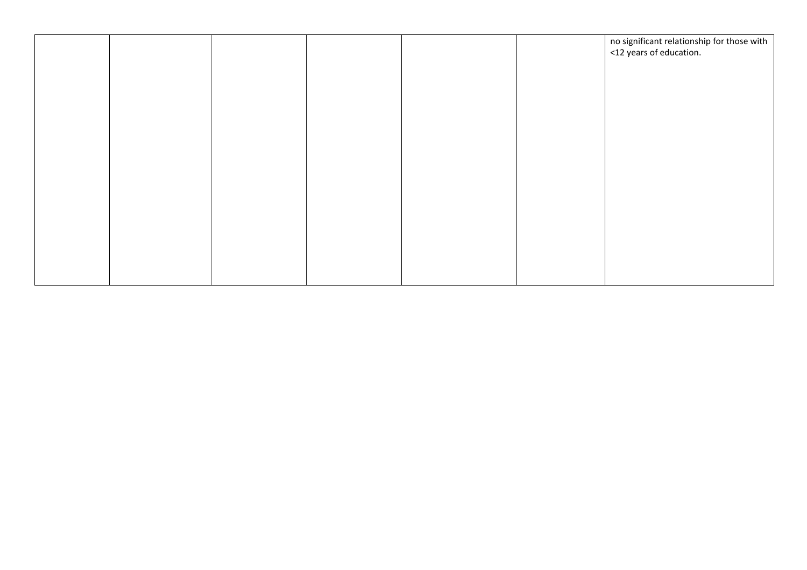|  |  |  | no significant relationship for those with<br><12 years of education. |
|--|--|--|-----------------------------------------------------------------------|
|  |  |  |                                                                       |
|  |  |  |                                                                       |
|  |  |  |                                                                       |
|  |  |  |                                                                       |
|  |  |  |                                                                       |
|  |  |  |                                                                       |
|  |  |  |                                                                       |
|  |  |  |                                                                       |
|  |  |  |                                                                       |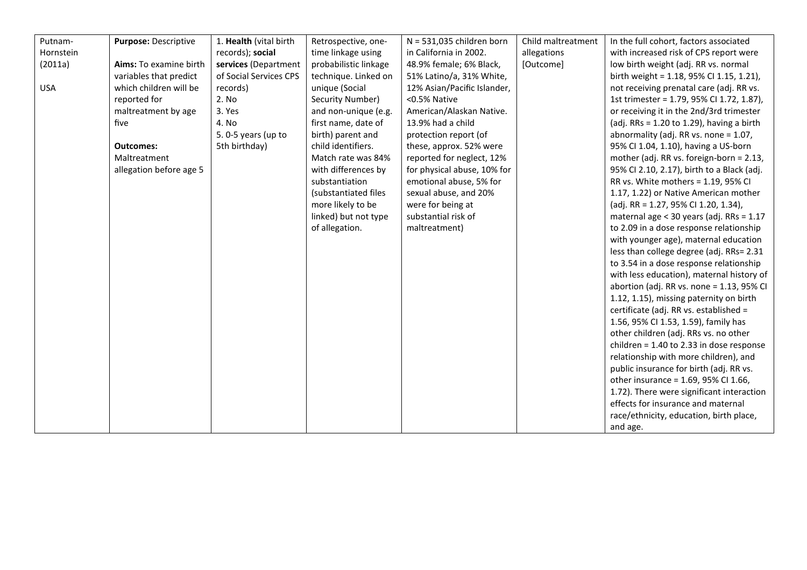| Putnam-    | Purpose: Descriptive    | 1. Health (vital birth | Retrospective, one-   | $N = 531,035$ children born | Child maltreatment | In the full cohort, factors associated         |
|------------|-------------------------|------------------------|-----------------------|-----------------------------|--------------------|------------------------------------------------|
| Hornstein  |                         | records); social       | time linkage using    | in California in 2002.      | allegations        | with increased risk of CPS report were         |
| (2011a)    | Aims: To examine birth  | services (Department   | probabilistic linkage | 48.9% female; 6% Black,     | [Outcome]          | low birth weight (adj. RR vs. normal           |
|            | variables that predict  | of Social Services CPS | technique. Linked on  | 51% Latino/a, 31% White,    |                    | birth weight = 1.18, 95% CI 1.15, 1.21),       |
| <b>USA</b> | which children will be  | records)               | unique (Social        | 12% Asian/Pacific Islander, |                    | not receiving prenatal care (adj. RR vs.       |
|            | reported for            | 2. No                  | Security Number)      | <0.5% Native                |                    | 1st trimester = 1.79, 95% CI 1.72, 1.87),      |
|            | maltreatment by age     | 3. Yes                 | and non-unique (e.g.  | American/Alaskan Native.    |                    | or receiving it in the 2nd/3rd trimester       |
|            | five                    | 4. No                  | first name, date of   | 13.9% had a child           |                    | (adj. RRs = $1.20$ to $1.29$ ), having a birth |
|            |                         | 5.0-5 years (up to     | birth) parent and     | protection report (of       |                    | abnormality (adj. RR vs. none $= 1.07$ ,       |
|            | <b>Outcomes:</b>        | 5th birthday)          | child identifiers.    | these, approx. 52% were     |                    | 95% CI 1.04, 1.10), having a US-born           |
|            | Maltreatment            |                        | Match rate was 84%    | reported for neglect, 12%   |                    | mother (adj. RR vs. foreign-born = 2.13,       |
|            | allegation before age 5 |                        | with differences by   | for physical abuse, 10% for |                    | 95% CI 2.10, 2.17), birth to a Black (adj.     |
|            |                         |                        | substantiation        | emotional abuse, 5% for     |                    | RR vs. White mothers = 1.19, 95% CI            |
|            |                         |                        | (substantiated files  | sexual abuse, and 20%       |                    | 1.17, 1.22) or Native American mother          |
|            |                         |                        | more likely to be     | were for being at           |                    | (adj. RR = 1.27, 95% CI 1.20, 1.34),           |
|            |                         |                        | linked) but not type  | substantial risk of         |                    | maternal age < 30 years (adj. RRs = 1.17       |
|            |                         |                        | of allegation.        | maltreatment)               |                    | to 2.09 in a dose response relationship        |
|            |                         |                        |                       |                             |                    | with younger age), maternal education          |
|            |                         |                        |                       |                             |                    | less than college degree (adj. RRs= 2.31       |
|            |                         |                        |                       |                             |                    | to 3.54 in a dose response relationship        |
|            |                         |                        |                       |                             |                    | with less education), maternal history of      |
|            |                         |                        |                       |                             |                    | abortion (adj. RR vs. none = 1.13, 95% CI      |
|            |                         |                        |                       |                             |                    | 1.12, 1.15), missing paternity on birth        |
|            |                         |                        |                       |                             |                    | certificate (adj. RR vs. established =         |
|            |                         |                        |                       |                             |                    | 1.56, 95% CI 1.53, 1.59), family has           |
|            |                         |                        |                       |                             |                    | other children (adj. RRs vs. no other          |
|            |                         |                        |                       |                             |                    | children = $1.40$ to 2.33 in dose response     |
|            |                         |                        |                       |                             |                    | relationship with more children), and          |
|            |                         |                        |                       |                             |                    | public insurance for birth (adj. RR vs.        |
|            |                         |                        |                       |                             |                    | other insurance = 1.69, 95% CI 1.66,           |
|            |                         |                        |                       |                             |                    | 1.72). There were significant interaction      |
|            |                         |                        |                       |                             |                    | effects for insurance and maternal             |
|            |                         |                        |                       |                             |                    | race/ethnicity, education, birth place,        |
|            |                         |                        |                       |                             |                    | and age.                                       |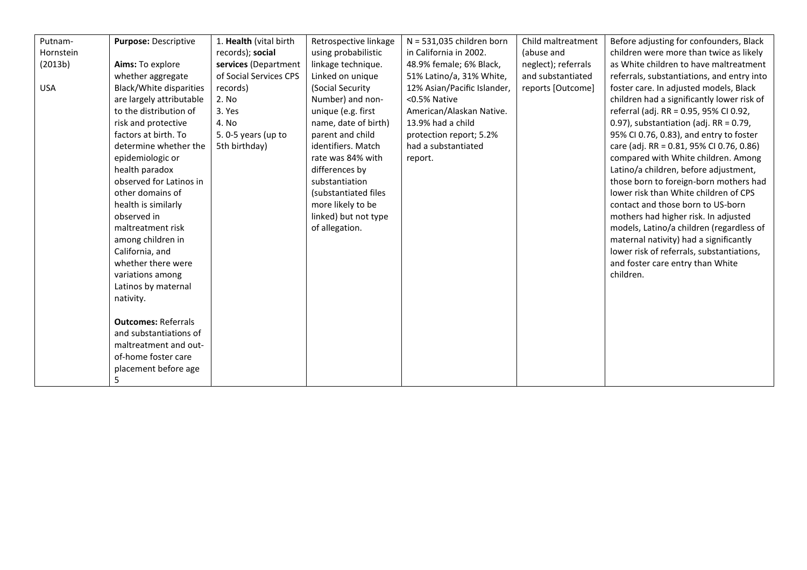| Putnam-    | Purpose: Descriptive           | 1. Health (vital birth | Retrospective linkage | $N = 531,035$ children born | Child maltreatment  | Before adjusting for confounders, Black    |
|------------|--------------------------------|------------------------|-----------------------|-----------------------------|---------------------|--------------------------------------------|
| Hornstein  |                                | records); social       | using probabilistic   | in California in 2002.      | (abuse and          | children were more than twice as likely    |
| (2013b)    | Aims: To explore               | services (Department   | linkage technique.    | 48.9% female; 6% Black,     | neglect); referrals | as White children to have maltreatment     |
|            | whether aggregate              | of Social Services CPS | Linked on unique      | 51% Latino/a, 31% White,    | and substantiated   | referrals, substantiations, and entry into |
| <b>USA</b> | <b>Black/White disparities</b> | records)               | (Social Security      | 12% Asian/Pacific Islander, | reports [Outcome]   | foster care. In adjusted models, Black     |
|            | are largely attributable       | 2. No                  | Number) and non-      | <0.5% Native                |                     | children had a significantly lower risk of |
|            | to the distribution of         | 3. Yes                 | unique (e.g. first    | American/Alaskan Native.    |                     | referral (adj. RR = 0.95, 95% CI 0.92,     |
|            | risk and protective            | 4. No                  | name, date of birth)  | 13.9% had a child           |                     | 0.97), substantiation (adj. RR = $0.79$ ,  |
|            | factors at birth. To           | 5.0-5 years (up to     | parent and child      | protection report; 5.2%     |                     | 95% CI 0.76, 0.83), and entry to foster    |
|            | determine whether the          | 5th birthday)          | identifiers. Match    | had a substantiated         |                     | care (adj. RR = 0.81, 95% CI 0.76, 0.86)   |
|            | epidemiologic or               |                        | rate was 84% with     | report.                     |                     | compared with White children. Among        |
|            | health paradox                 |                        | differences by        |                             |                     | Latino/a children, before adjustment,      |
|            | observed for Latinos in        |                        | substantiation        |                             |                     | those born to foreign-born mothers had     |
|            | other domains of               |                        | (substantiated files  |                             |                     | lower risk than White children of CPS      |
|            | health is similarly            |                        | more likely to be     |                             |                     | contact and those born to US-born          |
|            | observed in                    |                        | linked) but not type  |                             |                     | mothers had higher risk. In adjusted       |
|            | maltreatment risk              |                        | of allegation.        |                             |                     | models, Latino/a children (regardless of   |
|            | among children in              |                        |                       |                             |                     | maternal nativity) had a significantly     |
|            | California, and                |                        |                       |                             |                     | lower risk of referrals, substantiations,  |
|            | whether there were             |                        |                       |                             |                     | and foster care entry than White           |
|            | variations among               |                        |                       |                             |                     | children.                                  |
|            | Latinos by maternal            |                        |                       |                             |                     |                                            |
|            | nativity.                      |                        |                       |                             |                     |                                            |
|            |                                |                        |                       |                             |                     |                                            |
|            | <b>Outcomes: Referrals</b>     |                        |                       |                             |                     |                                            |
|            | and substantiations of         |                        |                       |                             |                     |                                            |
|            | maltreatment and out-          |                        |                       |                             |                     |                                            |
|            | of-home foster care            |                        |                       |                             |                     |                                            |
|            | placement before age           |                        |                       |                             |                     |                                            |
|            | 5                              |                        |                       |                             |                     |                                            |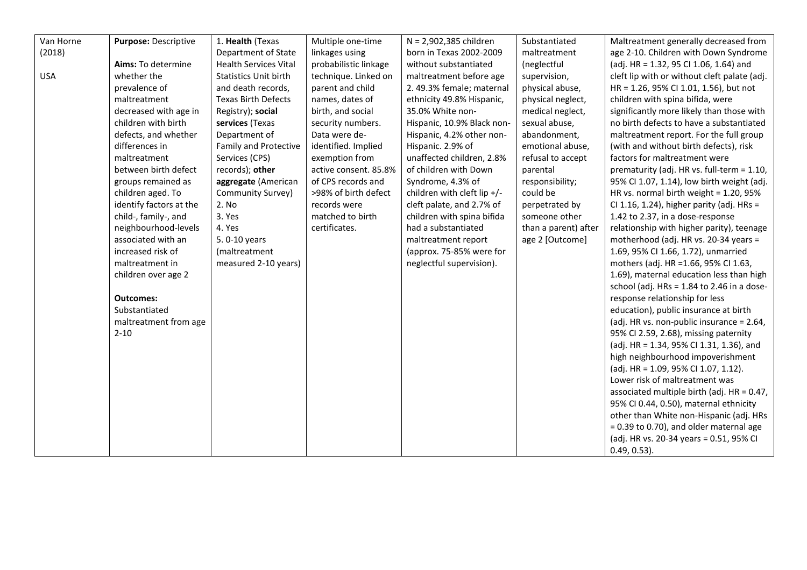| Van Horne  | Purpose: Descriptive    | 1. Health (Texas             | Multiple one-time     | N = 2,902,385 children      | Substantiated        | Maltreatment generally decreased from        |
|------------|-------------------------|------------------------------|-----------------------|-----------------------------|----------------------|----------------------------------------------|
| (2018)     |                         | Department of State          | linkages using        | born in Texas 2002-2009     | maltreatment         | age 2-10. Children with Down Syndrome        |
|            | Aims: To determine      | <b>Health Services Vital</b> | probabilistic linkage | without substantiated       | (neglectful          | (adj. HR = 1.32, 95 Cl 1.06, 1.64) and       |
| <b>USA</b> | whether the             | <b>Statistics Unit birth</b> | technique. Linked on  | maltreatment before age     | supervision,         | cleft lip with or without cleft palate (adj. |
|            | prevalence of           | and death records,           | parent and child      | 2. 49.3% female; maternal   | physical abuse,      | HR = 1.26, 95% CI 1.01, 1.56), but not       |
|            | maltreatment            | <b>Texas Birth Defects</b>   | names, dates of       | ethnicity 49.8% Hispanic,   | physical neglect,    | children with spina bifida, were             |
|            | decreased with age in   | Registry); social            | birth, and social     | 35.0% White non-            | medical neglect,     | significantly more likely than those with    |
|            | children with birth     | services (Texas              | security numbers.     | Hispanic, 10.9% Black non-  | sexual abuse,        | no birth defects to have a substantiated     |
|            | defects, and whether    | Department of                | Data were de-         | Hispanic, 4.2% other non-   | abandonment,         | maltreatment report. For the full group      |
|            | differences in          | <b>Family and Protective</b> | identified. Implied   | Hispanic. 2.9% of           | emotional abuse,     | (with and without birth defects), risk       |
|            | maltreatment            | Services (CPS)               | exemption from        | unaffected children, 2.8%   | refusal to accept    | factors for maltreatment were                |
|            | between birth defect    | records); other              | active consent. 85.8% | of children with Down       | parental             | prematurity (adj. HR vs. full-term = 1.10,   |
|            | groups remained as      | aggregate (American          | of CPS records and    | Syndrome, 4.3% of           | responsibility;      | 95% CI 1.07, 1.14), low birth weight (adj.   |
|            | children aged. To       | Community Survey)            | >98% of birth defect  | children with cleft lip +/- | could be             | HR vs. normal birth weight = 1.20, 95%       |
|            | identify factors at the | 2. No                        | records were          | cleft palate, and 2.7% of   | perpetrated by       | CI 1.16, 1.24), higher parity (adj. HRs =    |
|            | child-, family-, and    | 3. Yes                       | matched to birth      | children with spina bifida  | someone other        | 1.42 to 2.37, in a dose-response             |
|            | neighbourhood-levels    | 4. Yes                       | certificates.         | had a substantiated         | than a parent) after | relationship with higher parity), teenage    |
|            | associated with an      | 5.0-10 years                 |                       | maltreatment report         | age 2 [Outcome]      | motherhood (adj. HR vs. 20-34 years =        |
|            | increased risk of       | (maltreatment                |                       | (approx. 75-85% were for    |                      | 1.69, 95% CI 1.66, 1.72), unmarried          |
|            | maltreatment in         | measured 2-10 years)         |                       | neglectful supervision).    |                      | mothers (adj. HR = 1.66, 95% CI 1.63,        |
|            | children over age 2     |                              |                       |                             |                      | 1.69), maternal education less than high     |
|            |                         |                              |                       |                             |                      | school (adj. HRs = 1.84 to 2.46 in a dose-   |
|            | <b>Outcomes:</b>        |                              |                       |                             |                      | response relationship for less               |
|            | Substantiated           |                              |                       |                             |                      | education), public insurance at birth        |
|            | maltreatment from age   |                              |                       |                             |                      | (adj. HR vs. non-public insurance = 2.64,    |
|            | $2 - 10$                |                              |                       |                             |                      | 95% CI 2.59, 2.68), missing paternity        |
|            |                         |                              |                       |                             |                      | (adj. HR = 1.34, 95% CI 1.31, 1.36), and     |
|            |                         |                              |                       |                             |                      | high neighbourhood impoverishment            |
|            |                         |                              |                       |                             |                      | (adj. HR = 1.09, 95% CI 1.07, 1.12).         |
|            |                         |                              |                       |                             |                      | Lower risk of maltreatment was               |
|            |                         |                              |                       |                             |                      | associated multiple birth (adj. HR = 0.47,   |
|            |                         |                              |                       |                             |                      | 95% CI 0.44, 0.50), maternal ethnicity       |
|            |                         |                              |                       |                             |                      | other than White non-Hispanic (adj. HRs      |
|            |                         |                              |                       |                             |                      | $= 0.39$ to 0.70), and older maternal age    |
|            |                         |                              |                       |                             |                      | (adj. HR vs. 20-34 years = 0.51, 95% CI      |
|            |                         |                              |                       |                             |                      | $0.49, 0.53$ ).                              |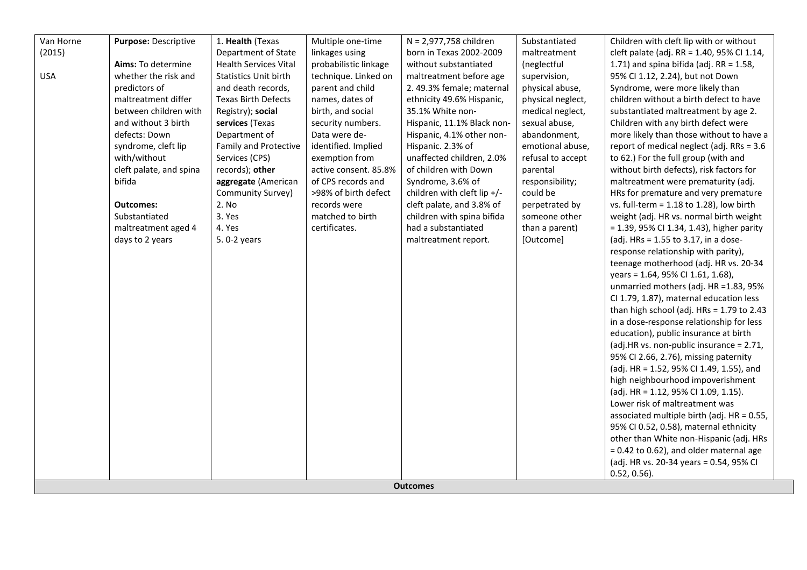| Van Horne  | Purpose: Descriptive    | 1. Health (Texas             | Multiple one-time     | N = 2,977,758 children      | Substantiated     | Children with cleft lip with or without       |
|------------|-------------------------|------------------------------|-----------------------|-----------------------------|-------------------|-----------------------------------------------|
| (2015)     |                         | Department of State          | linkages using        | born in Texas 2002-2009     | maltreatment      | cleft palate (adj. RR = 1.40, 95% CI 1.14,    |
|            | Aims: To determine      | <b>Health Services Vital</b> | probabilistic linkage | without substantiated       | (neglectful       | 1.71) and spina bifida (adj. $RR = 1.58$ ,    |
| <b>USA</b> | whether the risk and    | <b>Statistics Unit birth</b> | technique. Linked on  | maltreatment before age     | supervision,      | 95% CI 1.12, 2.24), but not Down              |
|            | predictors of           | and death records,           | parent and child      | 2.49.3% female; maternal    | physical abuse,   | Syndrome, were more likely than               |
|            | maltreatment differ     | <b>Texas Birth Defects</b>   | names, dates of       | ethnicity 49.6% Hispanic,   | physical neglect, | children without a birth defect to have       |
|            | between children with   | Registry); social            | birth, and social     | 35.1% White non-            | medical neglect,  | substantiated maltreatment by age 2.          |
|            | and without 3 birth     | services (Texas              | security numbers.     | Hispanic, 11.1% Black non-  | sexual abuse,     | Children with any birth defect were           |
|            | defects: Down           | Department of                | Data were de-         | Hispanic, 4.1% other non-   | abandonment,      | more likely than those without to have a      |
|            | syndrome, cleft lip     | <b>Family and Protective</b> | identified. Implied   | Hispanic. 2.3% of           | emotional abuse,  | report of medical neglect (adj. RRs = 3.6     |
|            | with/without            | Services (CPS)               | exemption from        | unaffected children, 2.0%   | refusal to accept | to 62.) For the full group (with and          |
|            | cleft palate, and spina | records); other              | active consent. 85.8% | of children with Down       | parental          | without birth defects), risk factors for      |
|            | bifida                  | aggregate (American          | of CPS records and    | Syndrome, 3.6% of           | responsibility;   | maltreatment were prematurity (adj.           |
|            |                         | Community Survey)            | >98% of birth defect  | children with cleft lip +/- | could be          | HRs for premature and very premature          |
|            | <b>Outcomes:</b>        | 2. No                        | records were          | cleft palate, and 3.8% of   | perpetrated by    | vs. full-term = $1.18$ to $1.28$ ), low birth |
|            | Substantiated           | 3. Yes                       | matched to birth      | children with spina bifida  | someone other     | weight (adj. HR vs. normal birth weight       |
|            | maltreatment aged 4     | 4. Yes                       | certificates.         | had a substantiated         | than a parent)    | $= 1.39$ , 95% CI 1.34, 1.43), higher parity  |
|            | days to 2 years         | 5.0-2 years                  |                       | maltreatment report.        | [Outcome]         | (adj. HRs = $1.55$ to $3.17$ , in a dose-     |
|            |                         |                              |                       |                             |                   | response relationship with parity),           |
|            |                         |                              |                       |                             |                   | teenage motherhood (adj. HR vs. 20-34         |
|            |                         |                              |                       |                             |                   | years = 1.64, 95% CI 1.61, 1.68),             |
|            |                         |                              |                       |                             |                   | unmarried mothers (adj. HR = 1.83, 95%        |
|            |                         |                              |                       |                             |                   | CI 1.79, 1.87), maternal education less       |
|            |                         |                              |                       |                             |                   | than high school (adj. HRs = 1.79 to 2.43     |
|            |                         |                              |                       |                             |                   | in a dose-response relationship for less      |
|            |                         |                              |                       |                             |                   | education), public insurance at birth         |
|            |                         |                              |                       |                             |                   | (adj.HR vs. non-public insurance = 2.71,      |
|            |                         |                              |                       |                             |                   | 95% CI 2.66, 2.76), missing paternity         |
|            |                         |                              |                       |                             |                   | (adj. HR = 1.52, 95% CI 1.49, 1.55), and      |
|            |                         |                              |                       |                             |                   | high neighbourhood impoverishment             |
|            |                         |                              |                       |                             |                   | (adj. HR = 1.12, 95% CI 1.09, 1.15).          |
|            |                         |                              |                       |                             |                   | Lower risk of maltreatment was                |
|            |                         |                              |                       |                             |                   | associated multiple birth (adj. HR = 0.55,    |
|            |                         |                              |                       |                             |                   | 95% CI 0.52, 0.58), maternal ethnicity        |
|            |                         |                              |                       |                             |                   | other than White non-Hispanic (adj. HRs       |
|            |                         |                              |                       |                             |                   | $= 0.42$ to 0.62), and older maternal age     |
|            |                         |                              |                       |                             |                   | (adj. HR vs. 20-34 years = 0.54, 95% CI       |
|            |                         |                              |                       |                             |                   | $0.52, 0.56$ ).                               |
|            |                         |                              |                       | <b>Outcomes</b>             |                   |                                               |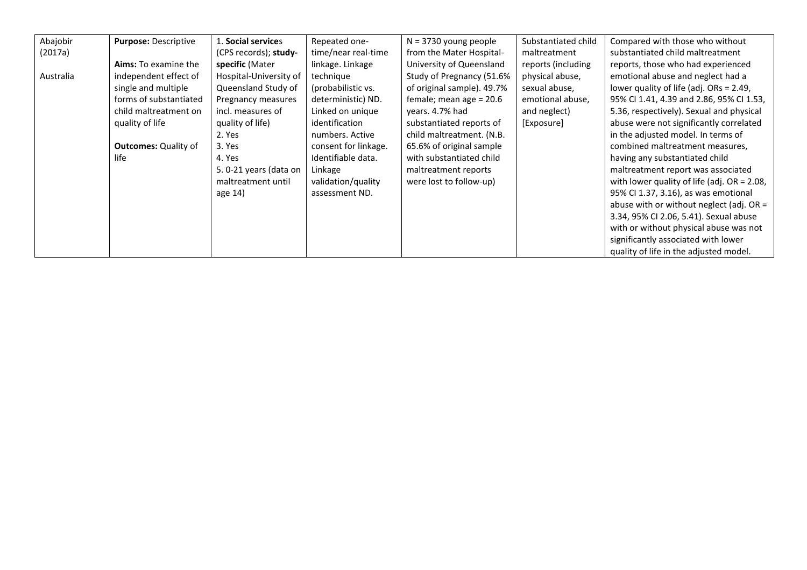| Abajobir  | <b>Purpose: Descriptive</b> | 1. <b>Social service</b> s | Repeated one-        | $N = 3730$ young people    | Substantiated child | Compared with those who without                |
|-----------|-----------------------------|----------------------------|----------------------|----------------------------|---------------------|------------------------------------------------|
| (2017a)   |                             | (CPS records); study-      | time/near real-time  | from the Mater Hospital-   | maltreatment        | substantiated child maltreatment               |
|           | <b>Aims:</b> To examine the | specific (Mater            | linkage. Linkage     | University of Queensland   | reports (including  | reports, those who had experienced             |
| Australia | independent effect of       | Hospital-University of     | technique            | Study of Pregnancy (51.6%  | physical abuse,     | emotional abuse and neglect had a              |
|           | single and multiple         | Queensland Study of        | (probabilistic vs.   | of original sample). 49.7% | sexual abuse,       | lower quality of life (adj. $ORs = 2.49$ ,     |
|           | forms of substantiated      | Pregnancy measures         | deterministic) ND.   | female; mean age $= 20.6$  | emotional abuse,    | 95% CI 1.41, 4.39 and 2.86, 95% CI 1.53,       |
|           | child maltreatment on       | incl. measures of          | Linked on unique     | years. 4.7% had            | and neglect)        | 5.36, respectively). Sexual and physical       |
|           | quality of life             | quality of life)           | identification       | substantiated reports of   | [Exposure]          | abuse were not significantly correlated        |
|           |                             | 2. Yes                     | numbers. Active      | child maltreatment. (N.B.  |                     | in the adjusted model. In terms of             |
|           | <b>Outcomes: Quality of</b> | 3. Yes                     | consent for linkage. | 65.6% of original sample   |                     | combined maltreatment measures,                |
|           | life                        | 4. Yes                     | Identifiable data.   | with substantiated child   |                     | having any substantiated child                 |
|           |                             | 5.0-21 years (data on      | Linkage              | maltreatment reports       |                     | maltreatment report was associated             |
|           |                             | maltreatment until         | validation/quality   | were lost to follow-up)    |                     | with lower quality of life (adj. $OR = 2.08$ , |
|           |                             | age 14)                    | assessment ND.       |                            |                     | 95% CI 1.37, 3.16), as was emotional           |
|           |                             |                            |                      |                            |                     | abuse with or without neglect (adj. $OR =$     |
|           |                             |                            |                      |                            |                     | 3.34, 95% CI 2.06, 5.41). Sexual abuse         |
|           |                             |                            |                      |                            |                     | with or without physical abuse was not         |
|           |                             |                            |                      |                            |                     | significantly associated with lower            |
|           |                             |                            |                      |                            |                     | quality of life in the adjusted model.         |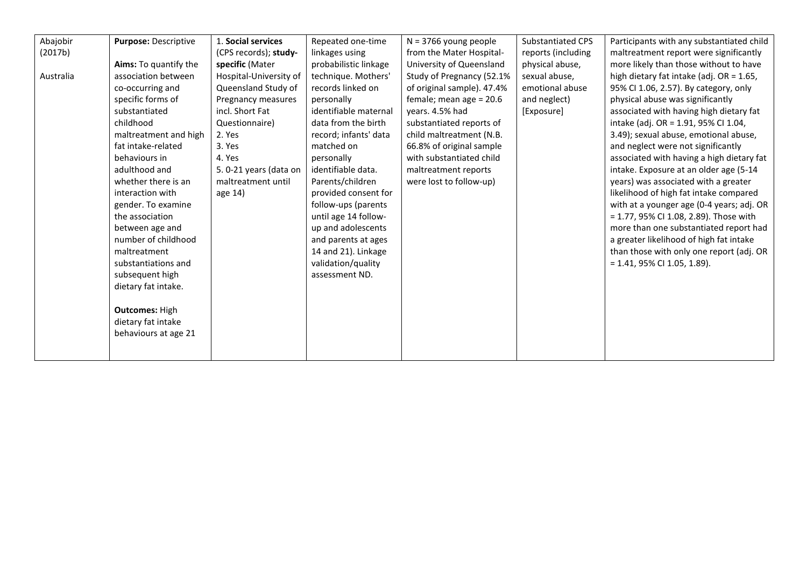| Abajobir  | Purpose: Descriptive  | 1. Social services     | Repeated one-time     | $N = 3766$ young people    | Substantiated CPS  | Participants with any substantiated child |
|-----------|-----------------------|------------------------|-----------------------|----------------------------|--------------------|-------------------------------------------|
| (2017b)   |                       | (CPS records); study-  | linkages using        | from the Mater Hospital-   | reports (including | maltreatment report were significantly    |
|           | Aims: To quantify the | specific (Mater        | probabilistic linkage | University of Queensland   | physical abuse,    | more likely than those without to have    |
| Australia | association between   | Hospital-University of | technique. Mothers'   | Study of Pregnancy (52.1%  | sexual abuse,      | high dietary fat intake (adj. OR = 1.65,  |
|           | co-occurring and      | Queensland Study of    | records linked on     | of original sample). 47.4% | emotional abuse    | 95% CI 1.06, 2.57). By category, only     |
|           | specific forms of     | Pregnancy measures     | personally            | female; mean age $= 20.6$  | and neglect)       | physical abuse was significantly          |
|           | substantiated         | incl. Short Fat        | identifiable maternal | years. 4.5% had            | [Exposure]         | associated with having high dietary fat   |
|           | childhood             | Questionnaire)         | data from the birth   | substantiated reports of   |                    | intake (adj. OR = 1.91, 95% CI 1.04,      |
|           | maltreatment and high | 2. Yes                 | record; infants' data | child maltreatment (N.B.   |                    | 3.49); sexual abuse, emotional abuse,     |
|           | fat intake-related    | 3. Yes                 | matched on            | 66.8% of original sample   |                    | and neglect were not significantly        |
|           | behaviours in         | 4. Yes                 | personally            | with substantiated child   |                    | associated with having a high dietary fat |
|           | adulthood and         | 5.0-21 years (data on  | identifiable data.    | maltreatment reports       |                    | intake. Exposure at an older age (5-14    |
|           | whether there is an   | maltreatment until     | Parents/children      | were lost to follow-up)    |                    | years) was associated with a greater      |
|           | interaction with      | age 14)                | provided consent for  |                            |                    | likelihood of high fat intake compared    |
|           | gender. To examine    |                        | follow-ups (parents   |                            |                    | with at a younger age (0-4 years; adj. OR |
|           | the association       |                        | until age 14 follow-  |                            |                    | = 1.77, 95% CI 1.08, 2.89). Those with    |
|           | between age and       |                        | up and adolescents    |                            |                    | more than one substantiated report had    |
|           | number of childhood   |                        | and parents at ages   |                            |                    | a greater likelihood of high fat intake   |
|           | maltreatment          |                        | 14 and 21). Linkage   |                            |                    | than those with only one report (adj. OR  |
|           | substantiations and   |                        | validation/quality    |                            |                    | $= 1.41, 95\%$ CI 1.05, 1.89).            |
|           | subsequent high       |                        | assessment ND.        |                            |                    |                                           |
|           | dietary fat intake.   |                        |                       |                            |                    |                                           |
|           |                       |                        |                       |                            |                    |                                           |
|           | <b>Outcomes: High</b> |                        |                       |                            |                    |                                           |
|           | dietary fat intake    |                        |                       |                            |                    |                                           |
|           | behaviours at age 21  |                        |                       |                            |                    |                                           |
|           |                       |                        |                       |                            |                    |                                           |
|           |                       |                        |                       |                            |                    |                                           |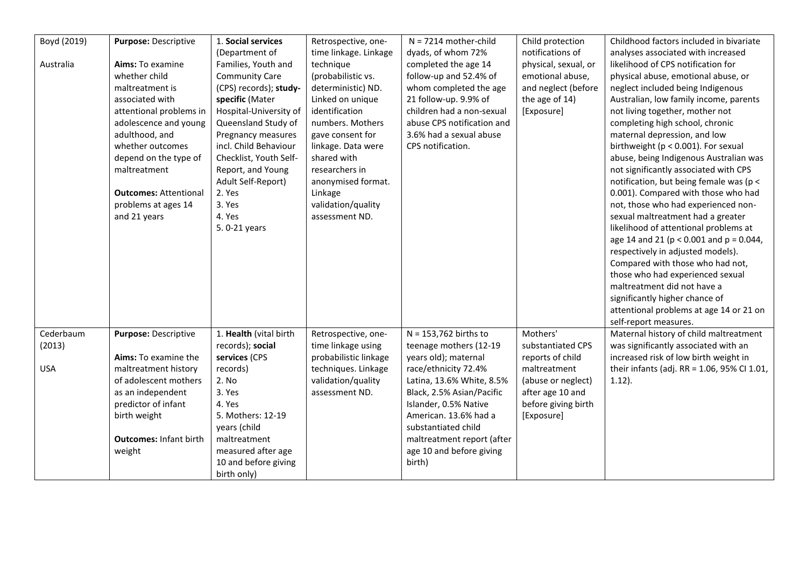| Boyd (2019) | Purpose: Descriptive          | 1. Social services     | Retrospective, one-   | $N = 7214$ mother-child    | Child protection     | Childhood factors included in bivariate       |
|-------------|-------------------------------|------------------------|-----------------------|----------------------------|----------------------|-----------------------------------------------|
|             |                               | (Department of         | time linkage. Linkage | dyads, of whom 72%         | notifications of     | analyses associated with increased            |
| Australia   | Aims: To examine              | Families, Youth and    | technique             | completed the age 14       | physical, sexual, or | likelihood of CPS notification for            |
|             | whether child                 | <b>Community Care</b>  | (probabilistic vs.    | follow-up and 52.4% of     | emotional abuse,     | physical abuse, emotional abuse, or           |
|             | maltreatment is               | (CPS) records); study- | deterministic) ND.    | whom completed the age     | and neglect (before  | neglect included being Indigenous             |
|             | associated with               | specific (Mater        | Linked on unique      | 21 follow-up. 9.9% of      | the age of 14)       | Australian, low family income, parents        |
|             | attentional problems in       | Hospital-University of | identification        | children had a non-sexual  | [Exposure]           | not living together, mother not               |
|             | adolescence and young         | Queensland Study of    | numbers. Mothers      | abuse CPS notification and |                      | completing high school, chronic               |
|             | adulthood, and                | Pregnancy measures     | gave consent for      | 3.6% had a sexual abuse    |                      | maternal depression, and low                  |
|             | whether outcomes              | incl. Child Behaviour  | linkage. Data were    | CPS notification.          |                      | birthweight ( $p < 0.001$ ). For sexual       |
|             | depend on the type of         | Checklist, Youth Self- | shared with           |                            |                      | abuse, being Indigenous Australian was        |
|             | maltreatment                  | Report, and Young      | researchers in        |                            |                      | not significantly associated with CPS         |
|             |                               | Adult Self-Report)     | anonymised format.    |                            |                      | notification, but being female was (p <       |
|             | <b>Outcomes: Attentional</b>  | 2. Yes                 | Linkage               |                            |                      | 0.001). Compared with those who had           |
|             | problems at ages 14           | 3. Yes                 | validation/quality    |                            |                      | not, those who had experienced non-           |
|             | and 21 years                  | 4. Yes                 | assessment ND.        |                            |                      | sexual maltreatment had a greater             |
|             |                               | 5.0-21 years           |                       |                            |                      | likelihood of attentional problems at         |
|             |                               |                        |                       |                            |                      | age 14 and 21 ( $p < 0.001$ and $p = 0.044$ , |
|             |                               |                        |                       |                            |                      | respectively in adjusted models).             |
|             |                               |                        |                       |                            |                      | Compared with those who had not,              |
|             |                               |                        |                       |                            |                      | those who had experienced sexual              |
|             |                               |                        |                       |                            |                      | maltreatment did not have a                   |
|             |                               |                        |                       |                            |                      | significantly higher chance of                |
|             |                               |                        |                       |                            |                      | attentional problems at age 14 or 21 on       |
|             |                               |                        |                       |                            |                      | self-report measures.                         |
| Cederbaum   | Purpose: Descriptive          | 1. Health (vital birth | Retrospective, one-   | $N = 153,762$ births to    | Mothers'             | Maternal history of child maltreatment        |
| (2013)      |                               | records); social       | time linkage using    | teenage mothers (12-19     | substantiated CPS    | was significantly associated with an          |
|             | Aims: To examine the          | services (CPS          | probabilistic linkage | years old); maternal       | reports of child     | increased risk of low birth weight in         |
| <b>USA</b>  | maltreatment history          | records)               | techniques. Linkage   | race/ethnicity 72.4%       | maltreatment         | their infants (adj. RR = 1.06, 95% CI 1.01,   |
|             | of adolescent mothers         | 2. No                  | validation/quality    | Latina, 13.6% White, 8.5%  | (abuse or neglect)   | $1.12$ ).                                     |
|             | as an independent             | 3. Yes                 | assessment ND.        | Black, 2.5% Asian/Pacific  | after age 10 and     |                                               |
|             | predictor of infant           | 4. Yes                 |                       | Islander, 0.5% Native      | before giving birth  |                                               |
|             | birth weight                  | 5. Mothers: 12-19      |                       | American. 13.6% had a      | [Exposure]           |                                               |
|             |                               | years (child           |                       | substantiated child        |                      |                                               |
|             | <b>Outcomes: Infant birth</b> | maltreatment           |                       | maltreatment report (after |                      |                                               |
|             | weight                        | measured after age     |                       | age 10 and before giving   |                      |                                               |
|             |                               | 10 and before giving   |                       | birth)                     |                      |                                               |
|             |                               |                        |                       |                            |                      |                                               |
|             |                               | birth only)            |                       |                            |                      |                                               |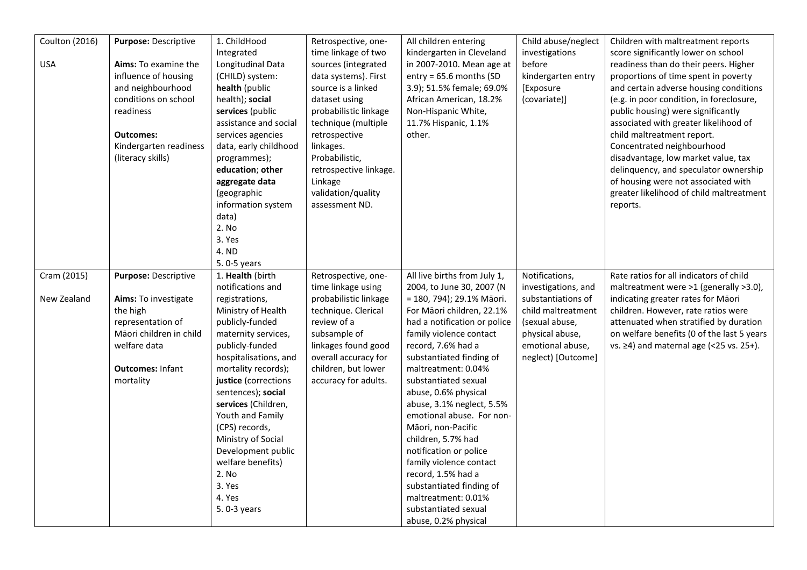| Coulton (2016) | Purpose: Descriptive    | 1. ChildHood          | Retrospective, one-    | All children entering        | Child abuse/neglect | Children with maltreatment reports            |
|----------------|-------------------------|-----------------------|------------------------|------------------------------|---------------------|-----------------------------------------------|
|                |                         | Integrated            | time linkage of two    | kindergarten in Cleveland    | investigations      | score significantly lower on school           |
| <b>USA</b>     | Aims: To examine the    | Longitudinal Data     | sources (integrated    | in 2007-2010. Mean age at    | before              | readiness than do their peers. Higher         |
|                | influence of housing    | (CHILD) system:       | data systems). First   | $entry = 65.6 months (SD)$   | kindergarten entry  | proportions of time spent in poverty          |
|                | and neighbourhood       | health (public        | source is a linked     | 3.9); 51.5% female; 69.0%    | [Exposure           | and certain adverse housing conditions        |
|                | conditions on school    | health); social       | dataset using          | African American, 18.2%      | (covariate)]        | (e.g. in poor condition, in foreclosure,      |
|                | readiness               | services (public      | probabilistic linkage  | Non-Hispanic White,          |                     | public housing) were significantly            |
|                |                         | assistance and social | technique (multiple    | 11.7% Hispanic, 1.1%         |                     | associated with greater likelihood of         |
|                | <b>Outcomes:</b>        | services agencies     | retrospective          | other.                       |                     | child maltreatment report.                    |
|                | Kindergarten readiness  | data, early childhood | linkages.              |                              |                     | Concentrated neighbourhood                    |
|                | (literacy skills)       | programmes);          | Probabilistic,         |                              |                     | disadvantage, low market value, tax           |
|                |                         | education; other      | retrospective linkage. |                              |                     | delinquency, and speculator ownership         |
|                |                         | aggregate data        | Linkage                |                              |                     | of housing were not associated with           |
|                |                         | (geographic           | validation/quality     |                              |                     | greater likelihood of child maltreatment      |
|                |                         | information system    | assessment ND.         |                              |                     | reports.                                      |
|                |                         | data)<br>2. No        |                        |                              |                     |                                               |
|                |                         | 3. Yes                |                        |                              |                     |                                               |
|                |                         | 4. ND                 |                        |                              |                     |                                               |
|                |                         | 5.0-5 years           |                        |                              |                     |                                               |
| Cram (2015)    | Purpose: Descriptive    | 1. Health (birth      | Retrospective, one-    | All live births from July 1, | Notifications,      | Rate ratios for all indicators of child       |
|                |                         | notifications and     | time linkage using     | 2004, to June 30, 2007 (N    | investigations, and | maltreatment were >1 (generally >3.0),        |
| New Zealand    | Aims: To investigate    | registrations,        | probabilistic linkage  | = 180, 794); 29.1% Māori.    | substantiations of  | indicating greater rates for Māori            |
|                | the high                | Ministry of Health    | technique. Clerical    | For Māori children, 22.1%    | child maltreatment  | children. However, rate ratios were           |
|                | representation of       | publicly-funded       | review of a            | had a notification or police | (sexual abuse,      | attenuated when stratified by duration        |
|                | Māori children in child | maternity services,   | subsample of           | family violence contact      | physical abuse,     | on welfare benefits (0 of the last 5 years    |
|                | welfare data            | publicly-funded       | linkages found good    | record, 7.6% had a           | emotional abuse,    | vs. $\geq$ 4) and maternal age (<25 vs. 25+). |
|                |                         | hospitalisations, and | overall accuracy for   | substantiated finding of     | neglect) [Outcome]  |                                               |
|                | <b>Outcomes: Infant</b> | mortality records);   | children, but lower    | maltreatment: 0.04%          |                     |                                               |
|                | mortality               | justice (corrections  | accuracy for adults.   | substantiated sexual         |                     |                                               |
|                |                         | sentences); social    |                        | abuse, 0.6% physical         |                     |                                               |
|                |                         | services (Children,   |                        | abuse, 3.1% neglect, 5.5%    |                     |                                               |
|                |                         | Youth and Family      |                        | emotional abuse. For non-    |                     |                                               |
|                |                         | (CPS) records,        |                        | Māori, non-Pacific           |                     |                                               |
|                |                         | Ministry of Social    |                        | children, 5.7% had           |                     |                                               |
|                |                         | Development public    |                        | notification or police       |                     |                                               |
|                |                         | welfare benefits)     |                        | family violence contact      |                     |                                               |
|                |                         | 2. No                 |                        | record, 1.5% had a           |                     |                                               |
|                |                         | 3. Yes                |                        | substantiated finding of     |                     |                                               |
|                |                         | 4. Yes                |                        | maltreatment: 0.01%          |                     |                                               |
|                |                         | 5. 0-3 years          |                        | substantiated sexual         |                     |                                               |
|                |                         |                       |                        | abuse, 0.2% physical         |                     |                                               |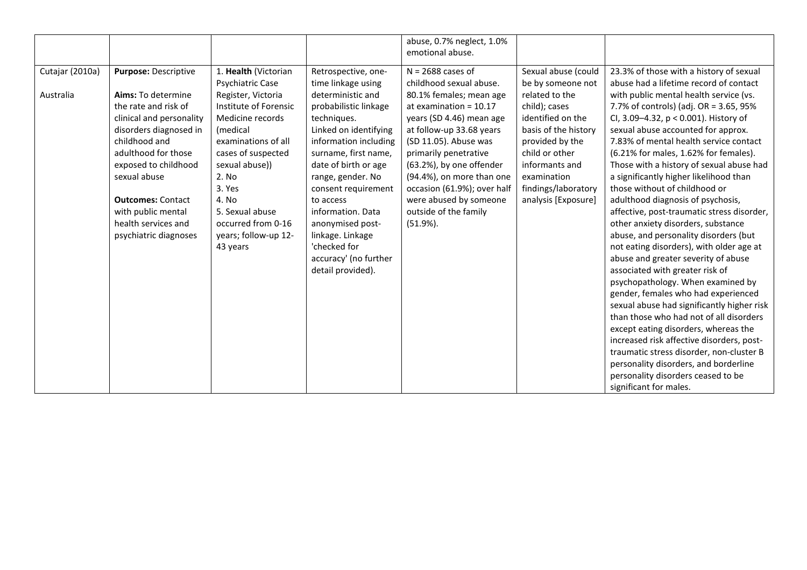|                              |                                                                                                                                                                                                                                                                                                                   |                                                                                                                                                                                                                                                                                                 |                                                                                                                                                                                                                                                                                                                                                | abuse, 0.7% neglect, 1.0%<br>emotional abuse.                                                                                                                                                                                                                                                                                                                             |                                                                                                                                                                                                                                              |                                                                                                                                                                                                                                                                                                                                                                                                                                                                                                                                                                                                                                                                              |
|------------------------------|-------------------------------------------------------------------------------------------------------------------------------------------------------------------------------------------------------------------------------------------------------------------------------------------------------------------|-------------------------------------------------------------------------------------------------------------------------------------------------------------------------------------------------------------------------------------------------------------------------------------------------|------------------------------------------------------------------------------------------------------------------------------------------------------------------------------------------------------------------------------------------------------------------------------------------------------------------------------------------------|---------------------------------------------------------------------------------------------------------------------------------------------------------------------------------------------------------------------------------------------------------------------------------------------------------------------------------------------------------------------------|----------------------------------------------------------------------------------------------------------------------------------------------------------------------------------------------------------------------------------------------|------------------------------------------------------------------------------------------------------------------------------------------------------------------------------------------------------------------------------------------------------------------------------------------------------------------------------------------------------------------------------------------------------------------------------------------------------------------------------------------------------------------------------------------------------------------------------------------------------------------------------------------------------------------------------|
| Cutajar (2010a)<br>Australia | <b>Purpose: Descriptive</b><br>Aims: To determine<br>the rate and risk of<br>clinical and personality<br>disorders diagnosed in<br>childhood and<br>adulthood for those<br>exposed to childhood<br>sexual abuse<br><b>Outcomes: Contact</b><br>with public mental<br>health services and<br>psychiatric diagnoses | 1. Health (Victorian<br>Psychiatric Case<br>Register, Victoria<br>Institute of Forensic<br>Medicine records<br>(medical<br>examinations of all<br>cases of suspected<br>sexual abuse))<br>2. No<br>3. Yes<br>4. No<br>5. Sexual abuse<br>occurred from 0-16<br>years; follow-up 12-<br>43 years | Retrospective, one-<br>time linkage using<br>deterministic and<br>probabilistic linkage<br>techniques.<br>Linked on identifying<br>information including<br>surname, first name,<br>date of birth or age<br>range, gender. No<br>consent requirement<br>to access<br>information. Data<br>anonymised post-<br>linkage. Linkage<br>'checked for | $N = 2688$ cases of<br>childhood sexual abuse.<br>80.1% females; mean age<br>at examination = $10.17$<br>years (SD 4.46) mean age<br>at follow-up 33.68 years<br>(SD 11.05). Abuse was<br>primarily penetrative<br>(63.2%), by one offender<br>(94.4%), on more than one<br>occasion (61.9%); over half<br>were abused by someone<br>outside of the family<br>$(51.9\%).$ | Sexual abuse (could<br>be by someone not<br>related to the<br>child); cases<br>identified on the<br>basis of the history<br>provided by the<br>child or other<br>informants and<br>examination<br>findings/laboratory<br>analysis [Exposure] | 23.3% of those with a history of sexual<br>abuse had a lifetime record of contact<br>with public mental health service (vs.<br>7.7% of controls) (adj. OR = 3.65, 95%<br>Cl, 3.09-4.32, p < 0.001). History of<br>sexual abuse accounted for approx.<br>7.83% of mental health service contact<br>(6.21% for males, 1.62% for females).<br>Those with a history of sexual abuse had<br>a significantly higher likelihood than<br>those without of childhood or<br>adulthood diagnosis of psychosis,<br>affective, post-traumatic stress disorder,<br>other anxiety disorders, substance<br>abuse, and personality disorders (but<br>not eating disorders), with older age at |
|                              |                                                                                                                                                                                                                                                                                                                   |                                                                                                                                                                                                                                                                                                 | accuracy' (no further<br>detail provided).                                                                                                                                                                                                                                                                                                     |                                                                                                                                                                                                                                                                                                                                                                           |                                                                                                                                                                                                                                              | abuse and greater severity of abuse<br>associated with greater risk of<br>psychopathology. When examined by<br>gender, females who had experienced                                                                                                                                                                                                                                                                                                                                                                                                                                                                                                                           |
|                              |                                                                                                                                                                                                                                                                                                                   |                                                                                                                                                                                                                                                                                                 |                                                                                                                                                                                                                                                                                                                                                |                                                                                                                                                                                                                                                                                                                                                                           |                                                                                                                                                                                                                                              | sexual abuse had significantly higher risk<br>than those who had not of all disorders                                                                                                                                                                                                                                                                                                                                                                                                                                                                                                                                                                                        |
|                              |                                                                                                                                                                                                                                                                                                                   |                                                                                                                                                                                                                                                                                                 |                                                                                                                                                                                                                                                                                                                                                |                                                                                                                                                                                                                                                                                                                                                                           |                                                                                                                                                                                                                                              | except eating disorders, whereas the<br>increased risk affective disorders, post-<br>traumatic stress disorder, non-cluster B<br>personality disorders, and borderline                                                                                                                                                                                                                                                                                                                                                                                                                                                                                                       |
|                              |                                                                                                                                                                                                                                                                                                                   |                                                                                                                                                                                                                                                                                                 |                                                                                                                                                                                                                                                                                                                                                |                                                                                                                                                                                                                                                                                                                                                                           |                                                                                                                                                                                                                                              | personality disorders ceased to be<br>significant for males.                                                                                                                                                                                                                                                                                                                                                                                                                                                                                                                                                                                                                 |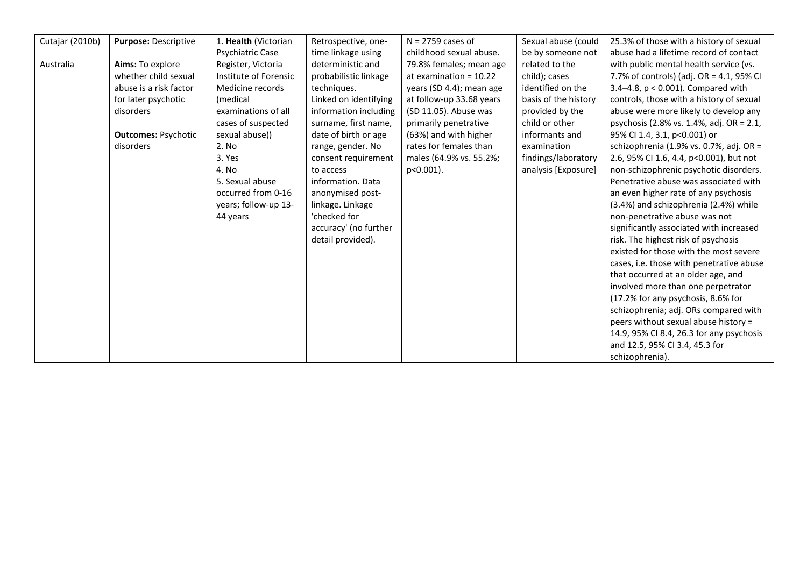| Cutajar (2010b) | <b>Purpose: Descriptive</b> | 1. Health (Victorian    | Retrospective, one-   | $N = 2759$ cases of      | Sexual abuse (could  | 25.3% of those with a history of sexual  |
|-----------------|-----------------------------|-------------------------|-----------------------|--------------------------|----------------------|------------------------------------------|
|                 |                             | <b>Psychiatric Case</b> | time linkage using    | childhood sexual abuse.  | be by someone not    | abuse had a lifetime record of contact   |
| Australia       | Aims: To explore            | Register, Victoria      | deterministic and     | 79.8% females; mean age  | related to the       | with public mental health service (vs.   |
|                 | whether child sexual        | Institute of Forensic   | probabilistic linkage | at examination = $10.22$ | child); cases        | 7.7% of controls) (adj. OR = 4.1, 95% CI |
|                 | abuse is a risk factor      | Medicine records        | techniques.           | years (SD 4.4); mean age | identified on the    | 3.4-4.8, $p < 0.001$ ). Compared with    |
|                 | for later psychotic         | (medical                | Linked on identifying | at follow-up 33.68 years | basis of the history | controls, those with a history of sexual |
|                 | disorders                   | examinations of all     | information including | (SD 11.05). Abuse was    | provided by the      | abuse were more likely to develop any    |
|                 |                             | cases of suspected      | surname, first name,  | primarily penetrative    | child or other       | psychosis (2.8% vs. 1.4%, adj. OR = 2.1, |
|                 | <b>Outcomes: Psychotic</b>  | sexual abuse))          | date of birth or age  | (63%) and with higher    | informants and       | 95% CI 1.4, 3.1, p<0.001) or             |
|                 | disorders                   | 2. No                   | range, gender. No     | rates for females than   | examination          | schizophrenia (1.9% vs. 0.7%, adj. OR =  |
|                 |                             | 3. Yes                  | consent requirement   | males (64.9% vs. 55.2%;  | findings/laboratory  | 2.6, 95% CI 1.6, 4.4, p<0.001), but not  |
|                 |                             | 4. No                   | to access             | p<0.001).                | analysis [Exposure]  | non-schizophrenic psychotic disorders.   |
|                 |                             | 5. Sexual abuse         | information. Data     |                          |                      | Penetrative abuse was associated with    |
|                 |                             | occurred from 0-16      | anonymised post-      |                          |                      | an even higher rate of any psychosis     |
|                 |                             | years; follow-up 13-    | linkage. Linkage      |                          |                      | (3.4%) and schizophrenia (2.4%) while    |
|                 |                             | 44 years                | 'checked for          |                          |                      | non-penetrative abuse was not            |
|                 |                             |                         | accuracy' (no further |                          |                      | significantly associated with increased  |
|                 |                             |                         | detail provided).     |                          |                      | risk. The highest risk of psychosis      |
|                 |                             |                         |                       |                          |                      | existed for those with the most severe   |
|                 |                             |                         |                       |                          |                      | cases, i.e. those with penetrative abuse |
|                 |                             |                         |                       |                          |                      | that occurred at an older age, and       |
|                 |                             |                         |                       |                          |                      | involved more than one perpetrator       |
|                 |                             |                         |                       |                          |                      | (17.2% for any psychosis, 8.6% for       |
|                 |                             |                         |                       |                          |                      | schizophrenia; adj. ORs compared with    |
|                 |                             |                         |                       |                          |                      | peers without sexual abuse history =     |
|                 |                             |                         |                       |                          |                      | 14.9, 95% CI 8.4, 26.3 for any psychosis |
|                 |                             |                         |                       |                          |                      | and 12.5, 95% CI 3.4, 45.3 for           |
|                 |                             |                         |                       |                          |                      | schizophrenia).                          |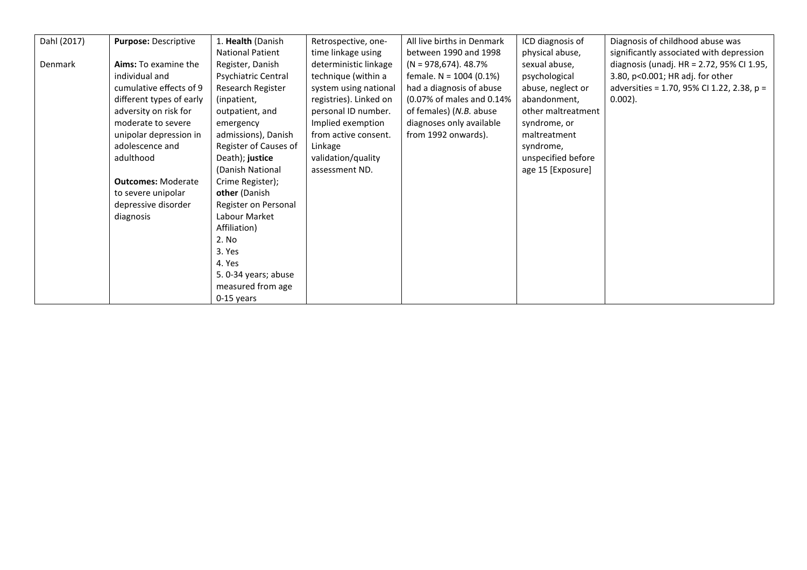| Dahl (2017) | Purpose: Descriptive      | 1. Health (Danish       | Retrospective, one-    | All live births in Denmark | ICD diagnosis of   | Diagnosis of childhood abuse was           |
|-------------|---------------------------|-------------------------|------------------------|----------------------------|--------------------|--------------------------------------------|
|             |                           | <b>National Patient</b> | time linkage using     | between 1990 and 1998      | physical abuse,    | significantly associated with depression   |
| Denmark     | Aims: To examine the      | Register, Danish        | deterministic linkage  | $(N = 978,674)$ . 48.7%    | sexual abuse,      | diagnosis (unadj. HR = 2.72, 95% CI 1.95,  |
|             | individual and            | Psychiatric Central     | technique (within a    | female. $N = 1004$ (0.1%)  | psychological      | 3.80, p<0.001; HR adj. for other           |
|             | cumulative effects of 9   | Research Register       | system using national  | had a diagnosis of abuse   | abuse, neglect or  | adversities = 1.70, 95% CI 1.22, 2.38, p = |
|             | different types of early  | (inpatient,             | registries). Linked on | (0.07% of males and 0.14%  | abandonment,       | $0.002$ ).                                 |
|             | adversity on risk for     | outpatient, and         | personal ID number.    | of females) (N.B. abuse    | other maltreatment |                                            |
|             | moderate to severe        | emergency               | Implied exemption      | diagnoses only available   | syndrome, or       |                                            |
|             | unipolar depression in    | admissions), Danish     | from active consent.   | from 1992 onwards).        | maltreatment       |                                            |
|             | adolescence and           | Register of Causes of   | Linkage                |                            | syndrome,          |                                            |
|             | adulthood                 | Death); justice         | validation/quality     |                            | unspecified before |                                            |
|             |                           | (Danish National        | assessment ND.         |                            | age 15 [Exposure]  |                                            |
|             | <b>Outcomes: Moderate</b> | Crime Register);        |                        |                            |                    |                                            |
|             | to severe unipolar        | other (Danish           |                        |                            |                    |                                            |
|             | depressive disorder       | Register on Personal    |                        |                            |                    |                                            |
|             | diagnosis                 | Labour Market           |                        |                            |                    |                                            |
|             |                           | Affiliation)            |                        |                            |                    |                                            |
|             |                           | 2. No                   |                        |                            |                    |                                            |
|             |                           | 3. Yes                  |                        |                            |                    |                                            |
|             |                           | 4. Yes                  |                        |                            |                    |                                            |
|             |                           | 5. 0-34 years; abuse    |                        |                            |                    |                                            |
|             |                           | measured from age       |                        |                            |                    |                                            |
|             |                           | $0-15$ years            |                        |                            |                    |                                            |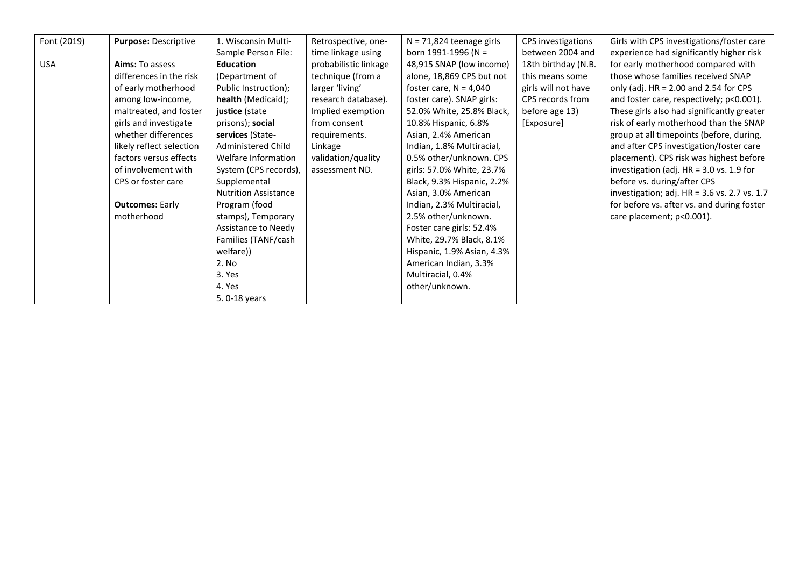| Font (2019) | Purpose: Descriptive     | 1. Wisconsin Multi-         | Retrospective, one-   | $N = 71,824$ teenage girls | CPS investigations  | Girls with CPS investigations/foster care    |
|-------------|--------------------------|-----------------------------|-----------------------|----------------------------|---------------------|----------------------------------------------|
|             |                          | Sample Person File:         | time linkage using    | born 1991-1996 (N =        | between 2004 and    | experience had significantly higher risk     |
| <b>USA</b>  | Aims: To assess          | <b>Education</b>            | probabilistic linkage | 48,915 SNAP (low income)   | 18th birthday (N.B. | for early motherhood compared with           |
|             | differences in the risk  | (Department of              | technique (from a     | alone, 18,869 CPS but not  | this means some     | those whose families received SNAP           |
|             | of early motherhood      | Public Instruction);        | larger 'living'       | foster care, $N = 4,040$   | girls will not have | only (adj. $HR = 2.00$ and 2.54 for CPS      |
|             | among low-income,        | health (Medicaid);          | research database).   | foster care). SNAP girls:  | CPS records from    | and foster care, respectively; p<0.001).     |
|             | maltreated, and foster   | justice (state              | Implied exemption     | 52.0% White, 25.8% Black,  | before age 13)      | These girls also had significantly greater   |
|             | girls and investigate    | prisons); social            | from consent          | 10.8% Hispanic, 6.8%       | [Exposure]          | risk of early motherhood than the SNAP       |
|             | whether differences      | services (State-            | requirements.         | Asian, 2.4% American       |                     | group at all timepoints (before, during,     |
|             | likely reflect selection | Administered Child          | Linkage               | Indian, 1.8% Multiracial,  |                     | and after CPS investigation/foster care      |
|             | factors versus effects   | Welfare Information         | validation/quality    | 0.5% other/unknown. CPS    |                     | placement). CPS risk was highest before      |
|             | of involvement with      | System (CPS records),       | assessment ND.        | girls: 57.0% White, 23.7%  |                     | investigation (adj. HR = 3.0 vs. 1.9 for     |
|             | CPS or foster care       | Supplemental                |                       | Black, 9.3% Hispanic, 2.2% |                     | before vs. during/after CPS                  |
|             |                          | <b>Nutrition Assistance</b> |                       | Asian, 3.0% American       |                     | investigation; adj. HR = 3.6 vs. 2.7 vs. 1.7 |
|             | <b>Outcomes: Early</b>   | Program (food               |                       | Indian, 2.3% Multiracial,  |                     | for before vs. after vs. and during foster   |
|             | motherhood               | stamps), Temporary          |                       | 2.5% other/unknown.        |                     | care placement; p<0.001).                    |
|             |                          | Assistance to Needy         |                       | Foster care girls: 52.4%   |                     |                                              |
|             |                          | Families (TANF/cash         |                       | White, 29.7% Black, 8.1%   |                     |                                              |
|             |                          | welfare))                   |                       | Hispanic, 1.9% Asian, 4.3% |                     |                                              |
|             |                          | 2. No                       |                       | American Indian, 3.3%      |                     |                                              |
|             |                          | 3. Yes                      |                       | Multiracial, 0.4%          |                     |                                              |
|             |                          | 4. Yes                      |                       | other/unknown.             |                     |                                              |
|             |                          | 5.0-18 years                |                       |                            |                     |                                              |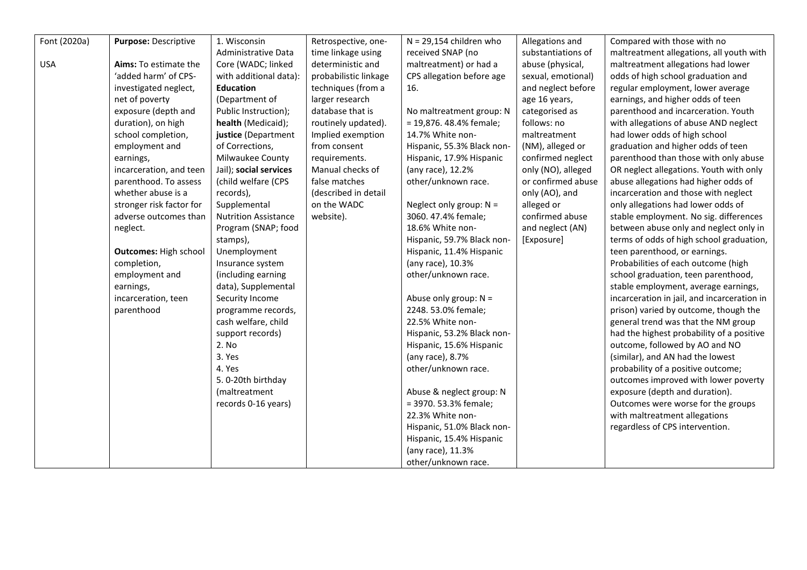| Font (2020a) | Purpose: Descriptive         | 1. Wisconsin                | Retrospective, one-   | $N = 29,154$ children who  | Allegations and    | Compared with those with no                 |
|--------------|------------------------------|-----------------------------|-----------------------|----------------------------|--------------------|---------------------------------------------|
|              |                              | Administrative Data         | time linkage using    | received SNAP (no          | substantiations of | maltreatment allegations, all youth with    |
| <b>USA</b>   | Aims: To estimate the        | Core (WADC; linked          | deterministic and     | maltreatment) or had a     | abuse (physical,   | maltreatment allegations had lower          |
|              | 'added harm' of CPS-         | with additional data):      | probabilistic linkage | CPS allegation before age  | sexual, emotional) | odds of high school graduation and          |
|              | investigated neglect,        | <b>Education</b>            | techniques (from a    | 16.                        | and neglect before | regular employment, lower average           |
|              | net of poverty               | (Department of              | larger research       |                            | age 16 years,      | earnings, and higher odds of teen           |
|              | exposure (depth and          | Public Instruction);        | database that is      | No maltreatment group: N   | categorised as     | parenthood and incarceration. Youth         |
|              | duration), on high           | health (Medicaid);          | routinely updated).   | = 19,876. 48.4% female;    | follows: no        | with allegations of abuse AND neglect       |
|              | school completion,           | justice (Department         | Implied exemption     | 14.7% White non-           | maltreatment       | had lower odds of high school               |
|              | employment and               | of Corrections,             | from consent          | Hispanic, 55.3% Black non- | (NM), alleged or   | graduation and higher odds of teen          |
|              | earnings,                    | Milwaukee County            | requirements.         | Hispanic, 17.9% Hispanic   | confirmed neglect  | parenthood than those with only abuse       |
|              | incarceration, and teen      | Jail); social services      | Manual checks of      | (any race), 12.2%          | only (NO), alleged | OR neglect allegations. Youth with only     |
|              | parenthood. To assess        | (child welfare (CPS         | false matches         | other/unknown race.        | or confirmed abuse | abuse allegations had higher odds of        |
|              | whether abuse is a           | records),                   | (described in detail  |                            | only (AO), and     | incarceration and those with neglect        |
|              | stronger risk factor for     | Supplemental                | on the WADC           | Neglect only group: $N =$  | alleged or         | only allegations had lower odds of          |
|              | adverse outcomes than        | <b>Nutrition Assistance</b> | website).             | 3060. 47.4% female;        | confirmed abuse    | stable employment. No sig. differences      |
|              | neglect.                     | Program (SNAP; food         |                       | 18.6% White non-           | and neglect (AN)   | between abuse only and neglect only in      |
|              |                              | stamps),                    |                       | Hispanic, 59.7% Black non- | [Exposure]         | terms of odds of high school graduation,    |
|              | <b>Outcomes: High school</b> | Unemployment                |                       | Hispanic, 11.4% Hispanic   |                    | teen parenthood, or earnings.               |
|              | completion,                  | Insurance system            |                       | (any race), 10.3%          |                    | Probabilities of each outcome (high         |
|              | employment and               | (including earning          |                       | other/unknown race.        |                    | school graduation, teen parenthood,         |
|              | earnings,                    | data), Supplemental         |                       |                            |                    | stable employment, average earnings,        |
|              | incarceration, teen          | Security Income             |                       | Abuse only group: $N =$    |                    | incarceration in jail, and incarceration in |
|              | parenthood                   | programme records,          |                       | 2248.53.0% female;         |                    | prison) varied by outcome, though the       |
|              |                              | cash welfare, child         |                       | 22.5% White non-           |                    | general trend was that the NM group         |
|              |                              | support records)            |                       | Hispanic, 53.2% Black non- |                    | had the highest probability of a positive   |
|              |                              | 2. No                       |                       | Hispanic, 15.6% Hispanic   |                    | outcome, followed by AO and NO              |
|              |                              | 3. Yes                      |                       | (any race), 8.7%           |                    | (similar), and AN had the lowest            |
|              |                              | 4. Yes                      |                       | other/unknown race.        |                    | probability of a positive outcome;          |
|              |                              | 5.0-20th birthday           |                       |                            |                    | outcomes improved with lower poverty        |
|              |                              | (maltreatment               |                       | Abuse & neglect group: N   |                    | exposure (depth and duration).              |
|              |                              | records 0-16 years)         |                       | = 3970. 53.3% female;      |                    | Outcomes were worse for the groups          |
|              |                              |                             |                       | 22.3% White non-           |                    | with maltreatment allegations               |
|              |                              |                             |                       | Hispanic, 51.0% Black non- |                    | regardless of CPS intervention.             |
|              |                              |                             |                       | Hispanic, 15.4% Hispanic   |                    |                                             |
|              |                              |                             |                       | (any race), 11.3%          |                    |                                             |
|              |                              |                             |                       | other/unknown race.        |                    |                                             |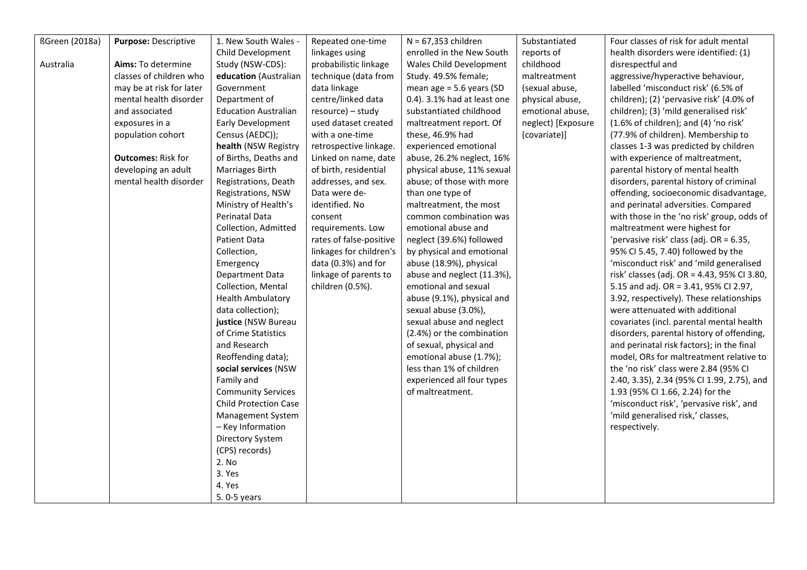| <b>ßGreen</b> (2018a) | Purpose: Descriptive      | 1. New South Wales -        | Repeated one-time       | $N = 67,353$ children       | Substantiated      | Four classes of risk for adult mental       |
|-----------------------|---------------------------|-----------------------------|-------------------------|-----------------------------|--------------------|---------------------------------------------|
|                       |                           | Child Development           | linkages using          | enrolled in the New South   | reports of         | health disorders were identified: (1)       |
| Australia             | Aims: To determine        | Study (NSW-CDS):            | probabilistic linkage   | Wales Child Development     | childhood          | disrespectful and                           |
|                       | classes of children who   | education (Australian       | technique (data from    | Study. 49.5% female;        | maltreatment       | aggressive/hyperactive behaviour,           |
|                       | may be at risk for later  | Government                  | data linkage            | mean age = $5.6$ years (SD  | (sexual abuse,     | labelled 'misconduct risk' (6.5% of         |
|                       | mental health disorder    | Department of               | centre/linked data      | 0.4). 3.1% had at least one | physical abuse,    | children); (2) 'pervasive risk' (4.0% of    |
|                       | and associated            | <b>Education Australian</b> | resource) - study       | substantiated childhood     | emotional abuse,   | children); (3) 'mild generalised risk'      |
|                       | exposures in a            | Early Development           | used dataset created    | maltreatment report. Of     | neglect) [Exposure | (1.6% of children); and (4) 'no risk'       |
|                       | population cohort         | Census (AEDC));             | with a one-time         | these, 46.9% had            | (covariate)]       | (77.9% of children). Membership to          |
|                       |                           | health (NSW Registry        | retrospective linkage.  | experienced emotional       |                    | classes 1-3 was predicted by children       |
|                       | <b>Outcomes: Risk for</b> | of Births, Deaths and       | Linked on name, date    | abuse, 26.2% neglect, 16%   |                    | with experience of maltreatment,            |
|                       | developing an adult       | Marriages Birth             | of birth, residential   | physical abuse, 11% sexual  |                    | parental history of mental health           |
|                       | mental health disorder    | Registrations, Death        | addresses, and sex.     | abuse; of those with more   |                    | disorders, parental history of criminal     |
|                       |                           | Registrations, NSW          | Data were de-           | than one type of            |                    | offending, socioeconomic disadvantage,      |
|                       |                           | Ministry of Health's        | identified. No          | maltreatment, the most      |                    | and perinatal adversities. Compared         |
|                       |                           | <b>Perinatal Data</b>       | consent                 | common combination was      |                    | with those in the 'no risk' group, odds of  |
|                       |                           | Collection, Admitted        | requirements. Low       | emotional abuse and         |                    | maltreatment were highest for               |
|                       |                           | Patient Data                | rates of false-positive | neglect (39.6%) followed    |                    | 'pervasive risk' class (adj. OR = 6.35,     |
|                       |                           | Collection,                 | linkages for children's | by physical and emotional   |                    | 95% CI 5.45, 7.40) followed by the          |
|                       |                           | Emergency                   | data (0.3%) and for     | abuse (18.9%), physical     |                    | 'misconduct risk' and 'mild generalised     |
|                       |                           | Department Data             | linkage of parents to   | abuse and neglect (11.3%),  |                    | risk' classes (adj. OR = 4.43, 95% CI 3.80, |
|                       |                           | Collection, Mental          | children (0.5%).        | emotional and sexual        |                    | 5.15 and adj. OR = 3.41, 95% CI 2.97,       |
|                       |                           | <b>Health Ambulatory</b>    |                         | abuse (9.1%), physical and  |                    | 3.92, respectively). These relationships    |
|                       |                           | data collection);           |                         | sexual abuse (3.0%),        |                    | were attenuated with additional             |
|                       |                           | justice (NSW Bureau         |                         | sexual abuse and neglect    |                    | covariates (incl. parental mental health    |
|                       |                           | of Crime Statistics         |                         | (2.4%) or the combination   |                    | disorders, parental history of offending,   |
|                       |                           | and Research                |                         | of sexual, physical and     |                    | and perinatal risk factors); in the final   |
|                       |                           | Reoffending data);          |                         | emotional abuse (1.7%);     |                    | model, ORs for maltreatment relative to     |
|                       |                           | social services (NSW        |                         | less than 1% of children    |                    | the 'no risk' class were 2.84 (95% CI       |
|                       |                           | Family and                  |                         | experienced all four types  |                    | 2.40, 3.35), 2.34 (95% CI 1.99, 2.75), and  |
|                       |                           | <b>Community Services</b>   |                         | of maltreatment.            |                    | 1.93 (95% CI 1.66, 2.24) for the            |
|                       |                           | Child Protection Case       |                         |                             |                    | 'misconduct risk', 'pervasive risk', and    |
|                       |                           | Management System           |                         |                             |                    | 'mild generalised risk,' classes,           |
|                       |                           | - Key Information           |                         |                             |                    | respectively.                               |
|                       |                           | Directory System            |                         |                             |                    |                                             |
|                       |                           | (CPS) records)              |                         |                             |                    |                                             |
|                       |                           | 2. No                       |                         |                             |                    |                                             |
|                       |                           | 3. Yes                      |                         |                             |                    |                                             |
|                       |                           | 4. Yes                      |                         |                             |                    |                                             |
|                       |                           | 5.0-5 years                 |                         |                             |                    |                                             |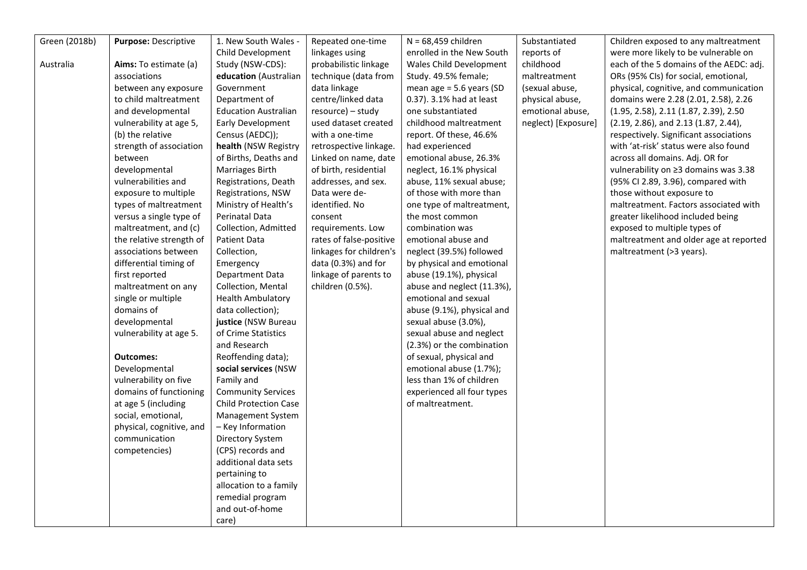| Green (2018b) | Purpose: Descriptive     | 1. New South Wales -         | Repeated one-time       | $N = 68,459$ children      | Substantiated       | Children exposed to any maltreatment    |
|---------------|--------------------------|------------------------------|-------------------------|----------------------------|---------------------|-----------------------------------------|
|               |                          | Child Development            | linkages using          | enrolled in the New South  | reports of          | were more likely to be vulnerable on    |
| Australia     | Aims: To estimate (a)    | Study (NSW-CDS):             | probabilistic linkage   | Wales Child Development    | childhood           | each of the 5 domains of the AEDC: adj. |
|               | associations             | education (Australian        | technique (data from    | Study. 49.5% female;       | maltreatment        | ORs (95% CIs) for social, emotional,    |
|               | between any exposure     | Government                   | data linkage            | mean age = 5.6 years (SD   | (sexual abuse,      | physical, cognitive, and communication  |
|               | to child maltreatment    | Department of                | centre/linked data      | 0.37). 3.1% had at least   | physical abuse,     | domains were 2.28 (2.01, 2.58), 2.26    |
|               | and developmental        | <b>Education Australian</b>  | resource) - study       | one substantiated          | emotional abuse,    | (1.95, 2.58), 2.11 (1.87, 2.39), 2.50   |
|               | vulnerability at age 5,  | Early Development            | used dataset created    | childhood maltreatment     | neglect) [Exposure] | (2.19, 2.86), and 2.13 (1.87, 2.44),    |
|               | (b) the relative         | Census (AEDC));              | with a one-time         | report. Of these, 46.6%    |                     | respectively. Significant associations  |
|               | strength of association  | health (NSW Registry         | retrospective linkage.  | had experienced            |                     | with 'at-risk' status were also found   |
|               | between                  | of Births, Deaths and        | Linked on name, date    | emotional abuse, 26.3%     |                     | across all domains. Adj. OR for         |
|               | developmental            | Marriages Birth              | of birth, residential   | neglect, 16.1% physical    |                     | vulnerability on ≥3 domains was 3.38    |
|               | vulnerabilities and      | Registrations, Death         | addresses, and sex.     | abuse, 11% sexual abuse;   |                     | (95% CI 2.89, 3.96), compared with      |
|               | exposure to multiple     | Registrations, NSW           | Data were de-           | of those with more than    |                     | those without exposure to               |
|               | types of maltreatment    | Ministry of Health's         | identified. No          | one type of maltreatment,  |                     | maltreatment. Factors associated with   |
|               | versus a single type of  | Perinatal Data               | consent                 | the most common            |                     | greater likelihood included being       |
|               | maltreatment, and (c)    | Collection, Admitted         | requirements. Low       | combination was            |                     | exposed to multiple types of            |
|               | the relative strength of | Patient Data                 | rates of false-positive | emotional abuse and        |                     | maltreatment and older age at reported  |
|               | associations between     | Collection,                  | linkages for children's | neglect (39.5%) followed   |                     | maltreatment (>3 years).                |
|               | differential timing of   | Emergency                    | data (0.3%) and for     | by physical and emotional  |                     |                                         |
|               | first reported           | Department Data              | linkage of parents to   | abuse (19.1%), physical    |                     |                                         |
|               | maltreatment on any      | Collection, Mental           | children (0.5%).        | abuse and neglect (11.3%), |                     |                                         |
|               | single or multiple       | <b>Health Ambulatory</b>     |                         | emotional and sexual       |                     |                                         |
|               | domains of               | data collection);            |                         | abuse (9.1%), physical and |                     |                                         |
|               | developmental            | justice (NSW Bureau          |                         | sexual abuse (3.0%),       |                     |                                         |
|               | vulnerability at age 5.  | of Crime Statistics          |                         | sexual abuse and neglect   |                     |                                         |
|               |                          | and Research                 |                         | (2.3%) or the combination  |                     |                                         |
|               | <b>Outcomes:</b>         | Reoffending data);           |                         | of sexual, physical and    |                     |                                         |
|               | Developmental            | social services (NSW         |                         | emotional abuse (1.7%);    |                     |                                         |
|               | vulnerability on five    | Family and                   |                         | less than 1% of children   |                     |                                         |
|               | domains of functioning   | <b>Community Services</b>    |                         | experienced all four types |                     |                                         |
|               | at age 5 (including      | <b>Child Protection Case</b> |                         | of maltreatment.           |                     |                                         |
|               | social, emotional,       | Management System            |                         |                            |                     |                                         |
|               | physical, cognitive, and | - Key Information            |                         |                            |                     |                                         |
|               | communication            | Directory System             |                         |                            |                     |                                         |
|               | competencies)            | (CPS) records and            |                         |                            |                     |                                         |
|               |                          | additional data sets         |                         |                            |                     |                                         |
|               |                          | pertaining to                |                         |                            |                     |                                         |
|               |                          | allocation to a family       |                         |                            |                     |                                         |
|               |                          | remedial program             |                         |                            |                     |                                         |
|               |                          | and out-of-home              |                         |                            |                     |                                         |
|               |                          | care)                        |                         |                            |                     |                                         |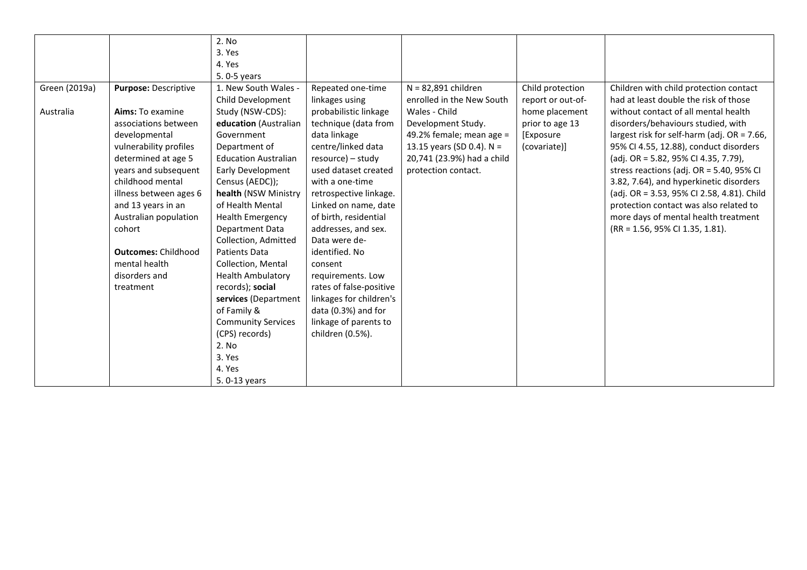|               |                             | 2. No                       |                         |                             |                   |                                             |
|---------------|-----------------------------|-----------------------------|-------------------------|-----------------------------|-------------------|---------------------------------------------|
|               |                             | 3. Yes                      |                         |                             |                   |                                             |
|               |                             | 4. Yes                      |                         |                             |                   |                                             |
|               |                             | 5.0-5 years                 |                         |                             |                   |                                             |
| Green (2019a) | <b>Purpose: Descriptive</b> | 1. New South Wales -        | Repeated one-time       | $N = 82,891$ children       | Child protection  | Children with child protection contact      |
|               |                             | Child Development           | linkages using          | enrolled in the New South   | report or out-of- | had at least double the risk of those       |
| Australia     | Aims: To examine            | Study (NSW-CDS):            | probabilistic linkage   | Wales - Child               | home placement    | without contact of all mental health        |
|               | associations between        | education (Australian       | technique (data from    | Development Study.          | prior to age 13   | disorders/behaviours studied, with          |
|               | developmental               | Government                  | data linkage            | 49.2% female; mean age =    | [Exposure         | largest risk for self-harm (adj. OR = 7.66, |
|               | vulnerability profiles      | Department of               | centre/linked data      | 13.15 years (SD 0.4). $N =$ | (covariate)]      | 95% CI 4.55, 12.88), conduct disorders      |
|               | determined at age 5         | <b>Education Australian</b> | resource) – study       | 20,741 (23.9%) had a child  |                   | (adj. OR = 5.82, 95% CI 4.35, 7.79),        |
|               | years and subsequent        | Early Development           | used dataset created    | protection contact.         |                   | stress reactions (adj. OR = 5.40, 95% CI    |
|               | childhood mental            | Census (AEDC));             | with a one-time         |                             |                   | 3.82, 7.64), and hyperkinetic disorders     |
|               | illness between ages 6      | health (NSW Ministry        | retrospective linkage.  |                             |                   | (adj. OR = 3.53, 95% CI 2.58, 4.81). Child  |
|               | and 13 years in an          | of Health Mental            | Linked on name, date    |                             |                   | protection contact was also related to      |
|               | Australian population       | <b>Health Emergency</b>     | of birth, residential   |                             |                   | more days of mental health treatment        |
|               | cohort                      | Department Data             | addresses, and sex.     |                             |                   | (RR = 1.56, 95% CI 1.35, 1.81).             |
|               |                             | Collection, Admitted        | Data were de-           |                             |                   |                                             |
|               | <b>Outcomes: Childhood</b>  | <b>Patients Data</b>        | identified. No          |                             |                   |                                             |
|               | mental health               | Collection, Mental          | consent                 |                             |                   |                                             |
|               | disorders and               | <b>Health Ambulatory</b>    | requirements. Low       |                             |                   |                                             |
|               | treatment                   | records); social            | rates of false-positive |                             |                   |                                             |
|               |                             | services (Department        | linkages for children's |                             |                   |                                             |
|               |                             | of Family &                 | data (0.3%) and for     |                             |                   |                                             |
|               |                             | <b>Community Services</b>   | linkage of parents to   |                             |                   |                                             |
|               |                             | (CPS) records)              | children (0.5%).        |                             |                   |                                             |
|               |                             | 2. No                       |                         |                             |                   |                                             |
|               |                             | 3. Yes                      |                         |                             |                   |                                             |
|               |                             | 4. Yes                      |                         |                             |                   |                                             |
|               |                             | 5.0-13 years                |                         |                             |                   |                                             |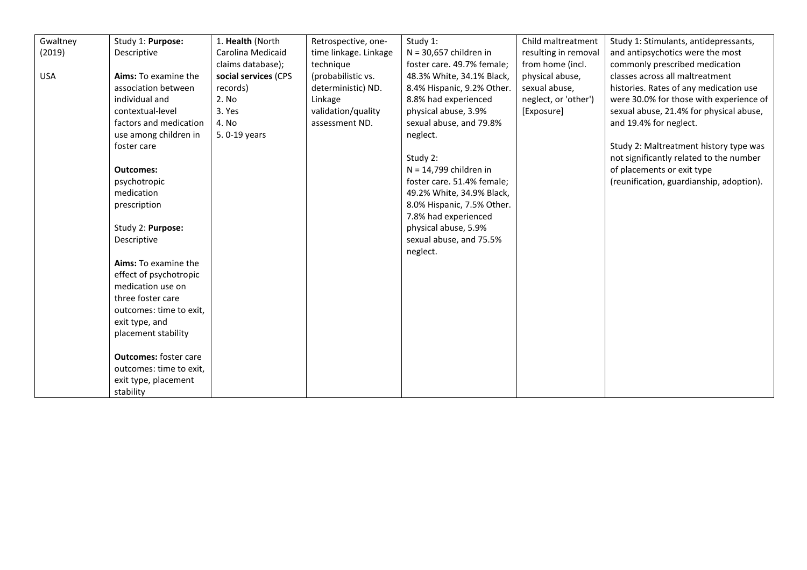| Gwaltney   | Study 1: Purpose:            | 1. Health (North     | Retrospective, one-   | Study 1:                   | Child maltreatment   | Study 1: Stimulants, antidepressants,    |
|------------|------------------------------|----------------------|-----------------------|----------------------------|----------------------|------------------------------------------|
| (2019)     | Descriptive                  | Carolina Medicaid    | time linkage. Linkage | $N = 30,657$ children in   | resulting in removal | and antipsychotics were the most         |
|            |                              | claims database);    | technique             | foster care. 49.7% female; | from home (incl.     | commonly prescribed medication           |
| <b>USA</b> | Aims: To examine the         | social services (CPS | (probabilistic vs.    | 48.3% White, 34.1% Black,  | physical abuse,      | classes across all maltreatment          |
|            | association between          | records)             | deterministic) ND.    | 8.4% Hispanic, 9.2% Other. | sexual abuse,        | histories. Rates of any medication use   |
|            | individual and               | 2. No                | Linkage               | 8.8% had experienced       | neglect, or 'other') | were 30.0% for those with experience of  |
|            | contextual-level             | 3. Yes               | validation/quality    | physical abuse, 3.9%       | [Exposure]           | sexual abuse, 21.4% for physical abuse,  |
|            | factors and medication       | 4. No                | assessment ND.        | sexual abuse, and 79.8%    |                      | and 19.4% for neglect.                   |
|            | use among children in        | 5.0-19 years         |                       | neglect.                   |                      |                                          |
|            | foster care                  |                      |                       |                            |                      | Study 2: Maltreatment history type was   |
|            |                              |                      |                       | Study 2:                   |                      | not significantly related to the number  |
|            | <b>Outcomes:</b>             |                      |                       | $N = 14,799$ children in   |                      | of placements or exit type               |
|            | psychotropic                 |                      |                       | foster care. 51.4% female; |                      | (reunification, guardianship, adoption). |
|            | medication                   |                      |                       | 49.2% White, 34.9% Black,  |                      |                                          |
|            | prescription                 |                      |                       | 8.0% Hispanic, 7.5% Other. |                      |                                          |
|            |                              |                      |                       | 7.8% had experienced       |                      |                                          |
|            | Study 2: Purpose:            |                      |                       | physical abuse, 5.9%       |                      |                                          |
|            | Descriptive                  |                      |                       | sexual abuse, and 75.5%    |                      |                                          |
|            |                              |                      |                       | neglect.                   |                      |                                          |
|            | Aims: To examine the         |                      |                       |                            |                      |                                          |
|            | effect of psychotropic       |                      |                       |                            |                      |                                          |
|            | medication use on            |                      |                       |                            |                      |                                          |
|            | three foster care            |                      |                       |                            |                      |                                          |
|            | outcomes: time to exit,      |                      |                       |                            |                      |                                          |
|            | exit type, and               |                      |                       |                            |                      |                                          |
|            | placement stability          |                      |                       |                            |                      |                                          |
|            |                              |                      |                       |                            |                      |                                          |
|            | <b>Outcomes:</b> foster care |                      |                       |                            |                      |                                          |
|            | outcomes: time to exit,      |                      |                       |                            |                      |                                          |
|            | exit type, placement         |                      |                       |                            |                      |                                          |
|            | stability                    |                      |                       |                            |                      |                                          |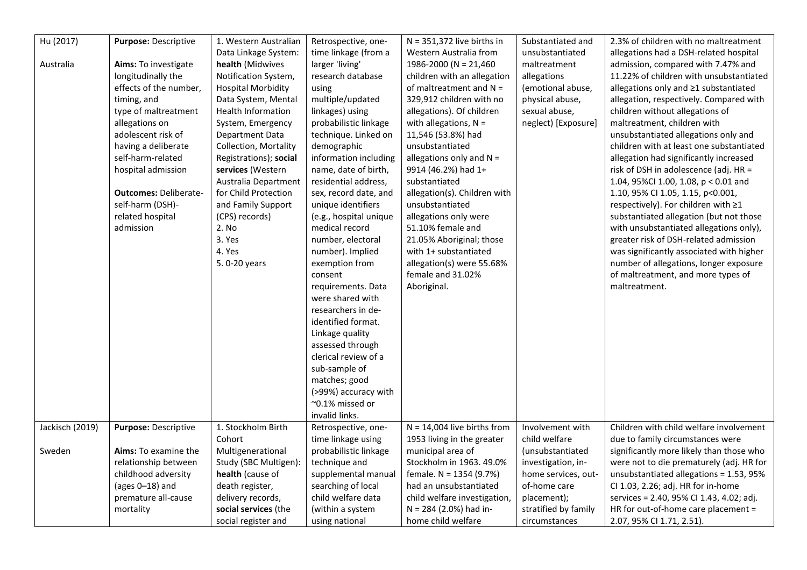| Hu (2017)       | Purpose: Descriptive         | 1. Western Australian     | Retrospective, one-    | $N = 351,372$ live births in  | Substantiated and    | 2.3% of children with no maltreatment    |
|-----------------|------------------------------|---------------------------|------------------------|-------------------------------|----------------------|------------------------------------------|
|                 |                              | Data Linkage System:      | time linkage (from a   | Western Australia from        | unsubstantiated      | allegations had a DSH-related hospital   |
| Australia       | <b>Aims:</b> To investigate  | health (Midwives          | larger 'living'        | 1986-2000 (N = $21,460$       | maltreatment         | admission, compared with 7.47% and       |
|                 | longitudinally the           | Notification System,      | research database      | children with an allegation   | allegations          | 11.22% of children with unsubstantiated  |
|                 | effects of the number,       | <b>Hospital Morbidity</b> | using                  | of maltreatment and $N =$     | (emotional abuse,    | allegations only and ≥1 substantiated    |
|                 | timing, and                  | Data System, Mental       | multiple/updated       | 329,912 children with no      | physical abuse,      | allegation, respectively. Compared with  |
|                 | type of maltreatment         | Health Information        | linkages) using        | allegations). Of children     | sexual abuse,        | children without allegations of          |
|                 | allegations on               | System, Emergency         | probabilistic linkage  | with allegations, $N =$       | neglect) [Exposure]  | maltreatment, children with              |
|                 | adolescent risk of           | Department Data           | technique. Linked on   | 11,546 (53.8%) had            |                      | unsubstantiated allegations only and     |
|                 | having a deliberate          | Collection, Mortality     | demographic            | unsubstantiated               |                      | children with at least one substantiated |
|                 | self-harm-related            | Registrations); social    | information including  | allegations only and $N =$    |                      | allegation had significantly increased   |
|                 | hospital admission           | services (Western         | name, date of birth,   | 9914 (46.2%) had 1+           |                      | risk of DSH in adolescence (adj. HR =    |
|                 |                              | Australia Department      | residential address,   | substantiated                 |                      | 1.04, 95%Cl 1.00, 1.08, p < 0.01 and     |
|                 | <b>Outcomes: Deliberate-</b> | for Child Protection      | sex, record date, and  | allegation(s). Children with  |                      | 1.10, 95% CI 1.05, 1.15, p<0.001,        |
|                 | self-harm (DSH)-             | and Family Support        | unique identifiers     | unsubstantiated               |                      | respectively). For children with ≥1      |
|                 | related hospital             | (CPS) records)            | (e.g., hospital unique | allegations only were         |                      | substantiated allegation (but not those  |
|                 | admission                    | 2. No                     | medical record         | 51.10% female and             |                      | with unsubstantiated allegations only),  |
|                 |                              | 3. Yes                    | number, electoral      | 21.05% Aboriginal; those      |                      | greater risk of DSH-related admission    |
|                 |                              | 4. Yes                    | number). Implied       | with 1+ substantiated         |                      | was significantly associated with higher |
|                 |                              | 5.0-20 years              | exemption from         | allegation(s) were 55.68%     |                      | number of allegations, longer exposure   |
|                 |                              |                           | consent                | female and 31.02%             |                      | of maltreatment, and more types of       |
|                 |                              |                           | requirements. Data     | Aboriginal.                   |                      | maltreatment.                            |
|                 |                              |                           | were shared with       |                               |                      |                                          |
|                 |                              |                           | researchers in de-     |                               |                      |                                          |
|                 |                              |                           | identified format.     |                               |                      |                                          |
|                 |                              |                           | Linkage quality        |                               |                      |                                          |
|                 |                              |                           | assessed through       |                               |                      |                                          |
|                 |                              |                           | clerical review of a   |                               |                      |                                          |
|                 |                              |                           | sub-sample of          |                               |                      |                                          |
|                 |                              |                           | matches; good          |                               |                      |                                          |
|                 |                              |                           | (>99%) accuracy with   |                               |                      |                                          |
|                 |                              |                           | ~0.1% missed or        |                               |                      |                                          |
|                 |                              |                           | invalid links.         |                               |                      |                                          |
| Jackisch (2019) | Purpose: Descriptive         | 1. Stockholm Birth        | Retrospective, one-    | $N = 14,004$ live births from | Involvement with     | Children with child welfare involvement  |
|                 |                              | Cohort                    | time linkage using     | 1953 living in the greater    | child welfare        | due to family circumstances were         |
| Sweden          | Aims: To examine the         | Multigenerational         | probabilistic linkage  | municipal area of             | (unsubstantiated     | significantly more likely than those who |
|                 | relationship between         | Study (SBC Multigen):     | technique and          | Stockholm in 1963. 49.0%      | investigation, in-   | were not to die prematurely (adj. HR for |
|                 | childhood adversity          | health (cause of          | supplemental manual    | female. N = 1354 (9.7%)       | home services, out-  | unsubstantiated allegations = 1.53, 95%  |
|                 | (ages $0-18$ ) and           | death register,           | searching of local     | had an unsubstantiated        | of-home care         | CI 1.03, 2.26; adj. HR for in-home       |
|                 | premature all-cause          | delivery records,         | child welfare data     | child welfare investigation,  | placement);          | services = 2.40, 95% CI 1.43, 4.02; adj. |
|                 | mortality                    | social services (the      | (within a system       | N = 284 (2.0%) had in-        | stratified by family | HR for out-of-home care placement =      |
|                 |                              | social register and       | using national         | home child welfare            | circumstances        | 2.07, 95% CI 1.71, 2.51).                |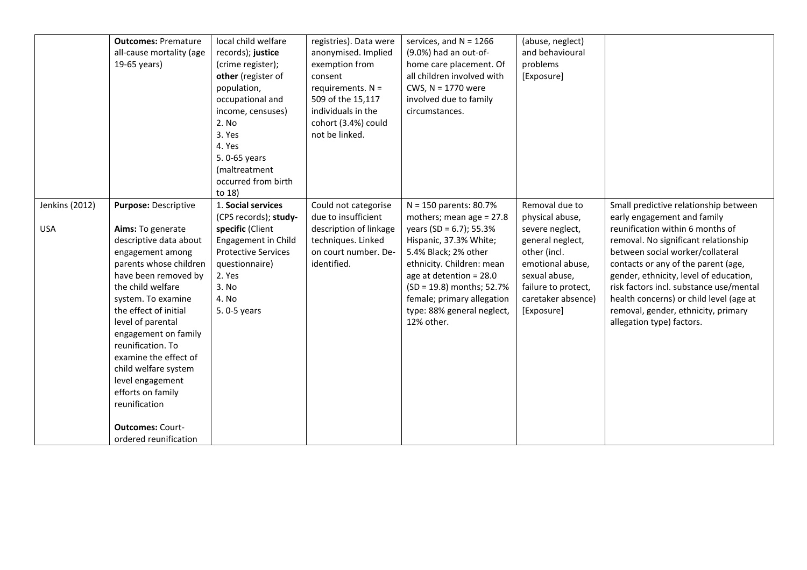| <b>Outcomes: Premature</b><br>all-cause mortality (age<br>19-65 years)                                                                                                                                                                                                                                                                                                                                                                                                         | local child welfare<br>records); justice<br>(crime register);<br>other (register of<br>population,<br>occupational and<br>income, censuses)<br>2. No<br>3. Yes<br>4. Yes<br>5.0-65 years<br>(maltreatment<br>occurred from birth<br>to 18) | registries). Data were<br>anonymised. Implied<br>exemption from<br>consent<br>requirements. $N =$<br>509 of the 15,117<br>individuals in the<br>cohort (3.4%) could<br>not be linked. | services, and $N = 1266$<br>(9.0%) had an out-of-<br>home care placement. Of<br>all children involved with<br>CWS, $N = 1770$ were<br>involved due to family<br>circumstances.                                                                                                                        | (abuse, neglect)<br>and behavioural<br>problems<br>[Exposure]                                                                                                                            |                                                                                                                                                                                                                                                                                                                                                                                                                                 |
|--------------------------------------------------------------------------------------------------------------------------------------------------------------------------------------------------------------------------------------------------------------------------------------------------------------------------------------------------------------------------------------------------------------------------------------------------------------------------------|--------------------------------------------------------------------------------------------------------------------------------------------------------------------------------------------------------------------------------------------|---------------------------------------------------------------------------------------------------------------------------------------------------------------------------------------|-------------------------------------------------------------------------------------------------------------------------------------------------------------------------------------------------------------------------------------------------------------------------------------------------------|------------------------------------------------------------------------------------------------------------------------------------------------------------------------------------------|---------------------------------------------------------------------------------------------------------------------------------------------------------------------------------------------------------------------------------------------------------------------------------------------------------------------------------------------------------------------------------------------------------------------------------|
| Jenkins (2012)<br>Purpose: Descriptive<br><b>USA</b><br>Aims: To generate<br>descriptive data about<br>engagement among<br>parents whose children<br>have been removed by<br>the child welfare<br>system. To examine<br>the effect of initial<br>level of parental<br>engagement on family<br>reunification. To<br>examine the effect of<br>child welfare system<br>level engagement<br>efforts on family<br>reunification<br><b>Outcomes: Court-</b><br>ordered reunification | 1. Social services<br>(CPS records); study-<br>specific (Client<br>Engagement in Child<br><b>Protective Services</b><br>questionnaire)<br>2. Yes<br>3. No<br>4. No<br>5.0-5 years                                                          | Could not categorise<br>due to insufficient<br>description of linkage<br>techniques. Linked<br>on court number. De-<br>identified.                                                    | $N = 150$ parents: 80.7%<br>mothers; mean age = 27.8<br>years (SD = $6.7$ ); 55.3%<br>Hispanic, 37.3% White;<br>5.4% Black; 2% other<br>ethnicity. Children: mean<br>age at detention = $28.0$<br>(SD = 19.8) months; 52.7%<br>female; primary allegation<br>type: 88% general neglect,<br>12% other. | Removal due to<br>physical abuse,<br>severe neglect,<br>general neglect,<br>other (incl.<br>emotional abuse,<br>sexual abuse,<br>failure to protect,<br>caretaker absence)<br>[Exposure] | Small predictive relationship between<br>early engagement and family<br>reunification within 6 months of<br>removal. No significant relationship<br>between social worker/collateral<br>contacts or any of the parent (age,<br>gender, ethnicity, level of education,<br>risk factors incl. substance use/mental<br>health concerns) or child level (age at<br>removal, gender, ethnicity, primary<br>allegation type) factors. |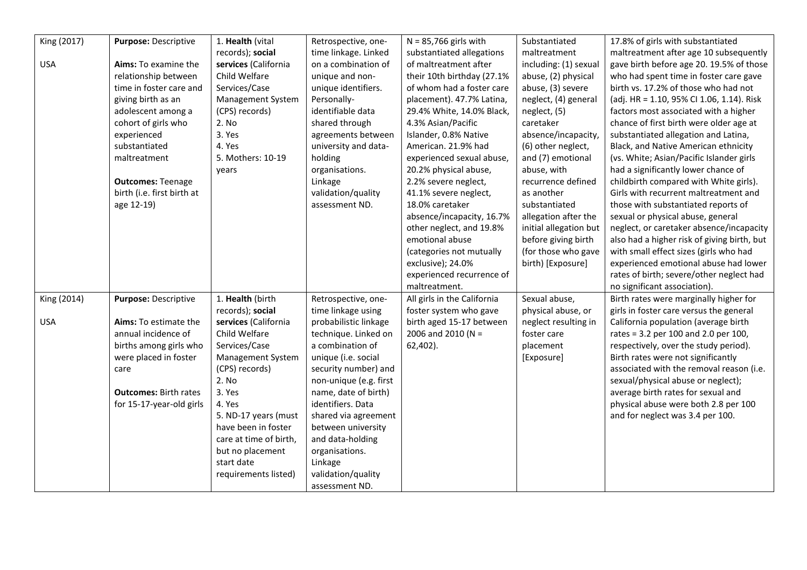| King (2017) | Purpose: Descriptive         | 1. Health (vital       | Retrospective, one-    | $N = 85,766$ girls with     | Substantiated          | 17.8% of girls with substantiated           |
|-------------|------------------------------|------------------------|------------------------|-----------------------------|------------------------|---------------------------------------------|
|             |                              | records); social       | time linkage. Linked   | substantiated allegations   | maltreatment           | maltreatment after age 10 subsequently      |
| <b>USA</b>  | Aims: To examine the         | services (California   | on a combination of    | of maltreatment after       | including: (1) sexual  | gave birth before age 20. 19.5% of those    |
|             | relationship between         | Child Welfare          | unique and non-        | their 10th birthday (27.1%  | abuse, (2) physical    | who had spent time in foster care gave      |
|             | time in foster care and      | Services/Case          | unique identifiers.    | of whom had a foster care   | abuse, (3) severe      | birth vs. 17.2% of those who had not        |
|             | giving birth as an           | Management System      | Personally-            | placement). 47.7% Latina,   | neglect, (4) general   | (adj. HR = 1.10, 95% CI 1.06, 1.14). Risk   |
|             | adolescent among a           | (CPS) records)         | identifiable data      | 29.4% White, 14.0% Black,   | neglect, (5)           | factors most associated with a higher       |
|             | cohort of girls who          | 2. No                  | shared through         | 4.3% Asian/Pacific          | caretaker              | chance of first birth were older age at     |
|             | experienced                  | 3. Yes                 | agreements between     | Islander, 0.8% Native       | absence/incapacity,    | substantiated allegation and Latina,        |
|             | substantiated                | 4. Yes                 | university and data-   | American. 21.9% had         | (6) other neglect,     | Black, and Native American ethnicity        |
|             | maltreatment                 | 5. Mothers: 10-19      | holding                | experienced sexual abuse,   | and (7) emotional      | (vs. White; Asian/Pacific Islander girls    |
|             |                              | years                  | organisations.         | 20.2% physical abuse,       | abuse, with            | had a significantly lower chance of         |
|             | <b>Outcomes: Teenage</b>     |                        | Linkage                | 2.2% severe neglect,        | recurrence defined     | childbirth compared with White girls).      |
|             | birth (i.e. first birth at   |                        | validation/quality     | 41.1% severe neglect,       | as another             | Girls with recurrent maltreatment and       |
|             | age 12-19)                   |                        | assessment ND.         | 18.0% caretaker             | substantiated          | those with substantiated reports of         |
|             |                              |                        |                        | absence/incapacity, 16.7%   | allegation after the   | sexual or physical abuse, general           |
|             |                              |                        |                        | other neglect, and 19.8%    | initial allegation but | neglect, or caretaker absence/incapacity    |
|             |                              |                        |                        | emotional abuse             | before giving birth    | also had a higher risk of giving birth, but |
|             |                              |                        |                        | (categories not mutually    | (for those who gave    | with small effect sizes (girls who had      |
|             |                              |                        |                        | exclusive); 24.0%           | birth) [Exposure]      | experienced emotional abuse had lower       |
|             |                              |                        |                        | experienced recurrence of   |                        | rates of birth; severe/other neglect had    |
|             |                              |                        |                        | maltreatment.               |                        | no significant association).                |
| King (2014) | Purpose: Descriptive         | 1. Health (birth       | Retrospective, one-    | All girls in the California | Sexual abuse,          | Birth rates were marginally higher for      |
|             |                              | records); social       | time linkage using     | foster system who gave      | physical abuse, or     | girls in foster care versus the general     |
| <b>USA</b>  | <b>Aims:</b> To estimate the | services (California   | probabilistic linkage  | birth aged 15-17 between    | neglect resulting in   | California population (average birth        |
|             | annual incidence of          | Child Welfare          | technique. Linked on   | 2006 and 2010 (N =          | foster care            | rates = 3.2 per 100 and 2.0 per 100,        |
|             | births among girls who       | Services/Case          | a combination of       | 62,402).                    | placement              | respectively, over the study period).       |
|             | were placed in foster        | Management System      | unique (i.e. social    |                             | [Exposure]             | Birth rates were not significantly          |
|             | care                         | (CPS) records)         | security number) and   |                             |                        | associated with the removal reason (i.e.    |
|             |                              | 2. No                  | non-unique (e.g. first |                             |                        | sexual/physical abuse or neglect);          |
|             | <b>Outcomes: Birth rates</b> | 3. Yes                 | name, date of birth)   |                             |                        | average birth rates for sexual and          |
|             | for 15-17-year-old girls     | 4. Yes                 | identifiers. Data      |                             |                        | physical abuse were both 2.8 per 100        |
|             |                              | 5. ND-17 years (must   | shared via agreement   |                             |                        | and for neglect was 3.4 per 100.            |
|             |                              | have been in foster    | between university     |                             |                        |                                             |
|             |                              | care at time of birth, | and data-holding       |                             |                        |                                             |
|             |                              | but no placement       | organisations.         |                             |                        |                                             |
|             |                              | start date             | Linkage                |                             |                        |                                             |
|             |                              | requirements listed)   | validation/quality     |                             |                        |                                             |
|             |                              |                        | assessment ND.         |                             |                        |                                             |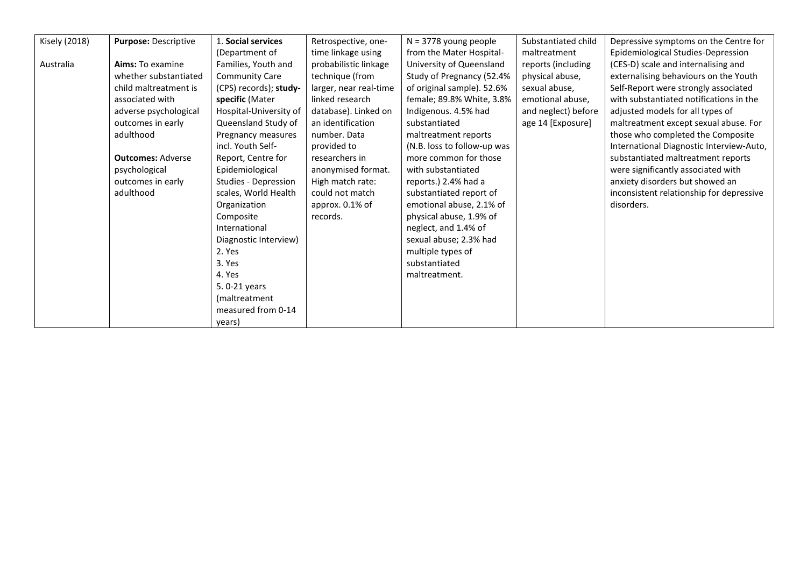| <b>Kisely (2018)</b> | Purpose: Descriptive     | 1. Social services     | Retrospective, one-    | $N = 3778$ young people     | Substantiated child | Depressive symptoms on the Centre for    |
|----------------------|--------------------------|------------------------|------------------------|-----------------------------|---------------------|------------------------------------------|
|                      |                          | (Department of         | time linkage using     | from the Mater Hospital-    | maltreatment        | Epidemiological Studies-Depression       |
| Australia            | Aims: To examine         | Families, Youth and    | probabilistic linkage  | University of Queensland    | reports (including  | (CES-D) scale and internalising and      |
|                      | whether substantiated    | <b>Community Care</b>  | technique (from        | Study of Pregnancy (52.4%   | physical abuse,     | externalising behaviours on the Youth    |
|                      | child maltreatment is    | (CPS) records); study- | larger, near real-time | of original sample). 52.6%  | sexual abuse,       | Self-Report were strongly associated     |
|                      | associated with          | specific (Mater        | linked research        | female; 89.8% White, 3.8%   | emotional abuse,    | with substantiated notifications in the  |
|                      | adverse psychological    | Hospital-University of | database). Linked on   | Indigenous. 4.5% had        | and neglect) before | adjusted models for all types of         |
|                      | outcomes in early        | Queensland Study of    | an identification      | substantiated               | age 14 [Exposure]   | maltreatment except sexual abuse. For    |
|                      | adulthood                | Pregnancy measures     | number. Data           | maltreatment reports        |                     | those who completed the Composite        |
|                      |                          | incl. Youth Self-      | provided to            | (N.B. loss to follow-up was |                     | International Diagnostic Interview-Auto, |
|                      | <b>Outcomes: Adverse</b> | Report, Centre for     | researchers in         | more common for those       |                     | substantiated maltreatment reports       |
|                      | psychological            | Epidemiological        | anonymised format.     | with substantiated          |                     | were significantly associated with       |
|                      | outcomes in early        | Studies - Depression   | High match rate:       | reports.) 2.4% had a        |                     | anxiety disorders but showed an          |
|                      | adulthood                | scales, World Health   | could not match        | substantiated report of     |                     | inconsistent relationship for depressive |
|                      |                          | Organization           | approx. 0.1% of        | emotional abuse, 2.1% of    |                     | disorders.                               |
|                      |                          | Composite              | records.               | physical abuse, 1.9% of     |                     |                                          |
|                      |                          | International          |                        | neglect, and 1.4% of        |                     |                                          |
|                      |                          | Diagnostic Interview)  |                        | sexual abuse; 2.3% had      |                     |                                          |
|                      |                          | 2. Yes                 |                        | multiple types of           |                     |                                          |
|                      |                          | 3. Yes                 |                        | substantiated               |                     |                                          |
|                      |                          | 4. Yes                 |                        | maltreatment.               |                     |                                          |
|                      |                          | 5.0-21 years           |                        |                             |                     |                                          |
|                      |                          | (maltreatment          |                        |                             |                     |                                          |
|                      |                          | measured from 0-14     |                        |                             |                     |                                          |
|                      |                          | years)                 |                        |                             |                     |                                          |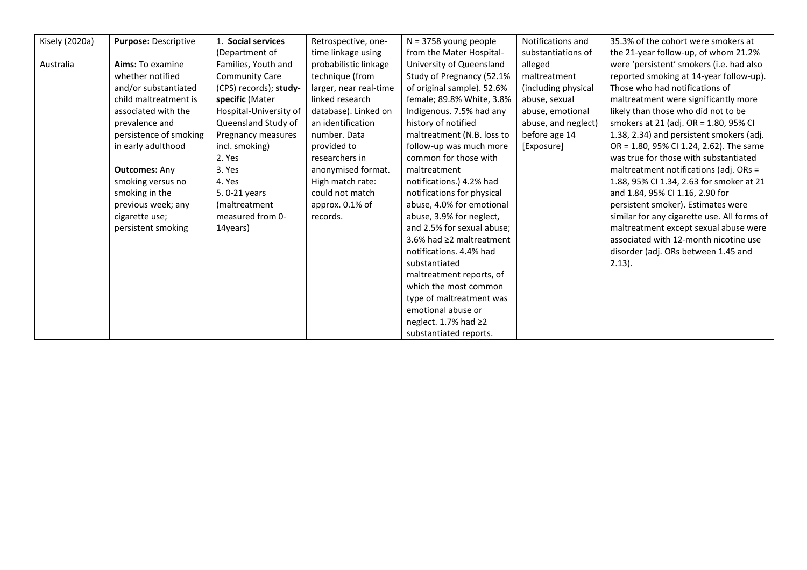| Kisely (2020a) | Purpose: Descriptive   | 1. Social services     | Retrospective, one-    | $N = 3758$ young people        | Notifications and   | 35.3% of the cohort were smokers at         |
|----------------|------------------------|------------------------|------------------------|--------------------------------|---------------------|---------------------------------------------|
|                |                        | (Department of         | time linkage using     | from the Mater Hospital-       | substantiations of  | the 21-year follow-up, of whom 21.2%        |
| Australia      | Aims: To examine       | Families, Youth and    | probabilistic linkage  | University of Queensland       | alleged             | were 'persistent' smokers (i.e. had also    |
|                | whether notified       | <b>Community Care</b>  | technique (from        | Study of Pregnancy (52.1%      | maltreatment        | reported smoking at 14-year follow-up).     |
|                | and/or substantiated   | (CPS) records); study- | larger, near real-time | of original sample). 52.6%     | (including physical | Those who had notifications of              |
|                | child maltreatment is  | specific (Mater        | linked research        | female; 89.8% White, 3.8%      | abuse, sexual       | maltreatment were significantly more        |
|                | associated with the    | Hospital-University of | database). Linked on   | Indigenous. 7.5% had any       | abuse, emotional    | likely than those who did not to be         |
|                | prevalence and         | Queensland Study of    | an identification      | history of notified            | abuse, and neglect) | smokers at 21 (adj. OR = 1.80, 95% CI       |
|                | persistence of smoking | Pregnancy measures     | number. Data           | maltreatment (N.B. loss to     | before age 14       | 1.38, 2.34) and persistent smokers (adj.    |
|                | in early adulthood     | incl. smoking)         | provided to            | follow-up was much more        | [Exposure]          | OR = 1.80, 95% CI 1.24, 2.62). The same     |
|                |                        | 2. Yes                 | researchers in         | common for those with          |                     | was true for those with substantiated       |
|                | <b>Outcomes: Any</b>   | 3. Yes                 | anonymised format.     | maltreatment                   |                     | maltreatment notifications (adj. ORs =      |
|                | smoking versus no      | 4. Yes                 | High match rate:       | notifications.) 4.2% had       |                     | 1.88, 95% CI 1.34, 2.63 for smoker at 21    |
|                | smoking in the         | 5.0-21 years           | could not match        | notifications for physical     |                     | and 1.84, 95% CI 1.16, 2.90 for             |
|                | previous week; any     | (maltreatment          | approx. 0.1% of        | abuse, 4.0% for emotional      |                     | persistent smoker). Estimates were          |
|                | cigarette use;         | measured from 0-       | records.               | abuse, 3.9% for neglect,       |                     | similar for any cigarette use. All forms of |
|                | persistent smoking     | 14years)               |                        | and 2.5% for sexual abuse;     |                     | maltreatment except sexual abuse were       |
|                |                        |                        |                        | 3.6% had $\geq$ 2 maltreatment |                     | associated with 12-month nicotine use       |
|                |                        |                        |                        | notifications, 4.4% had        |                     | disorder (adj. ORs between 1.45 and         |
|                |                        |                        |                        | substantiated                  |                     | $2.13$ ).                                   |
|                |                        |                        |                        | maltreatment reports, of       |                     |                                             |
|                |                        |                        |                        | which the most common          |                     |                                             |
|                |                        |                        |                        | type of maltreatment was       |                     |                                             |
|                |                        |                        |                        | emotional abuse or             |                     |                                             |
|                |                        |                        |                        | neglect. 1.7% had $\geq$ 2     |                     |                                             |
|                |                        |                        |                        | substantiated reports.         |                     |                                             |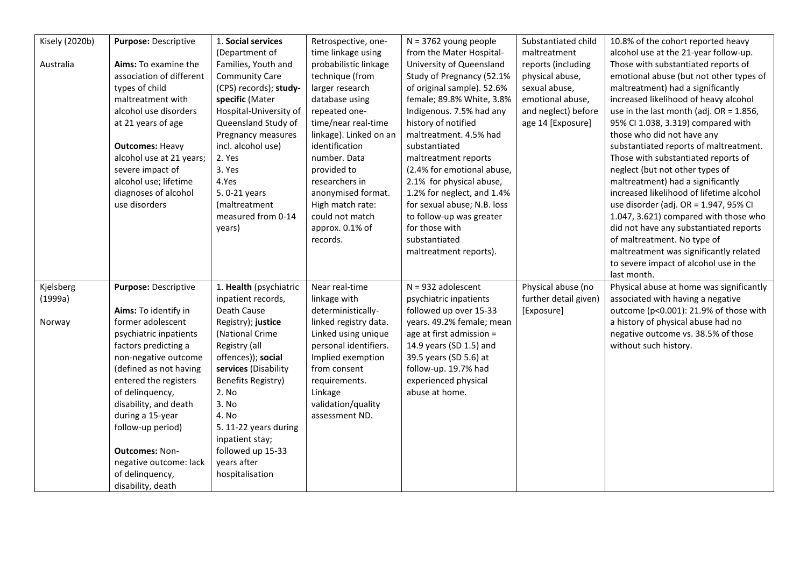| Kisely (2020b) | Purpose: Descriptive     | 1. Social services     | Retrospective, one-    | $N = 3762$ young people     | Substantiated child   | 10.8% of the cohort reported heavy         |
|----------------|--------------------------|------------------------|------------------------|-----------------------------|-----------------------|--------------------------------------------|
|                |                          | (Department of         | time linkage using     | from the Mater Hospital-    | maltreatment          | alcohol use at the 21-year follow-up.      |
| Australia      | Aims: To examine the     | Families, Youth and    | probabilistic linkage  | University of Queensland    | reports (including    | Those with substantiated reports of        |
|                | association of different | <b>Community Care</b>  | technique (from        | Study of Pregnancy (52.1%   | physical abuse,       | emotional abuse (but not other types of    |
|                | types of child           | (CPS) records); study- | larger research        | of original sample). 52.6%  | sexual abuse,         | maltreatment) had a significantly          |
|                | maltreatment with        | specific (Mater        | database using         | female; 89.8% White, 3.8%   | emotional abuse,      | increased likelihood of heavy alcohol      |
|                | alcohol use disorders    | Hospital-University of | repeated one-          | Indigenous. 7.5% had any    | and neglect) before   | use in the last month (adj. $OR = 1.856$ , |
|                | at 21 years of age       | Queensland Study of    | time/near real-time    | history of notified         | age 14 [Exposure]     | 95% CI 1.038, 3.319) compared with         |
|                |                          | Pregnancy measures     | linkage). Linked on an | maltreatment. 4.5% had      |                       | those who did not have any                 |
|                | <b>Outcomes: Heavy</b>   | incl. alcohol use)     | identification         | substantiated               |                       | substantiated reports of maltreatment.     |
|                | alcohol use at 21 years; | 2. Yes                 | number. Data           | maltreatment reports        |                       | Those with substantiated reports of        |
|                | severe impact of         | 3. Yes                 | provided to            | (2.4% for emotional abuse,  |                       | neglect (but not other types of            |
|                | alcohol use; lifetime    | 4.Yes                  | researchers in         | 2.1% for physical abuse,    |                       | maltreatment) had a significantly          |
|                | diagnoses of alcohol     | 5.0-21 years           | anonymised format.     | 1.2% for neglect, and 1.4%  |                       | increased likelihood of lifetime alcohol   |
|                | use disorders            | (maltreatment          | High match rate:       | for sexual abuse; N.B. loss |                       | use disorder (adj. OR = 1.947, 95% CI      |
|                |                          | measured from 0-14     | could not match        | to follow-up was greater    |                       | 1.047, 3.621) compared with those who      |
|                |                          | years)                 | approx. 0.1% of        | for those with              |                       | did not have any substantiated reports     |
|                |                          |                        | records.               | substantiated               |                       | of maltreatment. No type of                |
|                |                          |                        |                        | maltreatment reports).      |                       | maltreatment was significantly related     |
|                |                          |                        |                        |                             |                       | to severe impact of alcohol use in the     |
|                |                          |                        |                        |                             |                       | last month.                                |
| Kjelsberg      | Purpose: Descriptive     | 1. Health (psychiatric | Near real-time         | $N = 932$ adolescent        | Physical abuse (no    | Physical abuse at home was significantly   |
| (1999a)        |                          | inpatient records,     | linkage with           | psychiatric inpatients      | further detail given) | associated with having a negative          |
|                | Aims: To identify in     | Death Cause            | deterministically-     | followed up over 15-33      | [Exposure]            | outcome (p<0.001): 21.9% of those with     |
| Norway         | former adolescent        | Registry); justice     | linked registry data.  | years. 49.2% female; mean   |                       | a history of physical abuse had no         |
|                | psychiatric inpatients   | (National Crime        | Linked using unique    | age at first admission =    |                       | negative outcome vs. 38.5% of those        |
|                | factors predicting a     | Registry (all          | personal identifiers.  | 14.9 years (SD 1.5) and     |                       | without such history.                      |
|                | non-negative outcome     | offences)); social     | Implied exemption      | 39.5 years (SD 5.6) at      |                       |                                            |
|                | (defined as not having   | services (Disability   | from consent           | follow-up. 19.7% had        |                       |                                            |
|                | entered the registers    | Benefits Registry)     | requirements.          | experienced physical        |                       |                                            |
|                | of delinquency,          | 2. No                  | Linkage                | abuse at home.              |                       |                                            |
|                | disability, and death    | 3. No                  | validation/quality     |                             |                       |                                            |
|                | during a 15-year         | 4. No                  | assessment ND.         |                             |                       |                                            |
|                | follow-up period)        | 5. 11-22 years during  |                        |                             |                       |                                            |
|                |                          | inpatient stay;        |                        |                             |                       |                                            |
|                | <b>Outcomes: Non-</b>    | followed up 15-33      |                        |                             |                       |                                            |
|                | negative outcome: lack   | years after            |                        |                             |                       |                                            |
|                | of delinquency,          | hospitalisation        |                        |                             |                       |                                            |
|                | disability, death        |                        |                        |                             |                       |                                            |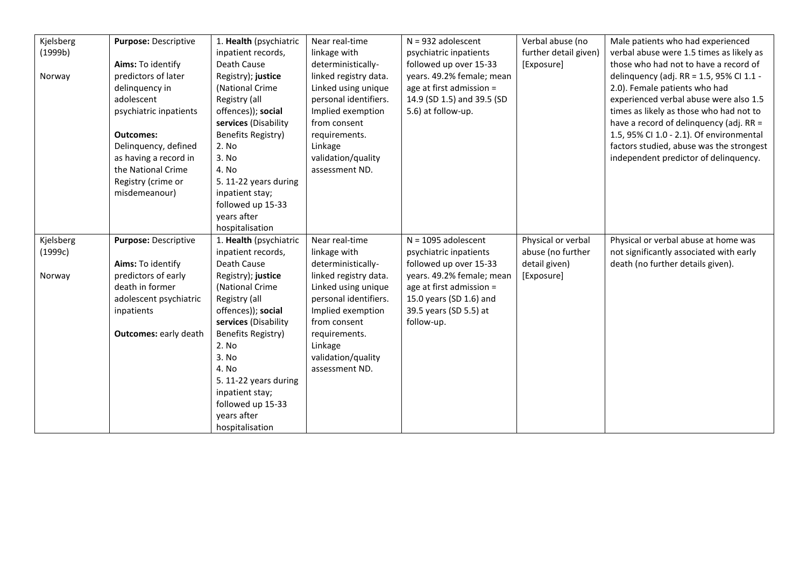| Kjelsberg | Purpose: Descriptive         | 1. Health (psychiatric         | Near real-time        | $N = 932$ adolescent       | Verbal abuse (no      | Male patients who had experienced        |
|-----------|------------------------------|--------------------------------|-----------------------|----------------------------|-----------------------|------------------------------------------|
| (1999b)   |                              | inpatient records,             | linkage with          | psychiatric inpatients     | further detail given) | verbal abuse were 1.5 times as likely as |
|           | Aims: To identify            | Death Cause                    | deterministically-    | followed up over 15-33     | [Exposure]            | those who had not to have a record of    |
| Norway    | predictors of later          | Registry); justice             | linked registry data. | years. 49.2% female; mean  |                       | delinquency (adj. RR = 1.5, 95% CI 1.1 - |
|           | delinquency in               | (National Crime                | Linked using unique   | age at first admission =   |                       | 2.0). Female patients who had            |
|           | adolescent                   | Registry (all                  | personal identifiers. | 14.9 (SD 1.5) and 39.5 (SD |                       | experienced verbal abuse were also 1.5   |
|           | psychiatric inpatients       | offences)); social             | Implied exemption     | 5.6) at follow-up.         |                       | times as likely as those who had not to  |
|           |                              | services (Disability           | from consent          |                            |                       | have a record of delinquency (adj. RR =  |
|           | <b>Outcomes:</b>             | <b>Benefits Registry)</b>      | requirements.         |                            |                       | 1.5, 95% CI 1.0 - 2.1). Of environmental |
|           | Delinquency, defined         | 2. No                          | Linkage               |                            |                       | factors studied, abuse was the strongest |
|           | as having a record in        | 3. No                          | validation/quality    |                            |                       | independent predictor of delinquency.    |
|           | the National Crime           | 4. No                          | assessment ND.        |                            |                       |                                          |
|           | Registry (crime or           | 5. 11-22 years during          |                       |                            |                       |                                          |
|           | misdemeanour)                | inpatient stay;                |                       |                            |                       |                                          |
|           |                              | followed up 15-33              |                       |                            |                       |                                          |
|           |                              | years after                    |                       |                            |                       |                                          |
|           |                              | hospitalisation                |                       |                            |                       |                                          |
| Kjelsberg | Purpose: Descriptive         | 1. Health (psychiatric         | Near real-time        | $N = 1095$ adolescent      | Physical or verbal    | Physical or verbal abuse at home was     |
| (1999c)   |                              | inpatient records,             | linkage with          | psychiatric inpatients     | abuse (no further     | not significantly associated with early  |
|           | Aims: To identify            | Death Cause                    | deterministically-    | followed up over 15-33     | detail given)         | death (no further details given).        |
| Norway    | predictors of early          | Registry); justice             | linked registry data. | years. 49.2% female; mean  | [Exposure]            |                                          |
|           |                              |                                |                       |                            |                       |                                          |
|           | death in former              | (National Crime                | Linked using unique   | age at first admission =   |                       |                                          |
|           | adolescent psychiatric       | Registry (all                  | personal identifiers. | 15.0 years (SD 1.6) and    |                       |                                          |
|           | inpatients                   | offences)); social             | Implied exemption     | 39.5 years (SD 5.5) at     |                       |                                          |
|           |                              | services (Disability           | from consent          | follow-up.                 |                       |                                          |
|           | <b>Outcomes: early death</b> | <b>Benefits Registry)</b>      | requirements.         |                            |                       |                                          |
|           |                              | 2. No                          | Linkage               |                            |                       |                                          |
|           |                              | 3. No                          | validation/quality    |                            |                       |                                          |
|           |                              | 4. No                          | assessment ND.        |                            |                       |                                          |
|           |                              | 5. 11-22 years during          |                       |                            |                       |                                          |
|           |                              | inpatient stay;                |                       |                            |                       |                                          |
|           |                              | followed up 15-33              |                       |                            |                       |                                          |
|           |                              | years after<br>hospitalisation |                       |                            |                       |                                          |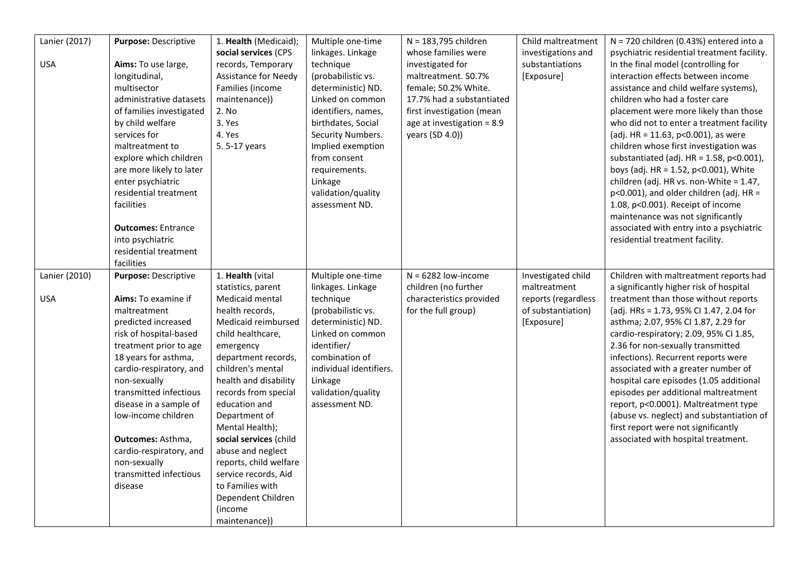| Lanier (2017) | Purpose: Descriptive                   | 1. Health (Medicaid);                         | Multiple one-time             | N = 183,795 children       | Child maltreatment  | $N = 720$ children (0.43%) entered into a                                       |
|---------------|----------------------------------------|-----------------------------------------------|-------------------------------|----------------------------|---------------------|---------------------------------------------------------------------------------|
|               |                                        | social services (CPS                          | linkages. Linkage             | whose families were        | investigations and  | psychiatric residential treatment facility.                                     |
| <b>USA</b>    | Aims: To use large,                    | records, Temporary                            | technique                     | investigated for           | substantiations     | In the final model (controlling for                                             |
|               | longitudinal,                          | Assistance for Needy                          | (probabilistic vs.            | maltreatment. 50.7%        | [Exposure]          | interaction effects between income                                              |
|               | multisector                            | Families (income                              | deterministic) ND.            | female; 50.2% White.       |                     | assistance and child welfare systems),                                          |
|               | administrative datasets                | maintenance))                                 | Linked on common              | 17.7% had a substantiated  |                     | children who had a foster care                                                  |
|               | of families investigated               | 2. No                                         | identifiers, names,           | first investigation (mean  |                     | placement were more likely than those                                           |
|               | by child welfare                       | 3. Yes                                        | birthdates, Social            | age at investigation = 8.9 |                     | who did not to enter a treatment facility                                       |
|               | services for                           | 4. Yes                                        | Security Numbers.             | years (SD 4.0))            |                     | (adj. HR = 11.63, p<0.001), as were                                             |
|               | maltreatment to                        | 5.5-17 years                                  | Implied exemption             |                            |                     | children whose first investigation was                                          |
|               | explore which children                 |                                               | from consent                  |                            |                     | substantiated (adj. $HR = 1.58$ , $p < 0.001$ ),                                |
|               | are more likely to later               |                                               | requirements.                 |                            |                     | boys (adj. HR = 1.52, p<0.001), White                                           |
|               | enter psychiatric                      |                                               | Linkage                       |                            |                     | children (adj. HR vs. non-White = 1.47,                                         |
|               | residential treatment                  |                                               | validation/quality            |                            |                     | $p<0.001$ ), and older children (adj. HR =                                      |
|               | facilities                             |                                               | assessment ND.                |                            |                     | 1.08, p<0.001). Receipt of income                                               |
|               |                                        |                                               |                               |                            |                     | maintenance was not significantly                                               |
|               | <b>Outcomes: Entrance</b>              |                                               |                               |                            |                     | associated with entry into a psychiatric                                        |
|               | into psychiatric                       |                                               |                               |                            |                     | residential treatment facility.                                                 |
|               | residential treatment                  |                                               |                               |                            |                     |                                                                                 |
|               | facilities                             |                                               |                               |                            |                     |                                                                                 |
| Lanier (2010) | Purpose: Descriptive                   | 1. Health (vital                              | Multiple one-time             | $N = 6282$ low-income      | Investigated child  | Children with maltreatment reports had                                          |
|               |                                        | statistics, parent                            | linkages. Linkage             | children (no further       | maltreatment        | a significantly higher risk of hospital                                         |
| <b>USA</b>    | Aims: To examine if                    | Medicaid mental                               | technique                     | characteristics provided   | reports (regardless | treatment than those without reports                                            |
|               | maltreatment                           | health records,                               | (probabilistic vs.            | for the full group)        | of substantiation)  | (adj. HRs = 1.73, 95% CI 1.47, 2.04 for                                         |
|               | predicted increased                    | Medicaid reimbursed                           | deterministic) ND.            |                            | [Exposure]          | asthma; 2.07, 95% CI 1.87, 2.29 for                                             |
|               | risk of hospital-based                 | child healthcare,                             | Linked on common              |                            |                     | cardio-respiratory; 2.09, 95% CI 1.85,                                          |
|               | treatment prior to age                 | emergency                                     | identifier/                   |                            |                     | 2.36 for non-sexually transmitted                                               |
|               | 18 years for asthma,                   | department records,                           | combination of                |                            |                     | infections). Recurrent reports were                                             |
|               | cardio-respiratory, and                | children's mental                             | individual identifiers.       |                            |                     | associated with a greater number of                                             |
|               | non-sexually<br>transmitted infectious | health and disability<br>records from special | Linkage<br>validation/quality |                            |                     | hospital care episodes (1.05 additional<br>episodes per additional maltreatment |
|               | disease in a sample of                 | education and                                 | assessment ND.                |                            |                     | report, p<0.0001). Maltreatment type                                            |
|               | low-income children                    | Department of                                 |                               |                            |                     | (abuse vs. neglect) and substantiation of                                       |
|               |                                        | Mental Health);                               |                               |                            |                     | first report were not significantly                                             |
|               | Outcomes: Asthma,                      | social services (child                        |                               |                            |                     | associated with hospital treatment.                                             |
|               | cardio-respiratory, and                | abuse and neglect                             |                               |                            |                     |                                                                                 |
|               | non-sexually                           | reports, child welfare                        |                               |                            |                     |                                                                                 |
|               | transmitted infectious                 | service records, Aid                          |                               |                            |                     |                                                                                 |
|               | disease                                | to Families with                              |                               |                            |                     |                                                                                 |
|               |                                        | Dependent Children                            |                               |                            |                     |                                                                                 |
|               |                                        |                                               |                               |                            |                     |                                                                                 |
|               |                                        | (income                                       |                               |                            |                     |                                                                                 |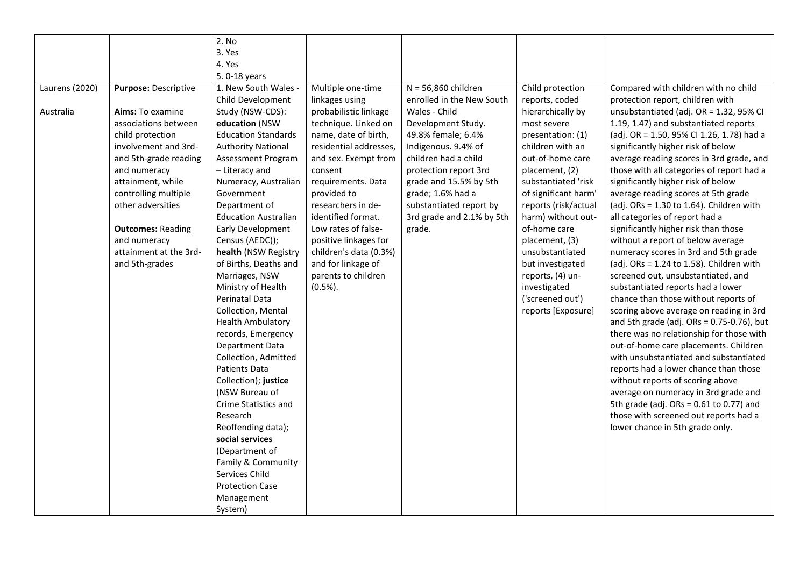|                |                          | 2. No                       |                        |                           |                      |                                               |
|----------------|--------------------------|-----------------------------|------------------------|---------------------------|----------------------|-----------------------------------------------|
|                |                          | 3. Yes                      |                        |                           |                      |                                               |
|                |                          | 4. Yes                      |                        |                           |                      |                                               |
|                |                          | 5.0-18 years                |                        |                           |                      |                                               |
| Laurens (2020) | Purpose: Descriptive     | 1. New South Wales -        | Multiple one-time      | N = 56,860 children       | Child protection     | Compared with children with no child          |
|                |                          | Child Development           | linkages using         | enrolled in the New South | reports, coded       | protection report, children with              |
| Australia      | Aims: To examine         | Study (NSW-CDS):            | probabilistic linkage  | Wales - Child             | hierarchically by    | unsubstantiated (adj. OR = 1.32, 95% CI       |
|                | associations between     | education (NSW              | technique. Linked on   | Development Study.        | most severe          | 1.19, 1.47) and substantiated reports         |
|                | child protection         | <b>Education Standards</b>  | name, date of birth,   | 49.8% female; 6.4%        | presentation: (1)    | (adj. OR = 1.50, 95% CI 1.26, 1.78) had a     |
|                | involvement and 3rd-     | <b>Authority National</b>   | residential addresses, | Indigenous. 9.4% of       | children with an     | significantly higher risk of below            |
|                | and 5th-grade reading    | Assessment Program          | and sex. Exempt from   | children had a child      | out-of-home care     | average reading scores in 3rd grade, and      |
|                | and numeracy             | - Literacy and              | consent                | protection report 3rd     | placement, (2)       | those with all categories of report had a     |
|                | attainment, while        | Numeracy, Australian        | requirements. Data     | grade and 15.5% by 5th    | substantiated 'risk  | significantly higher risk of below            |
|                | controlling multiple     | Government                  | provided to            | grade; 1.6% had a         | of significant harm' | average reading scores at 5th grade           |
|                | other adversities        | Department of               | researchers in de-     | substantiated report by   | reports (risk/actual | (adj. ORs = $1.30$ to $1.64$ ). Children with |
|                |                          | <b>Education Australian</b> | identified format.     | 3rd grade and 2.1% by 5th | harm) without out-   | all categories of report had a                |
|                | <b>Outcomes: Reading</b> | Early Development           | Low rates of false-    | grade.                    | of-home care         | significantly higher risk than those          |
|                | and numeracy             | Census (AEDC));             | positive linkages for  |                           | placement, (3)       | without a report of below average             |
|                | attainment at the 3rd-   | health (NSW Registry        | children's data (0.3%) |                           | unsubstantiated      | numeracy scores in 3rd and 5th grade          |
|                | and 5th-grades           | of Births, Deaths and       | and for linkage of     |                           | but investigated     | (adj. ORs = $1.24$ to $1.58$ ). Children with |
|                |                          | Marriages, NSW              | parents to children    |                           | reports, (4) un-     | screened out, unsubstantiated, and            |
|                |                          | Ministry of Health          | $(0.5\%)$ .            |                           | investigated         | substantiated reports had a lower             |
|                |                          | Perinatal Data              |                        |                           | ('screened out')     | chance than those without reports of          |
|                |                          | Collection, Mental          |                        |                           | reports [Exposure]   | scoring above average on reading in 3rd       |
|                |                          | <b>Health Ambulatory</b>    |                        |                           |                      | and 5th grade (adj. $ORs = 0.75-0.76$ ), but  |
|                |                          | records, Emergency          |                        |                           |                      | there was no relationship for those with      |
|                |                          | Department Data             |                        |                           |                      | out-of-home care placements. Children         |
|                |                          | Collection, Admitted        |                        |                           |                      | with unsubstantiated and substantiated        |
|                |                          | Patients Data               |                        |                           |                      | reports had a lower chance than those         |
|                |                          | Collection); justice        |                        |                           |                      | without reports of scoring above              |
|                |                          | (NSW Bureau of              |                        |                           |                      | average on numeracy in 3rd grade and          |
|                |                          | Crime Statistics and        |                        |                           |                      | 5th grade (adj. ORs = $0.61$ to $0.77$ ) and  |
|                |                          | Research                    |                        |                           |                      | those with screened out reports had a         |
|                |                          | Reoffending data);          |                        |                           |                      | lower chance in 5th grade only.               |
|                |                          | social services             |                        |                           |                      |                                               |
|                |                          | (Department of              |                        |                           |                      |                                               |
|                |                          | Family & Community          |                        |                           |                      |                                               |
|                |                          | Services Child              |                        |                           |                      |                                               |
|                |                          | <b>Protection Case</b>      |                        |                           |                      |                                               |
|                |                          | Management                  |                        |                           |                      |                                               |
|                |                          | System)                     |                        |                           |                      |                                               |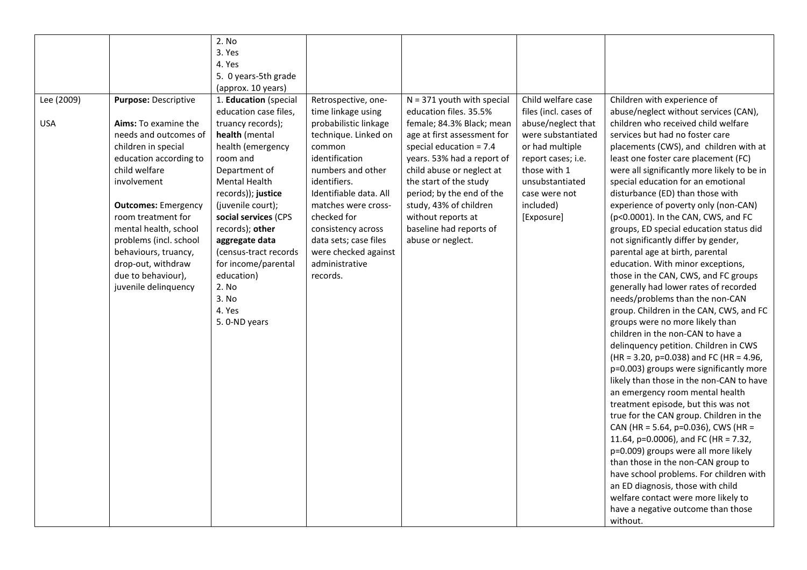|            |                            | 2. No                 |                        |                              |                       |                                             |
|------------|----------------------------|-----------------------|------------------------|------------------------------|-----------------------|---------------------------------------------|
|            |                            | 3. Yes                |                        |                              |                       |                                             |
|            |                            | 4. Yes                |                        |                              |                       |                                             |
|            |                            | 5. 0 years-5th grade  |                        |                              |                       |                                             |
|            |                            | (approx. 10 years)    |                        |                              |                       |                                             |
| Lee (2009) | Purpose: Descriptive       | 1. Education (special | Retrospective, one-    | $N = 371$ youth with special | Child welfare case    | Children with experience of                 |
|            |                            | education case files, | time linkage using     | education files. 35.5%       | files (incl. cases of | abuse/neglect without services (CAN),       |
| <b>USA</b> | Aims: To examine the       | truancy records);     | probabilistic linkage  | female; 84.3% Black; mean    | abuse/neglect that    | children who received child welfare         |
|            | needs and outcomes of      | health (mental        | technique. Linked on   | age at first assessment for  | were substantiated    | services but had no foster care             |
|            | children in special        | health (emergency     | common                 | special education = $7.4$    | or had multiple       | placements (CWS), and children with at      |
|            | education according to     | room and              | identification         | years. 53% had a report of   | report cases; i.e.    | least one foster care placement (FC)        |
|            | child welfare              | Department of         | numbers and other      | child abuse or neglect at    | those with 1          | were all significantly more likely to be in |
|            | involvement                | <b>Mental Health</b>  | identifiers.           | the start of the study       | unsubstantiated       | special education for an emotional          |
|            |                            | records)); justice    | Identifiable data. All | period; by the end of the    | case were not         | disturbance (ED) than those with            |
|            | <b>Outcomes: Emergency</b> | (juvenile court);     | matches were cross-    | study, 43% of children       | included)             | experience of poverty only (non-CAN)        |
|            | room treatment for         | social services (CPS  | checked for            | without reports at           | [Exposure]            | (p<0.0001). In the CAN, CWS, and FC         |
|            | mental health, school      | records); other       | consistency across     | baseline had reports of      |                       | groups, ED special education status did     |
|            | problems (incl. school     | aggregate data        | data sets; case files  | abuse or neglect.            |                       | not significantly differ by gender,         |
|            | behaviours, truancy,       | (census-tract records | were checked against   |                              |                       | parental age at birth, parental             |
|            | drop-out, withdraw         | for income/parental   | administrative         |                              |                       | education. With minor exceptions,           |
|            | due to behaviour),         | education)            | records.               |                              |                       | those in the CAN, CWS, and FC groups        |
|            | juvenile delinquency       | 2. No                 |                        |                              |                       | generally had lower rates of recorded       |
|            |                            | 3. No                 |                        |                              |                       | needs/problems than the non-CAN             |
|            |                            | 4. Yes                |                        |                              |                       | group. Children in the CAN, CWS, and FC     |
|            |                            | 5. 0-ND years         |                        |                              |                       | groups were no more likely than             |
|            |                            |                       |                        |                              |                       | children in the non-CAN to have a           |
|            |                            |                       |                        |                              |                       | delinquency petition. Children in CWS       |
|            |                            |                       |                        |                              |                       | $(HR = 3.20, p=0.038)$ and FC (HR = 4.96,   |
|            |                            |                       |                        |                              |                       | p=0.003) groups were significantly more     |
|            |                            |                       |                        |                              |                       | likely than those in the non-CAN to have    |
|            |                            |                       |                        |                              |                       | an emergency room mental health             |
|            |                            |                       |                        |                              |                       | treatment episode, but this was not         |
|            |                            |                       |                        |                              |                       | true for the CAN group. Children in the     |
|            |                            |                       |                        |                              |                       | CAN (HR = 5.64, p=0.036), CWS (HR =         |
|            |                            |                       |                        |                              |                       | 11.64, p=0.0006), and FC (HR = 7.32,        |
|            |                            |                       |                        |                              |                       | p=0.009) groups were all more likely        |
|            |                            |                       |                        |                              |                       | than those in the non-CAN group to          |
|            |                            |                       |                        |                              |                       | have school problems. For children with     |
|            |                            |                       |                        |                              |                       | an ED diagnosis, those with child           |
|            |                            |                       |                        |                              |                       | welfare contact were more likely to         |
|            |                            |                       |                        |                              |                       | have a negative outcome than those          |
|            |                            |                       |                        |                              |                       |                                             |
|            |                            |                       |                        |                              |                       | without.                                    |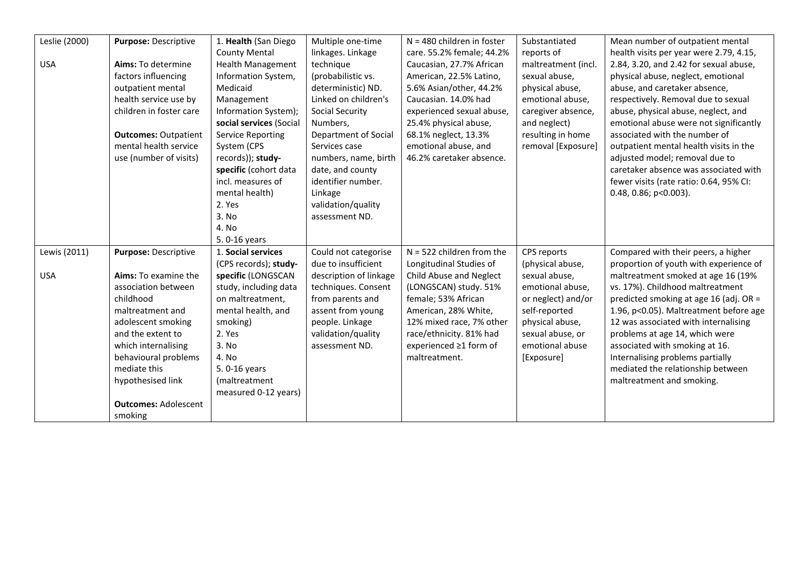| Leslie (2000) | Purpose: Descriptive        | 1. Health (San Diego     | Multiple one-time      | $N = 480$ children in foster | Substantiated       | Mean number of outpatient mental        |
|---------------|-----------------------------|--------------------------|------------------------|------------------------------|---------------------|-----------------------------------------|
|               |                             |                          |                        |                              |                     |                                         |
|               |                             | <b>County Mental</b>     | linkages. Linkage      | care. 55.2% female; 44.2%    | reports of          | health visits per year were 2.79, 4.15, |
| <b>USA</b>    | Aims: To determine          | <b>Health Management</b> | technique              | Caucasian, 27.7% African     | maltreatment (incl. | 2.84, 3.20, and 2.42 for sexual abuse,  |
|               | factors influencing         | Information System,      | (probabilistic vs.     | American, 22.5% Latino,      | sexual abuse,       | physical abuse, neglect, emotional      |
|               | outpatient mental           | Medicaid                 | deterministic) ND.     | 5.6% Asian/other, 44.2%      | physical abuse,     | abuse, and caretaker absence,           |
|               | health service use by       | Management               | Linked on children's   | Caucasian. 14.0% had         | emotional abuse,    | respectively. Removal due to sexual     |
|               | children in foster care     | Information System);     | Social Security        | experienced sexual abuse,    | caregiver absence,  | abuse, physical abuse, neglect, and     |
|               |                             | social services (Social  | Numbers,               | 25.4% physical abuse,        | and neglect)        | emotional abuse were not significantly  |
|               | <b>Outcomes: Outpatient</b> | <b>Service Reporting</b> | Department of Social   | 68.1% neglect, 13.3%         | resulting in home   | associated with the number of           |
|               | mental health service       | System (CPS              | Services case          | emotional abuse, and         | removal [Exposure]  | outpatient mental health visits in the  |
|               | use (number of visits)      | records)); study-        | numbers, name, birth   | 46.2% caretaker absence.     |                     | adjusted model; removal due to          |
|               |                             | specific (cohort data    | date, and county       |                              |                     | caretaker absence was associated with   |
|               |                             | incl. measures of        | identifier number.     |                              |                     | fewer visits (rate ratio: 0.64, 95% CI: |
|               |                             | mental health)           | Linkage                |                              |                     | 0.48, 0.86; p<0.003).                   |
|               |                             | 2. Yes                   | validation/quality     |                              |                     |                                         |
|               |                             | 3. No                    | assessment ND.         |                              |                     |                                         |
|               |                             | 4. No                    |                        |                              |                     |                                         |
|               |                             | 5.0-16 years             |                        |                              |                     |                                         |
| Lewis (2011)  | Purpose: Descriptive        | 1. Social services       | Could not categorise   | $N = 522$ children from the  | CPS reports         | Compared with their peers, a higher     |
|               |                             | (CPS records); study-    | due to insufficient    | Longitudinal Studies of      | (physical abuse,    | proportion of youth with experience of  |
| <b>USA</b>    | Aims: To examine the        | specific (LONGSCAN       | description of linkage | Child Abuse and Neglect      | sexual abuse,       | maltreatment smoked at age 16 (19%      |
|               | association between         | study, including data    | techniques. Consent    | (LONGSCAN) study. 51%        | emotional abuse,    | vs. 17%). Childhood maltreatment        |
|               | childhood                   | on maltreatment,         | from parents and       | female; 53% African          | or neglect) and/or  | predicted smoking at age 16 (adj. OR =  |
|               | maltreatment and            | mental health, and       | assent from young      | American, 28% White,         | self-reported       | 1.96, p<0.05). Maltreatment before age  |
|               | adolescent smoking          | smoking)                 | people. Linkage        | 12% mixed race, 7% other     | physical abuse,     | 12 was associated with internalising    |
|               | and the extent to           | 2. Yes                   | validation/quality     | race/ethnicity. 81% had      | sexual abuse, or    | problems at age 14, which were          |
|               | which internalising         | 3. No                    | assessment ND.         | experienced ≥1 form of       | emotional abuse     | associated with smoking at 16.          |
|               | behavioural problems        | 4. No                    |                        | maltreatment.                |                     | Internalising problems partially        |
|               | mediate this                | 5.0-16 years             |                        |                              | [Exposure]          | mediated the relationship between       |
|               |                             |                          |                        |                              |                     |                                         |
|               | hypothesised link           | (maltreatment            |                        |                              |                     | maltreatment and smoking.               |
|               |                             | measured 0-12 years)     |                        |                              |                     |                                         |
|               | <b>Outcomes: Adolescent</b> |                          |                        |                              |                     |                                         |
|               | smoking                     |                          |                        |                              |                     |                                         |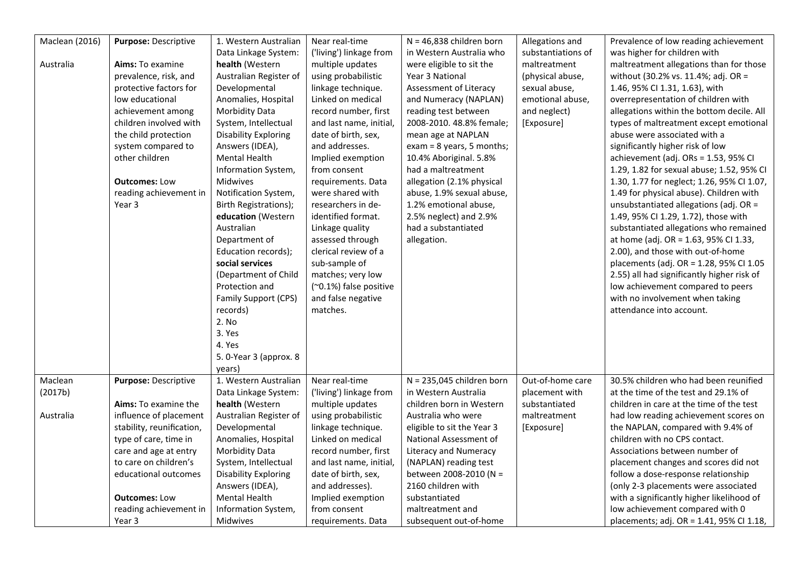| <b>Maclean (2016)</b> | Purpose: Descriptive      | 1. Western Australian       | Near real-time          | $N = 46,838$ children born   | Allegations and    | Prevalence of low reading achievement      |
|-----------------------|---------------------------|-----------------------------|-------------------------|------------------------------|--------------------|--------------------------------------------|
|                       |                           | Data Linkage System:        | ('living') linkage from | in Western Australia who     | substantiations of | was higher for children with               |
| Australia             | <b>Aims:</b> To examine   | health (Western             | multiple updates        | were eligible to sit the     | maltreatment       | maltreatment allegations than for those    |
|                       | prevalence, risk, and     | Australian Register of      | using probabilistic     | Year 3 National              | (physical abuse,   | without (30.2% vs. 11.4%; adj. OR =        |
|                       | protective factors for    | Developmental               | linkage technique.      | Assessment of Literacy       | sexual abuse,      | 1.46, 95% CI 1.31, 1.63), with             |
|                       | low educational           | Anomalies, Hospital         | Linked on medical       | and Numeracy (NAPLAN)        | emotional abuse,   | overrepresentation of children with        |
|                       | achievement among         | Morbidity Data              | record number, first    | reading test between         | and neglect)       | allegations within the bottom decile. All  |
|                       | children involved with    | System, Intellectual        | and last name, initial, | 2008-2010. 48.8% female;     | [Exposure]         | types of maltreatment except emotional     |
|                       | the child protection      | <b>Disability Exploring</b> | date of birth, sex,     | mean age at NAPLAN           |                    | abuse were associated with a               |
|                       | system compared to        | Answers (IDEA),             | and addresses.          | $exam = 8$ years, 5 months;  |                    | significantly higher risk of low           |
|                       | other children            | Mental Health               | Implied exemption       | 10.4% Aboriginal. 5.8%       |                    | achievement (adj. ORs = 1.53, 95% CI       |
|                       |                           | Information System,         | from consent            | had a maltreatment           |                    | 1.29, 1.82 for sexual abuse; 1.52, 95% CI  |
|                       | <b>Outcomes: Low</b>      | <b>Midwives</b>             | requirements. Data      | allegation (2.1% physical    |                    | 1.30, 1.77 for neglect; 1.26, 95% CI 1.07, |
|                       | reading achievement in    | Notification System,        | were shared with        | abuse, 1.9% sexual abuse,    |                    | 1.49 for physical abuse). Children with    |
|                       | Year 3                    | Birth Registrations);       | researchers in de-      | 1.2% emotional abuse,        |                    | unsubstantiated allegations (adj. OR =     |
|                       |                           | education (Western          | identified format.      | 2.5% neglect) and 2.9%       |                    | 1.49, 95% CI 1.29, 1.72), those with       |
|                       |                           | Australian                  | Linkage quality         | had a substantiated          |                    | substantiated allegations who remained     |
|                       |                           | Department of               | assessed through        | allegation.                  |                    | at home (adj. OR = 1.63, 95% CI 1.33,      |
|                       |                           | Education records);         | clerical review of a    |                              |                    | 2.00), and those with out-of-home          |
|                       |                           | social services             | sub-sample of           |                              |                    | placements (adj. OR = 1.28, 95% CI 1.05    |
|                       |                           | (Department of Child        | matches; very low       |                              |                    | 2.55) all had significantly higher risk of |
|                       |                           | Protection and              | (~0.1%) false positive  |                              |                    | low achievement compared to peers          |
|                       |                           | Family Support (CPS)        | and false negative      |                              |                    | with no involvement when taking            |
|                       |                           |                             | matches.                |                              |                    | attendance into account.                   |
|                       |                           | records)<br>2. No           |                         |                              |                    |                                            |
|                       |                           |                             |                         |                              |                    |                                            |
|                       |                           | 3. Yes                      |                         |                              |                    |                                            |
|                       |                           | 4. Yes                      |                         |                              |                    |                                            |
|                       |                           | 5. 0-Year 3 (approx. 8      |                         |                              |                    |                                            |
|                       |                           | years)                      |                         |                              |                    |                                            |
| Maclean               | Purpose: Descriptive      | 1. Western Australian       | Near real-time          | $N = 235,045$ children born  | Out-of-home care   | 30.5% children who had been reunified      |
| (2017b)               |                           | Data Linkage System:        | ('living') linkage from | in Western Australia         | placement with     | at the time of the test and 29.1% of       |
|                       | Aims: To examine the      | health (Western             | multiple updates        | children born in Western     | substantiated      | children in care at the time of the test   |
| Australia             | influence of placement    | Australian Register of      | using probabilistic     | Australia who were           | maltreatment       | had low reading achievement scores on      |
|                       | stability, reunification, | Developmental               | linkage technique.      | eligible to sit the Year 3   | [Exposure]         | the NAPLAN, compared with 9.4% of          |
|                       | type of care, time in     | Anomalies, Hospital         | Linked on medical       | National Assessment of       |                    | children with no CPS contact.              |
|                       | care and age at entry     | Morbidity Data              | record number, first    | <b>Literacy and Numeracy</b> |                    | Associations between number of             |
|                       | to care on children's     | System, Intellectual        | and last name, initial, | (NAPLAN) reading test        |                    | placement changes and scores did not       |
|                       | educational outcomes      | <b>Disability Exploring</b> | date of birth, sex,     | between 2008-2010 (N =       |                    | follow a dose-response relationship        |
|                       |                           | Answers (IDEA),             | and addresses).         | 2160 children with           |                    | (only 2-3 placements were associated       |
|                       | <b>Outcomes: Low</b>      | Mental Health               | Implied exemption       | substantiated                |                    | with a significantly higher likelihood of  |
|                       | reading achievement in    | Information System,         | from consent            | maltreatment and             |                    | low achievement compared with 0            |
|                       | Year 3                    | Midwives                    | requirements. Data      | subsequent out-of-home       |                    | placements; adj. OR = 1.41, 95% CI 1.18,   |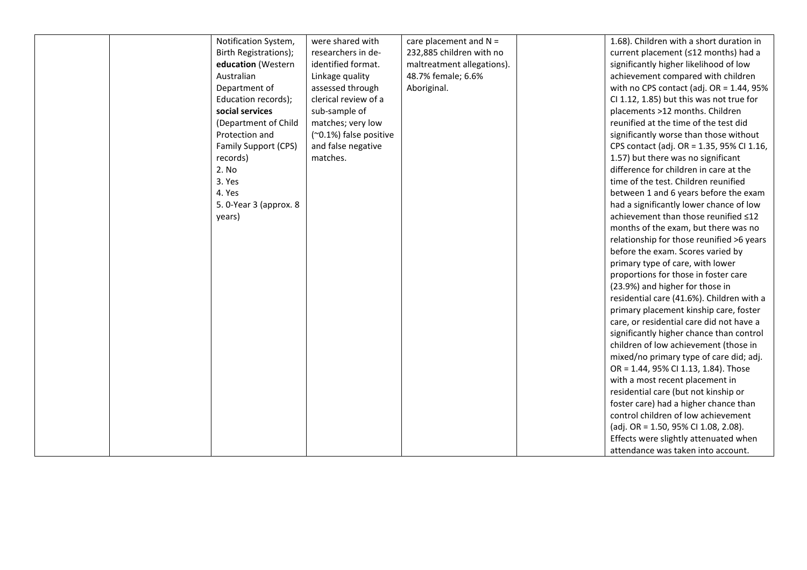|  | Notification System,    | were shared with       | care placement and $N =$   | 1.68). Children with a short duration in    |
|--|-------------------------|------------------------|----------------------------|---------------------------------------------|
|  | Birth Registrations);   | researchers in de-     | 232,885 children with no   | current placement (≤12 months) had a        |
|  | education (Western      | identified format.     | maltreatment allegations). | significantly higher likelihood of low      |
|  | Australian              | Linkage quality        | 48.7% female; 6.6%         | achievement compared with children          |
|  | Department of           | assessed through       | Aboriginal.                | with no CPS contact (adj. OR = $1.44$ , 95% |
|  | Education records);     | clerical review of a   |                            | CI 1.12, 1.85) but this was not true for    |
|  | social services         | sub-sample of          |                            | placements >12 months. Children             |
|  | (Department of Child    | matches; very low      |                            | reunified at the time of the test did       |
|  | Protection and          | (~0.1%) false positive |                            | significantly worse than those without      |
|  | Family Support (CPS)    | and false negative     |                            | CPS contact (adj. OR = 1.35, 95% Cl 1.16,   |
|  | records)                | matches.               |                            | 1.57) but there was no significant          |
|  | 2. No                   |                        |                            | difference for children in care at the      |
|  | 3. Yes                  |                        |                            | time of the test. Children reunified        |
|  | 4. Yes                  |                        |                            | between 1 and 6 years before the exam       |
|  | 5. 0-Year 3 (approx. 8) |                        |                            | had a significantly lower chance of low     |
|  | years)                  |                        |                            | achievement than those reunified <12        |
|  |                         |                        |                            | months of the exam, but there was no        |
|  |                         |                        |                            | relationship for those reunified >6 years   |
|  |                         |                        |                            | before the exam. Scores varied by           |
|  |                         |                        |                            | primary type of care, with lower            |
|  |                         |                        |                            | proportions for those in foster care        |
|  |                         |                        |                            | (23.9%) and higher for those in             |
|  |                         |                        |                            | residential care (41.6%). Children with a   |
|  |                         |                        |                            | primary placement kinship care, foster      |
|  |                         |                        |                            | care, or residential care did not have a    |
|  |                         |                        |                            | significantly higher chance than control    |
|  |                         |                        |                            | children of low achievement (those in       |
|  |                         |                        |                            | mixed/no primary type of care did; adj.     |
|  |                         |                        |                            | OR = 1.44, 95% CI 1.13, 1.84). Those        |
|  |                         |                        |                            | with a most recent placement in             |
|  |                         |                        |                            | residential care (but not kinship or        |
|  |                         |                        |                            | foster care) had a higher chance than       |
|  |                         |                        |                            | control children of low achievement         |
|  |                         |                        |                            | (adj. OR = 1.50, 95% CI 1.08, 2.08).        |
|  |                         |                        |                            | Effects were slightly attenuated when       |
|  |                         |                        |                            | attendance was taken into account.          |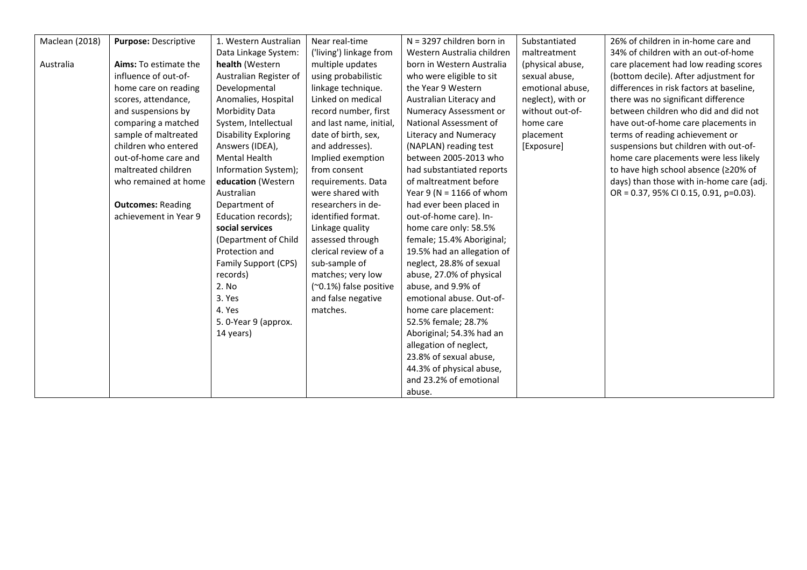| Maclean (2018) | Purpose: Descriptive     | 1. Western Australian       | Near real-time          | $N = 3297$ children born in | Substantiated     | 26% of children in in-home care and      |
|----------------|--------------------------|-----------------------------|-------------------------|-----------------------------|-------------------|------------------------------------------|
|                |                          | Data Linkage System:        | ('living') linkage from | Western Australia children  | maltreatment      | 34% of children with an out-of-home      |
| Australia      | Aims: To estimate the    | health (Western             | multiple updates        | born in Western Australia   | (physical abuse,  | care placement had low reading scores    |
|                | influence of out-of-     | Australian Register of      | using probabilistic     | who were eligible to sit    | sexual abuse,     | (bottom decile). After adjustment for    |
|                | home care on reading     | Developmental               | linkage technique.      | the Year 9 Western          | emotional abuse,  | differences in risk factors at baseline, |
|                | scores, attendance,      | Anomalies, Hospital         | Linked on medical       | Australian Literacy and     | neglect), with or | there was no significant difference      |
|                | and suspensions by       | Morbidity Data              | record number, first    | Numeracy Assessment or      | without out-of-   | between children who did and did not     |
|                | comparing a matched      | System, Intellectual        | and last name, initial, | National Assessment of      | home care         | have out-of-home care placements in      |
|                | sample of maltreated     | <b>Disability Exploring</b> | date of birth, sex,     | Literacy and Numeracy       | placement         | terms of reading achievement or          |
|                | children who entered     | Answers (IDEA),             | and addresses).         | (NAPLAN) reading test       | [Exposure]        | suspensions but children with out-of-    |
|                | out-of-home care and     | <b>Mental Health</b>        | Implied exemption       | between 2005-2013 who       |                   | home care placements were less likely    |
|                | maltreated children      | Information System);        | from consent            | had substantiated reports   |                   | to have high school absence (≥20% of     |
|                | who remained at home     | education (Western          | requirements. Data      | of maltreatment before      |                   | days) than those with in-home care (adj. |
|                |                          | Australian                  | were shared with        | Year 9 (N = 1166 of whom    |                   | OR = 0.37, 95% CI 0.15, 0.91, p=0.03).   |
|                | <b>Outcomes: Reading</b> | Department of               | researchers in de-      | had ever been placed in     |                   |                                          |
|                | achievement in Year 9    | Education records);         | identified format.      | out-of-home care). In-      |                   |                                          |
|                |                          | social services             | Linkage quality         | home care only: 58.5%       |                   |                                          |
|                |                          | (Department of Child        | assessed through        | female; 15.4% Aboriginal;   |                   |                                          |
|                |                          | Protection and              | clerical review of a    | 19.5% had an allegation of  |                   |                                          |
|                |                          | Family Support (CPS)        | sub-sample of           | neglect, 28.8% of sexual    |                   |                                          |
|                |                          | records)                    | matches; very low       | abuse, 27.0% of physical    |                   |                                          |
|                |                          | 2. No                       | (~0.1%) false positive  | abuse, and 9.9% of          |                   |                                          |
|                |                          | 3. Yes                      | and false negative      | emotional abuse. Out-of-    |                   |                                          |
|                |                          | 4. Yes                      | matches.                | home care placement:        |                   |                                          |
|                |                          | 5. 0-Year 9 (approx.        |                         | 52.5% female; 28.7%         |                   |                                          |
|                |                          | 14 years)                   |                         | Aboriginal; 54.3% had an    |                   |                                          |
|                |                          |                             |                         | allegation of neglect,      |                   |                                          |
|                |                          |                             |                         | 23.8% of sexual abuse,      |                   |                                          |
|                |                          |                             |                         | 44.3% of physical abuse,    |                   |                                          |
|                |                          |                             |                         | and 23.2% of emotional      |                   |                                          |
|                |                          |                             |                         | abuse.                      |                   |                                          |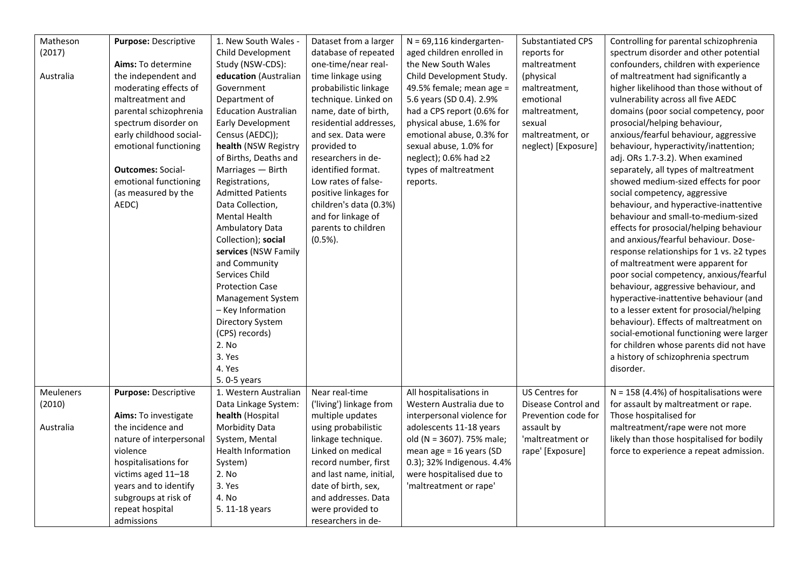| Matheson         | Purpose: Descriptive      | 1. New South Wales -        | Dataset from a larger   | $N = 69,116$ kindergarten-  | <b>Substantiated CPS</b> | Controlling for parental schizophrenia    |
|------------------|---------------------------|-----------------------------|-------------------------|-----------------------------|--------------------------|-------------------------------------------|
| (2017)           |                           | Child Development           | database of repeated    | aged children enrolled in   | reports for              | spectrum disorder and other potential     |
|                  | <b>Aims:</b> To determine | Study (NSW-CDS):            | one-time/near real-     | the New South Wales         | maltreatment             | confounders, children with experience     |
| Australia        | the independent and       | education (Australian       | time linkage using      | Child Development Study.    | (physical                | of maltreatment had significantly a       |
|                  | moderating effects of     | Government                  | probabilistic linkage   | 49.5% female; mean age =    | maltreatment,            | higher likelihood than those without of   |
|                  | maltreatment and          | Department of               | technique. Linked on    | 5.6 years (SD 0.4). 2.9%    | emotional                | vulnerability across all five AEDC        |
|                  | parental schizophrenia    | <b>Education Australian</b> | name, date of birth,    | had a CPS report (0.6% for  | maltreatment,            | domains (poor social competency, poor     |
|                  | spectrum disorder on      | Early Development           | residential addresses,  | physical abuse, 1.6% for    | sexual                   | prosocial/helping behaviour,              |
|                  | early childhood social-   | Census (AEDC));             | and sex. Data were      | emotional abuse, 0.3% for   | maltreatment, or         | anxious/fearful behaviour, aggressive     |
|                  | emotional functioning     | health (NSW Registry        | provided to             | sexual abuse, 1.0% for      | neglect) [Exposure]      | behaviour, hyperactivity/inattention;     |
|                  |                           | of Births, Deaths and       | researchers in de-      | neglect); 0.6% had $\geq$ 2 |                          | adj. ORs 1.7-3.2). When examined          |
|                  | <b>Outcomes: Social-</b>  | Marriages - Birth           | identified format.      | types of maltreatment       |                          | separately, all types of maltreatment     |
|                  | emotional functioning     | Registrations,              | Low rates of false-     | reports.                    |                          | showed medium-sized effects for poor      |
|                  | (as measured by the       | <b>Admitted Patients</b>    | positive linkages for   |                             |                          | social competency, aggressive             |
|                  | AEDC)                     | Data Collection,            | children's data (0.3%)  |                             |                          | behaviour, and hyperactive-inattentive    |
|                  |                           | Mental Health               | and for linkage of      |                             |                          | behaviour and small-to-medium-sized       |
|                  |                           | Ambulatory Data             | parents to children     |                             |                          | effects for prosocial/helping behaviour   |
|                  |                           | Collection); social         | $(0.5\%)$ .             |                             |                          | and anxious/fearful behaviour. Dose-      |
|                  |                           | services (NSW Family        |                         |                             |                          | response relationships for 1 vs. ≥2 types |
|                  |                           | and Community               |                         |                             |                          | of maltreatment were apparent for         |
|                  |                           | Services Child              |                         |                             |                          | poor social competency, anxious/fearful   |
|                  |                           | <b>Protection Case</b>      |                         |                             |                          | behaviour, aggressive behaviour, and      |
|                  |                           | Management System           |                         |                             |                          | hyperactive-inattentive behaviour (and    |
|                  |                           | - Key Information           |                         |                             |                          | to a lesser extent for prosocial/helping  |
|                  |                           | Directory System            |                         |                             |                          | behaviour). Effects of maltreatment on    |
|                  |                           | (CPS) records)              |                         |                             |                          | social-emotional functioning were larger  |
|                  |                           |                             |                         |                             |                          |                                           |
|                  |                           | 2. No                       |                         |                             |                          | for children whose parents did not have   |
|                  |                           | 3. Yes                      |                         |                             |                          | a history of schizophrenia spectrum       |
|                  |                           | 4. Yes                      |                         |                             |                          | disorder.                                 |
|                  |                           | 5.0-5 years                 |                         |                             |                          |                                           |
| <b>Meuleners</b> | Purpose: Descriptive      | 1. Western Australian       | Near real-time          | All hospitalisations in     | US Centres for           | $N = 158$ (4.4%) of hospitalisations were |
| (2010)           |                           | Data Linkage System:        | ('living') linkage from | Western Australia due to    | Disease Control and      | for assault by maltreatment or rape.      |
|                  | Aims: To investigate      | health (Hospital            | multiple updates        | interpersonal violence for  | Prevention code for      | Those hospitalised for                    |
| Australia        | the incidence and         | Morbidity Data              | using probabilistic     | adolescents 11-18 years     | assault by               | maltreatment/rape were not more           |
|                  | nature of interpersonal   | System, Mental              | linkage technique.      | old (N = 3607). 75% male;   | 'maltreatment or         | likely than those hospitalised for bodily |
|                  | violence                  | Health Information          | Linked on medical       | mean age = $16$ years (SD   | rape' [Exposure]         | force to experience a repeat admission.   |
|                  | hospitalisations for      | System)                     | record number, first    | 0.3); 32% Indigenous. 4.4%  |                          |                                           |
|                  | victims aged 11-18        | 2. No                       | and last name, initial, | were hospitalised due to    |                          |                                           |
|                  | years and to identify     | 3. Yes                      | date of birth, sex,     | 'maltreatment or rape'      |                          |                                           |
|                  | subgroups at risk of      | 4. No                       | and addresses. Data     |                             |                          |                                           |
|                  | repeat hospital           | 5. 11-18 years              | were provided to        |                             |                          |                                           |
|                  | admissions                |                             | researchers in de-      |                             |                          |                                           |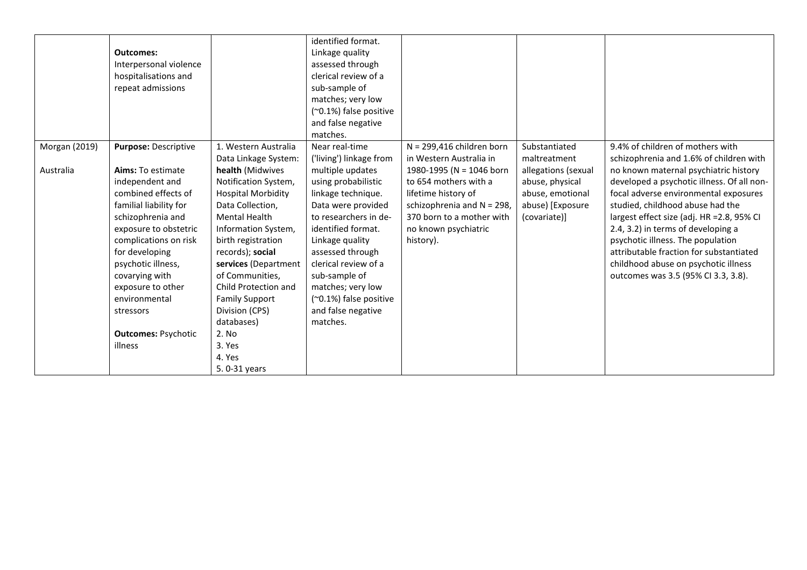|               | <b>Outcomes:</b><br>Interpersonal violence<br>hospitalisations and<br>repeat admissions                                                                                                                                                                                                                 |                                                                                                                                                                                                                                                                                                                         | identified format.<br>Linkage quality<br>assessed through<br>clerical review of a<br>sub-sample of<br>matches; very low<br>(~0.1%) false positive<br>and false negative<br>matches.                                                                                                                 |                                                                                                                                                                          |                                                                                                |                                                                                                                                                                                                                                                                                                                                                                                                                     |
|---------------|---------------------------------------------------------------------------------------------------------------------------------------------------------------------------------------------------------------------------------------------------------------------------------------------------------|-------------------------------------------------------------------------------------------------------------------------------------------------------------------------------------------------------------------------------------------------------------------------------------------------------------------------|-----------------------------------------------------------------------------------------------------------------------------------------------------------------------------------------------------------------------------------------------------------------------------------------------------|--------------------------------------------------------------------------------------------------------------------------------------------------------------------------|------------------------------------------------------------------------------------------------|---------------------------------------------------------------------------------------------------------------------------------------------------------------------------------------------------------------------------------------------------------------------------------------------------------------------------------------------------------------------------------------------------------------------|
| Morgan (2019) | Purpose: Descriptive                                                                                                                                                                                                                                                                                    | 1. Western Australia<br>Data Linkage System:                                                                                                                                                                                                                                                                            | Near real-time<br>('living') linkage from                                                                                                                                                                                                                                                           | $N = 299,416$ children born<br>in Western Australia in                                                                                                                   | Substantiated<br>maltreatment                                                                  | 9.4% of children of mothers with<br>schizophrenia and 1.6% of children with                                                                                                                                                                                                                                                                                                                                         |
| Australia     | Aims: To estimate<br>independent and<br>combined effects of<br>familial liability for<br>schizophrenia and<br>exposure to obstetric<br>complications on risk<br>for developing<br>psychotic illness,<br>covarying with<br>exposure to other<br>environmental<br>stressors<br><b>Outcomes: Psychotic</b> | health (Midwives<br>Notification System,<br><b>Hospital Morbidity</b><br>Data Collection,<br><b>Mental Health</b><br>Information System,<br>birth registration<br>records); social<br>services (Department<br>of Communities,<br>Child Protection and<br><b>Family Support</b><br>Division (CPS)<br>databases)<br>2. No | multiple updates<br>using probabilistic<br>linkage technique.<br>Data were provided<br>to researchers in de-<br>identified format.<br>Linkage quality<br>assessed through<br>clerical review of a<br>sub-sample of<br>matches; very low<br>(~0.1%) false positive<br>and false negative<br>matches. | 1980-1995 (N = 1046 born<br>to 654 mothers with a<br>lifetime history of<br>schizophrenia and N = 298,<br>370 born to a mother with<br>no known psychiatric<br>history). | allegations (sexual<br>abuse, physical<br>abuse, emotional<br>abuse) [Exposure<br>(covariate)] | no known maternal psychiatric history<br>developed a psychotic illness. Of all non-<br>focal adverse environmental exposures<br>studied, childhood abuse had the<br>largest effect size (adj. HR = 2.8, 95% CI<br>2.4, 3.2) in terms of developing a<br>psychotic illness. The population<br>attributable fraction for substantiated<br>childhood abuse on psychotic illness<br>outcomes was 3.5 (95% CI 3.3, 3.8). |
|               | illness                                                                                                                                                                                                                                                                                                 | 3. Yes<br>4. Yes<br>5.0-31 years                                                                                                                                                                                                                                                                                        |                                                                                                                                                                                                                                                                                                     |                                                                                                                                                                          |                                                                                                |                                                                                                                                                                                                                                                                                                                                                                                                                     |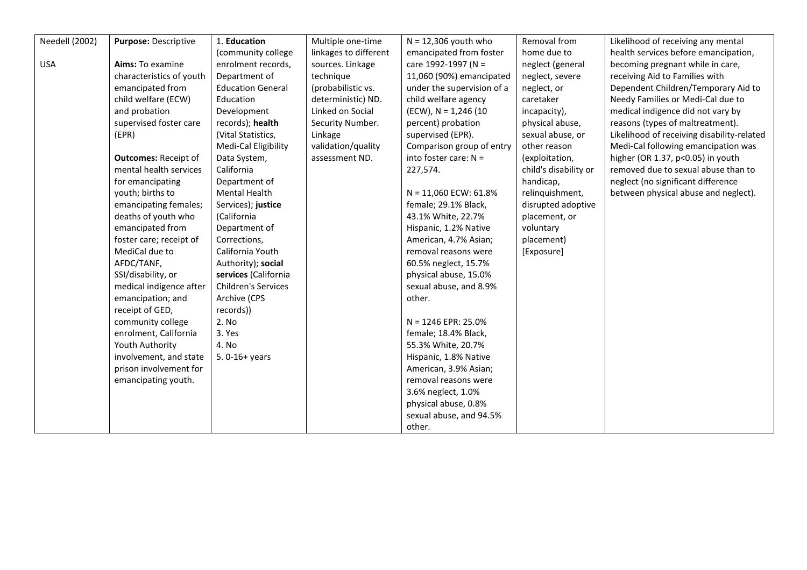| <b>Needell (2002)</b> | Purpose: Descriptive        | 1. Education               | Multiple one-time     | $N = 12,306$ youth who     | Removal from          | Likelihood of receiving any mental         |
|-----------------------|-----------------------------|----------------------------|-----------------------|----------------------------|-----------------------|--------------------------------------------|
|                       |                             | (community college         | linkages to different | emancipated from foster    | home due to           | health services before emancipation,       |
| <b>USA</b>            | Aims: To examine            | enrolment records,         | sources. Linkage      | care 1992-1997 (N =        | neglect (general      | becoming pregnant while in care,           |
|                       | characteristics of youth    | Department of              | technique             | 11,060 (90%) emancipated   | neglect, severe       | receiving Aid to Families with             |
|                       | emancipated from            | <b>Education General</b>   | (probabilistic vs.    | under the supervision of a | neglect, or           | Dependent Children/Temporary Aid to        |
|                       | child welfare (ECW)         | Education                  | deterministic) ND.    | child welfare agency       | caretaker             | Needy Families or Medi-Cal due to          |
|                       | and probation               | Development                | Linked on Social      | $(ECW)$ , N = 1,246 (10    | incapacity),          | medical indigence did not vary by          |
|                       | supervised foster care      | records); health           | Security Number.      | percent) probation         | physical abuse,       | reasons (types of maltreatment).           |
|                       | (EPR)                       | (Vital Statistics,         | Linkage               | supervised (EPR).          | sexual abuse, or      | Likelihood of receiving disability-related |
|                       |                             | Medi-Cal Eligibility       | validation/quality    | Comparison group of entry  | other reason          | Medi-Cal following emancipation was        |
|                       | <b>Outcomes: Receipt of</b> | Data System,               | assessment ND.        | into foster care: $N =$    | (exploitation,        | higher (OR 1.37, p<0.05) in youth          |
|                       | mental health services      | California                 |                       | 227,574.                   | child's disability or | removed due to sexual abuse than to        |
|                       | for emancipating            | Department of              |                       |                            | handicap,             | neglect (no significant difference         |
|                       | youth; births to            | Mental Health              |                       | $N = 11,060$ ECW: 61.8%    | relinquishment,       | between physical abuse and neglect).       |
|                       | emancipating females;       | Services); justice         |                       | female; 29.1% Black,       | disrupted adoptive    |                                            |
|                       | deaths of youth who         | (California                |                       | 43.1% White, 22.7%         | placement, or         |                                            |
|                       | emancipated from            | Department of              |                       | Hispanic, 1.2% Native      | voluntary             |                                            |
|                       | foster care; receipt of     | Corrections,               |                       | American, 4.7% Asian;      | placement)            |                                            |
|                       | MediCal due to              | California Youth           |                       | removal reasons were       | [Exposure]            |                                            |
|                       | AFDC/TANF,                  | Authority); social         |                       | 60.5% neglect, 15.7%       |                       |                                            |
|                       | SSI/disability, or          | services (California       |                       | physical abuse, 15.0%      |                       |                                            |
|                       | medical indigence after     | <b>Children's Services</b> |                       | sexual abuse, and 8.9%     |                       |                                            |
|                       | emancipation; and           | Archive (CPS               |                       | other.                     |                       |                                            |
|                       | receipt of GED,             | records))                  |                       |                            |                       |                                            |
|                       | community college           | 2. No                      |                       | $N = 1246$ EPR: 25.0%      |                       |                                            |
|                       | enrolment, California       | 3. Yes                     |                       | female; 18.4% Black,       |                       |                                            |
|                       | Youth Authority             | 4. No                      |                       | 55.3% White, 20.7%         |                       |                                            |
|                       | involvement, and state      | 5. 0-16+ years             |                       | Hispanic, 1.8% Native      |                       |                                            |
|                       | prison involvement for      |                            |                       | American, 3.9% Asian;      |                       |                                            |
|                       | emancipating youth.         |                            |                       | removal reasons were       |                       |                                            |
|                       |                             |                            |                       | 3.6% neglect, 1.0%         |                       |                                            |
|                       |                             |                            |                       | physical abuse, 0.8%       |                       |                                            |
|                       |                             |                            |                       | sexual abuse, and 94.5%    |                       |                                            |
|                       |                             |                            |                       | other.                     |                       |                                            |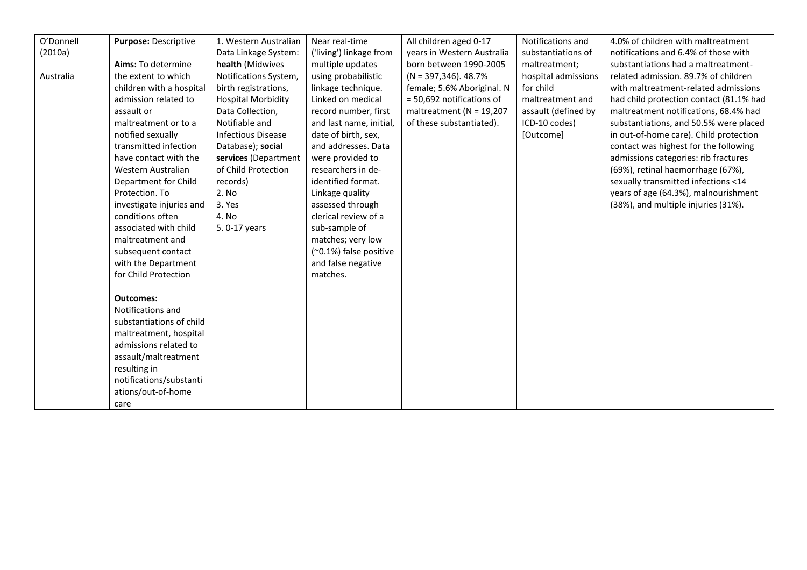| O'Donnell | Purpose: Descriptive     | 1. Western Australian     | Near real-time          | All children aged 0-17      | Notifications and   | 4.0% of children with maltreatment      |
|-----------|--------------------------|---------------------------|-------------------------|-----------------------------|---------------------|-----------------------------------------|
| (2010a)   |                          | Data Linkage System:      | ('living') linkage from | years in Western Australia  | substantiations of  | notifications and 6.4% of those with    |
|           | Aims: To determine       | health (Midwives          | multiple updates        | born between 1990-2005      | maltreatment;       | substantiations had a maltreatment-     |
| Australia | the extent to which      | Notifications System,     | using probabilistic     | $(N = 397, 346)$ . 48.7%    | hospital admissions | related admission. 89.7% of children    |
|           | children with a hospital | birth registrations,      | linkage technique.      | female; 5.6% Aboriginal. N  | for child           | with maltreatment-related admissions    |
|           | admission related to     | <b>Hospital Morbidity</b> | Linked on medical       | = 50,692 notifications of   | maltreatment and    | had child protection contact (81.1% had |
|           | assault or               | Data Collection,          | record number, first    | maltreatment ( $N = 19,207$ | assault (defined by | maltreatment notifications, 68.4% had   |
|           | maltreatment or to a     | Notifiable and            | and last name, initial, | of these substantiated).    | ICD-10 codes)       | substantiations, and 50.5% were placed  |
|           | notified sexually        | <b>Infectious Disease</b> | date of birth, sex,     |                             | [Outcome]           | in out-of-home care). Child protection  |
|           | transmitted infection    | Database); social         | and addresses. Data     |                             |                     | contact was highest for the following   |
|           | have contact with the    | services (Department      | were provided to        |                             |                     | admissions categories: rib fractures    |
|           | Western Australian       | of Child Protection       | researchers in de-      |                             |                     | (69%), retinal haemorrhage (67%),       |
|           | Department for Child     | records)                  | identified format.      |                             |                     | sexually transmitted infections <14     |
|           | Protection. To           | 2. No                     | Linkage quality         |                             |                     | years of age (64.3%), malnourishment    |
|           | investigate injuries and | 3. Yes                    | assessed through        |                             |                     | (38%), and multiple injuries (31%).     |
|           | conditions often         | 4. No                     | clerical review of a    |                             |                     |                                         |
|           | associated with child    | 5.0-17 years              | sub-sample of           |                             |                     |                                         |
|           | maltreatment and         |                           | matches; very low       |                             |                     |                                         |
|           | subsequent contact       |                           | (~0.1%) false positive  |                             |                     |                                         |
|           | with the Department      |                           | and false negative      |                             |                     |                                         |
|           | for Child Protection     |                           | matches.                |                             |                     |                                         |
|           |                          |                           |                         |                             |                     |                                         |
|           | <b>Outcomes:</b>         |                           |                         |                             |                     |                                         |
|           | Notifications and        |                           |                         |                             |                     |                                         |
|           | substantiations of child |                           |                         |                             |                     |                                         |
|           | maltreatment, hospital   |                           |                         |                             |                     |                                         |
|           | admissions related to    |                           |                         |                             |                     |                                         |
|           | assault/maltreatment     |                           |                         |                             |                     |                                         |
|           | resulting in             |                           |                         |                             |                     |                                         |
|           | notifications/substanti  |                           |                         |                             |                     |                                         |
|           | ations/out-of-home       |                           |                         |                             |                     |                                         |
|           | care                     |                           |                         |                             |                     |                                         |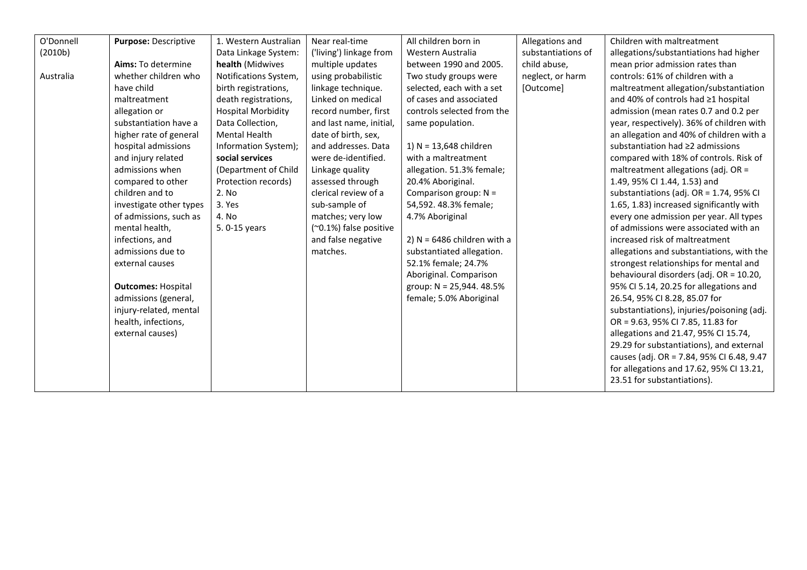| O'Donnell            | Purpose: Descriptive      | 1. Western Australian     | Near real-time          | All children born in          | Allegations and    | Children with maltreatment                 |
|----------------------|---------------------------|---------------------------|-------------------------|-------------------------------|--------------------|--------------------------------------------|
| (2010 <sub>b</sub> ) |                           | Data Linkage System:      | ('living') linkage from | Western Australia             | substantiations of | allegations/substantiations had higher     |
|                      | Aims: To determine        | health (Midwives          | multiple updates        | between 1990 and 2005.        | child abuse,       | mean prior admission rates than            |
| Australia            | whether children who      | Notifications System,     | using probabilistic     | Two study groups were         | neglect, or harm   | controls: 61% of children with a           |
|                      | have child                | birth registrations,      | linkage technique.      | selected, each with a set     | [Outcome]          | maltreatment allegation/substantiation     |
|                      | maltreatment              | death registrations,      | Linked on medical       | of cases and associated       |                    | and 40% of controls had ≥1 hospital        |
|                      | allegation or             | <b>Hospital Morbidity</b> | record number, first    | controls selected from the    |                    | admission (mean rates 0.7 and 0.2 per      |
|                      | substantiation have a     | Data Collection,          | and last name, initial, | same population.              |                    | year, respectively). 36% of children with  |
|                      | higher rate of general    | <b>Mental Health</b>      | date of birth, sex,     |                               |                    | an allegation and 40% of children with a   |
|                      | hospital admissions       | Information System);      | and addresses. Data     | 1) $N = 13,648$ children      |                    | substantiation had ≥2 admissions           |
|                      | and injury related        | social services           | were de-identified.     | with a maltreatment           |                    | compared with 18% of controls. Risk of     |
|                      | admissions when           | (Department of Child      | Linkage quality         | allegation. 51.3% female;     |                    | maltreatment allegations (adj. $OR =$      |
|                      | compared to other         | Protection records)       | assessed through        | 20.4% Aboriginal.             |                    | 1.49, 95% CI 1.44, 1.53) and               |
|                      | children and to           | 2. No                     | clerical review of a    | Comparison group: $N =$       |                    | substantiations (adj. OR = 1.74, 95% CI    |
|                      | investigate other types   | 3. Yes                    | sub-sample of           | 54,592. 48.3% female;         |                    | 1.65, 1.83) increased significantly with   |
|                      | of admissions, such as    | 4. No                     | matches; very low       | 4.7% Aboriginal               |                    | every one admission per year. All types    |
|                      | mental health,            | 5.0-15 years              | (~0.1%) false positive  |                               |                    | of admissions were associated with an      |
|                      | infections, and           |                           | and false negative      | 2) $N = 6486$ children with a |                    | increased risk of maltreatment             |
|                      | admissions due to         |                           | matches.                | substantiated allegation.     |                    | allegations and substantiations, with the  |
|                      | external causes           |                           |                         | 52.1% female; 24.7%           |                    | strongest relationships for mental and     |
|                      |                           |                           |                         | Aboriginal. Comparison        |                    | behavioural disorders (adj. OR = 10.20,    |
|                      | <b>Outcomes: Hospital</b> |                           |                         | group: $N = 25,944.48.5%$     |                    | 95% CI 5.14, 20.25 for allegations and     |
|                      | admissions (general,      |                           |                         | female; 5.0% Aboriginal       |                    | 26.54, 95% CI 8.28, 85.07 for              |
|                      | injury-related, mental    |                           |                         |                               |                    | substantiations), injuries/poisoning (adj. |
|                      | health, infections,       |                           |                         |                               |                    | OR = 9.63, 95% CI 7.85, 11.83 for          |
|                      | external causes)          |                           |                         |                               |                    | allegations and 21.47, 95% CI 15.74,       |
|                      |                           |                           |                         |                               |                    | 29.29 for substantiations), and external   |
|                      |                           |                           |                         |                               |                    | causes (adj. OR = 7.84, 95% CI 6.48, 9.47  |
|                      |                           |                           |                         |                               |                    | for allegations and 17.62, 95% CI 13.21,   |
|                      |                           |                           |                         |                               |                    | 23.51 for substantiations).                |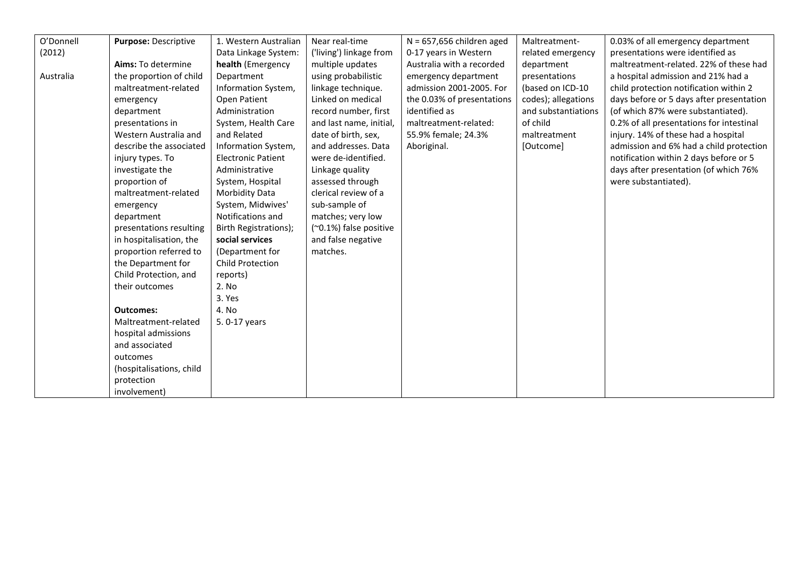| O'Donnell | <b>Purpose: Descriptive</b> | 1. Western Australian     | Near real-time          | $N = 657,656$ children aged | Maltreatment-       | 0.03% of all emergency department        |
|-----------|-----------------------------|---------------------------|-------------------------|-----------------------------|---------------------|------------------------------------------|
| (2012)    |                             | Data Linkage System:      | ('living') linkage from | 0-17 years in Western       | related emergency   | presentations were identified as         |
|           | Aims: To determine          | health (Emergency         | multiple updates        | Australia with a recorded   | department          | maltreatment-related. 22% of these had   |
| Australia | the proportion of child     | Department                | using probabilistic     | emergency department        | presentations       | a hospital admission and 21% had a       |
|           | maltreatment-related        | Information System,       | linkage technique.      | admission 2001-2005. For    | (based on ICD-10    | child protection notification within 2   |
|           | emergency                   | Open Patient              | Linked on medical       | the 0.03% of presentations  | codes); allegations | days before or 5 days after presentation |
|           | department                  | Administration            | record number, first    | identified as               | and substantiations | (of which 87% were substantiated).       |
|           | presentations in            | System, Health Care       | and last name, initial, | maltreatment-related:       | of child            | 0.2% of all presentations for intestinal |
|           | Western Australia and       | and Related               | date of birth, sex,     | 55.9% female; 24.3%         | maltreatment        | injury. 14% of these had a hospital      |
|           | describe the associated     | Information System,       | and addresses. Data     | Aboriginal.                 | [Outcome]           | admission and 6% had a child protection  |
|           | injury types. To            | <b>Electronic Patient</b> | were de-identified.     |                             |                     | notification within 2 days before or 5   |
|           | investigate the             | Administrative            | Linkage quality         |                             |                     | days after presentation (of which 76%    |
|           | proportion of               | System, Hospital          | assessed through        |                             |                     | were substantiated).                     |
|           | maltreatment-related        | <b>Morbidity Data</b>     | clerical review of a    |                             |                     |                                          |
|           | emergency                   | System, Midwives'         | sub-sample of           |                             |                     |                                          |
|           | department                  | Notifications and         | matches; very low       |                             |                     |                                          |
|           | presentations resulting     | Birth Registrations);     | (~0.1%) false positive  |                             |                     |                                          |
|           | in hospitalisation, the     | social services           | and false negative      |                             |                     |                                          |
|           | proportion referred to      | (Department for           | matches.                |                             |                     |                                          |
|           | the Department for          | <b>Child Protection</b>   |                         |                             |                     |                                          |
|           | Child Protection, and       | reports)                  |                         |                             |                     |                                          |
|           | their outcomes              | 2. No                     |                         |                             |                     |                                          |
|           |                             | 3. Yes                    |                         |                             |                     |                                          |
|           | <b>Outcomes:</b>            | 4. No                     |                         |                             |                     |                                          |
|           | Maltreatment-related        | 5.0-17 years              |                         |                             |                     |                                          |
|           | hospital admissions         |                           |                         |                             |                     |                                          |
|           | and associated              |                           |                         |                             |                     |                                          |
|           | outcomes                    |                           |                         |                             |                     |                                          |
|           | (hospitalisations, child    |                           |                         |                             |                     |                                          |
|           | protection                  |                           |                         |                             |                     |                                          |
|           | involvement)                |                           |                         |                             |                     |                                          |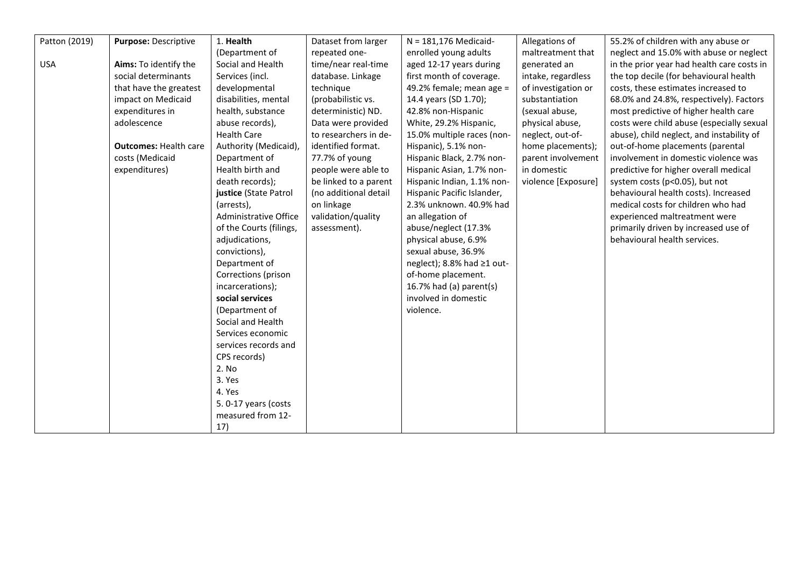| Patton (2019) | Purpose: Descriptive         | 1. Health               | Dataset from larger   | $N = 181,176$ Medicaid-    | Allegations of      | 55.2% of children with any abuse or        |
|---------------|------------------------------|-------------------------|-----------------------|----------------------------|---------------------|--------------------------------------------|
|               |                              | (Department of          | repeated one-         | enrolled young adults      | maltreatment that   | neglect and 15.0% with abuse or neglect    |
| <b>USA</b>    | Aims: To identify the        | Social and Health       | time/near real-time   | aged 12-17 years during    | generated an        | in the prior year had health care costs in |
|               | social determinants          | Services (incl.         | database. Linkage     | first month of coverage.   | intake, regardless  | the top decile (for behavioural health     |
|               | that have the greatest       | developmental           | technique             | 49.2% female; mean age =   | of investigation or | costs, these estimates increased to        |
|               | impact on Medicaid           | disabilities, mental    | (probabilistic vs.    | 14.4 years (SD 1.70);      | substantiation      | 68.0% and 24.8%, respectively). Factors    |
|               | expenditures in              | health, substance       | deterministic) ND.    | 42.8% non-Hispanic         | (sexual abuse,      | most predictive of higher health care      |
|               | adolescence                  | abuse records),         | Data were provided    | White, 29.2% Hispanic,     | physical abuse,     | costs were child abuse (especially sexual  |
|               |                              | <b>Health Care</b>      | to researchers in de- | 15.0% multiple races (non- | neglect, out-of-    | abuse), child neglect, and instability of  |
|               | <b>Outcomes: Health care</b> | Authority (Medicaid),   | identified format.    | Hispanic), 5.1% non-       | home placements);   | out-of-home placements (parental           |
|               | costs (Medicaid              | Department of           | 77.7% of young        | Hispanic Black, 2.7% non-  | parent involvement  | involvement in domestic violence was       |
|               | expenditures)                | Health birth and        | people were able to   | Hispanic Asian, 1.7% non-  | in domestic         | predictive for higher overall medical      |
|               |                              | death records);         | be linked to a parent | Hispanic Indian, 1.1% non- | violence [Exposure] | system costs (p<0.05), but not             |
|               |                              | justice (State Patrol   | (no additional detail | Hispanic Pacific Islander, |                     | behavioural health costs). Increased       |
|               |                              | (arrests),              | on linkage            | 2.3% unknown, 40.9% had    |                     | medical costs for children who had         |
|               |                              | Administrative Office   | validation/quality    | an allegation of           |                     | experienced maltreatment were              |
|               |                              | of the Courts (filings, | assessment).          | abuse/neglect (17.3%       |                     | primarily driven by increased use of       |
|               |                              | adjudications,          |                       | physical abuse, 6.9%       |                     | behavioural health services.               |
|               |                              | convictions),           |                       | sexual abuse, 36.9%        |                     |                                            |
|               |                              | Department of           |                       | neglect); 8.8% had ≥1 out- |                     |                                            |
|               |                              | Corrections (prison     |                       | of-home placement.         |                     |                                            |
|               |                              | incarcerations);        |                       | 16.7% had (a) parent(s)    |                     |                                            |
|               |                              | social services         |                       | involved in domestic       |                     |                                            |
|               |                              | (Department of          |                       | violence.                  |                     |                                            |
|               |                              | Social and Health       |                       |                            |                     |                                            |
|               |                              | Services economic       |                       |                            |                     |                                            |
|               |                              | services records and    |                       |                            |                     |                                            |
|               |                              | CPS records)            |                       |                            |                     |                                            |
|               |                              | 2. No                   |                       |                            |                     |                                            |
|               |                              | 3. Yes                  |                       |                            |                     |                                            |
|               |                              | 4. Yes                  |                       |                            |                     |                                            |
|               |                              | 5.0-17 years (costs     |                       |                            |                     |                                            |
|               |                              | measured from 12-       |                       |                            |                     |                                            |
|               |                              | 17)                     |                       |                            |                     |                                            |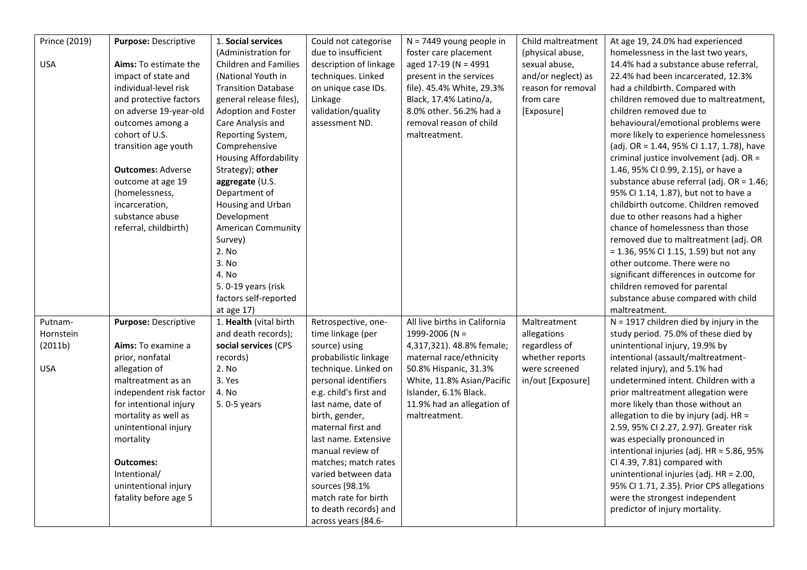| Prince (2019) | Purpose: Descriptive     | 1. Social services           | Could not categorise   | $N = 7449$ young people in    | Child maltreatment | At age 19, 24.0% had experienced          |
|---------------|--------------------------|------------------------------|------------------------|-------------------------------|--------------------|-------------------------------------------|
|               |                          | (Administration for          | due to insufficient    | foster care placement         | (physical abuse,   | homelessness in the last two years,       |
| <b>USA</b>    | Aims: To estimate the    | <b>Children and Families</b> | description of linkage | aged 17-19 (N = 4991          | sexual abuse,      | 14.4% had a substance abuse referral,     |
|               | impact of state and      | (National Youth in           | techniques. Linked     | present in the services       | and/or neglect) as | 22.4% had been incarcerated, 12.3%        |
|               | individual-level risk    | <b>Transition Database</b>   | on unique case IDs.    | file). 45.4% White, 29.3%     | reason for removal | had a childbirth. Compared with           |
|               | and protective factors   | general release files),      | Linkage                | Black, 17.4% Latino/a,        | from care          | children removed due to maltreatment,     |
|               | on adverse 19-year-old   | Adoption and Foster          | validation/quality     | 8.0% other. 56.2% had a       | [Exposure]         | children removed due to                   |
|               | outcomes among a         | Care Analysis and            | assessment ND.         | removal reason of child       |                    | behavioural/emotional problems were       |
|               | cohort of U.S.           | Reporting System,            |                        | maltreatment.                 |                    | more likely to experience homelessness    |
|               | transition age youth     | Comprehensive                |                        |                               |                    | (adj. OR = 1.44, 95% CI 1.17, 1.78), have |
|               |                          | <b>Housing Affordability</b> |                        |                               |                    | criminal justice involvement (adj. OR =   |
|               | <b>Outcomes: Adverse</b> | Strategy); other             |                        |                               |                    | 1.46, 95% CI 0.99, 2.15), or have a       |
|               | outcome at age 19        | aggregate (U.S.              |                        |                               |                    | substance abuse referral (adj. OR = 1.46; |
|               | (homelessness,           | Department of                |                        |                               |                    | 95% CI 1.14, 1.87), but not to have a     |
|               | incarceration,           | Housing and Urban            |                        |                               |                    | childbirth outcome. Children removed      |
|               | substance abuse          | Development                  |                        |                               |                    | due to other reasons had a higher         |
|               | referral, childbirth)    | <b>American Community</b>    |                        |                               |                    | chance of homelessness than those         |
|               |                          | Survey)                      |                        |                               |                    | removed due to maltreatment (adj. OR      |
|               |                          | 2. No                        |                        |                               |                    | $= 1.36$ , 95% CI 1.15, 1.59) but not any |
|               |                          | 3. No                        |                        |                               |                    | other outcome. There were no              |
|               |                          | 4. No                        |                        |                               |                    | significant differences in outcome for    |
|               |                          | 5. 0-19 years (risk          |                        |                               |                    | children removed for parental             |
|               |                          | factors self-reported        |                        |                               |                    | substance abuse compared with child       |
|               |                          | at age $17)$                 |                        |                               |                    | maltreatment.                             |
| Putnam-       | Purpose: Descriptive     | 1. Health (vital birth       | Retrospective, one-    | All live births in California | Maltreatment       | $N = 1917$ children died by injury in the |
| Hornstein     |                          | and death records);          | time linkage (per      | 1999-2006 (N =                | allegations        | study period. 75.0% of these died by      |
| (2011b)       | Aims: To examine a       | social services (CPS         | source) using          | 4,317,321). 48.8% female;     | regardless of      | unintentional injury, 19.9% by            |
|               | prior, nonfatal          | records)                     | probabilistic linkage  | maternal race/ethnicity       | whether reports    | intentional (assault/maltreatment-        |
| <b>USA</b>    | allegation of            | 2. No                        | technique. Linked on   | 50.8% Hispanic, 31.3%         | were screened      | related injury), and 5.1% had             |
|               | maltreatment as an       | 3. Yes                       | personal identifiers   | White, 11.8% Asian/Pacific    | in/out [Exposure]  | undetermined intent. Children with a      |
|               | independent risk factor  | 4. No                        | e.g. child's first and | Islander, 6.1% Black.         |                    | prior maltreatment allegation were        |
|               | for intentional injury   | 5.0-5 years                  | last name, date of     | 11.9% had an allegation of    |                    | more likely than those without an         |
|               | mortality as well as     |                              | birth, gender,         | maltreatment.                 |                    | allegation to die by injury (adj. HR =    |
|               | unintentional injury     |                              | maternal first and     |                               |                    | 2.59, 95% CI 2.27, 2.97). Greater risk    |
|               | mortality                |                              | last name. Extensive   |                               |                    | was especially pronounced in              |
|               |                          |                              | manual review of       |                               |                    | intentional injuries (adj. HR = 5.86, 95% |
|               | <b>Outcomes:</b>         |                              | matches; match rates   |                               |                    | CI 4.39, 7.81) compared with              |
|               | Intentional/             |                              | varied between data    |                               |                    | unintentional injuries (adj. HR = 2.00,   |
|               | unintentional injury     |                              | sources (98.1%         |                               |                    | 95% CI 1.71, 2.35). Prior CPS allegations |
|               | fatality before age 5    |                              | match rate for birth   |                               |                    | were the strongest independent            |
|               |                          |                              | to death records) and  |                               |                    | predictor of injury mortality.            |
|               |                          |                              | across years (84.6-    |                               |                    |                                           |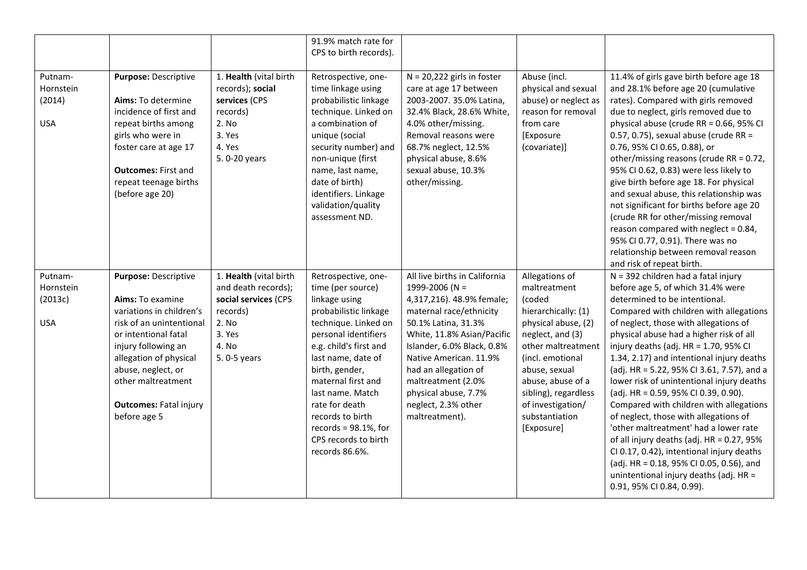|                                               |                                                                                                                                                                                                                                                                        |                                                                                                                              | 91.9% match rate for<br>CPS to birth records).                                                                                                                                                                                                                                                                                                             |                                                                                                                                                                                                                                                                                                                                     |                                                                                                                                                                                                                                                                         |                                                                                                                                                                                                                                                                                                                                                                                                                                                                                                                                                                                                                                                                                                                                                                                                             |
|-----------------------------------------------|------------------------------------------------------------------------------------------------------------------------------------------------------------------------------------------------------------------------------------------------------------------------|------------------------------------------------------------------------------------------------------------------------------|------------------------------------------------------------------------------------------------------------------------------------------------------------------------------------------------------------------------------------------------------------------------------------------------------------------------------------------------------------|-------------------------------------------------------------------------------------------------------------------------------------------------------------------------------------------------------------------------------------------------------------------------------------------------------------------------------------|-------------------------------------------------------------------------------------------------------------------------------------------------------------------------------------------------------------------------------------------------------------------------|-------------------------------------------------------------------------------------------------------------------------------------------------------------------------------------------------------------------------------------------------------------------------------------------------------------------------------------------------------------------------------------------------------------------------------------------------------------------------------------------------------------------------------------------------------------------------------------------------------------------------------------------------------------------------------------------------------------------------------------------------------------------------------------------------------------|
| Putnam-<br>Hornstein<br>(2014)<br><b>USA</b>  | Purpose: Descriptive<br>Aims: To determine<br>incidence of first and<br>repeat births among<br>girls who were in<br>foster care at age 17<br><b>Outcomes: First and</b><br>repeat teenage births<br>(before age 20)                                                    | 1. Health (vital birth<br>records); social<br>services (CPS<br>records)<br>2. No<br>3. Yes<br>4. Yes<br>5.0-20 years         | Retrospective, one-<br>time linkage using<br>probabilistic linkage<br>technique. Linked on<br>a combination of<br>unique (social<br>security number) and<br>non-unique (first<br>name, last name,<br>date of birth)<br>identifiers. Linkage<br>validation/quality<br>assessment ND.                                                                        | $N = 20,222$ girls in foster<br>care at age 17 between<br>2003-2007. 35.0% Latina,<br>32.4% Black, 28.6% White,<br>4.0% other/missing.<br>Removal reasons were<br>68.7% neglect, 12.5%<br>physical abuse, 8.6%<br>sexual abuse, 10.3%<br>other/missing.                                                                             | Abuse (incl.<br>physical and sexual<br>abuse) or neglect as<br>reason for removal<br>from care<br>[Exposure<br>(covariate)]                                                                                                                                             | 11.4% of girls gave birth before age 18<br>and 28.1% before age 20 (cumulative<br>rates). Compared with girls removed<br>due to neglect, girls removed due to<br>physical abuse (crude RR = 0.66, 95% CI<br>0.57, 0.75), sexual abuse (crude RR =<br>0.76, 95% CI 0.65, 0.88), or<br>other/missing reasons (crude RR = 0.72,<br>95% CI 0.62, 0.83) were less likely to<br>give birth before age 18. For physical<br>and sexual abuse, this relationship was<br>not significant for births before age 20<br>(crude RR for other/missing removal<br>reason compared with neglect = 0.84,<br>95% CI 0.77, 0.91). There was no<br>relationship between removal reason<br>and risk of repeat birth.                                                                                                              |
| Putnam-<br>Hornstein<br>(2013c)<br><b>USA</b> | Purpose: Descriptive<br>Aims: To examine<br>variations in children's<br>risk of an unintentional<br>or intentional fatal<br>injury following an<br>allegation of physical<br>abuse, neglect, or<br>other maltreatment<br><b>Outcomes: Fatal injury</b><br>before age 5 | 1. Health (vital birth<br>and death records);<br>social services (CPS<br>records)<br>2. No<br>3. Yes<br>4. No<br>5.0-5 years | Retrospective, one-<br>time (per source)<br>linkage using<br>probabilistic linkage<br>technique. Linked on<br>personal identifiers<br>e.g. child's first and<br>last name, date of<br>birth, gender,<br>maternal first and<br>last name. Match<br>rate for death<br>records to birth<br>records = $98.1\%$ , for<br>CPS records to birth<br>records 86.6%. | All live births in California<br>1999-2006 (N =<br>4,317,216). 48.9% female;<br>maternal race/ethnicity<br>50.1% Latina, 31.3%<br>White, 11.8% Asian/Pacific<br>Islander, 6.0% Black, 0.8%<br>Native American. 11.9%<br>had an allegation of<br>maltreatment (2.0%<br>physical abuse, 7.7%<br>neglect, 2.3% other<br>maltreatment). | Allegations of<br>maltreatment<br>(coded<br>hierarchically: (1)<br>physical abuse, (2)<br>neglect, and (3)<br>other maltreatment<br>(incl. emotional<br>abuse, sexual<br>abuse, abuse of a<br>sibling), regardless<br>of investigation/<br>substantiation<br>[Exposure] | N = 392 children had a fatal injury<br>before age 5, of which 31.4% were<br>determined to be intentional.<br>Compared with children with allegations<br>of neglect, those with allegations of<br>physical abuse had a higher risk of all<br>injury deaths (adj. HR = 1.70, 95% CI<br>1.34, 2.17) and intentional injury deaths<br>(adj. HR = 5.22, 95% CI 3.61, 7.57), and a<br>lower risk of unintentional injury deaths<br>(adj. HR = 0.59, 95% CI 0.39, 0.90).<br>Compared with children with allegations<br>of neglect, those with allegations of<br>'other maltreatment' had a lower rate<br>of all injury deaths (adj. HR = 0.27, 95%<br>CI 0.17, 0.42), intentional injury deaths<br>(adj. HR = 0.18, 95% CI 0.05, 0.56), and<br>unintentional injury deaths (adj. HR =<br>0.91, 95% CI 0.84, 0.99). |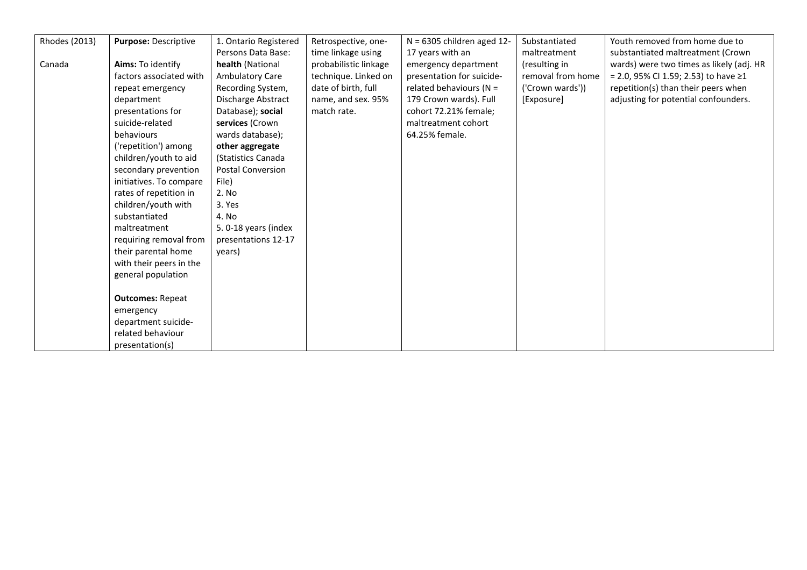| Rhodes (2013) | Purpose: Descriptive    | 1. Ontario Registered    | Retrospective, one-   | $N = 6305$ children aged 12- | Substantiated     | Youth removed from home due to           |
|---------------|-------------------------|--------------------------|-----------------------|------------------------------|-------------------|------------------------------------------|
|               |                         | Persons Data Base:       | time linkage using    | 17 years with an             | maltreatment      | substantiated maltreatment (Crown        |
| Canada        | Aims: To identify       | health (National         | probabilistic linkage | emergency department         | (resulting in     | wards) were two times as likely (adj. HR |
|               | factors associated with | <b>Ambulatory Care</b>   | technique. Linked on  | presentation for suicide-    | removal from home | = 2.0, 95% CI 1.59; 2.53) to have ≥1     |
|               | repeat emergency        | Recording System,        | date of birth, full   | related behaviours ( $N =$   | ('Crown wards'))  | repetition(s) than their peers when      |
|               | department              | Discharge Abstract       | name, and sex. 95%    | 179 Crown wards). Full       | [Exposure]        | adjusting for potential confounders.     |
|               | presentations for       | Database); social        | match rate.           | cohort 72.21% female;        |                   |                                          |
|               | suicide-related         | services (Crown          |                       | maltreatment cohort          |                   |                                          |
|               | behaviours              | wards database);         |                       | 64.25% female.               |                   |                                          |
|               | ('repetition') among    | other aggregate          |                       |                              |                   |                                          |
|               | children/youth to aid   | (Statistics Canada       |                       |                              |                   |                                          |
|               | secondary prevention    | <b>Postal Conversion</b> |                       |                              |                   |                                          |
|               | initiatives. To compare | File)                    |                       |                              |                   |                                          |
|               | rates of repetition in  | 2. No                    |                       |                              |                   |                                          |
|               | children/youth with     | 3. Yes                   |                       |                              |                   |                                          |
|               | substantiated           | 4. No                    |                       |                              |                   |                                          |
|               | maltreatment            | 5. 0-18 years (index     |                       |                              |                   |                                          |
|               | requiring removal from  | presentations 12-17      |                       |                              |                   |                                          |
|               | their parental home     | years)                   |                       |                              |                   |                                          |
|               | with their peers in the |                          |                       |                              |                   |                                          |
|               | general population      |                          |                       |                              |                   |                                          |
|               |                         |                          |                       |                              |                   |                                          |
|               | <b>Outcomes: Repeat</b> |                          |                       |                              |                   |                                          |
|               | emergency               |                          |                       |                              |                   |                                          |
|               | department suicide-     |                          |                       |                              |                   |                                          |
|               | related behaviour       |                          |                       |                              |                   |                                          |
|               | presentation(s)         |                          |                       |                              |                   |                                          |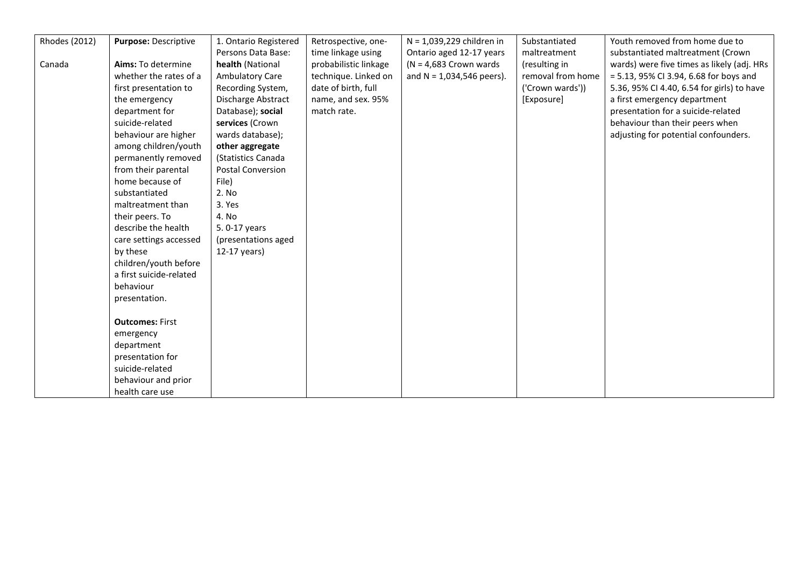| <b>Rhodes (2012)</b> | Purpose: Descriptive    | 1. Ontario Registered | Retrospective, one-   | N = 1,039,229 children in   | Substantiated     | Youth removed from home due to             |
|----------------------|-------------------------|-----------------------|-----------------------|-----------------------------|-------------------|--------------------------------------------|
|                      |                         | Persons Data Base:    | time linkage using    | Ontario aged 12-17 years    | maltreatment      | substantiated maltreatment (Crown          |
| Canada               | Aims: To determine      | health (National      | probabilistic linkage | $(N = 4,683$ Crown wards    | (resulting in     | wards) were five times as likely (adj. HRs |
|                      | whether the rates of a  | Ambulatory Care       | technique. Linked on  | and $N = 1,034,546$ peers). | removal from home | $= 5.13$ , 95% CI 3.94, 6.68 for boys and  |
|                      | first presentation to   | Recording System,     | date of birth, full   |                             | ('Crown wards'))  | 5.36, 95% CI 4.40, 6.54 for girls) to have |
|                      | the emergency           | Discharge Abstract    | name, and sex. 95%    |                             | [Exposure]        | a first emergency department               |
|                      | department for          | Database); social     | match rate.           |                             |                   | presentation for a suicide-related         |
|                      | suicide-related         | services (Crown       |                       |                             |                   | behaviour than their peers when            |
|                      | behaviour are higher    | wards database);      |                       |                             |                   | adjusting for potential confounders.       |
|                      | among children/youth    | other aggregate       |                       |                             |                   |                                            |
|                      | permanently removed     | (Statistics Canada    |                       |                             |                   |                                            |
|                      | from their parental     | Postal Conversion     |                       |                             |                   |                                            |
|                      | home because of         | File)                 |                       |                             |                   |                                            |
|                      | substantiated           | 2. No                 |                       |                             |                   |                                            |
|                      | maltreatment than       | 3. Yes                |                       |                             |                   |                                            |
|                      | their peers. To         | 4. No                 |                       |                             |                   |                                            |
|                      | describe the health     | 5.0-17 years          |                       |                             |                   |                                            |
|                      | care settings accessed  | (presentations aged   |                       |                             |                   |                                            |
|                      | by these                | 12-17 years)          |                       |                             |                   |                                            |
|                      | children/youth before   |                       |                       |                             |                   |                                            |
|                      | a first suicide-related |                       |                       |                             |                   |                                            |
|                      | behaviour               |                       |                       |                             |                   |                                            |
|                      | presentation.           |                       |                       |                             |                   |                                            |
|                      |                         |                       |                       |                             |                   |                                            |
|                      | <b>Outcomes: First</b>  |                       |                       |                             |                   |                                            |
|                      | emergency               |                       |                       |                             |                   |                                            |
|                      | department              |                       |                       |                             |                   |                                            |
|                      | presentation for        |                       |                       |                             |                   |                                            |
|                      | suicide-related         |                       |                       |                             |                   |                                            |
|                      | behaviour and prior     |                       |                       |                             |                   |                                            |
|                      | health care use         |                       |                       |                             |                   |                                            |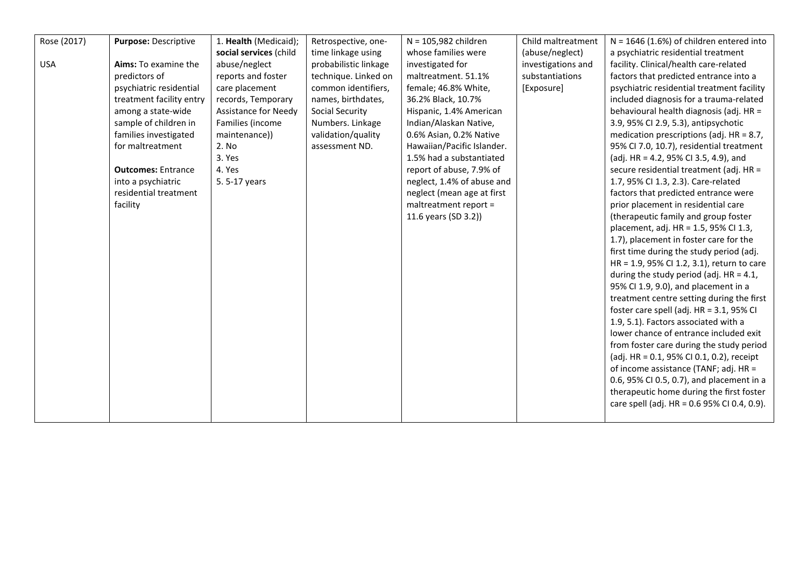| Rose (2017) | Purpose: Descriptive      | 1. Health (Medicaid);       | Retrospective, one-    | $N = 105,982$ children     | Child maltreatment | $N = 1646$ (1.6%) of children entered into  |
|-------------|---------------------------|-----------------------------|------------------------|----------------------------|--------------------|---------------------------------------------|
|             |                           | social services (child      | time linkage using     | whose families were        | (abuse/neglect)    | a psychiatric residential treatment         |
| <b>USA</b>  | Aims: To examine the      | abuse/neglect               | probabilistic linkage  | investigated for           | investigations and | facility. Clinical/health care-related      |
|             | predictors of             | reports and foster          | technique. Linked on   | maltreatment. 51.1%        | substantiations    | factors that predicted entrance into a      |
|             | psychiatric residential   | care placement              | common identifiers,    | female; 46.8% White,       | [Exposure]         | psychiatric residential treatment facility  |
|             | treatment facility entry  | records, Temporary          | names, birthdates,     | 36.2% Black, 10.7%         |                    | included diagnosis for a trauma-related     |
|             | among a state-wide        | <b>Assistance for Needy</b> | <b>Social Security</b> | Hispanic, 1.4% American    |                    | behavioural health diagnosis (adj. HR =     |
|             | sample of children in     | Families (income            | Numbers. Linkage       | Indian/Alaskan Native,     |                    | 3.9, 95% CI 2.9, 5.3), antipsychotic        |
|             | families investigated     | maintenance))               | validation/quality     | 0.6% Asian, 0.2% Native    |                    | medication prescriptions (adj. $HR = 8.7$ , |
|             | for maltreatment          | 2. No                       | assessment ND.         | Hawaiian/Pacific Islander. |                    | 95% CI 7.0, 10.7), residential treatment    |
|             |                           | 3. Yes                      |                        | 1.5% had a substantiated   |                    | (adj. HR = 4.2, 95% CI 3.5, 4.9), and       |
|             | <b>Outcomes: Entrance</b> | 4. Yes                      |                        | report of abuse, 7.9% of   |                    | secure residential treatment (adj. HR =     |
|             | into a psychiatric        | 5.5-17 years                |                        | neglect, 1.4% of abuse and |                    | 1.7, 95% CI 1.3, 2.3). Care-related         |
|             | residential treatment     |                             |                        | neglect (mean age at first |                    | factors that predicted entrance were        |
|             | facility                  |                             |                        | maltreatment report =      |                    | prior placement in residential care         |
|             |                           |                             |                        | 11.6 years (SD 3.2))       |                    | (therapeutic family and group foster        |
|             |                           |                             |                        |                            |                    | placement, adj. HR = 1.5, 95% CI 1.3,       |
|             |                           |                             |                        |                            |                    | 1.7), placement in foster care for the      |
|             |                           |                             |                        |                            |                    | first time during the study period (adj.    |
|             |                           |                             |                        |                            |                    | HR = 1.9, 95% CI 1.2, 3.1), return to care  |
|             |                           |                             |                        |                            |                    | during the study period (adj. $HR = 4.1$ ,  |
|             |                           |                             |                        |                            |                    | 95% CI 1.9, 9.0), and placement in a        |
|             |                           |                             |                        |                            |                    | treatment centre setting during the first   |
|             |                           |                             |                        |                            |                    | foster care spell (adj. HR = 3.1, 95% CI    |
|             |                           |                             |                        |                            |                    | 1.9, 5.1). Factors associated with a        |
|             |                           |                             |                        |                            |                    | lower chance of entrance included exit      |
|             |                           |                             |                        |                            |                    | from foster care during the study period    |
|             |                           |                             |                        |                            |                    | (adj. HR = 0.1, 95% CI 0.1, 0.2), receipt   |
|             |                           |                             |                        |                            |                    | of income assistance (TANF; adj. HR =       |
|             |                           |                             |                        |                            |                    | 0.6, 95% CI 0.5, 0.7), and placement in a   |
|             |                           |                             |                        |                            |                    | therapeutic home during the first foster    |
|             |                           |                             |                        |                            |                    | care spell (adj. HR = 0.6 95% CI 0.4, 0.9). |
|             |                           |                             |                        |                            |                    |                                             |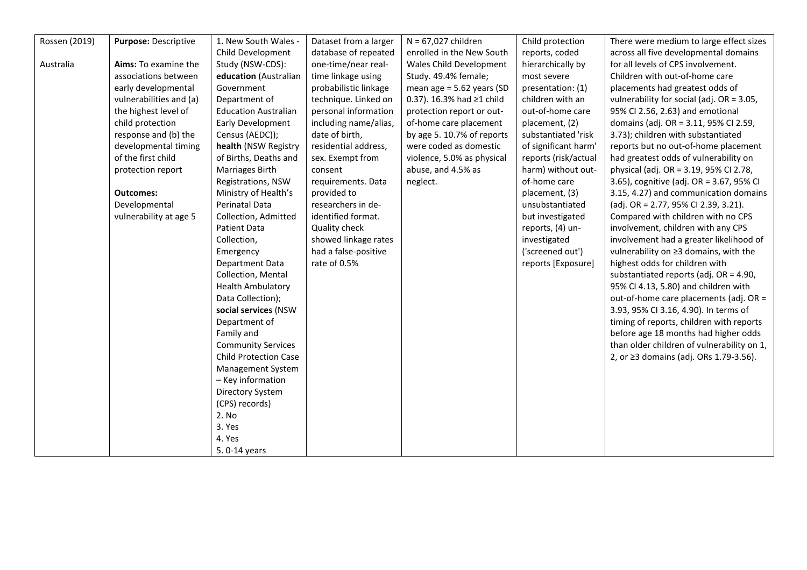| Rossen (2019) | Purpose: Descriptive    | 1. New South Wales -         | Dataset from a larger | $N = 67,027$ children       | Child protection     | There were medium to large effect sizes    |
|---------------|-------------------------|------------------------------|-----------------------|-----------------------------|----------------------|--------------------------------------------|
|               |                         | Child Development            | database of repeated  | enrolled in the New South   | reports, coded       | across all five developmental domains      |
| Australia     | Aims: To examine the    | Study (NSW-CDS):             | one-time/near real-   | Wales Child Development     | hierarchically by    | for all levels of CPS involvement.         |
|               | associations between    | education (Australian        | time linkage using    | Study. 49.4% female;        | most severe          | Children with out-of-home care             |
|               | early developmental     | Government                   | probabilistic linkage | mean age = $5.62$ years (SD | presentation: (1)    | placements had greatest odds of            |
|               | vulnerabilities and (a) | Department of                | technique. Linked on  | 0.37). 16.3% had ≥1 child   | children with an     | vulnerability for social (adj. OR = 3.05,  |
|               | the highest level of    | <b>Education Australian</b>  | personal information  | protection report or out-   | out-of-home care     | 95% CI 2.56, 2.63) and emotional           |
|               | child protection        | <b>Early Development</b>     | including name/alias, | of-home care placement      | placement, (2)       | domains (adj. OR = 3.11, 95% CI 2.59,      |
|               | response and (b) the    | Census (AEDC));              | date of birth,        | by age 5. 10.7% of reports  | substantiated 'risk  | 3.73); children with substantiated         |
|               | developmental timing    | health (NSW Registry         | residential address,  | were coded as domestic      | of significant harm' | reports but no out-of-home placement       |
|               | of the first child      | of Births, Deaths and        | sex. Exempt from      | violence, 5.0% as physical  | reports (risk/actual | had greatest odds of vulnerability on      |
|               | protection report       | Marriages Birth              | consent               | abuse, and 4.5% as          | harm) without out-   | physical (adj. OR = 3.19, 95% CI 2.78,     |
|               |                         | Registrations, NSW           | requirements. Data    | neglect.                    | of-home care         | 3.65), cognitive (adj. OR = 3.67, 95% CI   |
|               | <b>Outcomes:</b>        | Ministry of Health's         | provided to           |                             | placement, (3)       | 3.15, 4.27) and communication domains      |
|               | Developmental           | Perinatal Data               | researchers in de-    |                             | unsubstantiated      | (adj. OR = 2.77, 95% CI 2.39, 3.21).       |
|               | vulnerability at age 5  | Collection, Admitted         | identified format.    |                             | but investigated     | Compared with children with no CPS         |
|               |                         | <b>Patient Data</b>          | Quality check         |                             | reports, (4) un-     | involvement, children with any CPS         |
|               |                         | Collection,                  | showed linkage rates  |                             | investigated         | involvement had a greater likelihood of    |
|               |                         | Emergency                    | had a false-positive  |                             | ('screened out')     | vulnerability on ≥3 domains, with the      |
|               |                         | Department Data              | rate of 0.5%          |                             | reports [Exposure]   | highest odds for children with             |
|               |                         | Collection, Mental           |                       |                             |                      | substantiated reports (adj. $OR = 4.90$ ,  |
|               |                         | <b>Health Ambulatory</b>     |                       |                             |                      | 95% CI 4.13, 5.80) and children with       |
|               |                         | Data Collection);            |                       |                             |                      | out-of-home care placements (adj. OR =     |
|               |                         | social services (NSW         |                       |                             |                      | 3.93, 95% CI 3.16, 4.90). In terms of      |
|               |                         | Department of                |                       |                             |                      | timing of reports, children with reports   |
|               |                         | Family and                   |                       |                             |                      | before age 18 months had higher odds       |
|               |                         | <b>Community Services</b>    |                       |                             |                      | than older children of vulnerability on 1, |
|               |                         | <b>Child Protection Case</b> |                       |                             |                      | 2, or ≥3 domains (adj. ORs 1.79-3.56).     |
|               |                         | Management System            |                       |                             |                      |                                            |
|               |                         | - Key information            |                       |                             |                      |                                            |
|               |                         | Directory System             |                       |                             |                      |                                            |
|               |                         | (CPS) records)               |                       |                             |                      |                                            |
|               |                         | 2. No                        |                       |                             |                      |                                            |
|               |                         | 3. Yes                       |                       |                             |                      |                                            |
|               |                         | 4. Yes                       |                       |                             |                      |                                            |
|               |                         | 5.0-14 years                 |                       |                             |                      |                                            |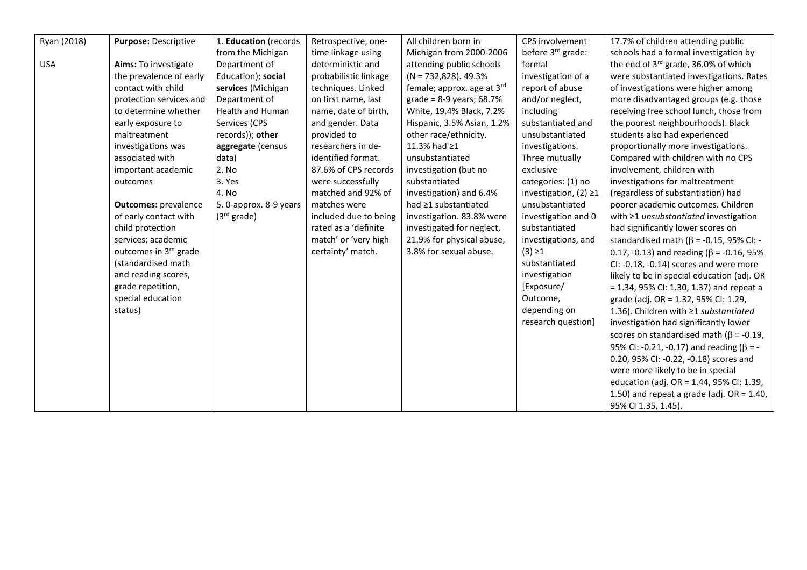| Ryan (2018) | Purpose: Descriptive        | 1. Education (records   | Retrospective, one-   | All children born in         | CPS involvement               | 17.7% of children attending public               |
|-------------|-----------------------------|-------------------------|-----------------------|------------------------------|-------------------------------|--------------------------------------------------|
|             |                             | from the Michigan       | time linkage using    | Michigan from 2000-2006      | before 3 <sup>rd</sup> grade: | schools had a formal investigation by            |
| <b>USA</b>  | Aims: To investigate        | Department of           | deterministic and     | attending public schools     | formal                        | the end of 3 <sup>rd</sup> grade, 36.0% of which |
|             | the prevalence of early     | Education); social      | probabilistic linkage | $(N = 732,828)$ . 49.3%      | investigation of a            | were substantiated investigations. Rates         |
|             | contact with child          | services (Michigan      | techniques. Linked    | female; approx. age at 3rd   | report of abuse               | of investigations were higher among              |
|             | protection services and     | Department of           | on first name, last   | grade = $8-9$ years; $68.7%$ | and/or neglect,               | more disadvantaged groups (e.g. those            |
|             | to determine whether        | <b>Health and Human</b> | name, date of birth,  | White, 19.4% Black, 7.2%     | including                     | receiving free school lunch, those from          |
|             | early exposure to           | Services (CPS           | and gender. Data      | Hispanic, 3.5% Asian, 1.2%   | substantiated and             | the poorest neighbourhoods). Black               |
|             | maltreatment                | records)); other        | provided to           | other race/ethnicity.        | unsubstantiated               | students also had experienced                    |
|             | investigations was          | aggregate (census       | researchers in de-    | 11.3% had ≥1                 | investigations.               | proportionally more investigations.              |
|             | associated with             | data)                   | identified format.    | unsubstantiated              | Three mutually                | Compared with children with no CPS               |
|             | important academic          | 2. No                   | 87.6% of CPS records  | investigation (but no        | exclusive                     | involvement, children with                       |
|             | outcomes                    | 3. Yes                  | were successfully     | substantiated                | categories: (1) no            | investigations for maltreatment                  |
|             |                             | 4. No                   | matched and 92% of    | investigation) and 6.4%      | investigation, $(2) \ge 1$    | (regardless of substantiation) had               |
|             | <b>Outcomes: prevalence</b> | 5. 0-approx. 8-9 years  | matches were          | had ≥1 substantiated         | unsubstantiated               | poorer academic outcomes. Children               |
|             | of early contact with       | (3 <sup>rd</sup> grade) | included due to being | investigation. 83.8% were    | investigation and 0           | with ≥1 unsubstantiated investigation            |
|             | child protection            |                         | rated as a 'definite  | investigated for neglect,    | substantiated                 | had significantly lower scores on                |
|             | services; academic          |                         | match' or 'very high  | 21.9% for physical abuse,    | investigations, and           | standardised math ( $\beta$ = -0.15, 95% CI: -   |
|             | outcomes in 3rd grade       |                         | certainty' match.     | 3.8% for sexual abuse.       | $(3) \ge 1$                   | 0.17, -0.13) and reading ( $\beta$ = -0.16, 95%  |
|             | (standardised math          |                         |                       |                              | substantiated                 | CI: -0.18, -0.14) scores and were more           |
|             | and reading scores,         |                         |                       |                              | investigation                 | likely to be in special education (adj. OR       |
|             | grade repetition,           |                         |                       |                              | [Exposure/                    | $= 1.34$ , 95% CI: 1.30, 1.37) and repeat a      |
|             | special education           |                         |                       |                              | Outcome,                      | grade (adj. OR = 1.32, 95% CI: 1.29,             |
|             | status)                     |                         |                       |                              | depending on                  | 1.36). Children with ≥1 substantiated            |
|             |                             |                         |                       |                              | research question]            | investigation had significantly lower            |
|             |                             |                         |                       |                              |                               | scores on standardised math ( $\beta$ = -0.19,   |
|             |                             |                         |                       |                              |                               | 95% CI: -0.21, -0.17) and reading ( $\beta$ = -  |
|             |                             |                         |                       |                              |                               | 0.20, 95% CI: -0.22, -0.18) scores and           |
|             |                             |                         |                       |                              |                               | were more likely to be in special                |
|             |                             |                         |                       |                              |                               | education (adj. OR = 1.44, 95% CI: 1.39,         |
|             |                             |                         |                       |                              |                               | 1.50) and repeat a grade (adj. $OR = 1.40$ ,     |
|             |                             |                         |                       |                              |                               | 95% CI 1.35, 1.45).                              |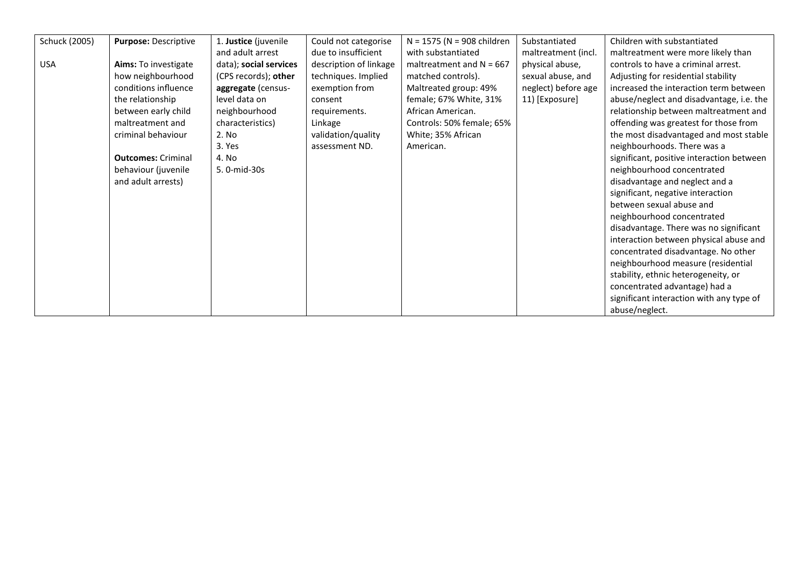| Schuck (2005) | Purpose: Descriptive      | 1. Justice (juvenile   | Could not categorise   | $N = 1575$ (N = 908 children | Substantiated       | Children with substantiated               |
|---------------|---------------------------|------------------------|------------------------|------------------------------|---------------------|-------------------------------------------|
|               |                           | and adult arrest       | due to insufficient    | with substantiated           | maltreatment (incl. | maltreatment were more likely than        |
| <b>USA</b>    | Aims: To investigate      | data); social services | description of linkage | maltreatment and $N = 667$   | physical abuse,     | controls to have a criminal arrest.       |
|               | how neighbourhood         | (CPS records); other   | techniques. Implied    | matched controls).           | sexual abuse, and   | Adjusting for residential stability       |
|               | conditions influence      | aggregate (census-     | exemption from         | Maltreated group: 49%        | neglect) before age | increased the interaction term between    |
|               | the relationship          | level data on          | consent                | female; 67% White, 31%       | 11) [Exposure]      | abuse/neglect and disadvantage, i.e. the  |
|               | between early child       | neighbourhood          | requirements.          | African American.            |                     | relationship between maltreatment and     |
|               | maltreatment and          | characteristics)       | Linkage                | Controls: 50% female; 65%    |                     | offending was greatest for those from     |
|               | criminal behaviour        | 2. No                  | validation/quality     | White; 35% African           |                     | the most disadvantaged and most stable    |
|               |                           | 3. Yes                 | assessment ND.         | American.                    |                     | neighbourhoods. There was a               |
|               | <b>Outcomes: Criminal</b> | 4. No                  |                        |                              |                     | significant, positive interaction between |
|               | behaviour (juvenile       | 5.0-mid-30s            |                        |                              |                     | neighbourhood concentrated                |
|               | and adult arrests)        |                        |                        |                              |                     | disadvantage and neglect and a            |
|               |                           |                        |                        |                              |                     | significant, negative interaction         |
|               |                           |                        |                        |                              |                     | between sexual abuse and                  |
|               |                           |                        |                        |                              |                     | neighbourhood concentrated                |
|               |                           |                        |                        |                              |                     | disadvantage. There was no significant    |
|               |                           |                        |                        |                              |                     | interaction between physical abuse and    |
|               |                           |                        |                        |                              |                     | concentrated disadvantage. No other       |
|               |                           |                        |                        |                              |                     | neighbourhood measure (residential        |
|               |                           |                        |                        |                              |                     | stability, ethnic heterogeneity, or       |
|               |                           |                        |                        |                              |                     | concentrated advantage) had a             |
|               |                           |                        |                        |                              |                     | significant interaction with any type of  |
|               |                           |                        |                        |                              |                     | abuse/neglect.                            |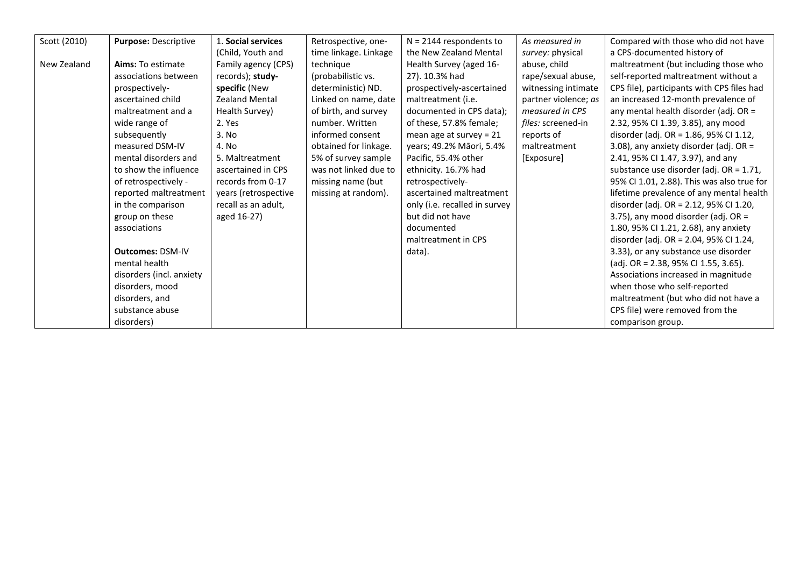| Scott (2010) | Purpose: Descriptive     | 1. Social services    | Retrospective, one-   | $N = 2144$ respondents to     | As measured in       | Compared with those who did not have       |
|--------------|--------------------------|-----------------------|-----------------------|-------------------------------|----------------------|--------------------------------------------|
|              |                          | (Child, Youth and     | time linkage. Linkage | the New Zealand Mental        | survey: physical     | a CPS-documented history of                |
| New Zealand  | Aims: To estimate        | Family agency (CPS)   | technique             | Health Survey (aged 16-       | abuse, child         | maltreatment (but including those who      |
|              | associations between     | records); study-      | (probabilistic vs.    | 27). 10.3% had                | rape/sexual abuse,   | self-reported maltreatment without a       |
|              | prospectively-           | specific (New         | deterministic) ND.    | prospectively-ascertained     | witnessing intimate  | CPS file), participants with CPS files had |
|              | ascertained child        | <b>Zealand Mental</b> | Linked on name, date  | maltreatment (i.e.            | partner violence; as | an increased 12-month prevalence of        |
|              | maltreatment and a       | Health Survey)        | of birth, and survey  | documented in CPS data);      | measured in CPS      | any mental health disorder (adj. OR =      |
|              | wide range of            | 2. Yes                | number. Written       | of these, 57.8% female;       | files: screened-in   | 2.32, 95% CI 1.39, 3.85), any mood         |
|              | subsequently             | 3. No                 | informed consent      | mean age at survey = $21$     | reports of           | disorder (adj. OR = 1.86, 95% CI 1.12,     |
|              | measured DSM-IV          | 4. No                 | obtained for linkage. | years; 49.2% Māori, 5.4%      | maltreatment         | 3.08), any anxiety disorder (adj. OR =     |
|              | mental disorders and     | 5. Maltreatment       | 5% of survey sample   | Pacific, 55.4% other          | [Exposure]           | 2.41, 95% CI 1.47, 3.97), and any          |
|              | to show the influence    | ascertained in CPS    | was not linked due to | ethnicity. 16.7% had          |                      | substance use disorder (adj. OR = 1.71,    |
|              | of retrospectively -     | records from 0-17     | missing name (but     | retrospectively-              |                      | 95% CI 1.01, 2.88). This was also true for |
|              | reported maltreatment    | years (retrospective  | missing at random).   | ascertained maltreatment      |                      | lifetime prevalence of any mental health   |
|              | in the comparison        | recall as an adult,   |                       | only (i.e. recalled in survey |                      | disorder (adj. OR = 2.12, 95% CI 1.20,     |
|              | group on these           | aged 16-27)           |                       | but did not have              |                      | 3.75), any mood disorder (adj. OR $=$      |
|              | associations             |                       |                       | documented                    |                      | 1.80, 95% CI 1.21, 2.68), any anxiety      |
|              |                          |                       |                       | maltreatment in CPS           |                      | disorder (adj. OR = 2.04, 95% CI 1.24,     |
|              | <b>Outcomes: DSM-IV</b>  |                       |                       | data).                        |                      | 3.33), or any substance use disorder       |
|              | mental health            |                       |                       |                               |                      | (adj. OR = 2.38, 95% CI 1.55, 3.65).       |
|              | disorders (incl. anxiety |                       |                       |                               |                      | Associations increased in magnitude        |
|              | disorders, mood          |                       |                       |                               |                      | when those who self-reported               |
|              | disorders, and           |                       |                       |                               |                      | maltreatment (but who did not have a       |
|              | substance abuse          |                       |                       |                               |                      | CPS file) were removed from the            |
|              | disorders)               |                       |                       |                               |                      | comparison group.                          |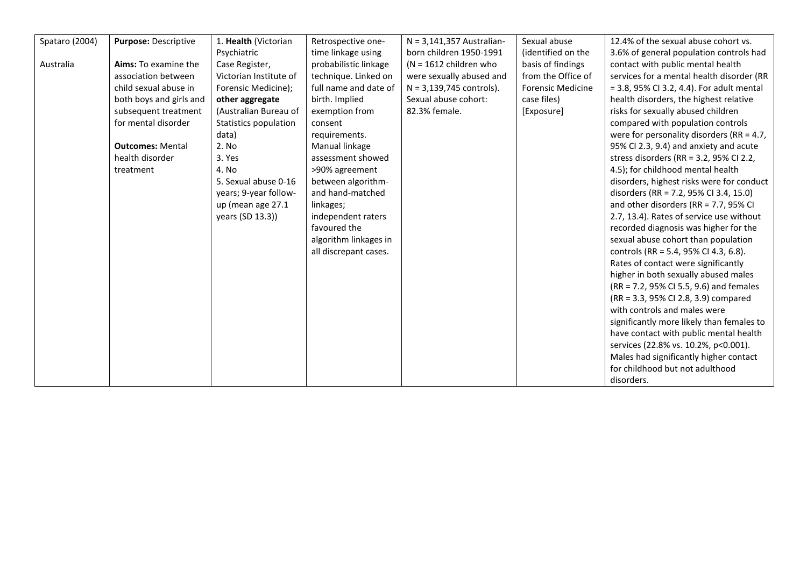| Spataro (2004) | Purpose: Descriptive    | 1. Health (Victorian   | Retrospective one-    | $N = 3,141,357$ Australian- | Sexual abuse             | 12.4% of the sexual abuse cohort vs.         |
|----------------|-------------------------|------------------------|-----------------------|-----------------------------|--------------------------|----------------------------------------------|
|                |                         | Psychiatric            | time linkage using    | born children 1950-1991     | (identified on the       | 3.6% of general population controls had      |
| Australia      | Aims: To examine the    | Case Register,         | probabilistic linkage | $(N = 1612$ children who    | basis of findings        | contact with public mental health            |
|                | association between     | Victorian Institute of | technique. Linked on  | were sexually abused and    | from the Office of       | services for a mental health disorder (RR    |
|                | child sexual abuse in   | Forensic Medicine);    | full name and date of | $N = 3,139,745$ controls).  | <b>Forensic Medicine</b> | = 3.8, 95% CI 3.2, 4.4). For adult mental    |
|                | both boys and girls and | other aggregate        | birth. Implied        | Sexual abuse cohort:        | case files)              | health disorders, the highest relative       |
|                | subsequent treatment    | (Australian Bureau of  | exemption from        | 82.3% female.               | [Exposure]               | risks for sexually abused children           |
|                | for mental disorder     | Statistics population  | consent               |                             |                          | compared with population controls            |
|                |                         | data)                  | requirements.         |                             |                          | were for personality disorders (RR = $4.7$ , |
|                | <b>Outcomes: Mental</b> | 2. No                  | Manual linkage        |                             |                          | 95% CI 2.3, 9.4) and anxiety and acute       |
|                | health disorder         | 3. Yes                 | assessment showed     |                             |                          | stress disorders (RR = $3.2$ , 95% CI 2.2,   |
|                | treatment               | 4. No                  | >90% agreement        |                             |                          | 4.5); for childhood mental health            |
|                |                         | 5. Sexual abuse 0-16   | between algorithm-    |                             |                          | disorders, highest risks were for conduct    |
|                |                         | years; 9-year follow-  | and hand-matched      |                             |                          | disorders (RR = 7.2, 95% CI 3.4, 15.0)       |
|                |                         | up (mean age 27.1      | linkages;             |                             |                          | and other disorders (RR = $7.7$ , 95% CI     |
|                |                         | years (SD 13.3))       | independent raters    |                             |                          | 2.7, 13.4). Rates of service use without     |
|                |                         |                        | favoured the          |                             |                          | recorded diagnosis was higher for the        |
|                |                         |                        | algorithm linkages in |                             |                          | sexual abuse cohort than population          |
|                |                         |                        | all discrepant cases. |                             |                          | controls (RR = 5.4, 95% CI 4.3, 6.8).        |
|                |                         |                        |                       |                             |                          | Rates of contact were significantly          |
|                |                         |                        |                       |                             |                          | higher in both sexually abused males         |
|                |                         |                        |                       |                             |                          | (RR = 7.2, 95% CI 5.5, 9.6) and females      |
|                |                         |                        |                       |                             |                          | (RR = 3.3, 95% CI 2.8, 3.9) compared         |
|                |                         |                        |                       |                             |                          | with controls and males were                 |
|                |                         |                        |                       |                             |                          | significantly more likely than females to    |
|                |                         |                        |                       |                             |                          | have contact with public mental health       |
|                |                         |                        |                       |                             |                          | services (22.8% vs. 10.2%, p<0.001).         |
|                |                         |                        |                       |                             |                          | Males had significantly higher contact       |
|                |                         |                        |                       |                             |                          | for childhood but not adulthood              |
|                |                         |                        |                       |                             |                          | disorders.                                   |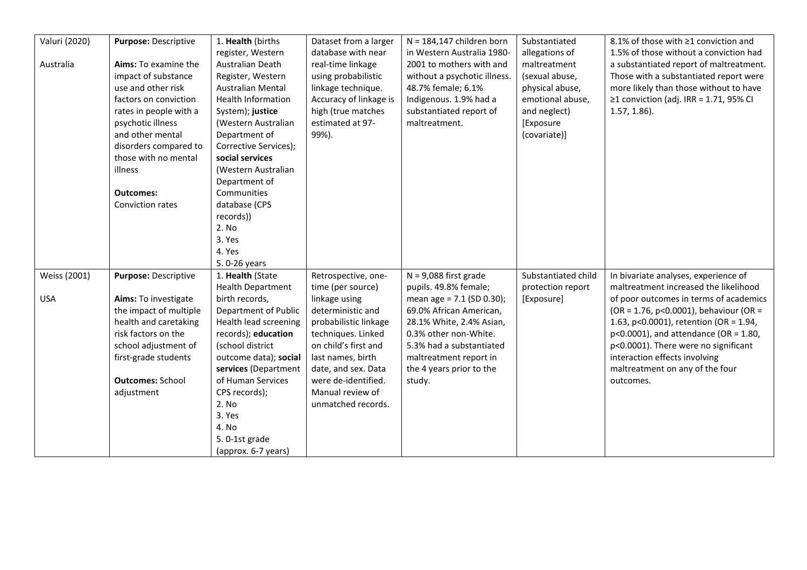| Valuri (2020) | Purpose: Descriptive    | 1. Health (births         | Dataset from a larger  | $N = 184,147$ children born  | Substantiated       | 8.1% of those with ≥1 conviction and     |
|---------------|-------------------------|---------------------------|------------------------|------------------------------|---------------------|------------------------------------------|
|               |                         | register, Western         | database with near     | in Western Australia 1980-   | allegations of      | 1.5% of those without a conviction had   |
| Australia     | Aims: To examine the    | Australian Death          | real-time linkage      | 2001 to mothers with and     | maltreatment        | a substantiated report of maltreatment.  |
|               | impact of substance     | Register, Western         | using probabilistic    | without a psychotic illness. | (sexual abuse,      | Those with a substantiated report were   |
|               | use and other risk      | <b>Australian Mental</b>  | linkage technique.     | 48.7% female; 6.1%           | physical abuse,     | more likely than those without to have   |
|               | factors on conviction   | <b>Health Information</b> | Accuracy of linkage is | Indigenous. 1.9% had a       | emotional abuse,    | ≥1 conviction (adj. IRR = 1.71, 95% CI   |
|               | rates in people with a  | System); justice          | high (true matches     | substantiated report of      | and neglect)        | $1.57, 1.86$ ).                          |
|               | psychotic illness       | (Western Australian       | estimated at 97-       | maltreatment.                | [Exposure           |                                          |
|               | and other mental        | Department of             | 99%).                  |                              | (covariate)]        |                                          |
|               | disorders compared to   | Corrective Services);     |                        |                              |                     |                                          |
|               | those with no mental    | social services           |                        |                              |                     |                                          |
|               | illness                 | (Western Australian       |                        |                              |                     |                                          |
|               |                         | Department of             |                        |                              |                     |                                          |
|               | <b>Outcomes:</b>        | Communities               |                        |                              |                     |                                          |
|               | Conviction rates        | database (CPS             |                        |                              |                     |                                          |
|               |                         | records))                 |                        |                              |                     |                                          |
|               |                         | 2. No                     |                        |                              |                     |                                          |
|               |                         | 3. Yes                    |                        |                              |                     |                                          |
|               |                         | 4. Yes                    |                        |                              |                     |                                          |
|               |                         | 5.0-26 years              |                        |                              |                     |                                          |
| Weiss (2001)  | Purpose: Descriptive    | 1. Health (State          | Retrospective, one-    | $N = 9,088$ first grade      | Substantiated child | In bivariate analyses, experience of     |
|               |                         | <b>Health Department</b>  | time (per source)      | pupils. 49.8% female;        | protection report   | maltreatment increased the likelihood    |
| <b>USA</b>    | Aims: To investigate    | birth records,            | linkage using          | mean age = $7.1$ (SD 0.30);  | [Exposure]          | of poor outcomes in terms of academics   |
|               | the impact of multiple  | Department of Public      | deterministic and      | 69.0% African American,      |                     | (OR = 1.76, p<0.0001), behaviour (OR =   |
|               | health and caretaking   | Health lead screening     | probabilistic linkage  | 28.1% White, 2.4% Asian,     |                     | 1.63, p<0.0001), retention (OR = 1.94,   |
|               | risk factors on the     | records); education       | techniques. Linked     | 0.3% other non-White.        |                     | $p<0.0001$ ), and attendance (OR = 1.80, |
|               | school adjustment of    | (school district          | on child's first and   | 5.3% had a substantiated     |                     | p<0.0001). There were no significant     |
|               | first-grade students    | outcome data); social     | last names, birth      | maltreatment report in       |                     | interaction effects involving            |
|               |                         | services (Department      | date, and sex. Data    | the 4 years prior to the     |                     | maltreatment on any of the four          |
|               | <b>Outcomes: School</b> | of Human Services         | were de-identified.    | study.                       |                     | outcomes.                                |
|               | adjustment              | CPS records);             | Manual review of       |                              |                     |                                          |
|               |                         | 2. No                     | unmatched records.     |                              |                     |                                          |
|               |                         | 3. Yes                    |                        |                              |                     |                                          |
|               |                         | 4. No                     |                        |                              |                     |                                          |
|               |                         | 5.0-1st grade             |                        |                              |                     |                                          |
|               |                         | (approx. 6-7 years)       |                        |                              |                     |                                          |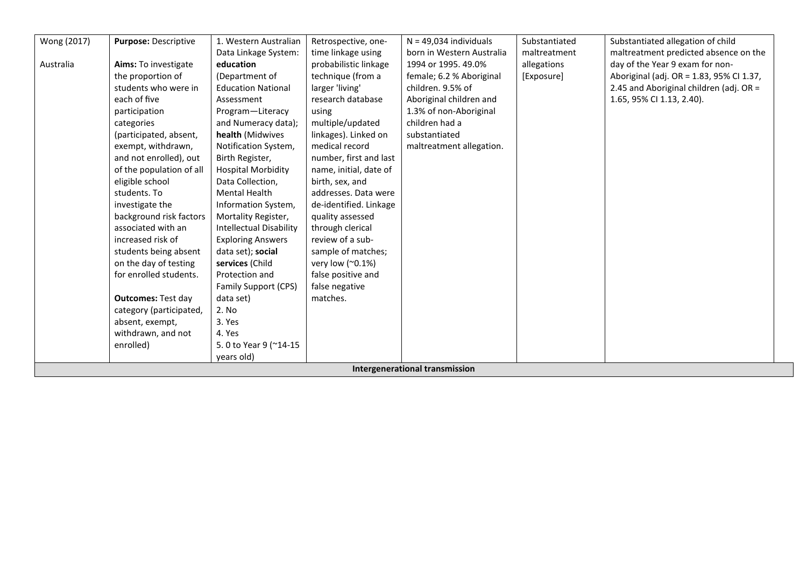| Wong (2017) | <b>Purpose: Descriptive</b> | 1. Western Australian          | Retrospective, one-    | $N = 49,034$ individuals              | Substantiated | Substantiated allegation of child        |
|-------------|-----------------------------|--------------------------------|------------------------|---------------------------------------|---------------|------------------------------------------|
|             |                             | Data Linkage System:           | time linkage using     | born in Western Australia             | maltreatment  | maltreatment predicted absence on the    |
| Australia   | Aims: To investigate        | education                      | probabilistic linkage  | 1994 or 1995. 49.0%                   | allegations   | day of the Year 9 exam for non-          |
|             | the proportion of           | (Department of                 | technique (from a      | female; 6.2 % Aboriginal              | [Exposure]    | Aboriginal (adj. OR = 1.83, 95% Cl 1.37, |
|             | students who were in        | <b>Education National</b>      | larger 'living'        | children. 9.5% of                     |               | 2.45 and Aboriginal children (adj. OR =  |
|             | each of five                | Assessment                     | research database      | Aboriginal children and               |               | 1.65, 95% CI 1.13, 2.40).                |
|             | participation               | Program-Literacy               | using                  | 1.3% of non-Aboriginal                |               |                                          |
|             | categories                  | and Numeracy data);            | multiple/updated       | children had a                        |               |                                          |
|             | (participated, absent,      | health (Midwives               | linkages). Linked on   | substantiated                         |               |                                          |
|             | exempt, withdrawn,          | Notification System,           | medical record         | maltreatment allegation.              |               |                                          |
|             | and not enrolled), out      | Birth Register,                | number, first and last |                                       |               |                                          |
|             | of the population of all    | <b>Hospital Morbidity</b>      | name, initial, date of |                                       |               |                                          |
|             | eligible school             | Data Collection,               | birth, sex, and        |                                       |               |                                          |
|             | students. To                | <b>Mental Health</b>           | addresses. Data were   |                                       |               |                                          |
|             | investigate the             | Information System,            | de-identified. Linkage |                                       |               |                                          |
|             | background risk factors     | Mortality Register,            | quality assessed       |                                       |               |                                          |
|             | associated with an          | <b>Intellectual Disability</b> | through clerical       |                                       |               |                                          |
|             | increased risk of           | <b>Exploring Answers</b>       | review of a sub-       |                                       |               |                                          |
|             | students being absent       | data set); social              | sample of matches;     |                                       |               |                                          |
|             | on the day of testing       | services (Child                | very low (~0.1%)       |                                       |               |                                          |
|             | for enrolled students.      | Protection and                 | false positive and     |                                       |               |                                          |
|             |                             | Family Support (CPS)           | false negative         |                                       |               |                                          |
|             | <b>Outcomes: Test day</b>   | data set)                      | matches.               |                                       |               |                                          |
|             | category (participated,     | 2. No                          |                        |                                       |               |                                          |
|             | absent, exempt,             | 3. Yes                         |                        |                                       |               |                                          |
|             | withdrawn, and not          | 4. Yes                         |                        |                                       |               |                                          |
|             | enrolled)                   | 5.0 to Year 9 (~14-15          |                        |                                       |               |                                          |
|             |                             | years old)                     |                        |                                       |               |                                          |
|             |                             |                                |                        | <b>Intergenerational transmission</b> |               |                                          |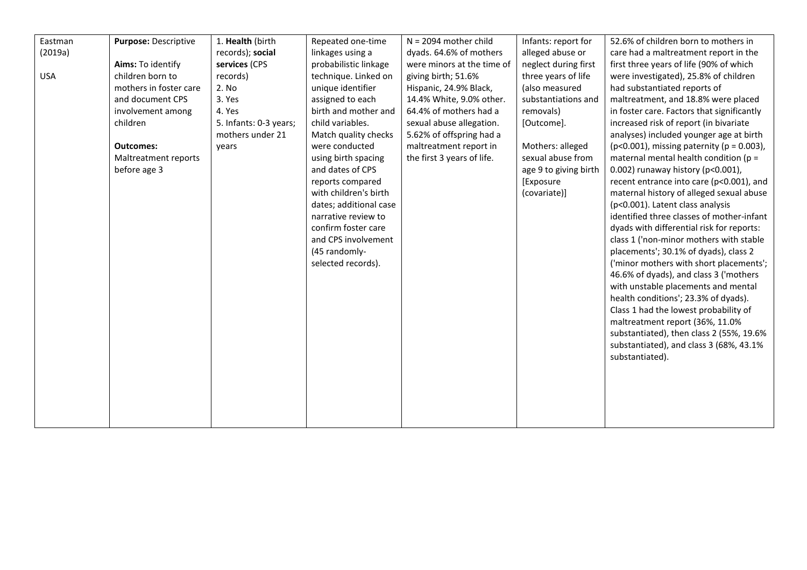| Eastman    | Purpose: Descriptive   | 1. Health (birth       | Repeated one-time      | $N = 2094$ mother child    | Infants: report for   | 52.6% of children born to mothers in                |
|------------|------------------------|------------------------|------------------------|----------------------------|-----------------------|-----------------------------------------------------|
| (2019a)    |                        | records); social       | linkages using a       | dyads. 64.6% of mothers    | alleged abuse or      | care had a maltreatment report in the               |
|            | Aims: To identify      | services (CPS          | probabilistic linkage  | were minors at the time of | neglect during first  | first three years of life (90% of which             |
| <b>USA</b> | children born to       | records)               | technique. Linked on   | giving birth; 51.6%        | three years of life   | were investigated), 25.8% of children               |
|            | mothers in foster care | 2. No                  | unique identifier      | Hispanic, 24.9% Black,     | (also measured        | had substantiated reports of                        |
|            | and document CPS       | 3. Yes                 | assigned to each       | 14.4% White, 9.0% other.   | substantiations and   | maltreatment, and 18.8% were placed                 |
|            | involvement among      | 4. Yes                 | birth and mother and   | 64.4% of mothers had a     | removals)             | in foster care. Factors that significantly          |
|            | children               | 5. Infants: 0-3 years; | child variables.       | sexual abuse allegation.   | [Outcome].            | increased risk of report (in bivariate              |
|            |                        | mothers under 21       | Match quality checks   | 5.62% of offspring had a   |                       | analyses) included younger age at birth             |
|            | <b>Outcomes:</b>       | years                  | were conducted         | maltreatment report in     | Mothers: alleged      | ( $p < 0.001$ ), missing paternity ( $p = 0.003$ ), |
|            | Maltreatment reports   |                        | using birth spacing    | the first 3 years of life. | sexual abuse from     | maternal mental health condition ( $p =$            |
|            | before age 3           |                        | and dates of CPS       |                            | age 9 to giving birth | 0.002) runaway history (p<0.001),                   |
|            |                        |                        | reports compared       |                            | [Exposure             | recent entrance into care (p<0.001), and            |
|            |                        |                        | with children's birth  |                            | (covariate)]          | maternal history of alleged sexual abuse            |
|            |                        |                        | dates; additional case |                            |                       | (p<0.001). Latent class analysis                    |
|            |                        |                        | narrative review to    |                            |                       | identified three classes of mother-infant           |
|            |                        |                        | confirm foster care    |                            |                       | dyads with differential risk for reports:           |
|            |                        |                        | and CPS involvement    |                            |                       | class 1 ('non-minor mothers with stable             |
|            |                        |                        | (45 randomly-          |                            |                       | placements'; 30.1% of dyads), class 2               |
|            |                        |                        | selected records).     |                            |                       | ('minor mothers with short placements';             |
|            |                        |                        |                        |                            |                       | 46.6% of dyads), and class 3 ('mothers              |
|            |                        |                        |                        |                            |                       | with unstable placements and mental                 |
|            |                        |                        |                        |                            |                       | health conditions'; 23.3% of dyads).                |
|            |                        |                        |                        |                            |                       | Class 1 had the lowest probability of               |
|            |                        |                        |                        |                            |                       | maltreatment report (36%, 11.0%                     |
|            |                        |                        |                        |                            |                       | substantiated), then class 2 (55%, 19.6%            |
|            |                        |                        |                        |                            |                       | substantiated), and class 3 (68%, 43.1%             |
|            |                        |                        |                        |                            |                       | substantiated).                                     |
|            |                        |                        |                        |                            |                       |                                                     |
|            |                        |                        |                        |                            |                       |                                                     |
|            |                        |                        |                        |                            |                       |                                                     |
|            |                        |                        |                        |                            |                       |                                                     |
|            |                        |                        |                        |                            |                       |                                                     |
|            |                        |                        |                        |                            |                       |                                                     |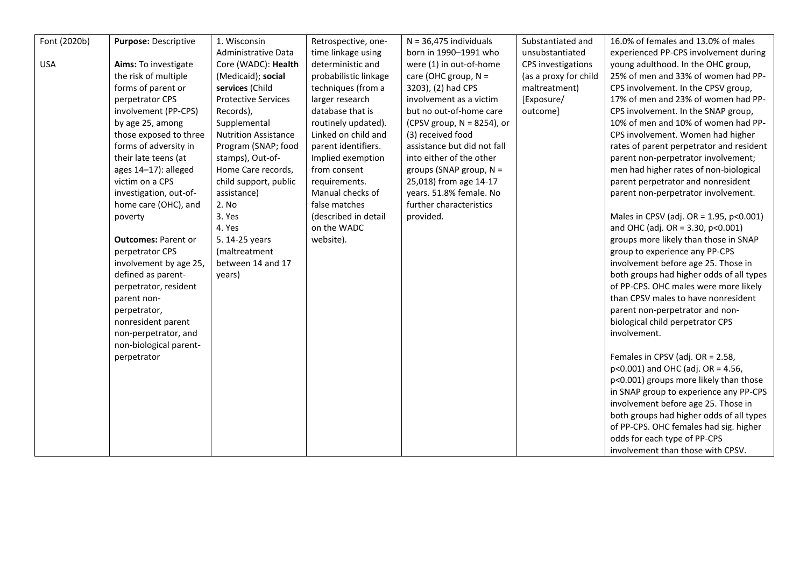| Font (2020b) | Purpose: Descriptive       | 1. Wisconsin                | Retrospective, one-   | $N = 36,475$ individuals      | Substantiated and     | 16.0% of females and 13.0% of males      |
|--------------|----------------------------|-----------------------------|-----------------------|-------------------------------|-----------------------|------------------------------------------|
|              |                            | Administrative Data         | time linkage using    | born in 1990-1991 who         | unsubstantiated       | experienced PP-CPS involvement during    |
| <b>USA</b>   | Aims: To investigate       | Core (WADC): Health         | deterministic and     | were (1) in out-of-home       | CPS investigations    | young adulthood. In the OHC group,       |
|              | the risk of multiple       | (Medicaid); social          | probabilistic linkage | care (OHC group, $N =$        | (as a proxy for child | 25% of men and 33% of women had PP-      |
|              | forms of parent or         | services (Child             | techniques (from a    | 3203), (2) had CPS            | maltreatment)         | CPS involvement. In the CPSV group,      |
|              | perpetrator CPS            | <b>Protective Services</b>  | larger research       | involvement as a victim       | [Exposure/            | 17% of men and 23% of women had PP-      |
|              | involvement (PP-CPS)       | Records),                   | database that is      | but no out-of-home care       | outcome]              | CPS involvement. In the SNAP group,      |
|              | by age 25, among           | Supplemental                | routinely updated).   | (CPSV group, $N = 8254$ ), or |                       | 10% of men and 10% of women had PP-      |
|              | those exposed to three     | <b>Nutrition Assistance</b> | Linked on child and   | (3) received food             |                       | CPS involvement. Women had higher        |
|              | forms of adversity in      | Program (SNAP; food         | parent identifiers.   | assistance but did not fall   |                       | rates of parent perpetrator and resident |
|              | their late teens (at       | stamps), Out-of-            | Implied exemption     | into either of the other      |                       | parent non-perpetrator involvement;      |
|              | ages 14-17): alleged       | Home Care records,          | from consent          | groups (SNAP group, $N =$     |                       | men had higher rates of non-biological   |
|              | victim on a CPS            | child support, public       | requirements.         | 25,018) from age 14-17        |                       | parent perpetrator and nonresident       |
|              | investigation, out-of-     | assistance)                 | Manual checks of      | years. 51.8% female. No       |                       | parent non-perpetrator involvement.      |
|              | home care (OHC), and       | 2. No                       | false matches         | further characteristics       |                       |                                          |
|              | poverty                    | 3. Yes                      | (described in detail  | provided.                     |                       | Males in CPSV (adj. OR = 1.95, p<0.001)  |
|              |                            | 4. Yes                      | on the WADC           |                               |                       | and OHC (adj. OR = 3.30, p<0.001)        |
|              | <b>Outcomes: Parent or</b> | 5. 14-25 years              | website).             |                               |                       | groups more likely than those in SNAP    |
|              | perpetrator CPS            | (maltreatment               |                       |                               |                       | group to experience any PP-CPS           |
|              | involvement by age 25,     | between 14 and 17           |                       |                               |                       | involvement before age 25. Those in      |
|              | defined as parent-         | years)                      |                       |                               |                       | both groups had higher odds of all types |
|              | perpetrator, resident      |                             |                       |                               |                       | of PP-CPS. OHC males were more likely    |
|              | parent non-                |                             |                       |                               |                       | than CPSV males to have nonresident      |
|              | perpetrator,               |                             |                       |                               |                       | parent non-perpetrator and non-          |
|              | nonresident parent         |                             |                       |                               |                       | biological child perpetrator CPS         |
|              | non-perpetrator, and       |                             |                       |                               |                       | involvement.                             |
|              | non-biological parent-     |                             |                       |                               |                       |                                          |
|              | perpetrator                |                             |                       |                               |                       | Females in CPSV (adj. OR = 2.58,         |
|              |                            |                             |                       |                               |                       | $p<0.001$ ) and OHC (adj. OR = 4.56,     |
|              |                            |                             |                       |                               |                       | p<0.001) groups more likely than those   |
|              |                            |                             |                       |                               |                       | in SNAP group to experience any PP-CPS   |
|              |                            |                             |                       |                               |                       | involvement before age 25. Those in      |
|              |                            |                             |                       |                               |                       | both groups had higher odds of all types |
|              |                            |                             |                       |                               |                       | of PP-CPS. OHC females had sig. higher   |
|              |                            |                             |                       |                               |                       | odds for each type of PP-CPS             |
|              |                            |                             |                       |                               |                       | involvement than those with CPSV.        |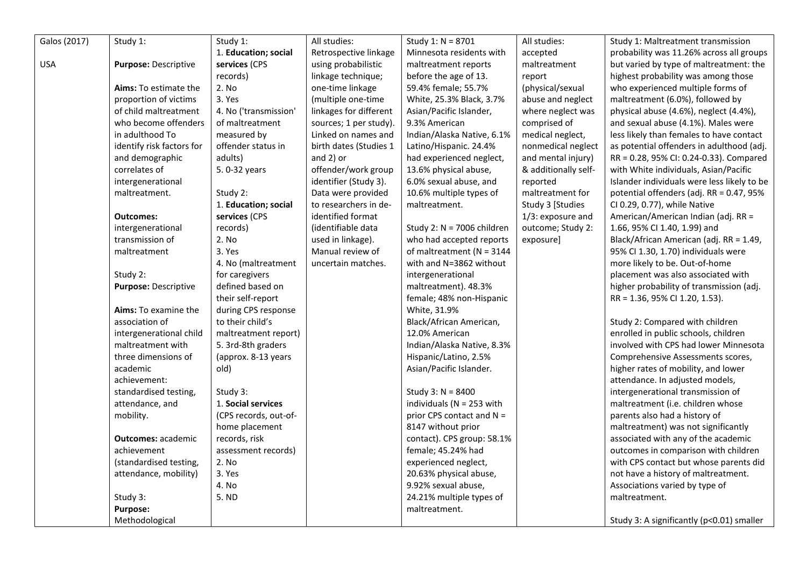| Galos (2017) | Study 1:                     | Study 1:              | All studies:           | Study 1: $N = 8701$          | All studies:         | Study 1: Maltreatment transmission          |
|--------------|------------------------------|-----------------------|------------------------|------------------------------|----------------------|---------------------------------------------|
|              |                              | 1. Education; social  | Retrospective linkage  | Minnesota residents with     | accepted             | probability was 11.26% across all groups    |
| <b>USA</b>   | Purpose: Descriptive         | services (CPS         | using probabilistic    | maltreatment reports         | maltreatment         | but varied by type of maltreatment: the     |
|              |                              | records)              | linkage technique;     | before the age of 13.        | report               | highest probability was among those         |
|              | <b>Aims:</b> To estimate the | 2. No                 | one-time linkage       | 59.4% female; 55.7%          | (physical/sexual     | who experienced multiple forms of           |
|              | proportion of victims        | 3. Yes                | (multiple one-time     | White, 25.3% Black, 3.7%     | abuse and neglect    | maltreatment (6.0%), followed by            |
|              | of child maltreatment        | 4. No ('transmission' | linkages for different | Asian/Pacific Islander,      | where neglect was    | physical abuse (4.6%), neglect (4.4%),      |
|              | who become offenders         | of maltreatment       | sources; 1 per study). | 9.3% American                | comprised of         | and sexual abuse (4.1%). Males were         |
|              | in adulthood To              | measured by           | Linked on names and    | Indian/Alaska Native, 6.1%   | medical neglect,     | less likely than females to have contact    |
|              | identify risk factors for    | offender status in    | birth dates (Studies 1 | Latino/Hispanic. 24.4%       | nonmedical neglect   | as potential offenders in adulthood (adj.   |
|              | and demographic              | adults)               | and $2)$ or            | had experienced neglect,     | and mental injury)   | RR = 0.28, 95% CI: 0.24-0.33). Compared     |
|              | correlates of                | 5.0-32 years          | offender/work group    | 13.6% physical abuse,        | & additionally self- | with White individuals, Asian/Pacific       |
|              | intergenerational            |                       | identifier (Study 3).  | 6.0% sexual abuse, and       | reported             | Islander individuals were less likely to be |
|              | maltreatment.                | Study 2:              | Data were provided     | 10.6% multiple types of      | maltreatment for     | potential offenders (adj. RR = 0.47, 95%    |
|              |                              | 1. Education; social  | to researchers in de-  | maltreatment.                | Study 3 [Studies     | CI 0.29, 0.77), while Native                |
|              | <b>Outcomes:</b>             | services (CPS         | identified format      |                              | 1/3: exposure and    | American/American Indian (adj. RR =         |
|              | intergenerational            | records)              | (identifiable data     | Study 2: N = 7006 children   | outcome; Study 2:    | 1.66, 95% CI 1.40, 1.99) and                |
|              | transmission of              | 2. No                 | used in linkage).      | who had accepted reports     | exposure]            | Black/African American (adj. RR = 1.49,     |
|              | maltreatment                 | 3. Yes                | Manual review of       | of maltreatment ( $N = 3144$ |                      | 95% Cl 1.30, 1.70) individuals were         |
|              |                              | 4. No (maltreatment)  | uncertain matches.     | with and N=3862 without      |                      | more likely to be. Out-of-home              |
|              | Study 2:                     | for caregivers        |                        | intergenerational            |                      | placement was also associated with          |
|              | Purpose: Descriptive         | defined based on      |                        | maltreatment). 48.3%         |                      | higher probability of transmission (adj.    |
|              |                              | their self-report     |                        | female; 48% non-Hispanic     |                      | RR = 1.36, 95% CI 1.20, 1.53).              |
|              | Aims: To examine the         | during CPS response   |                        | White, 31.9%                 |                      |                                             |
|              | association of               | to their child's      |                        | Black/African American,      |                      | Study 2: Compared with children             |
|              | intergenerational child      | maltreatment report)  |                        | 12.0% American               |                      | enrolled in public schools, children        |
|              | maltreatment with            | 5. 3rd-8th graders    |                        | Indian/Alaska Native, 8.3%   |                      | involved with CPS had lower Minnesota       |
|              | three dimensions of          | (approx. 8-13 years   |                        | Hispanic/Latino, 2.5%        |                      | Comprehensive Assessments scores,           |
|              | academic                     | old)                  |                        | Asian/Pacific Islander.      |                      | higher rates of mobility, and lower         |
|              | achievement:                 |                       |                        |                              |                      | attendance. In adjusted models,             |
|              | standardised testing,        | Study 3:              |                        | Study 3: $N = 8400$          |                      | intergenerational transmission of           |
|              | attendance, and              | 1. Social services    |                        | individuals ( $N = 253$ with |                      | maltreatment (i.e. children whose           |
|              | mobility.                    | (CPS records, out-of- |                        | prior CPS contact and N =    |                      | parents also had a history of               |
|              |                              | home placement        |                        | 8147 without prior           |                      | maltreatment) was not significantly         |
|              | <b>Outcomes: academic</b>    | records, risk         |                        | contact). CPS group: 58.1%   |                      | associated with any of the academic         |
|              | achievement                  | assessment records)   |                        | female; 45.24% had           |                      | outcomes in comparison with children        |
|              | (standardised testing,       | 2. No                 |                        | experienced neglect,         |                      | with CPS contact but whose parents did      |
|              | attendance, mobility)        | 3. Yes                |                        | 20.63% physical abuse,       |                      | not have a history of maltreatment.         |
|              |                              | 4. No                 |                        | 9.92% sexual abuse,          |                      | Associations varied by type of              |
|              | Study 3:                     | 5. ND                 |                        | 24.21% multiple types of     |                      | maltreatment.                               |
|              | Purpose:                     |                       |                        | maltreatment.                |                      |                                             |
|              | Methodological               |                       |                        |                              |                      | Study 3: A significantly (p<0.01) smaller   |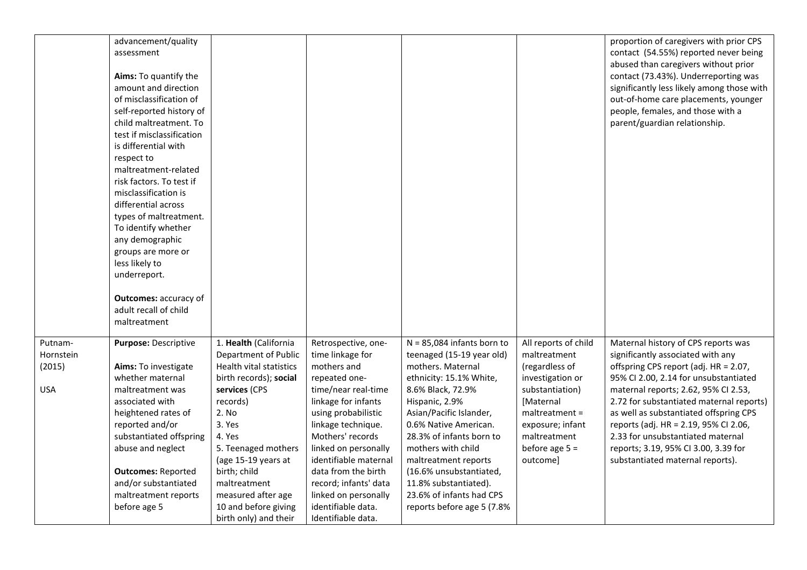|            | advancement/quality          |                         |                       |                              |                      | proportion of caregivers with prior CPS    |
|------------|------------------------------|-------------------------|-----------------------|------------------------------|----------------------|--------------------------------------------|
|            | assessment                   |                         |                       |                              |                      | contact (54.55%) reported never being      |
|            |                              |                         |                       |                              |                      | abused than caregivers without prior       |
|            | Aims: To quantify the        |                         |                       |                              |                      | contact (73.43%). Underreporting was       |
|            | amount and direction         |                         |                       |                              |                      | significantly less likely among those with |
|            | of misclassification of      |                         |                       |                              |                      | out-of-home care placements, younger       |
|            | self-reported history of     |                         |                       |                              |                      | people, females, and those with a          |
|            | child maltreatment. To       |                         |                       |                              |                      | parent/guardian relationship.              |
|            | test if misclassification    |                         |                       |                              |                      |                                            |
|            | is differential with         |                         |                       |                              |                      |                                            |
|            | respect to                   |                         |                       |                              |                      |                                            |
|            | maltreatment-related         |                         |                       |                              |                      |                                            |
|            | risk factors. To test if     |                         |                       |                              |                      |                                            |
|            | misclassification is         |                         |                       |                              |                      |                                            |
|            | differential across          |                         |                       |                              |                      |                                            |
|            | types of maltreatment.       |                         |                       |                              |                      |                                            |
|            | To identify whether          |                         |                       |                              |                      |                                            |
|            | any demographic              |                         |                       |                              |                      |                                            |
|            | groups are more or           |                         |                       |                              |                      |                                            |
|            | less likely to               |                         |                       |                              |                      |                                            |
|            | underreport.                 |                         |                       |                              |                      |                                            |
|            |                              |                         |                       |                              |                      |                                            |
|            | <b>Outcomes: accuracy of</b> |                         |                       |                              |                      |                                            |
|            | adult recall of child        |                         |                       |                              |                      |                                            |
|            | maltreatment                 |                         |                       |                              |                      |                                            |
|            |                              |                         |                       |                              |                      |                                            |
| Putnam-    | Purpose: Descriptive         | 1. Health (California   | Retrospective, one-   | $N = 85,084$ infants born to | All reports of child | Maternal history of CPS reports was        |
| Hornstein  |                              | Department of Public    | time linkage for      | teenaged (15-19 year old)    | maltreatment         | significantly associated with any          |
| (2015)     | <b>Aims:</b> To investigate  | Health vital statistics | mothers and           | mothers. Maternal            | (regardless of       | offspring CPS report (adj. HR = 2.07,      |
|            | whether maternal             | birth records); social  | repeated one-         | ethnicity: 15.1% White,      | investigation or     | 95% CI 2.00, 2.14 for unsubstantiated      |
| <b>USA</b> | maltreatment was             | services (CPS           | time/near real-time   | 8.6% Black, 72.9%            | substantiation)      | maternal reports; 2.62, 95% CI 2.53,       |
|            | associated with              | records)                | linkage for infants   | Hispanic, 2.9%               | [Maternal            | 2.72 for substantiated maternal reports)   |
|            | heightened rates of          | 2. No                   | using probabilistic   | Asian/Pacific Islander,      | $m$ altreatment =    | as well as substantiated offspring CPS     |
|            | reported and/or              | 3. Yes                  | linkage technique.    | 0.6% Native American.        | exposure; infant     | reports (adj. HR = 2.19, 95% CI 2.06,      |
|            | substantiated offspring      | 4. Yes                  | Mothers' records      | 28.3% of infants born to     | maltreatment         | 2.33 for unsubstantiated maternal          |
|            | abuse and neglect            | 5. Teenaged mothers     | linked on personally  | mothers with child           | before age $5 =$     | reports; 3.19, 95% CI 3.00, 3.39 for       |
|            |                              | (age 15-19 years at     | identifiable maternal | maltreatment reports         | outcome]             | substantiated maternal reports).           |
|            | <b>Outcomes: Reported</b>    | birth; child            | data from the birth   | (16.6% unsubstantiated,      |                      |                                            |
|            | and/or substantiated         | maltreatment            | record; infants' data | 11.8% substantiated).        |                      |                                            |
|            | maltreatment reports         | measured after age      | linked on personally  | 23.6% of infants had CPS     |                      |                                            |
|            | before age 5                 | 10 and before giving    | identifiable data.    | reports before age 5 (7.8%   |                      |                                            |
|            |                              | birth only) and their   | Identifiable data.    |                              |                      |                                            |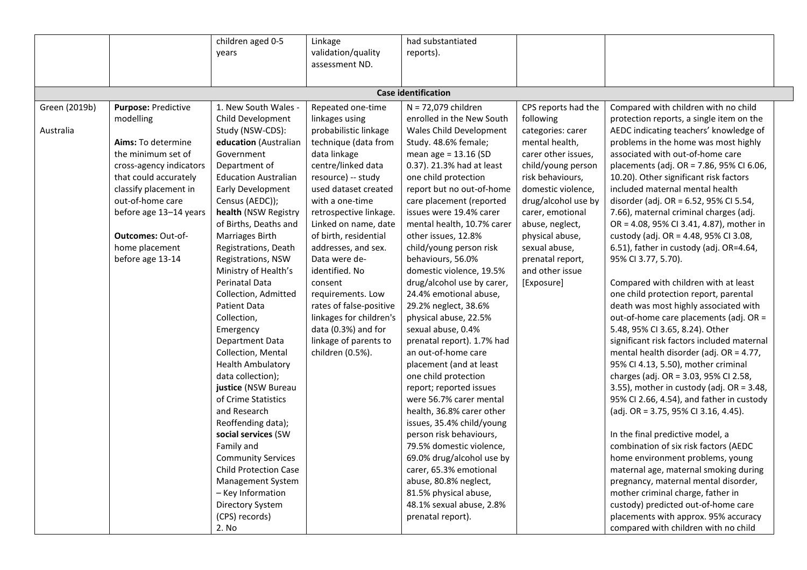|                            |                                                                                                                                                                                                                                                                           | children aged 0-5<br>years                                                                                                                                                                                                                                                                                                                                                                                                                                                                                                                                                                                                                                                                                                                                                                 | Linkage<br>validation/quality<br>assessment ND.                                                                                                                                                                                                                                                                                                                                                                                                                                            | had substantiated<br>reports).                                                                                                                                                                                                                                                                                                                                                                                                                                                                                                                                                                                                                                                                                                                                                                                                                                                                                                                                                |                                                                                                                                                                                                                                                                                                                       |                                                                                                                                                                                                                                                                                                                                                                                                                                                                                                                                                                                                                                                                                                                                                                                                                                                                                                                                                                                                                                                                                                                                                                                                                                                                                                                                                                                                                    |  |
|----------------------------|---------------------------------------------------------------------------------------------------------------------------------------------------------------------------------------------------------------------------------------------------------------------------|--------------------------------------------------------------------------------------------------------------------------------------------------------------------------------------------------------------------------------------------------------------------------------------------------------------------------------------------------------------------------------------------------------------------------------------------------------------------------------------------------------------------------------------------------------------------------------------------------------------------------------------------------------------------------------------------------------------------------------------------------------------------------------------------|--------------------------------------------------------------------------------------------------------------------------------------------------------------------------------------------------------------------------------------------------------------------------------------------------------------------------------------------------------------------------------------------------------------------------------------------------------------------------------------------|-------------------------------------------------------------------------------------------------------------------------------------------------------------------------------------------------------------------------------------------------------------------------------------------------------------------------------------------------------------------------------------------------------------------------------------------------------------------------------------------------------------------------------------------------------------------------------------------------------------------------------------------------------------------------------------------------------------------------------------------------------------------------------------------------------------------------------------------------------------------------------------------------------------------------------------------------------------------------------|-----------------------------------------------------------------------------------------------------------------------------------------------------------------------------------------------------------------------------------------------------------------------------------------------------------------------|--------------------------------------------------------------------------------------------------------------------------------------------------------------------------------------------------------------------------------------------------------------------------------------------------------------------------------------------------------------------------------------------------------------------------------------------------------------------------------------------------------------------------------------------------------------------------------------------------------------------------------------------------------------------------------------------------------------------------------------------------------------------------------------------------------------------------------------------------------------------------------------------------------------------------------------------------------------------------------------------------------------------------------------------------------------------------------------------------------------------------------------------------------------------------------------------------------------------------------------------------------------------------------------------------------------------------------------------------------------------------------------------------------------------|--|
|                            |                                                                                                                                                                                                                                                                           |                                                                                                                                                                                                                                                                                                                                                                                                                                                                                                                                                                                                                                                                                                                                                                                            |                                                                                                                                                                                                                                                                                                                                                                                                                                                                                            | <b>Case identification</b>                                                                                                                                                                                                                                                                                                                                                                                                                                                                                                                                                                                                                                                                                                                                                                                                                                                                                                                                                    |                                                                                                                                                                                                                                                                                                                       |                                                                                                                                                                                                                                                                                                                                                                                                                                                                                                                                                                                                                                                                                                                                                                                                                                                                                                                                                                                                                                                                                                                                                                                                                                                                                                                                                                                                                    |  |
| Green (2019b)<br>Australia | Purpose: Predictive<br>modelling<br>Aims: To determine<br>the minimum set of<br>cross-agency indicators<br>that could accurately<br>classify placement in<br>out-of-home care<br>before age 13-14 years<br><b>Outcomes: Out-of-</b><br>home placement<br>before age 13-14 | 1. New South Wales<br>Child Development<br>Study (NSW-CDS):<br>education (Australian<br>Government<br>Department of<br><b>Education Australian</b><br>Early Development<br>Census (AEDC));<br>health (NSW Registry<br>of Births, Deaths and<br>Marriages Birth<br>Registrations, Death<br>Registrations, NSW<br>Ministry of Health's<br>Perinatal Data<br>Collection, Admitted<br>Patient Data<br>Collection,<br>Emergency<br>Department Data<br>Collection, Mental<br><b>Health Ambulatory</b><br>data collection);<br>justice (NSW Bureau<br>of Crime Statistics<br>and Research<br>Reoffending data);<br>social services (SW<br>Family and<br><b>Community Services</b><br><b>Child Protection Case</b><br>Management System<br>- Key Information<br>Directory System<br>(CPS) records) | Repeated one-time<br>linkages using<br>probabilistic linkage<br>technique (data from<br>data linkage<br>centre/linked data<br>resource) -- study<br>used dataset created<br>with a one-time<br>retrospective linkage.<br>Linked on name, date<br>of birth, residential<br>addresses, and sex.<br>Data were de-<br>identified. No<br>consent<br>requirements. Low<br>rates of false-positive<br>linkages for children's<br>data (0.3%) and for<br>linkage of parents to<br>children (0.5%). | N = 72,079 children<br>enrolled in the New South<br>Wales Child Development<br>Study. 48.6% female;<br>mean age = 13.16 (SD<br>0.37). 21.3% had at least<br>one child protection<br>report but no out-of-home<br>care placement (reported<br>issues were 19.4% carer<br>mental health, 10.7% carer<br>other issues, 12.8%<br>child/young person risk<br>behaviours, 56.0%<br>domestic violence, 19.5%<br>drug/alcohol use by carer,<br>24.4% emotional abuse,<br>29.2% neglect, 38.6%<br>physical abuse, 22.5%<br>sexual abuse, 0.4%<br>prenatal report). 1.7% had<br>an out-of-home care<br>placement (and at least<br>one child protection<br>report; reported issues<br>were 56.7% carer mental<br>health, 36.8% carer other<br>issues, 35.4% child/young<br>person risk behaviours,<br>79.5% domestic violence,<br>69.0% drug/alcohol use by<br>carer, 65.3% emotional<br>abuse, 80.8% neglect,<br>81.5% physical abuse,<br>48.1% sexual abuse, 2.8%<br>prenatal report). | CPS reports had the<br>following<br>categories: carer<br>mental health,<br>carer other issues,<br>child/young person<br>risk behaviours,<br>domestic violence,<br>drug/alcohol use by<br>carer, emotional<br>abuse, neglect,<br>physical abuse,<br>sexual abuse,<br>prenatal report,<br>and other issue<br>[Exposure] | Compared with children with no child<br>protection reports, a single item on the<br>AEDC indicating teachers' knowledge of<br>problems in the home was most highly<br>associated with out-of-home care<br>placements (adj. OR = 7.86, 95% CI 6.06,<br>10.20). Other significant risk factors<br>included maternal mental health<br>disorder (adj. OR = 6.52, 95% CI 5.54,<br>7.66), maternal criminal charges (adj.<br>OR = 4.08, 95% CI 3.41, 4.87), mother in<br>custody (adj. OR = 4.48, 95% CI 3.08,<br>6.51), father in custody (adj. OR=4.64,<br>95% CI 3.77, 5.70).<br>Compared with children with at least<br>one child protection report, parental<br>death was most highly associated with<br>out-of-home care placements (adj. OR =<br>5.48, 95% CI 3.65, 8.24). Other<br>significant risk factors included maternal<br>mental health disorder (adj. OR = 4.77,<br>95% CI 4.13, 5.50), mother criminal<br>charges (adj. OR = 3.03, 95% CI 2.58,<br>3.55), mother in custody (adj. OR = 3.48,<br>95% CI 2.66, 4.54), and father in custody<br>(adj. OR = 3.75, 95% CI 3.16, 4.45).<br>In the final predictive model, a<br>combination of six risk factors (AEDC<br>home environment problems, young<br>maternal age, maternal smoking during<br>pregnancy, maternal mental disorder,<br>mother criminal charge, father in<br>custody) predicted out-of-home care<br>placements with approx. 95% accuracy |  |
|                            |                                                                                                                                                                                                                                                                           | 2. No                                                                                                                                                                                                                                                                                                                                                                                                                                                                                                                                                                                                                                                                                                                                                                                      |                                                                                                                                                                                                                                                                                                                                                                                                                                                                                            |                                                                                                                                                                                                                                                                                                                                                                                                                                                                                                                                                                                                                                                                                                                                                                                                                                                                                                                                                                               |                                                                                                                                                                                                                                                                                                                       | compared with children with no child                                                                                                                                                                                                                                                                                                                                                                                                                                                                                                                                                                                                                                                                                                                                                                                                                                                                                                                                                                                                                                                                                                                                                                                                                                                                                                                                                                               |  |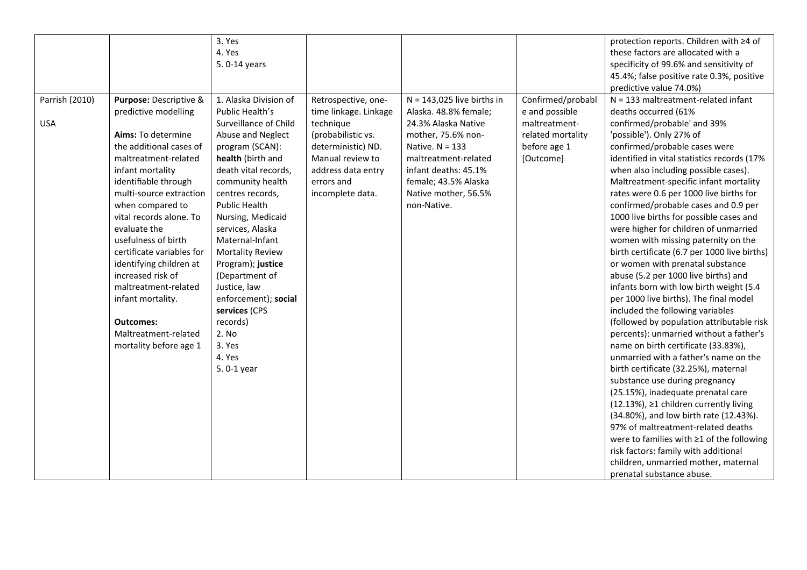|                |                           | 3. Yes                  |                       |                              |                   | protection reports. Children with ≥4 of      |
|----------------|---------------------------|-------------------------|-----------------------|------------------------------|-------------------|----------------------------------------------|
|                |                           | 4. Yes                  |                       |                              |                   | these factors are allocated with a           |
|                |                           | 5.0-14 years            |                       |                              |                   | specificity of 99.6% and sensitivity of      |
|                |                           |                         |                       |                              |                   | 45.4%; false positive rate 0.3%, positive    |
|                |                           |                         |                       |                              |                   | predictive value 74.0%)                      |
| Parrish (2010) | Purpose: Descriptive &    | 1. Alaska Division of   | Retrospective, one-   | $N = 143,025$ live births in | Confirmed/probabl | $N = 133$ maltreatment-related infant        |
|                | predictive modelling      | Public Health's         | time linkage. Linkage | Alaska. 48.8% female;        | e and possible    | deaths occurred (61%                         |
| <b>USA</b>     |                           | Surveillance of Child   | technique             | 24.3% Alaska Native          | maltreatment-     | confirmed/probable' and 39%                  |
|                | Aims: To determine        | Abuse and Neglect       | (probabilistic vs.    | mother, 75.6% non-           | related mortality | 'possible'). Only 27% of                     |
|                | the additional cases of   | program (SCAN):         | deterministic) ND.    | Native. $N = 133$            | before age 1      | confirmed/probable cases were                |
|                | maltreatment-related      | health (birth and       | Manual review to      | maltreatment-related         | [Outcome]         | identified in vital statistics records (17%  |
|                | infant mortality          | death vital records,    | address data entry    | infant deaths: 45.1%         |                   | when also including possible cases).         |
|                | identifiable through      | community health        | errors and            | female; 43.5% Alaska         |                   | Maltreatment-specific infant mortality       |
|                | multi-source extraction   | centres records,        | incomplete data.      | Native mother, 56.5%         |                   | rates were 0.6 per 1000 live births for      |
|                | when compared to          | Public Health           |                       | non-Native.                  |                   | confirmed/probable cases and 0.9 per         |
|                | vital records alone. To   | Nursing, Medicaid       |                       |                              |                   | 1000 live births for possible cases and      |
|                | evaluate the              | services, Alaska        |                       |                              |                   | were higher for children of unmarried        |
|                | usefulness of birth       | Maternal-Infant         |                       |                              |                   | women with missing paternity on the          |
|                | certificate variables for | <b>Mortality Review</b> |                       |                              |                   | birth certificate (6.7 per 1000 live births) |
|                | identifying children at   | Program); justice       |                       |                              |                   | or women with prenatal substance             |
|                | increased risk of         | (Department of          |                       |                              |                   | abuse (5.2 per 1000 live births) and         |
|                | maltreatment-related      | Justice, law            |                       |                              |                   | infants born with low birth weight (5.4      |
|                | infant mortality.         | enforcement); social    |                       |                              |                   | per 1000 live births). The final model       |
|                |                           | services (CPS           |                       |                              |                   | included the following variables             |
|                | <b>Outcomes:</b>          | records)                |                       |                              |                   | (followed by population attributable risk    |
|                | Maltreatment-related      | 2. No                   |                       |                              |                   | percents): unmarried without a father's      |
|                | mortality before age 1    | 3. Yes                  |                       |                              |                   | name on birth certificate (33.83%),          |
|                |                           | 4. Yes                  |                       |                              |                   | unmarried with a father's name on the        |
|                |                           | 5.0-1 year              |                       |                              |                   | birth certificate (32.25%), maternal         |
|                |                           |                         |                       |                              |                   | substance use during pregnancy               |
|                |                           |                         |                       |                              |                   | (25.15%), inadequate prenatal care           |
|                |                           |                         |                       |                              |                   | (12.13%), ≥1 children currently living       |
|                |                           |                         |                       |                              |                   | (34.80%), and low birth rate (12.43%).       |
|                |                           |                         |                       |                              |                   | 97% of maltreatment-related deaths           |
|                |                           |                         |                       |                              |                   | were to families with ≥1 of the following    |
|                |                           |                         |                       |                              |                   | risk factors: family with additional         |
|                |                           |                         |                       |                              |                   | children, unmarried mother, maternal         |
|                |                           |                         |                       |                              |                   | prenatal substance abuse.                    |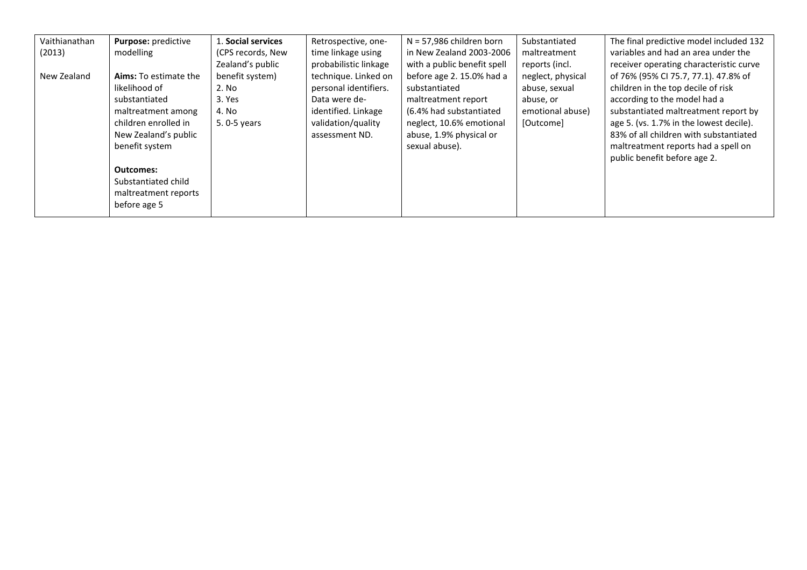| Vaithianathan | Purpose: predictive          | L. Social services | Retrospective, one-   | $N = 57,986$ children born  | Substantiated     | The final predictive model included 132 |
|---------------|------------------------------|--------------------|-----------------------|-----------------------------|-------------------|-----------------------------------------|
| (2013)        | modelling                    | (CPS records, New  | time linkage using    | in New Zealand 2003-2006    | maltreatment      | variables and had an area under the     |
|               |                              | Zealand's public   | probabilistic linkage | with a public benefit spell | reports (incl.    | receiver operating characteristic curve |
| New Zealand   | <b>Aims:</b> To estimate the | benefit system)    | technique. Linked on  | before age 2.15.0% had a    | neglect, physical | of 76% (95% CI 75.7, 77.1). 47.8% of    |
|               | likelihood of                | 2. No              | personal identifiers. | substantiated               | abuse, sexual     | children in the top decile of risk      |
|               | substantiated                | 3. Yes             | Data were de-         | maltreatment report         | abuse, or         | according to the model had a            |
|               | maltreatment among           | 4. No              | identified. Linkage   | (6.4% had substantiated     | emotional abuse)  | substantiated maltreatment report by    |
|               | children enrolled in         | 5.0-5 years        | validation/quality    | neglect, 10.6% emotional    | [Outcome]         | age 5. (vs. 1.7% in the lowest decile). |
|               | New Zealand's public         |                    | assessment ND.        | abuse, 1.9% physical or     |                   | 83% of all children with substantiated  |
|               | benefit system               |                    |                       | sexual abuse).              |                   | maltreatment reports had a spell on     |
|               |                              |                    |                       |                             |                   | public benefit before age 2.            |
|               | <b>Outcomes:</b>             |                    |                       |                             |                   |                                         |
|               | Substantiated child          |                    |                       |                             |                   |                                         |
|               | maltreatment reports         |                    |                       |                             |                   |                                         |
|               | before age 5                 |                    |                       |                             |                   |                                         |
|               |                              |                    |                       |                             |                   |                                         |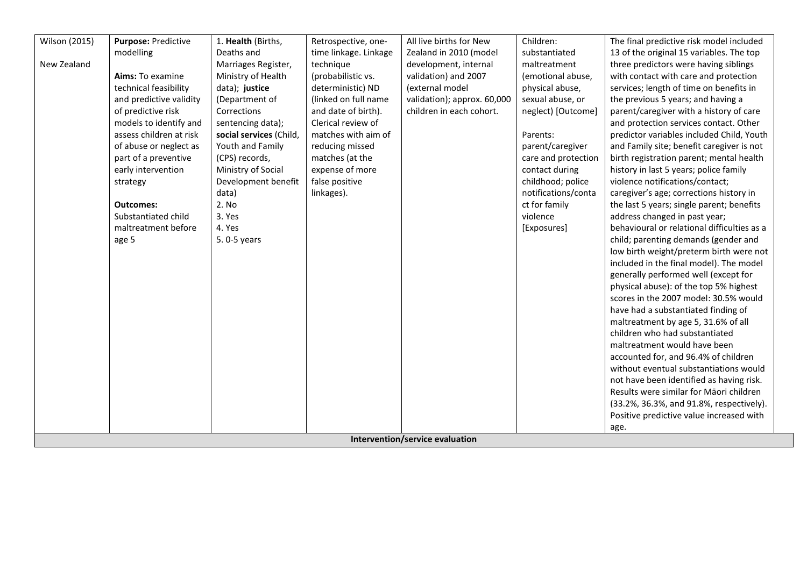| <b>Wilson (2015)</b> | Purpose: Predictive     | 1. Health (Births,      | Retrospective, one-   | All live births for New         | Children:           | The final predictive risk model included    |
|----------------------|-------------------------|-------------------------|-----------------------|---------------------------------|---------------------|---------------------------------------------|
|                      | modelling               | Deaths and              | time linkage. Linkage | Zealand in 2010 (model          | substantiated       | 13 of the original 15 variables. The top    |
| New Zealand          |                         | Marriages Register,     | technique             | development, internal           | maltreatment        | three predictors were having siblings       |
|                      | Aims: To examine        | Ministry of Health      | (probabilistic vs.    | validation) and 2007            | (emotional abuse,   | with contact with care and protection       |
|                      | technical feasibility   | data); justice          | deterministic) ND     | (external model                 | physical abuse,     | services; length of time on benefits in     |
|                      | and predictive validity | (Department of          | (linked on full name  | validation); approx. 60,000     | sexual abuse, or    | the previous 5 years; and having a          |
|                      | of predictive risk      | Corrections             | and date of birth).   | children in each cohort.        | neglect) [Outcome]  | parent/caregiver with a history of care     |
|                      | models to identify and  | sentencing data);       | Clerical review of    |                                 |                     | and protection services contact. Other      |
|                      | assess children at risk | social services (Child, | matches with aim of   |                                 | Parents:            | predictor variables included Child, Youth   |
|                      | of abuse or neglect as  | Youth and Family        | reducing missed       |                                 | parent/caregiver    | and Family site; benefit caregiver is not   |
|                      | part of a preventive    | (CPS) records,          | matches (at the       |                                 | care and protection | birth registration parent; mental health    |
|                      | early intervention      | Ministry of Social      | expense of more       |                                 | contact during      | history in last 5 years; police family      |
|                      | strategy                | Development benefit     | false positive        |                                 | childhood; police   | violence notifications/contact;             |
|                      |                         | data)                   | linkages).            |                                 | notifications/conta | caregiver's age; corrections history in     |
|                      | <b>Outcomes:</b>        | 2. No                   |                       |                                 | ct for family       | the last 5 years; single parent; benefits   |
|                      | Substantiated child     | 3. Yes                  |                       |                                 | violence            | address changed in past year;               |
|                      | maltreatment before     | 4. Yes                  |                       |                                 | [Exposures]         | behavioural or relational difficulties as a |
|                      | age 5                   | 5.0-5 years             |                       |                                 |                     | child; parenting demands (gender and        |
|                      |                         |                         |                       |                                 |                     | low birth weight/preterm birth were not     |
|                      |                         |                         |                       |                                 |                     | included in the final model). The model     |
|                      |                         |                         |                       |                                 |                     | generally performed well (except for        |
|                      |                         |                         |                       |                                 |                     | physical abuse): of the top 5% highest      |
|                      |                         |                         |                       |                                 |                     | scores in the 2007 model: 30.5% would       |
|                      |                         |                         |                       |                                 |                     | have had a substantiated finding of         |
|                      |                         |                         |                       |                                 |                     | maltreatment by age 5, 31.6% of all         |
|                      |                         |                         |                       |                                 |                     | children who had substantiated              |
|                      |                         |                         |                       |                                 |                     | maltreatment would have been                |
|                      |                         |                         |                       |                                 |                     | accounted for, and 96.4% of children        |
|                      |                         |                         |                       |                                 |                     | without eventual substantiations would      |
|                      |                         |                         |                       |                                 |                     | not have been identified as having risk.    |
|                      |                         |                         |                       |                                 |                     | Results were similar for Māori children     |
|                      |                         |                         |                       |                                 |                     | (33.2%, 36.3%, and 91.8%, respectively).    |
|                      |                         |                         |                       |                                 |                     | Positive predictive value increased with    |
|                      |                         |                         |                       |                                 |                     | age.                                        |
|                      |                         |                         |                       | Intervention/service evaluation |                     |                                             |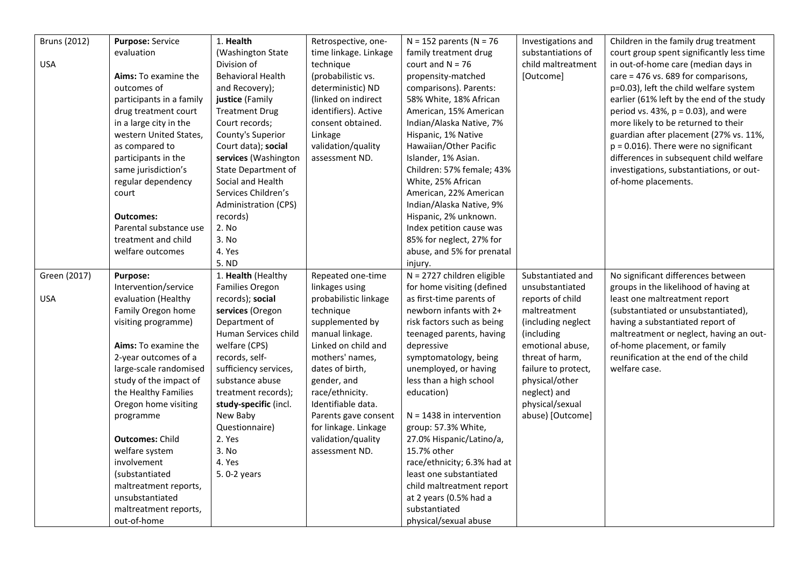| <b>Bruns (2012)</b> | <b>Purpose: Service</b>     | 1. Health                | Retrospective, one-   | $N = 152$ parents (N = 76    | Investigations and  | Children in the family drug treatment     |
|---------------------|-----------------------------|--------------------------|-----------------------|------------------------------|---------------------|-------------------------------------------|
|                     | evaluation                  | (Washington State        | time linkage. Linkage | family treatment drug        | substantiations of  | court group spent significantly less time |
| <b>USA</b>          |                             | Division of              | technique             | court and $N = 76$           | child maltreatment  | in out-of-home care (median days in       |
|                     | <b>Aims:</b> To examine the | <b>Behavioral Health</b> | (probabilistic vs.    | propensity-matched           | [Outcome]           | care = 476 vs. 689 for comparisons,       |
|                     | outcomes of                 | and Recovery);           | deterministic) ND     | comparisons). Parents:       |                     | p=0.03), left the child welfare system    |
|                     | participants in a family    | justice (Family          | (linked on indirect   | 58% White, 18% African       |                     | earlier (61% left by the end of the study |
|                     | drug treatment court        | <b>Treatment Drug</b>    | identifiers). Active  | American, 15% American       |                     | period vs. 43%, $p = 0.03$ ), and were    |
|                     | in a large city in the      | Court records;           | consent obtained.     | Indian/Alaska Native, 7%     |                     | more likely to be returned to their       |
|                     | western United States,      | County's Superior        | Linkage               | Hispanic, 1% Native          |                     | guardian after placement (27% vs. 11%,    |
|                     | as compared to              | Court data); social      | validation/quality    | Hawaiian/Other Pacific       |                     | $p = 0.016$ ). There were no significant  |
|                     | participants in the         | services (Washington     | assessment ND.        | Islander, 1% Asian.          |                     | differences in subsequent child welfare   |
|                     | same jurisdiction's         | State Department of      |                       | Children: 57% female; 43%    |                     | investigations, substantiations, or out-  |
|                     | regular dependency          | Social and Health        |                       | White, 25% African           |                     | of-home placements.                       |
|                     | court                       | Services Children's      |                       | American, 22% American       |                     |                                           |
|                     |                             | Administration (CPS)     |                       | Indian/Alaska Native, 9%     |                     |                                           |
|                     | <b>Outcomes:</b>            | records)                 |                       | Hispanic, 2% unknown.        |                     |                                           |
|                     | Parental substance use      | 2. No                    |                       | Index petition cause was     |                     |                                           |
|                     | treatment and child         | 3. No                    |                       | 85% for neglect, 27% for     |                     |                                           |
|                     | welfare outcomes            | 4. Yes                   |                       | abuse, and 5% for prenatal   |                     |                                           |
|                     |                             | 5. ND                    |                       | injury.                      |                     |                                           |
| Green (2017)        | <b>Purpose:</b>             | 1. Health (Healthy       | Repeated one-time     | $N = 2727$ children eligible | Substantiated and   | No significant differences between        |
|                     | Intervention/service        | Families Oregon          | linkages using        | for home visiting (defined   | unsubstantiated     | groups in the likelihood of having at     |
| <b>USA</b>          | evaluation (Healthy         | records); social         | probabilistic linkage | as first-time parents of     | reports of child    | least one maltreatment report             |
|                     | Family Oregon home          | services (Oregon         | technique             | newborn infants with 2+      | maltreatment        | (substantiated or unsubstantiated),       |
|                     | visiting programme)         | Department of            | supplemented by       | risk factors such as being   | (including neglect  | having a substantiated report of          |
|                     |                             | Human Services child     | manual linkage.       | teenaged parents, having     | (including          | maltreatment or neglect, having an out-   |
|                     | Aims: To examine the        | welfare (CPS)            | Linked on child and   | depressive                   | emotional abuse,    | of-home placement, or family              |
|                     | 2-year outcomes of a        | records, self-           | mothers' names,       | symptomatology, being        | threat of harm,     | reunification at the end of the child     |
|                     | large-scale randomised      | sufficiency services,    | dates of birth,       | unemployed, or having        | failure to protect, | welfare case.                             |
|                     | study of the impact of      | substance abuse          | gender, and           | less than a high school      | physical/other      |                                           |
|                     | the Healthy Families        | treatment records);      | race/ethnicity.       | education)                   | neglect) and        |                                           |
|                     | Oregon home visiting        | study-specific (incl.    | Identifiable data.    |                              | physical/sexual     |                                           |
|                     | programme                   | New Baby                 | Parents gave consent  | $N = 1438$ in intervention   | abuse) [Outcome]    |                                           |
|                     |                             | Questionnaire)           | for linkage. Linkage  | group: 57.3% White,          |                     |                                           |
|                     | <b>Outcomes: Child</b>      | 2. Yes                   | validation/quality    | 27.0% Hispanic/Latino/a,     |                     |                                           |
|                     | welfare system              | 3. No                    | assessment ND.        | 15.7% other                  |                     |                                           |
|                     | involvement                 | 4. Yes                   |                       | race/ethnicity; 6.3% had at  |                     |                                           |
|                     | (substantiated              | 5.0-2 years              |                       | least one substantiated      |                     |                                           |
|                     | maltreatment reports,       |                          |                       | child maltreatment report    |                     |                                           |
|                     | unsubstantiated             |                          |                       | at 2 years (0.5% had a       |                     |                                           |
|                     | maltreatment reports,       |                          |                       | substantiated                |                     |                                           |
|                     | out-of-home                 |                          |                       | physical/sexual abuse        |                     |                                           |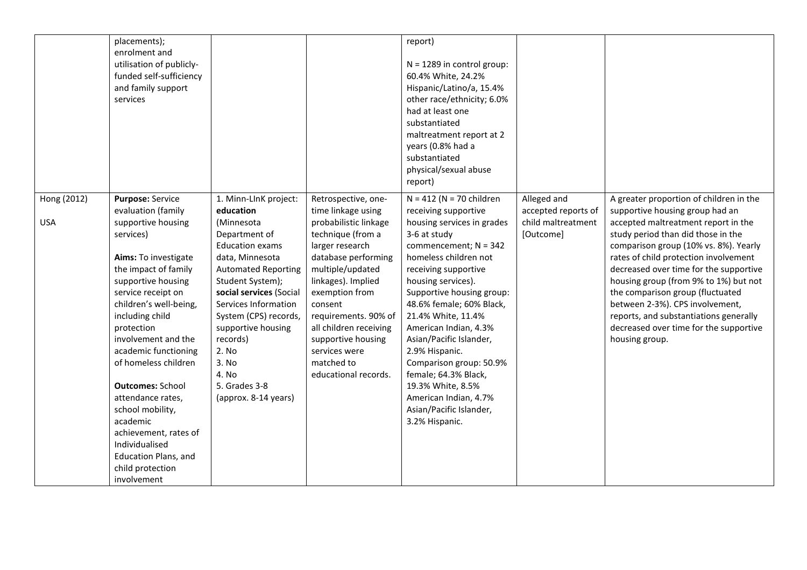|                           | placements);<br>enrolment and<br>utilisation of publicly-<br>funded self-sufficiency<br>and family support                                                                                                                                                                                                                                                                                                                                                                                           |                                                                                                                                                                                                                                                                                                                                                    |                                                                                                                                                                                                                                                                                                                                         | report)<br>$N = 1289$ in control group:<br>60.4% White, 24.2%<br>Hispanic/Latino/a, 15.4%                                                                                                                                                                                                                                                                                                                                                                                                             |                                                                       |                                                                                                                                                                                                                                                                                                                                                                                                                                                                                                           |
|---------------------------|------------------------------------------------------------------------------------------------------------------------------------------------------------------------------------------------------------------------------------------------------------------------------------------------------------------------------------------------------------------------------------------------------------------------------------------------------------------------------------------------------|----------------------------------------------------------------------------------------------------------------------------------------------------------------------------------------------------------------------------------------------------------------------------------------------------------------------------------------------------|-----------------------------------------------------------------------------------------------------------------------------------------------------------------------------------------------------------------------------------------------------------------------------------------------------------------------------------------|-------------------------------------------------------------------------------------------------------------------------------------------------------------------------------------------------------------------------------------------------------------------------------------------------------------------------------------------------------------------------------------------------------------------------------------------------------------------------------------------------------|-----------------------------------------------------------------------|-----------------------------------------------------------------------------------------------------------------------------------------------------------------------------------------------------------------------------------------------------------------------------------------------------------------------------------------------------------------------------------------------------------------------------------------------------------------------------------------------------------|
|                           | services                                                                                                                                                                                                                                                                                                                                                                                                                                                                                             |                                                                                                                                                                                                                                                                                                                                                    |                                                                                                                                                                                                                                                                                                                                         | other race/ethnicity; 6.0%<br>had at least one<br>substantiated<br>maltreatment report at 2<br>years (0.8% had a<br>substantiated<br>physical/sexual abuse<br>report)                                                                                                                                                                                                                                                                                                                                 |                                                                       |                                                                                                                                                                                                                                                                                                                                                                                                                                                                                                           |
| Hong (2012)<br><b>USA</b> | Purpose: Service<br>evaluation (family<br>supportive housing<br>services)<br>Aims: To investigate<br>the impact of family<br>supportive housing<br>service receipt on<br>children's well-being,<br>including child<br>protection<br>involvement and the<br>academic functioning<br>of homeless children<br><b>Outcomes: School</b><br>attendance rates,<br>school mobility,<br>academic<br>achievement, rates of<br>Individualised<br><b>Education Plans, and</b><br>child protection<br>involvement | 1. Minn-LInK project:<br>education<br>(Minnesota<br>Department of<br><b>Education exams</b><br>data, Minnesota<br><b>Automated Reporting</b><br>Student System);<br>social services (Social<br>Services Information<br>System (CPS) records,<br>supportive housing<br>records)<br>2. No<br>3. No<br>4. No<br>5. Grades 3-8<br>(approx. 8-14 years) | Retrospective, one-<br>time linkage using<br>probabilistic linkage<br>technique (from a<br>larger research<br>database performing<br>multiple/updated<br>linkages). Implied<br>exemption from<br>consent<br>requirements. 90% of<br>all children receiving<br>supportive housing<br>services were<br>matched to<br>educational records. | $N = 412$ (N = 70 children<br>receiving supportive<br>housing services in grades<br>3-6 at study<br>commencement; $N = 342$<br>homeless children not<br>receiving supportive<br>housing services).<br>Supportive housing group:<br>48.6% female; 60% Black,<br>21.4% White, 11.4%<br>American Indian, 4.3%<br>Asian/Pacific Islander,<br>2.9% Hispanic.<br>Comparison group: 50.9%<br>female; 64.3% Black,<br>19.3% White, 8.5%<br>American Indian, 4.7%<br>Asian/Pacific Islander,<br>3.2% Hispanic. | Alleged and<br>accepted reports of<br>child maltreatment<br>[Outcome] | A greater proportion of children in the<br>supportive housing group had an<br>accepted maltreatment report in the<br>study period than did those in the<br>comparison group (10% vs. 8%). Yearly<br>rates of child protection involvement<br>decreased over time for the supportive<br>housing group (from 9% to 1%) but not<br>the comparison group (fluctuated<br>between 2-3%). CPS involvement,<br>reports, and substantiations generally<br>decreased over time for the supportive<br>housing group. |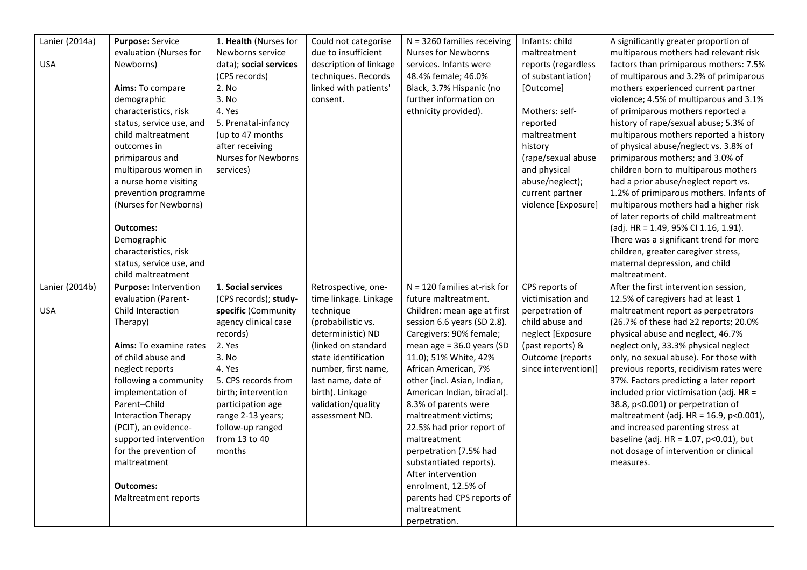| Lanier (2014a) | Purpose: Service              | 1. Health (Nurses for      | Could not categorise   | $N = 3260$ families receiving  | Infants: child       | A significantly greater proportion of          |
|----------------|-------------------------------|----------------------------|------------------------|--------------------------------|----------------------|------------------------------------------------|
|                | evaluation (Nurses for        | Newborns service           | due to insufficient    | Nurses for Newborns            | maltreatment         | multiparous mothers had relevant risk          |
| <b>USA</b>     | Newborns)                     | data); social services     | description of linkage | services. Infants were         | reports (regardless  | factors than primiparous mothers: 7.5%         |
|                |                               | (CPS records)              | techniques. Records    | 48.4% female; 46.0%            | of substantiation)   | of multiparous and 3.2% of primiparous         |
|                | Aims: To compare              | 2. No                      | linked with patients'  | Black, 3.7% Hispanic (no       | [Outcome]            | mothers experienced current partner            |
|                | demographic                   | 3. No                      | consent.               | further information on         |                      | violence; 4.5% of multiparous and 3.1%         |
|                | characteristics, risk         | 4. Yes                     |                        | ethnicity provided).           | Mothers: self-       | of primiparous mothers reported a              |
|                | status, service use, and      | 5. Prenatal-infancy        |                        |                                | reported             | history of rape/sexual abuse; 5.3% of          |
|                | child maltreatment            | (up to 47 months           |                        |                                | maltreatment         | multiparous mothers reported a history         |
|                | outcomes in                   | after receiving            |                        |                                | history              | of physical abuse/neglect vs. 3.8% of          |
|                | primiparous and               | <b>Nurses for Newborns</b> |                        |                                | (rape/sexual abuse   | primiparous mothers; and 3.0% of               |
|                | multiparous women in          | services)                  |                        |                                | and physical         | children born to multiparous mothers           |
|                | a nurse home visiting         |                            |                        |                                | abuse/neglect);      | had a prior abuse/neglect report vs.           |
|                | prevention programme          |                            |                        |                                | current partner      | 1.2% of primiparous mothers. Infants of        |
|                | (Nurses for Newborns)         |                            |                        |                                | violence [Exposure]  | multiparous mothers had a higher risk          |
|                |                               |                            |                        |                                |                      | of later reports of child maltreatment         |
|                | <b>Outcomes:</b>              |                            |                        |                                |                      | (adj. HR = 1.49, 95% CI 1.16, 1.91).           |
|                | Demographic                   |                            |                        |                                |                      | There was a significant trend for more         |
|                | characteristics, risk         |                            |                        |                                |                      | children, greater caregiver stress,            |
|                | status, service use, and      |                            |                        |                                |                      | maternal depression, and child                 |
|                | child maltreatment            |                            |                        |                                |                      | maltreatment.                                  |
| Lanier (2014b) | Purpose: Intervention         | 1. Social services         | Retrospective, one-    | $N = 120$ families at-risk for | CPS reports of       | After the first intervention session,          |
|                | evaluation (Parent-           | (CPS records); study-      | time linkage. Linkage  | future maltreatment.           | victimisation and    | 12.5% of caregivers had at least 1             |
| <b>USA</b>     | Child Interaction             | specific (Community        | technique              | Children: mean age at first    | perpetration of      | maltreatment report as perpetrators            |
|                | Therapy)                      | agency clinical case       | (probabilistic vs.     | session 6.6 years (SD 2.8).    | child abuse and      | (26.7% of these had ≥2 reports; 20.0%          |
|                |                               | records)                   | deterministic) ND      | Caregivers: 90% female;        | neglect [Exposure    | physical abuse and neglect, 46.7%              |
|                | <b>Aims:</b> To examine rates | 2. Yes                     | linked on standard     | mean age = 36.0 years (SD      | (past reports) &     | neglect only, 33.3% physical neglect           |
|                | of child abuse and            | 3. No                      | state identification   | 11.0); 51% White, 42%          | Outcome (reports     | only, no sexual abuse). For those with         |
|                | neglect reports               | 4. Yes                     | number, first name,    | African American, 7%           | since intervention)] | previous reports, recidivism rates were        |
|                | following a community         | 5. CPS records from        | last name, date of     | other (incl. Asian, Indian,    |                      | 37%. Factors predicting a later report         |
|                |                               |                            |                        |                                |                      |                                                |
|                | implementation of             | birth; intervention        | birth). Linkage        | American Indian, biracial).    |                      | included prior victimisation (adj. HR =        |
|                | Parent-Child                  | participation age          | validation/quality     | 8.3% of parents were           |                      | 38.8, p<0.001) or perpetration of              |
|                | <b>Interaction Therapy</b>    | range 2-13 years;          | assessment ND.         | maltreatment victims;          |                      | maltreatment (adj. HR = 16.9, p<0.001),        |
|                | (PCIT), an evidence-          | follow-up ranged           |                        | 22.5% had prior report of      |                      | and increased parenting stress at              |
|                | supported intervention        | from 13 to 40              |                        | maltreatment                   |                      | baseline (adj. $HR = 1.07$ , $p < 0.01$ ), but |
|                | for the prevention of         | months                     |                        | perpetration (7.5% had         |                      | not dosage of intervention or clinical         |
|                | maltreatment                  |                            |                        | substantiated reports).        |                      | measures.                                      |
|                |                               |                            |                        | After intervention             |                      |                                                |
|                | <b>Outcomes:</b>              |                            |                        | enrolment, 12.5% of            |                      |                                                |
|                | Maltreatment reports          |                            |                        | parents had CPS reports of     |                      |                                                |
|                |                               |                            |                        | maltreatment                   |                      |                                                |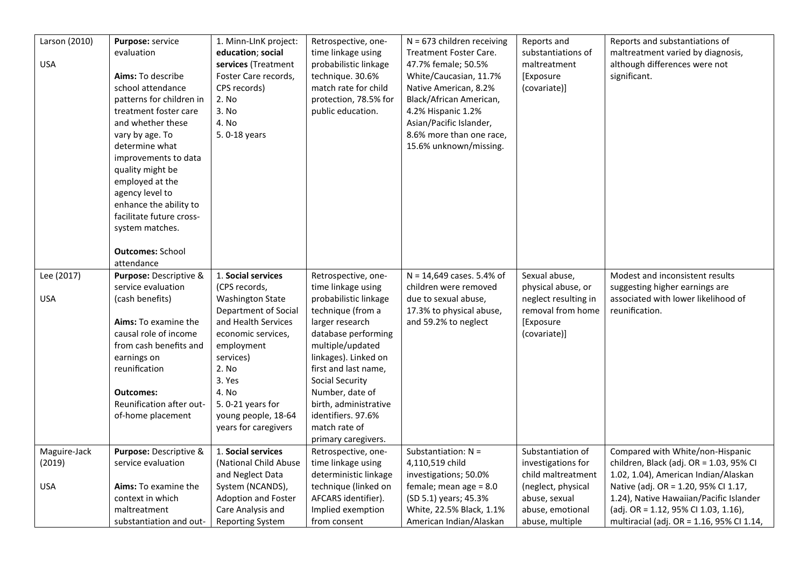| Larson (2010) | Purpose: service                        | 1. Minn-LInK project:                        | Retrospective, one-               | $N = 673$ children receiving                        | Reports and                         | Reports and substantiations of                                                    |
|---------------|-----------------------------------------|----------------------------------------------|-----------------------------------|-----------------------------------------------------|-------------------------------------|-----------------------------------------------------------------------------------|
|               | evaluation                              | education; social                            | time linkage using                | Treatment Foster Care.                              | substantiations of                  | maltreatment varied by diagnosis,                                                 |
| <b>USA</b>    |                                         |                                              |                                   |                                                     | maltreatment                        |                                                                                   |
|               |                                         | services (Treatment                          | probabilistic linkage             | 47.7% female; 50.5%                                 |                                     | although differences were not                                                     |
|               | Aims: To describe                       | Foster Care records,                         | technique. 30.6%                  | White/Caucasian, 11.7%                              | [Exposure                           | significant.                                                                      |
|               | school attendance                       | CPS records)                                 | match rate for child              | Native American, 8.2%                               | (covariate)]                        |                                                                                   |
|               | patterns for children in                | 2. No                                        | protection, 78.5% for             | Black/African American,                             |                                     |                                                                                   |
|               | treatment foster care                   | 3. No                                        | public education.                 | 4.2% Hispanic 1.2%                                  |                                     |                                                                                   |
|               | and whether these                       | 4. No                                        |                                   | Asian/Pacific Islander,                             |                                     |                                                                                   |
|               | vary by age. To                         | 5.0-18 years                                 |                                   | 8.6% more than one race,                            |                                     |                                                                                   |
|               | determine what                          |                                              |                                   | 15.6% unknown/missing.                              |                                     |                                                                                   |
|               | improvements to data                    |                                              |                                   |                                                     |                                     |                                                                                   |
|               | quality might be                        |                                              |                                   |                                                     |                                     |                                                                                   |
|               | employed at the                         |                                              |                                   |                                                     |                                     |                                                                                   |
|               | agency level to                         |                                              |                                   |                                                     |                                     |                                                                                   |
|               | enhance the ability to                  |                                              |                                   |                                                     |                                     |                                                                                   |
|               | facilitate future cross-                |                                              |                                   |                                                     |                                     |                                                                                   |
|               | system matches.                         |                                              |                                   |                                                     |                                     |                                                                                   |
|               |                                         |                                              |                                   |                                                     |                                     |                                                                                   |
|               | <b>Outcomes: School</b>                 |                                              |                                   |                                                     |                                     |                                                                                   |
|               | attendance                              |                                              |                                   |                                                     |                                     |                                                                                   |
|               | Purpose: Descriptive &                  | 1. Social services                           |                                   | $N = 14,649$ cases. 5.4% of                         | Sexual abuse,                       | Modest and inconsistent results                                                   |
| Lee (2017)    |                                         |                                              | Retrospective, one-               |                                                     |                                     |                                                                                   |
|               | service evaluation                      | (CPS records,                                | time linkage using                | children were removed                               | physical abuse, or                  | suggesting higher earnings are                                                    |
| <b>USA</b>    | (cash benefits)                         | <b>Washington State</b>                      | probabilistic linkage             | due to sexual abuse,                                | neglect resulting in                | associated with lower likelihood of                                               |
|               |                                         | Department of Social                         | technique (from a                 | 17.3% to physical abuse,                            | removal from home                   | reunification.                                                                    |
|               | Aims: To examine the                    | and Health Services                          | larger research                   | and 59.2% to neglect                                | [Exposure                           |                                                                                   |
|               | causal role of income                   | economic services,                           | database performing               |                                                     | (covariate)]                        |                                                                                   |
|               | from cash benefits and                  | employment                                   | multiple/updated                  |                                                     |                                     |                                                                                   |
|               | earnings on                             | services)                                    | linkages). Linked on              |                                                     |                                     |                                                                                   |
|               | reunification                           | 2. No                                        | first and last name,              |                                                     |                                     |                                                                                   |
|               |                                         | 3. Yes                                       | <b>Social Security</b>            |                                                     |                                     |                                                                                   |
|               | <b>Outcomes:</b>                        | 4. No                                        | Number, date of                   |                                                     |                                     |                                                                                   |
|               | Reunification after out-                | 5.0-21 years for                             | birth, administrative             |                                                     |                                     |                                                                                   |
|               | of-home placement                       | young people, 18-64                          | identifiers. 97.6%                |                                                     |                                     |                                                                                   |
|               |                                         | years for caregivers                         | match rate of                     |                                                     |                                     |                                                                                   |
|               |                                         |                                              | primary caregivers.               |                                                     |                                     |                                                                                   |
| Maguire-Jack  | Purpose: Descriptive &                  | 1. Social services                           | Retrospective, one-               | Substantiation: $N =$                               | Substantiation of                   | Compared with White/non-Hispanic                                                  |
| (2019)        | service evaluation                      | (National Child Abuse                        | time linkage using                | 4,110,519 child                                     | investigations for                  | children, Black (adj. OR = 1.03, 95% CI                                           |
|               |                                         | and Neglect Data                             | deterministic linkage             | investigations; 50.0%                               | child maltreatment                  | 1.02, 1.04), American Indian/Alaskan                                              |
| <b>USA</b>    | <b>Aims:</b> To examine the             | System (NCANDS),                             | technique (linked on              | female; mean age $= 8.0$                            | (neglect, physical                  | Native (adj. OR = 1.20, 95% CI 1.17,                                              |
|               | context in which                        | Adoption and Foster                          | AFCARS identifier).               | (SD 5.1) years; 45.3%                               | abuse, sexual                       | 1.24), Native Hawaiian/Pacific Islander                                           |
|               |                                         |                                              |                                   |                                                     |                                     |                                                                                   |
|               |                                         |                                              |                                   |                                                     |                                     |                                                                                   |
|               | maltreatment<br>substantiation and out- | Care Analysis and<br><b>Reporting System</b> | Implied exemption<br>from consent | White, 22.5% Black, 1.1%<br>American Indian/Alaskan | abuse, emotional<br>abuse, multiple | (adj. OR = 1.12, 95% CI 1.03, 1.16),<br>multiracial (adj. OR = 1.16, 95% Cl 1.14, |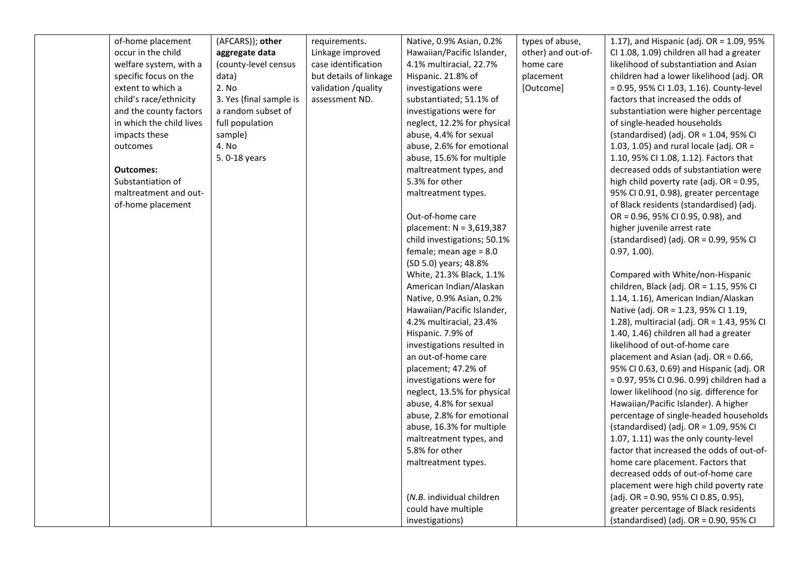| of-home placement        | (AFCARS)); other        | requirements.          | Native, 0.9% Asian, 0.2%    | types of abuse,    | 1.17), and Hispanic (adj. OR = 1.09, 95%     |
|--------------------------|-------------------------|------------------------|-----------------------------|--------------------|----------------------------------------------|
| occur in the child       | aggregate data          | Linkage improved       | Hawaiian/Pacific Islander,  | other) and out-of- | CI 1.08, 1.09) children all had a greater    |
| welfare system, with a   | (county-level census    | case identification    | 4.1% multiracial, 22.7%     | home care          | likelihood of substantiation and Asian       |
| specific focus on the    | data)                   | but details of linkage | Hispanic. 21.8% of          | placement          | children had a lower likelihood (adj. OR     |
| extent to which a        | 2. No                   | validation /quality    | investigations were         | [Outcome]          | = 0.95, 95% CI 1.03, 1.16). County-level     |
| child's race/ethnicity   | 3. Yes (final sample is | assessment ND.         | substantiated; 51.1% of     |                    | factors that increased the odds of           |
| and the county factors   | a random subset of      |                        | investigations were for     |                    | substantiation were higher percentage        |
| in which the child lives | full population         |                        | neglect, 12.2% for physical |                    | of single-headed households                  |
| impacts these            | sample)                 |                        | abuse, 4.4% for sexual      |                    | (standardised) (adj. OR = $1.04$ , 95% CI    |
| outcomes                 | 4. No                   |                        | abuse, 2.6% for emotional   |                    | 1.03, 1.05) and rural locale (adj. OR =      |
|                          | 5.0-18 years            |                        | abuse, 15.6% for multiple   |                    | 1.10, 95% CI 1.08, 1.12). Factors that       |
| Outcomes:                |                         |                        | maltreatment types, and     |                    | decreased odds of substantiation were        |
| Substantiation of        |                         |                        | 5.3% for other              |                    | high child poverty rate (adj. OR = 0.95,     |
| maltreatment and out-    |                         |                        | maltreatment types.         |                    | 95% CI 0.91, 0.98), greater percentage       |
| of-home placement        |                         |                        |                             |                    | of Black residents (standardised) (adj.      |
|                          |                         |                        | Out-of-home care            |                    | OR = 0.96, 95% CI 0.95, 0.98), and           |
|                          |                         |                        | placement: N = 3,619,387    |                    | higher juvenile arrest rate                  |
|                          |                         |                        | child investigations; 50.1% |                    | (standardised) (adj. OR = $0.99$ , $95\%$ CI |
|                          |                         |                        | female; mean age $= 8.0$    |                    | $0.97, 1.00$ ).                              |
|                          |                         |                        | (SD 5.0) years; 48.8%       |                    |                                              |
|                          |                         |                        | White, 21.3% Black, 1.1%    |                    | Compared with White/non-Hispanic             |
|                          |                         |                        | American Indian/Alaskan     |                    | children, Black (adj. OR = 1.15, 95% CI      |
|                          |                         |                        | Native, 0.9% Asian, 0.2%    |                    | 1.14, 1.16), American Indian/Alaskan         |
|                          |                         |                        | Hawaiian/Pacific Islander,  |                    | Native (adj. OR = 1.23, 95% CI 1.19,         |
|                          |                         |                        | 4.2% multiracial, 23.4%     |                    | 1.28), multiracial (adj. OR = 1.43, 95% CI   |
|                          |                         |                        | Hispanic. 7.9% of           |                    | 1.40, 1.46) children all had a greater       |
|                          |                         |                        | investigations resulted in  |                    | likelihood of out-of-home care               |
|                          |                         |                        | an out-of-home care         |                    | placement and Asian (adj. OR = 0.66,         |
|                          |                         |                        | placement; 47.2% of         |                    | 95% CI 0.63, 0.69) and Hispanic (adj. OR     |
|                          |                         |                        | investigations were for     |                    | = 0.97, 95% CI 0.96. 0.99) children had a    |
|                          |                         |                        | neglect, 13.5% for physical |                    | lower likelihood (no sig. difference for     |
|                          |                         |                        | abuse, 4.8% for sexual      |                    | Hawaiian/Pacific Islander). A higher         |
|                          |                         |                        | abuse, 2.8% for emotional   |                    | percentage of single-headed households       |
|                          |                         |                        | abuse, 16.3% for multiple   |                    | (standardised) (adj. OR = $1.09$ , 95% CI    |
|                          |                         |                        | maltreatment types, and     |                    | 1.07, 1.11) was the only county-level        |
|                          |                         |                        | 5.8% for other              |                    | factor that increased the odds of out-of-    |
|                          |                         |                        | maltreatment types.         |                    | home care placement. Factors that            |
|                          |                         |                        |                             |                    | decreased odds of out-of-home care           |
|                          |                         |                        |                             |                    | placement were high child poverty rate       |
|                          |                         |                        | (N.B. individual children   |                    | (adj. OR = 0.90, 95% CI 0.85, 0.95),         |
|                          |                         |                        | could have multiple         |                    | greater percentage of Black residents        |
|                          |                         |                        | investigations)             |                    | (standardised) (adj. OR = 0.90, 95% CI       |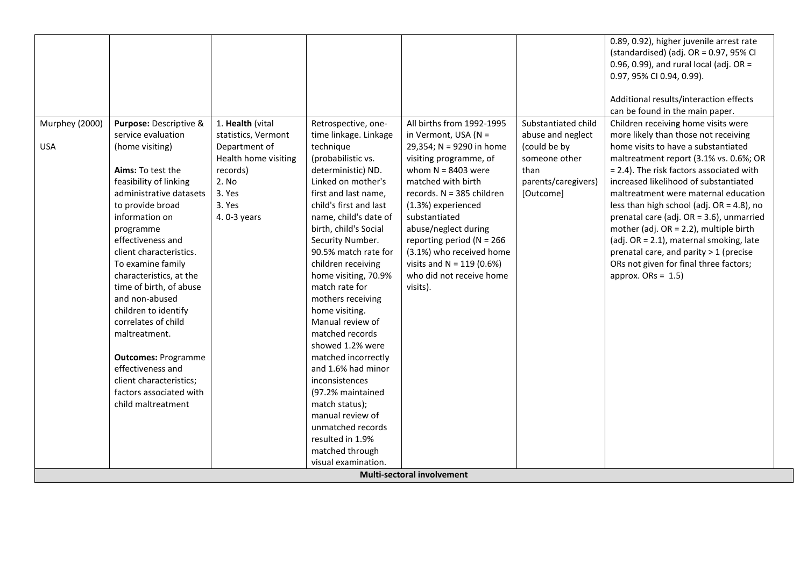|                |                            |                      |                        |                              |                     | 0.89, 0.92), higher juvenile arrest rate     |
|----------------|----------------------------|----------------------|------------------------|------------------------------|---------------------|----------------------------------------------|
|                |                            |                      |                        |                              |                     | (standardised) (adj. OR = 0.97, 95% CI       |
|                |                            |                      |                        |                              |                     | 0.96, 0.99), and rural local (adj. OR =      |
|                |                            |                      |                        |                              |                     | 0.97, 95% CI 0.94, 0.99).                    |
|                |                            |                      |                        |                              |                     |                                              |
|                |                            |                      |                        |                              |                     | Additional results/interaction effects       |
|                |                            |                      |                        |                              |                     | can be found in the main paper.              |
| Murphey (2000) | Purpose: Descriptive &     | 1. Health (vital     | Retrospective, one-    | All births from 1992-1995    | Substantiated child | Children receiving home visits were          |
|                | service evaluation         | statistics, Vermont  | time linkage. Linkage  | in Vermont, USA (N =         | abuse and neglect   | more likely than those not receiving         |
| <b>USA</b>     | (home visiting)            | Department of        | technique              | 29,354; N = 9290 in home     | (could be by        | home visits to have a substantiated          |
|                |                            | Health home visiting | (probabilistic vs.     | visiting programme, of       | someone other       | maltreatment report (3.1% vs. 0.6%; OR       |
|                | Aims: To test the          | records)             | deterministic) ND.     | whom $N = 8403$ were         | than                | = 2.4). The risk factors associated with     |
|                | feasibility of linking     | 2. No                | Linked on mother's     | matched with birth           | parents/caregivers) | increased likelihood of substantiated        |
|                | administrative datasets    | 3. Yes               | first and last name,   | records. N = 385 children    | [Outcome]           | maltreatment were maternal education         |
|                | to provide broad           | 3. Yes               | child's first and last | (1.3%) experienced           |                     | less than high school (adj. $OR = 4.8$ ), no |
|                | information on             | 4.0-3 years          | name, child's date of  | substantiated                |                     | prenatal care (adj. OR = 3.6), unmarried     |
|                | programme                  |                      | birth, child's Social  | abuse/neglect during         |                     | mother (adj. $OR = 2.2$ ), multiple birth    |
|                | effectiveness and          |                      | Security Number.       | reporting period ( $N = 266$ |                     | (adj. OR = 2.1), maternal smoking, late      |
|                | client characteristics.    |                      | 90.5% match rate for   | (3.1%) who received home     |                     | prenatal care, and parity > 1 (precise       |
|                | To examine family          |                      | children receiving     | visits and $N = 119$ (0.6%)  |                     | ORs not given for final three factors;       |
|                | characteristics, at the    |                      | home visiting, 70.9%   | who did not receive home     |                     | approx. $ORs = 1.5$                          |
|                | time of birth, of abuse    |                      | match rate for         | visits).                     |                     |                                              |
|                | and non-abused             |                      | mothers receiving      |                              |                     |                                              |
|                | children to identify       |                      | home visiting.         |                              |                     |                                              |
|                | correlates of child        |                      | Manual review of       |                              |                     |                                              |
|                | maltreatment.              |                      | matched records        |                              |                     |                                              |
|                |                            |                      | showed 1.2% were       |                              |                     |                                              |
|                | <b>Outcomes: Programme</b> |                      | matched incorrectly    |                              |                     |                                              |
|                | effectiveness and          |                      | and 1.6% had minor     |                              |                     |                                              |
|                | client characteristics;    |                      | inconsistences         |                              |                     |                                              |
|                | factors associated with    |                      | (97.2% maintained      |                              |                     |                                              |
|                | child maltreatment         |                      | match status);         |                              |                     |                                              |
|                |                            |                      | manual review of       |                              |                     |                                              |
|                |                            |                      | unmatched records      |                              |                     |                                              |
|                |                            |                      | resulted in 1.9%       |                              |                     |                                              |
|                |                            |                      | matched through        |                              |                     |                                              |
|                |                            |                      | visual examination.    |                              |                     |                                              |
|                |                            |                      |                        | Multi-sectoral involvement   |                     |                                              |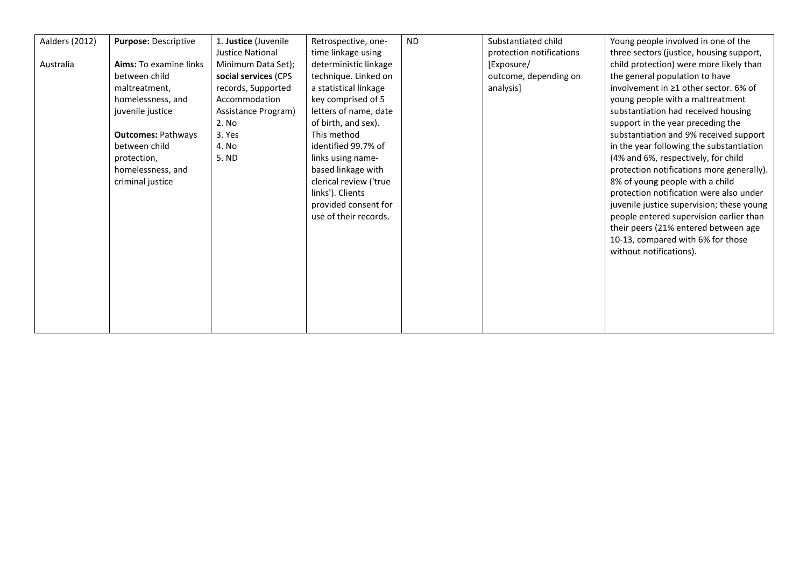| Aalders (2012) | Purpose: Descriptive      | 1. Justice (Juvenile    | Retrospective, one-    | <b>ND</b> | Substantiated child      | Young people involved in one of the         |
|----------------|---------------------------|-------------------------|------------------------|-----------|--------------------------|---------------------------------------------|
|                |                           | <b>Justice National</b> | time linkage using     |           | protection notifications | three sectors (justice, housing support,    |
| Australia      | Aims: To examine links    | Minimum Data Set);      | deterministic linkage  |           | [Exposure/               | child protection) were more likely than     |
|                | between child             | social services (CPS    | technique. Linked on   |           | outcome, depending on    | the general population to have              |
|                | maltreatment,             | records, Supported      | a statistical linkage  |           | analysis]                | involvement in $\geq 1$ other sector. 6% of |
|                | homelessness, and         | Accommodation           | key comprised of 5     |           |                          | young people with a maltreatment            |
|                | juvenile justice          | Assistance Program)     | letters of name, date  |           |                          | substantiation had received housing         |
|                |                           | 2. No                   | of birth, and sex).    |           |                          | support in the year preceding the           |
|                | <b>Outcomes: Pathways</b> | 3. Yes                  | This method            |           |                          | substantiation and 9% received support      |
|                | between child             | 4. No                   | identified 99.7% of    |           |                          | in the year following the substantiation    |
|                | protection,               | 5. ND                   | links using name-      |           |                          | (4% and 6%, respectively, for child         |
|                | homelessness, and         |                         | based linkage with     |           |                          | protection notifications more generally).   |
|                | criminal justice          |                         | clerical review ('true |           |                          | 8% of young people with a child             |
|                |                           |                         | links'). Clients       |           |                          | protection notification were also under     |
|                |                           |                         | provided consent for   |           |                          | juvenile justice supervision; these young   |
|                |                           |                         | use of their records.  |           |                          | people entered supervision earlier than     |
|                |                           |                         |                        |           |                          | their peers (21% entered between age        |
|                |                           |                         |                        |           |                          | 10-13, compared with 6% for those           |
|                |                           |                         |                        |           |                          | without notifications).                     |
|                |                           |                         |                        |           |                          |                                             |
|                |                           |                         |                        |           |                          |                                             |
|                |                           |                         |                        |           |                          |                                             |
|                |                           |                         |                        |           |                          |                                             |
|                |                           |                         |                        |           |                          |                                             |
|                |                           |                         |                        |           |                          |                                             |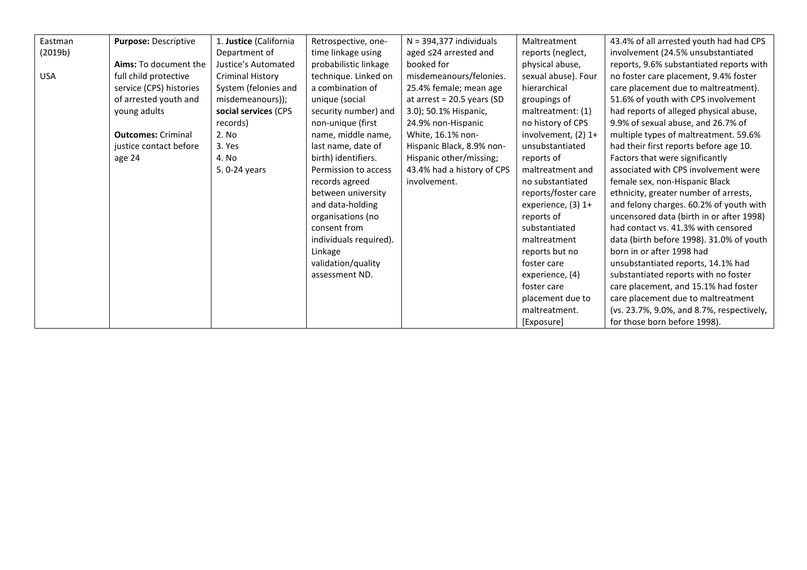| Eastman    | Purpose: Descriptive      | 1. Justice (California  | Retrospective, one-    | $N = 394,377$ individuals    | Maltreatment        | 43.4% of all arrested youth had had CPS   |
|------------|---------------------------|-------------------------|------------------------|------------------------------|---------------------|-------------------------------------------|
| (2019b)    |                           | Department of           | time linkage using     | aged ≤24 arrested and        | reports (neglect,   | involvement (24.5% unsubstantiated        |
|            | Aims: To document the     | Justice's Automated     | probabilistic linkage  | booked for                   | physical abuse,     | reports, 9.6% substantiated reports with  |
| <b>USA</b> | full child protective     | <b>Criminal History</b> | technique. Linked on   | misdemeanours/felonies.      | sexual abuse). Four | no foster care placement, 9.4% foster     |
|            | service (CPS) histories   | System (felonies and    | a combination of       | 25.4% female; mean age       | hierarchical        | care placement due to maltreatment).      |
|            | of arrested youth and     | misdemeanours));        | unique (social         | at arrest = $20.5$ years (SD | groupings of        | 51.6% of youth with CPS involvement       |
|            | young adults              | social services (CPS    | security number) and   | 3.0); 50.1% Hispanic,        | maltreatment: (1)   | had reports of alleged physical abuse,    |
|            |                           | records)                | non-unique (first      | 24.9% non-Hispanic           | no history of CPS   | 9.9% of sexual abuse, and 26.7% of        |
|            | <b>Outcomes: Criminal</b> | 2. No                   | name, middle name,     | White, 16.1% non-            | involvement, (2) 1+ | multiple types of maltreatment. 59.6%     |
|            | justice contact before    | 3. Yes                  | last name, date of     | Hispanic Black, 8.9% non-    | unsubstantiated     | had their first reports before age 10.    |
|            | age 24                    | 4. No                   | birth) identifiers.    | Hispanic other/missing;      | reports of          | Factors that were significantly           |
|            |                           | 5.0-24 years            | Permission to access   | 43.4% had a history of CPS   | maltreatment and    | associated with CPS involvement were      |
|            |                           |                         | records agreed         | involvement.                 | no substantiated    | female sex, non-Hispanic Black            |
|            |                           |                         | between university     |                              | reports/foster care | ethnicity, greater number of arrests,     |
|            |                           |                         | and data-holding       |                              | experience, (3) 1+  | and felony charges. 60.2% of youth with   |
|            |                           |                         | organisations (no      |                              | reports of          | uncensored data (birth in or after 1998)  |
|            |                           |                         | consent from           |                              | substantiated       | had contact vs. 41.3% with censored       |
|            |                           |                         | individuals required). |                              | maltreatment        | data (birth before 1998). 31.0% of youth  |
|            |                           |                         | Linkage                |                              | reports but no      | born in or after 1998 had                 |
|            |                           |                         | validation/quality     |                              | foster care         | unsubstantiated reports, 14.1% had        |
|            |                           |                         | assessment ND.         |                              | experience, (4)     | substantiated reports with no foster      |
|            |                           |                         |                        |                              | foster care         | care placement, and 15.1% had foster      |
|            |                           |                         |                        |                              | placement due to    | care placement due to maltreatment        |
|            |                           |                         |                        |                              | maltreatment.       | (vs. 23.7%, 9.0%, and 8.7%, respectively, |
|            |                           |                         |                        |                              | [Exposure]          | for those born before 1998).              |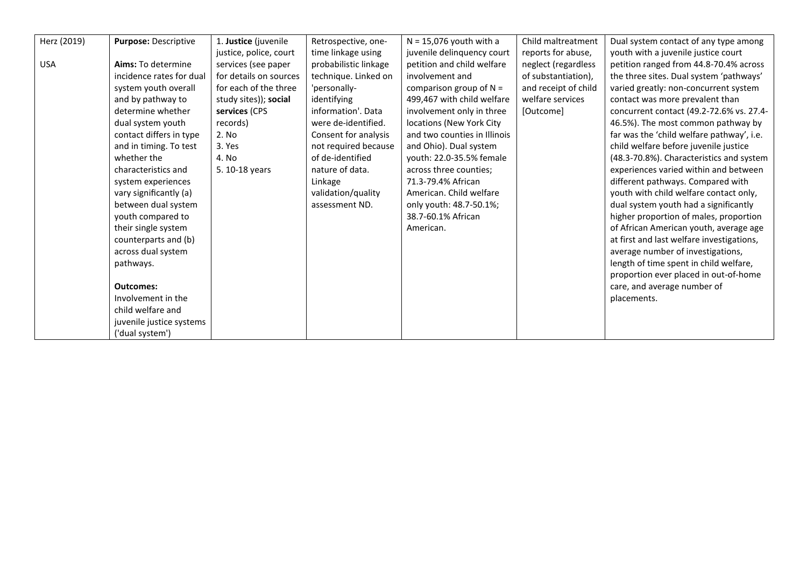| Herz (2019) | Purpose: Descriptive     | 1. Justice (juvenile   | Retrospective, one-   | $N = 15,076$ youth with a    | Child maltreatment   | Dual system contact of any type among     |
|-------------|--------------------------|------------------------|-----------------------|------------------------------|----------------------|-------------------------------------------|
|             |                          | justice, police, court | time linkage using    | juvenile delinquency court   | reports for abuse,   | youth with a juvenile justice court       |
| <b>USA</b>  | Aims: To determine       | services (see paper    | probabilistic linkage | petition and child welfare   | neglect (regardless  | petition ranged from 44.8-70.4% across    |
|             | incidence rates for dual | for details on sources | technique. Linked on  | involvement and              | of substantiation),  | the three sites. Dual system 'pathways'   |
|             | system youth overall     | for each of the three  | 'personally-          | comparison group of $N =$    | and receipt of child | varied greatly: non-concurrent system     |
|             | and by pathway to        | study sites)); social  | identifying           | 499,467 with child welfare   | welfare services     | contact was more prevalent than           |
|             | determine whether        | services (CPS          | information'. Data    | involvement only in three    | [Outcome]            | concurrent contact (49.2-72.6% vs. 27.4-  |
|             | dual system youth        | records)               | were de-identified.   | locations (New York City     |                      | 46.5%). The most common pathway by        |
|             | contact differs in type  | 2. No                  | Consent for analysis  | and two counties in Illinois |                      | far was the 'child welfare pathway', i.e. |
|             | and in timing. To test   | 3. Yes                 | not required because  | and Ohio). Dual system       |                      | child welfare before juvenile justice     |
|             | whether the              | 4. No                  | of de-identified      | youth: 22.0-35.5% female     |                      | (48.3-70.8%). Characteristics and system  |
|             | characteristics and      | 5. 10-18 years         | nature of data.       | across three counties;       |                      | experiences varied within and between     |
|             | system experiences       |                        | Linkage               | 71.3-79.4% African           |                      | different pathways. Compared with         |
|             | vary significantly (a)   |                        | validation/quality    | American. Child welfare      |                      | youth with child welfare contact only,    |
|             | between dual system      |                        | assessment ND.        | only youth: 48.7-50.1%;      |                      | dual system youth had a significantly     |
|             | youth compared to        |                        |                       | 38.7-60.1% African           |                      | higher proportion of males, proportion    |
|             | their single system      |                        |                       | American.                    |                      | of African American youth, average age    |
|             | counterparts and (b)     |                        |                       |                              |                      | at first and last welfare investigations, |
|             | across dual system       |                        |                       |                              |                      | average number of investigations,         |
|             | pathways.                |                        |                       |                              |                      | length of time spent in child welfare,    |
|             |                          |                        |                       |                              |                      | proportion ever placed in out-of-home     |
|             | <b>Outcomes:</b>         |                        |                       |                              |                      | care, and average number of               |
|             | Involvement in the       |                        |                       |                              |                      | placements.                               |
|             | child welfare and        |                        |                       |                              |                      |                                           |
|             | juvenile justice systems |                        |                       |                              |                      |                                           |
|             | ('dual system')          |                        |                       |                              |                      |                                           |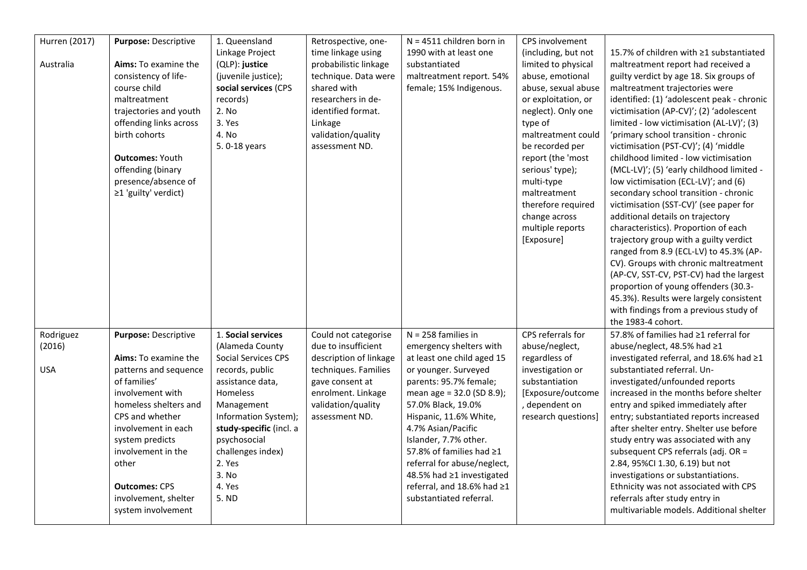| Hurren (2017) | Purpose: Descriptive   | 1. Queensland              | Retrospective, one-    | $N = 4511$ children born in | CPS involvement     |                                            |
|---------------|------------------------|----------------------------|------------------------|-----------------------------|---------------------|--------------------------------------------|
|               |                        | Linkage Project            | time linkage using     | 1990 with at least one      | (including, but not | 15.7% of children with ≥1 substantiated    |
| Australia     | Aims: To examine the   | (QLP): justice             | probabilistic linkage  | substantiated               | limited to physical | maltreatment report had received a         |
|               | consistency of life-   | (juvenile justice);        | technique. Data were   | maltreatment report. 54%    | abuse, emotional    | guilty verdict by age 18. Six groups of    |
|               | course child           | social services (CPS       | shared with            | female; 15% Indigenous.     | abuse, sexual abuse | maltreatment trajectories were             |
|               | maltreatment           | records)                   | researchers in de-     |                             | or exploitation, or | identified: (1) 'adolescent peak - chronic |
|               | trajectories and youth | 2. No                      | identified format.     |                             | neglect). Only one  | victimisation (AP-CV)'; (2) 'adolescent    |
|               | offending links across | 3. Yes                     | Linkage                |                             | type of             | limited - low victimisation (AL-LV)'; (3)  |
|               | birth cohorts          | 4. No                      | validation/quality     |                             | maltreatment could  | 'primary school transition - chronic       |
|               |                        | 5.0-18 years               | assessment ND.         |                             | be recorded per     | victimisation (PST-CV)'; (4) 'middle       |
|               | <b>Outcomes: Youth</b> |                            |                        |                             | report (the 'most   | childhood limited - low victimisation      |
|               | offending (binary      |                            |                        |                             | serious' type);     | (MCL-LV)'; (5) 'early childhood limited -  |
|               | presence/absence of    |                            |                        |                             | multi-type          | low victimisation (ECL-LV)'; and (6)       |
|               | ≥1 'guilty' verdict)   |                            |                        |                             | maltreatment        | secondary school transition - chronic      |
|               |                        |                            |                        |                             | therefore required  | victimisation (SST-CV)' (see paper for     |
|               |                        |                            |                        |                             | change across       | additional details on trajectory           |
|               |                        |                            |                        |                             | multiple reports    | characteristics). Proportion of each       |
|               |                        |                            |                        |                             | [Exposure]          | trajectory group with a guilty verdict     |
|               |                        |                            |                        |                             |                     | ranged from 8.9 (ECL-LV) to 45.3% (AP-     |
|               |                        |                            |                        |                             |                     | CV). Groups with chronic maltreatment      |
|               |                        |                            |                        |                             |                     | (AP-CV, SST-CV, PST-CV) had the largest    |
|               |                        |                            |                        |                             |                     | proportion of young offenders (30.3-       |
|               |                        |                            |                        |                             |                     | 45.3%). Results were largely consistent    |
|               |                        |                            |                        |                             |                     | with findings from a previous study of     |
|               |                        |                            |                        |                             |                     | the 1983-4 cohort.                         |
| Rodriguez     | Purpose: Descriptive   | 1. Social services         | Could not categorise   | $N = 258$ families in       | CPS referrals for   | 57.8% of families had ≥1 referral for      |
| (2016)        |                        | (Alameda County            | due to insufficient    | emergency shelters with     | abuse/neglect,      | abuse/neglect, 48.5% had ≥1                |
|               | Aims: To examine the   | <b>Social Services CPS</b> | description of linkage | at least one child aged 15  | regardless of       | investigated referral, and 18.6% had ≥1    |
| <b>USA</b>    | patterns and sequence  | records, public            | techniques. Families   | or younger. Surveyed        | investigation or    | substantiated referral. Un-                |
|               | of families'           | assistance data,           | gave consent at        | parents: 95.7% female;      | substantiation      | investigated/unfounded reports             |
|               | involvement with       | Homeless                   | enrolment. Linkage     | mean age = 32.0 (SD 8.9);   | [Exposure/outcome   | increased in the months before shelter     |
|               | homeless shelters and  | Management                 | validation/quality     | 57.0% Black, 19.0%          | , dependent on      | entry and spiked immediately after         |
|               | CPS and whether        | Information System);       | assessment ND.         | Hispanic, 11.6% White,      | research questions] | entry; substantiated reports increased     |
|               | involvement in each    | study-specific (incl. a    |                        | 4.7% Asian/Pacific          |                     | after shelter entry. Shelter use before    |
|               | system predicts        | psychosocial               |                        | Islander, 7.7% other.       |                     | study entry was associated with any        |
|               | involvement in the     | challenges index)          |                        | 57.8% of families had ≥1    |                     | subsequent CPS referrals (adj. OR =        |
|               | other                  | 2. Yes                     |                        | referral for abuse/neglect, |                     | 2.84, 95%Cl 1.30, 6.19) but not            |
|               |                        | 3. No                      |                        | 48.5% had ≥1 investigated   |                     | investigations or substantiations.         |
|               | <b>Outcomes: CPS</b>   | 4. Yes                     |                        | referral, and 18.6% had ≥1  |                     | Ethnicity was not associated with CPS      |
|               | involvement, shelter   | 5. ND                      |                        | substantiated referral.     |                     | referrals after study entry in             |
|               | system involvement     |                            |                        |                             |                     | multivariable models. Additional shelter   |
|               |                        |                            |                        |                             |                     |                                            |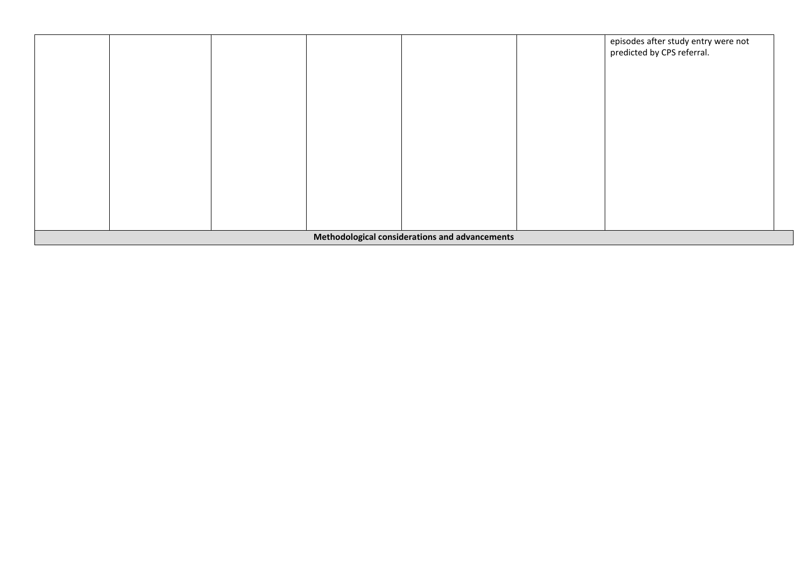|  |  |                                                | episodes after study entry were not<br>predicted by CPS referral. |  |
|--|--|------------------------------------------------|-------------------------------------------------------------------|--|
|  |  |                                                |                                                                   |  |
|  |  |                                                |                                                                   |  |
|  |  |                                                |                                                                   |  |
|  |  |                                                |                                                                   |  |
|  |  |                                                |                                                                   |  |
|  |  | Methodological considerations and advancements |                                                                   |  |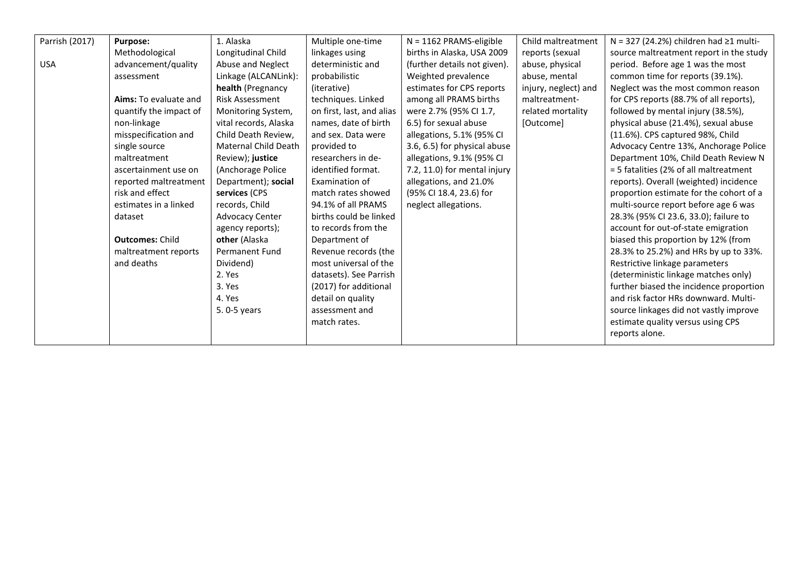| Parrish (2017) | <b>Purpose:</b>        | 1. Alaska              | Multiple one-time         | $N = 1162$ PRAMS-eligible    | Child maltreatment   | $N = 327$ (24.2%) children had $\geq 1$ multi- |
|----------------|------------------------|------------------------|---------------------------|------------------------------|----------------------|------------------------------------------------|
|                | Methodological         | Longitudinal Child     | linkages using            | births in Alaska, USA 2009   | reports (sexual      | source maltreatment report in the study        |
| <b>USA</b>     | advancement/quality    | Abuse and Neglect      | deterministic and         | (further details not given). | abuse, physical      | period. Before age 1 was the most              |
|                | assessment             | Linkage (ALCANLink):   | probabilistic             | Weighted prevalence          | abuse, mental        | common time for reports (39.1%).               |
|                |                        | health (Pregnancy      | (iterative)               | estimates for CPS reports    | injury, neglect) and | Neglect was the most common reason             |
|                | Aims: To evaluate and  | <b>Risk Assessment</b> | techniques. Linked        | among all PRAMS births       | maltreatment-        | for CPS reports (88.7% of all reports),        |
|                | quantify the impact of | Monitoring System,     | on first, last, and alias | were 2.7% (95% CI 1.7,       | related mortality    | followed by mental injury (38.5%),             |
|                | non-linkage            | vital records, Alaska  | names, date of birth      | 6.5) for sexual abuse        | [Outcome]            | physical abuse (21.4%), sexual abuse           |
|                | misspecification and   | Child Death Review.    | and sex. Data were        | allegations, 5.1% (95% CI    |                      | (11.6%). CPS captured 98%, Child               |
|                | single source          | Maternal Child Death   | provided to               | 3.6, 6.5) for physical abuse |                      | Advocacy Centre 13%, Anchorage Police          |
|                | maltreatment           | Review); justice       | researchers in de-        | allegations, 9.1% (95% CI    |                      | Department 10%, Child Death Review N           |
|                | ascertainment use on   | (Anchorage Police      | identified format.        | 7.2, 11.0) for mental injury |                      | = 5 fatalities (2% of all maltreatment         |
|                | reported maltreatment  | Department); social    | Examination of            | allegations, and 21.0%       |                      | reports). Overall (weighted) incidence         |
|                | risk and effect        | services (CPS          | match rates showed        | (95% Cl 18.4, 23.6) for      |                      | proportion estimate for the cohort of a        |
|                | estimates in a linked  | records, Child         | 94.1% of all PRAMS        | neglect allegations.         |                      | multi-source report before age 6 was           |
|                | dataset                | <b>Advocacy Center</b> | births could be linked    |                              |                      | 28.3% (95% CI 23.6, 33.0); failure to          |
|                |                        | agency reports);       | to records from the       |                              |                      | account for out-of-state emigration            |
|                | <b>Outcomes: Child</b> | other (Alaska          | Department of             |                              |                      | biased this proportion by 12% (from            |
|                | maltreatment reports   | <b>Permanent Fund</b>  | Revenue records (the      |                              |                      | 28.3% to 25.2%) and HRs by up to 33%.          |
|                | and deaths             | Dividend)              | most universal of the     |                              |                      | Restrictive linkage parameters                 |
|                |                        | 2. Yes                 | datasets). See Parrish    |                              |                      | (deterministic linkage matches only)           |
|                |                        | 3. Yes                 | (2017) for additional     |                              |                      | further biased the incidence proportion        |
|                |                        | 4. Yes                 | detail on quality         |                              |                      | and risk factor HRs downward. Multi-           |
|                |                        | 5.0-5 years            | assessment and            |                              |                      | source linkages did not vastly improve         |
|                |                        |                        | match rates.              |                              |                      | estimate quality versus using CPS              |
|                |                        |                        |                           |                              |                      | reports alone.                                 |
|                |                        |                        |                           |                              |                      |                                                |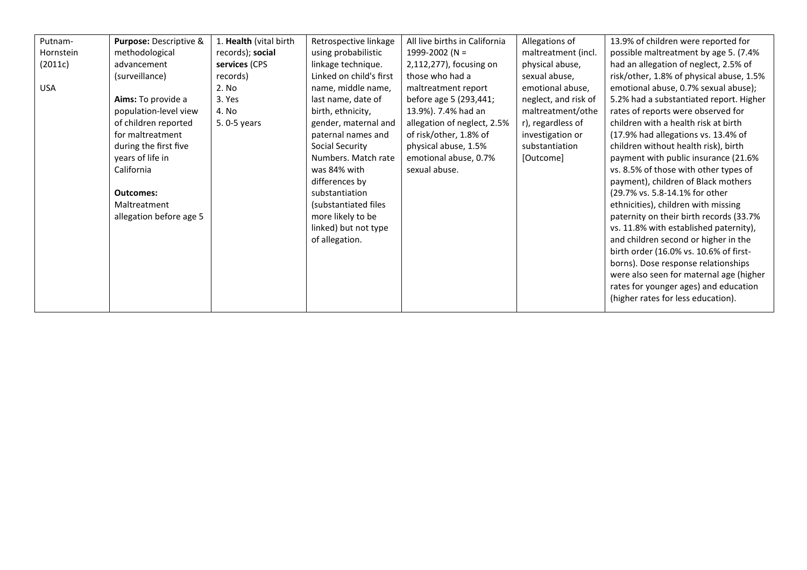| Putnam-    | Purpose: Descriptive &  | 1. Health (vital birth | Retrospective linkage   | All live births in California | Allegations of       | 13.9% of children were reported for      |
|------------|-------------------------|------------------------|-------------------------|-------------------------------|----------------------|------------------------------------------|
| Hornstein  | methodological          | records); social       | using probabilistic     | 1999-2002 (N =                | maltreatment (incl.  | possible maltreatment by age 5. (7.4%    |
| (2011c)    | advancement             | services (CPS          | linkage technique.      | 2,112,277), focusing on       | physical abuse,      | had an allegation of neglect, 2.5% of    |
|            | (surveillance)          | records)               | Linked on child's first | those who had a               | sexual abuse,        | risk/other, 1.8% of physical abuse, 1.5% |
| <b>USA</b> |                         | 2. No                  | name, middle name,      | maltreatment report           | emotional abuse,     | emotional abuse, 0.7% sexual abuse);     |
|            | Aims: To provide a      | 3. Yes                 | last name, date of      | before age 5 (293,441;        | neglect, and risk of | 5.2% had a substantiated report. Higher  |
|            | population-level view   | 4. No                  | birth, ethnicity,       | 13.9%). 7.4% had an           | maltreatment/othe    | rates of reports were observed for       |
|            | of children reported    | 5.0-5 years            | gender, maternal and    | allegation of neglect, 2.5%   | r), regardless of    | children with a health risk at birth     |
|            | for maltreatment        |                        | paternal names and      | of risk/other, 1.8% of        | investigation or     | (17.9% had allegations vs. 13.4% of      |
|            | during the first five   |                        | Social Security         | physical abuse, 1.5%          | substantiation       | children without health risk), birth     |
|            | years of life in        |                        | Numbers. Match rate     | emotional abuse, 0.7%         | [Outcome]            | payment with public insurance (21.6%     |
|            | California              |                        | was 84% with            | sexual abuse.                 |                      | vs. 8.5% of those with other types of    |
|            |                         |                        | differences by          |                               |                      | payment), children of Black mothers      |
|            | <b>Outcomes:</b>        |                        | substantiation          |                               |                      | (29.7% vs. 5.8-14.1% for other           |
|            | Maltreatment            |                        | (substantiated files    |                               |                      | ethnicities), children with missing      |
|            | allegation before age 5 |                        | more likely to be       |                               |                      | paternity on their birth records (33.7%  |
|            |                         |                        | linked) but not type    |                               |                      | vs. 11.8% with established paternity),   |
|            |                         |                        | of allegation.          |                               |                      | and children second or higher in the     |
|            |                         |                        |                         |                               |                      | birth order (16.0% vs. 10.6% of first-   |
|            |                         |                        |                         |                               |                      | borns). Dose response relationships      |
|            |                         |                        |                         |                               |                      | were also seen for maternal age (higher  |
|            |                         |                        |                         |                               |                      | rates for younger ages) and education    |
|            |                         |                        |                         |                               |                      | (higher rates for less education).       |
|            |                         |                        |                         |                               |                      |                                          |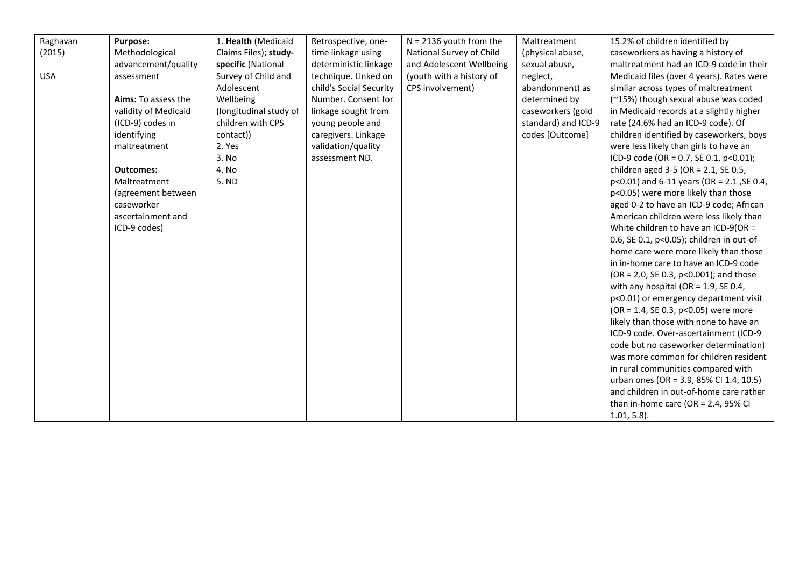| Raghavan   | <b>Purpose:</b>      | 1. Health (Medicaid    | Retrospective, one-     | $N = 2136$ youth from the | Maltreatment        | 15.2% of children identified by              |
|------------|----------------------|------------------------|-------------------------|---------------------------|---------------------|----------------------------------------------|
| (2015)     | Methodological       | Claims Files); study-  | time linkage using      | National Survey of Child  | (physical abuse,    | caseworkers as having a history of           |
|            | advancement/quality  | specific (National     | deterministic linkage   | and Adolescent Wellbeing  | sexual abuse,       | maltreatment had an ICD-9 code in their      |
| <b>USA</b> | assessment           | Survey of Child and    | technique. Linked on    | (youth with a history of  | neglect,            | Medicaid files (over 4 years). Rates were    |
|            |                      | Adolescent             | child's Social Security | CPS involvement)          | abandonment) as     | similar across types of maltreatment         |
|            | Aims: To assess the  | Wellbeing              | Number. Consent for     |                           | determined by       | (~15%) though sexual abuse was coded         |
|            | validity of Medicaid | (longitudinal study of | linkage sought from     |                           | caseworkers (gold   | in Medicaid records at a slightly higher     |
|            | (ICD-9) codes in     | children with CPS      | young people and        |                           | standard) and ICD-9 | rate (24.6% had an ICD-9 code). Of           |
|            | identifying          | contact))              | caregivers. Linkage     |                           | codes [Outcome]     | children identified by caseworkers, boys     |
|            | maltreatment         | 2. Yes                 | validation/quality      |                           |                     | were less likely than girls to have an       |
|            |                      | 3. No                  | assessment ND.          |                           |                     | ICD-9 code (OR = 0.7, SE 0.1, $p<0.01$ );    |
|            | <b>Outcomes:</b>     | 4. No                  |                         |                           |                     | children aged 3-5 (OR = 2.1, SE 0.5,         |
|            | Maltreatment         | 5. ND                  |                         |                           |                     | $p<0.01$ ) and 6-11 years (OR = 2.1, SE 0.4, |
|            | (agreement between   |                        |                         |                           |                     | p<0.05) were more likely than those          |
|            | caseworker           |                        |                         |                           |                     | aged 0-2 to have an ICD-9 code; African      |
|            | ascertainment and    |                        |                         |                           |                     | American children were less likely than      |
|            | ICD-9 codes)         |                        |                         |                           |                     | White children to have an ICD-9(OR =         |
|            |                      |                        |                         |                           |                     | 0.6, SE 0.1, p<0.05); children in out-of-    |
|            |                      |                        |                         |                           |                     | home care were more likely than those        |
|            |                      |                        |                         |                           |                     | in in-home care to have an ICD-9 code        |
|            |                      |                        |                         |                           |                     | (OR = 2.0, SE 0.3, p<0.001); and those       |
|            |                      |                        |                         |                           |                     | with any hospital (OR = $1.9$ , SE 0.4,      |
|            |                      |                        |                         |                           |                     | p<0.01) or emergency department visit        |
|            |                      |                        |                         |                           |                     | (OR = 1.4, SE 0.3, p<0.05) were more         |
|            |                      |                        |                         |                           |                     | likely than those with none to have an       |
|            |                      |                        |                         |                           |                     | ICD-9 code. Over-ascertainment (ICD-9        |
|            |                      |                        |                         |                           |                     | code but no caseworker determination)        |
|            |                      |                        |                         |                           |                     | was more common for children resident        |
|            |                      |                        |                         |                           |                     | in rural communities compared with           |
|            |                      |                        |                         |                           |                     | urban ones (OR = 3.9, 85% CI 1.4, 10.5)      |
|            |                      |                        |                         |                           |                     | and children in out-of-home care rather      |
|            |                      |                        |                         |                           |                     | than in-home care (OR = $2.4$ , 95% CI       |
|            |                      |                        |                         |                           |                     | $1.01, 5.8$ ).                               |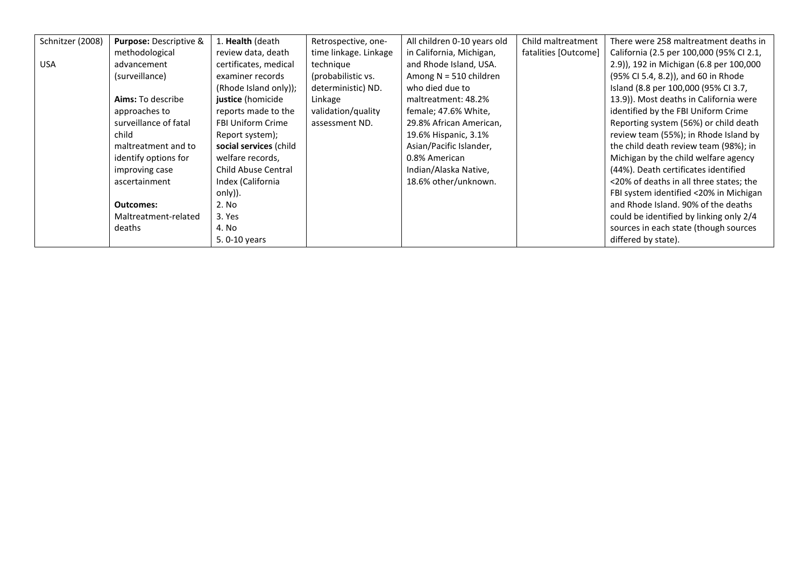| Schnitzer (2008) | Purpose: Descriptive &   | 1. Health (death         | Retrospective, one-   | All children 0-10 years old | Child maltreatment   | There were 258 maltreatment deaths in    |
|------------------|--------------------------|--------------------------|-----------------------|-----------------------------|----------------------|------------------------------------------|
|                  | methodological           | review data, death       | time linkage. Linkage | in California, Michigan,    | fatalities [Outcome] | California (2.5 per 100,000 (95% CI 2.1, |
| <b>USA</b>       | advancement              | certificates, medical    | technique             | and Rhode Island, USA.      |                      | 2.9)), 192 in Michigan (6.8 per 100,000  |
|                  | (surveillance)           | examiner records         | (probabilistic vs.    | Among $N = 510$ children    |                      | (95% CI 5.4, 8.2)), and 60 in Rhode      |
|                  |                          | (Rhode Island only));    | deterministic) ND.    | who died due to             |                      | Island (8.8 per 100,000 (95% CI 3.7,     |
|                  | <b>Aims:</b> To describe | justice (homicide        | Linkage               | maltreatment: 48.2%         |                      | 13.9)). Most deaths in California were   |
|                  | approaches to            | reports made to the      | validation/quality    | female; 47.6% White,        |                      | identified by the FBI Uniform Crime      |
|                  | surveillance of fatal    | <b>FBI Uniform Crime</b> | assessment ND.        | 29.8% African American,     |                      | Reporting system (56%) or child death    |
|                  | child                    | Report system);          |                       | 19.6% Hispanic, 3.1%        |                      | review team (55%); in Rhode Island by    |
|                  | maltreatment and to      | social services (child   |                       | Asian/Pacific Islander,     |                      | the child death review team (98%); in    |
|                  | identify options for     | welfare records,         |                       | 0.8% American               |                      | Michigan by the child welfare agency     |
|                  | improving case           | Child Abuse Central      |                       | Indian/Alaska Native,       |                      | (44%). Death certificates identified     |
|                  | ascertainment            | Index (California        |                       | 18.6% other/unknown.        |                      | <20% of deaths in all three states; the  |
|                  |                          | only)).                  |                       |                             |                      | FBI system identified <20% in Michigan   |
|                  | <b>Outcomes:</b>         | 2. No                    |                       |                             |                      | and Rhode Island. 90% of the deaths      |
|                  | Maltreatment-related     | 3. Yes                   |                       |                             |                      | could be identified by linking only 2/4  |
|                  | deaths                   | 4. No                    |                       |                             |                      | sources in each state (though sources    |
|                  |                          | 5.0-10 years             |                       |                             |                      | differed by state).                      |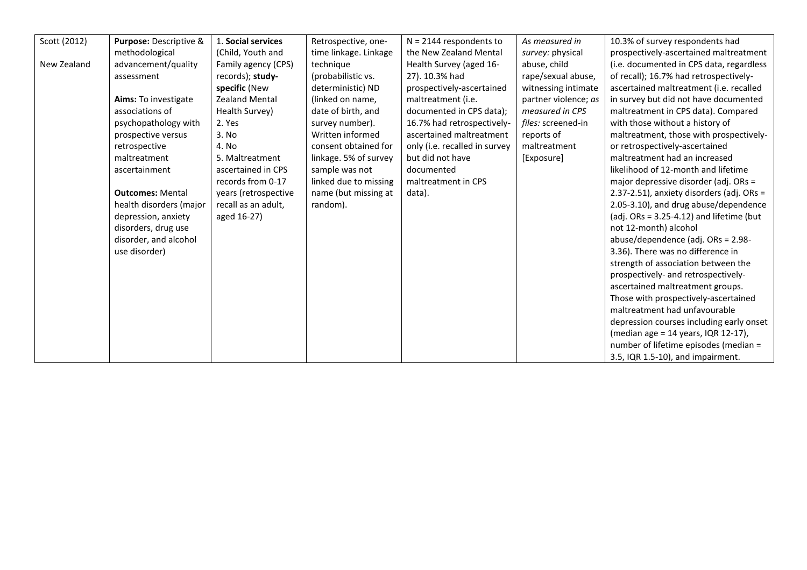| Scott (2012) | Purpose: Descriptive &  | 1. Social services    | Retrospective, one-   | $N = 2144$ respondents to     | As measured in       | 10.3% of survey respondents had             |
|--------------|-------------------------|-----------------------|-----------------------|-------------------------------|----------------------|---------------------------------------------|
|              | methodological          | (Child, Youth and     | time linkage. Linkage | the New Zealand Mental        | survey: physical     | prospectively-ascertained maltreatment      |
| New Zealand  | advancement/quality     | Family agency (CPS)   | technique             | Health Survey (aged 16-       | abuse, child         | (i.e. documented in CPS data, regardless    |
|              | assessment              | records); study-      | (probabilistic vs.    | 27). 10.3% had                | rape/sexual abuse,   | of recall); 16.7% had retrospectively-      |
|              |                         | specific (New         | deterministic) ND     | prospectively-ascertained     | witnessing intimate  | ascertained maltreatment (i.e. recalled     |
|              | Aims: To investigate    | <b>Zealand Mental</b> | (linked on name,      | maltreatment (i.e.            | partner violence; as | in survey but did not have documented       |
|              | associations of         | Health Survey)        | date of birth, and    | documented in CPS data);      | measured in CPS      | maltreatment in CPS data). Compared         |
|              | psychopathology with    | 2. Yes                | survey number).       | 16.7% had retrospectively-    | files: screened-in   | with those without a history of             |
|              | prospective versus      | 3. No                 | Written informed      | ascertained maltreatment      | reports of           | maltreatment, those with prospectively-     |
|              | retrospective           | 4. No                 | consent obtained for  | only (i.e. recalled in survey | maltreatment         | or retrospectively-ascertained              |
|              | maltreatment            | 5. Maltreatment       | linkage. 5% of survey | but did not have              | [Exposure]           | maltreatment had an increased               |
|              | ascertainment           | ascertained in CPS    | sample was not        | documented                    |                      | likelihood of 12-month and lifetime         |
|              |                         | records from 0-17     | linked due to missing | maltreatment in CPS           |                      | major depressive disorder (adj. ORs =       |
|              | <b>Outcomes: Mental</b> | years (retrospective  | name (but missing at  | data).                        |                      | 2.37-2.51), anxiety disorders (adj. ORs =   |
|              | health disorders (major | recall as an adult,   | random).              |                               |                      | 2.05-3.10), and drug abuse/dependence       |
|              | depression, anxiety     | aged 16-27)           |                       |                               |                      | (adj. $ORs = 3.25-4.12$ ) and lifetime (but |
|              | disorders, drug use     |                       |                       |                               |                      | not 12-month) alcohol                       |
|              | disorder, and alcohol   |                       |                       |                               |                      | abuse/dependence (adj. ORs = 2.98-          |
|              | use disorder)           |                       |                       |                               |                      | 3.36). There was no difference in           |
|              |                         |                       |                       |                               |                      | strength of association between the         |
|              |                         |                       |                       |                               |                      | prospectively- and retrospectively-         |
|              |                         |                       |                       |                               |                      | ascertained maltreatment groups.            |
|              |                         |                       |                       |                               |                      | Those with prospectively-ascertained        |
|              |                         |                       |                       |                               |                      | maltreatment had unfavourable               |
|              |                         |                       |                       |                               |                      | depression courses including early onset    |
|              |                         |                       |                       |                               |                      | (median age = 14 years, IQR 12-17),         |
|              |                         |                       |                       |                               |                      | number of lifetime episodes (median =       |
|              |                         |                       |                       |                               |                      | 3.5, IQR 1.5-10), and impairment.           |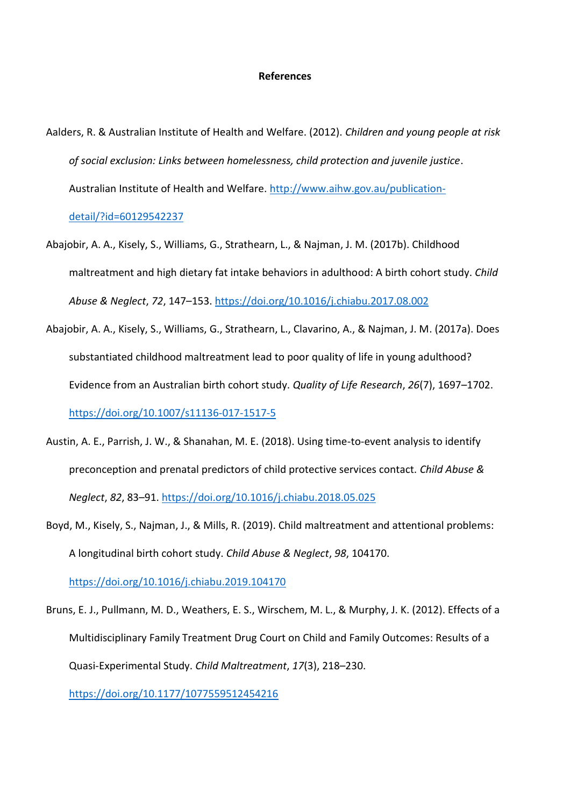## **References**

- Aalders, R. & Australian Institute of Health and Welfare. (2012). *Children and young people at risk of social exclusion: Links between homelessness, child protection and juvenile justice*. Australian Institute of Health and Welfare. [http://www.aihw.gov.au/publication](http://www.aihw.gov.au/publication-detail/?id=60129542237)[detail/?id=60129542237](http://www.aihw.gov.au/publication-detail/?id=60129542237)
- Abajobir, A. A., Kisely, S., Williams, G., Strathearn, L., & Najman, J. M. (2017b). Childhood maltreatment and high dietary fat intake behaviors in adulthood: A birth cohort study. *Child Abuse & Neglect*, *72*, 147–153.<https://doi.org/10.1016/j.chiabu.2017.08.002>
- Abajobir, A. A., Kisely, S., Williams, G., Strathearn, L., Clavarino, A., & Najman, J. M. (2017a). Does substantiated childhood maltreatment lead to poor quality of life in young adulthood? Evidence from an Australian birth cohort study. *Quality of Life Research*, *26*(7), 1697–1702. <https://doi.org/10.1007/s11136-017-1517-5>
- Austin, A. E., Parrish, J. W., & Shanahan, M. E. (2018). Using time-to-event analysis to identify preconception and prenatal predictors of child protective services contact. *Child Abuse & Neglect*, *82*, 83–91.<https://doi.org/10.1016/j.chiabu.2018.05.025>
- Boyd, M., Kisely, S., Najman, J., & Mills, R. (2019). Child maltreatment and attentional problems: A longitudinal birth cohort study. *Child Abuse & Neglect*, *98*, 104170. <https://doi.org/10.1016/j.chiabu.2019.104170>
- Bruns, E. J., Pullmann, M. D., Weathers, E. S., Wirschem, M. L., & Murphy, J. K. (2012). Effects of a Multidisciplinary Family Treatment Drug Court on Child and Family Outcomes: Results of a Quasi-Experimental Study. *Child Maltreatment*, *17*(3), 218–230.

<https://doi.org/10.1177/1077559512454216>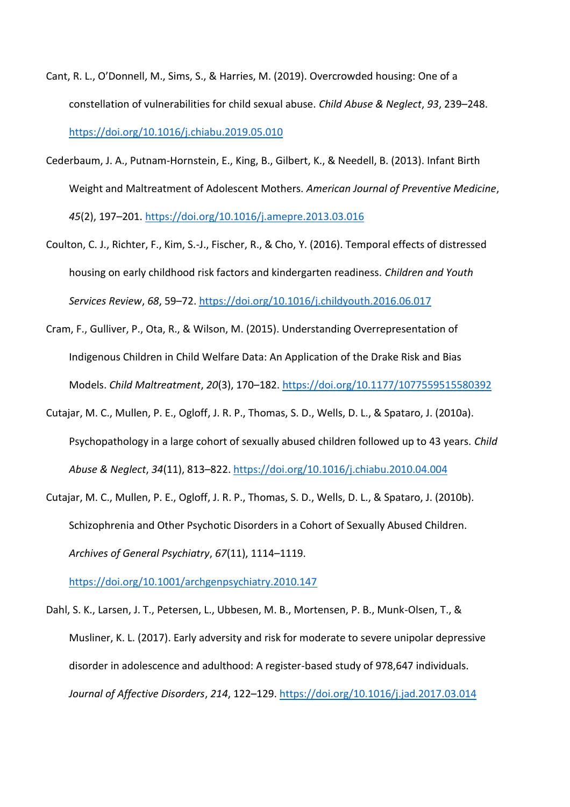- Cant, R. L., O'Donnell, M., Sims, S., & Harries, M. (2019). Overcrowded housing: One of a constellation of vulnerabilities for child sexual abuse. *Child Abuse & Neglect*, *93*, 239–248. <https://doi.org/10.1016/j.chiabu.2019.05.010>
- Cederbaum, J. A., Putnam-Hornstein, E., King, B., Gilbert, K., & Needell, B. (2013). Infant Birth Weight and Maltreatment of Adolescent Mothers. *American Journal of Preventive Medicine*, *45*(2), 197–201.<https://doi.org/10.1016/j.amepre.2013.03.016>
- Coulton, C. J., Richter, F., Kim, S.-J., Fischer, R., & Cho, Y. (2016). Temporal effects of distressed housing on early childhood risk factors and kindergarten readiness. *Children and Youth Services Review*, *68*, 59–72. <https://doi.org/10.1016/j.childyouth.2016.06.017>
- Cram, F., Gulliver, P., Ota, R., & Wilson, M. (2015). Understanding Overrepresentation of Indigenous Children in Child Welfare Data: An Application of the Drake Risk and Bias Models. *Child Maltreatment*, *20*(3), 170–182[. https://doi.org/10.1177/1077559515580392](https://doi.org/10.1177/1077559515580392)
- Cutajar, M. C., Mullen, P. E., Ogloff, J. R. P., Thomas, S. D., Wells, D. L., & Spataro, J. (2010a). Psychopathology in a large cohort of sexually abused children followed up to 43 years. *Child Abuse & Neglect*, *34*(11), 813–822[. https://doi.org/10.1016/j.chiabu.2010.04.004](https://doi.org/10.1016/j.chiabu.2010.04.004)
- Cutajar, M. C., Mullen, P. E., Ogloff, J. R. P., Thomas, S. D., Wells, D. L., & Spataro, J. (2010b). Schizophrenia and Other Psychotic Disorders in a Cohort of Sexually Abused Children. *Archives of General Psychiatry*, *67*(11), 1114–1119.

<https://doi.org/10.1001/archgenpsychiatry.2010.147>

Dahl, S. K., Larsen, J. T., Petersen, L., Ubbesen, M. B., Mortensen, P. B., Munk-Olsen, T., & Musliner, K. L. (2017). Early adversity and risk for moderate to severe unipolar depressive disorder in adolescence and adulthood: A register-based study of 978,647 individuals. *Journal of Affective Disorders*, *214*, 122–129.<https://doi.org/10.1016/j.jad.2017.03.014>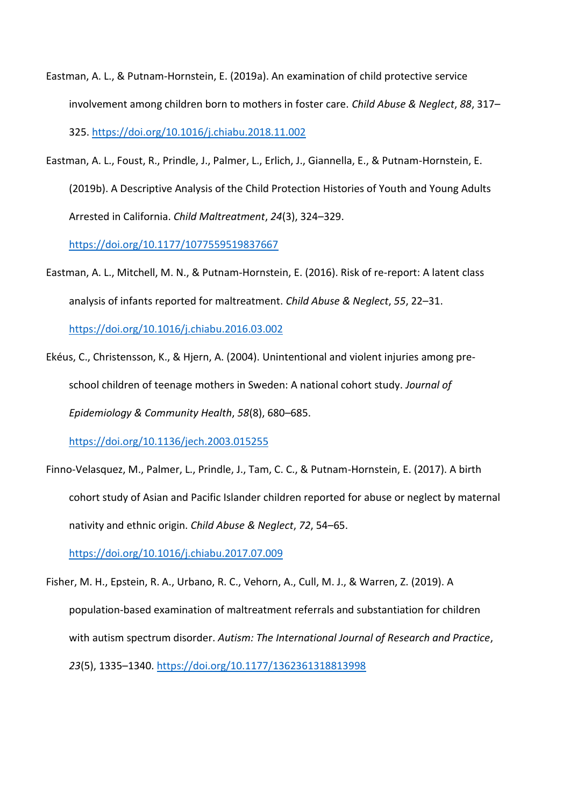- Eastman, A. L., & Putnam-Hornstein, E. (2019a). An examination of child protective service involvement among children born to mothers in foster care. *Child Abuse & Neglect*, *88*, 317– 325.<https://doi.org/10.1016/j.chiabu.2018.11.002>
- Eastman, A. L., Foust, R., Prindle, J., Palmer, L., Erlich, J., Giannella, E., & Putnam-Hornstein, E. (2019b). A Descriptive Analysis of the Child Protection Histories of Youth and Young Adults Arrested in California. *Child Maltreatment*, *24*(3), 324–329.

<https://doi.org/10.1177/1077559519837667>

Eastman, A. L., Mitchell, M. N., & Putnam-Hornstein, E. (2016). Risk of re-report: A latent class analysis of infants reported for maltreatment. *Child Abuse & Neglect*, *55*, 22–31.

<https://doi.org/10.1016/j.chiabu.2016.03.002>

Ekéus, C., Christensson, K., & Hjern, A. (2004). Unintentional and violent injuries among preschool children of teenage mothers in Sweden: A national cohort study. *Journal of Epidemiology & Community Health*, *58*(8), 680–685.

<https://doi.org/10.1136/jech.2003.015255>

Finno-Velasquez, M., Palmer, L., Prindle, J., Tam, C. C., & Putnam-Hornstein, E. (2017). A birth cohort study of Asian and Pacific Islander children reported for abuse or neglect by maternal nativity and ethnic origin. *Child Abuse & Neglect*, *72*, 54–65.

<https://doi.org/10.1016/j.chiabu.2017.07.009>

Fisher, M. H., Epstein, R. A., Urbano, R. C., Vehorn, A., Cull, M. J., & Warren, Z. (2019). A population-based examination of maltreatment referrals and substantiation for children with autism spectrum disorder. *Autism: The International Journal of Research and Practice*, *23*(5), 1335–1340[. https://doi.org/10.1177/1362361318813998](https://doi.org/10.1177/1362361318813998)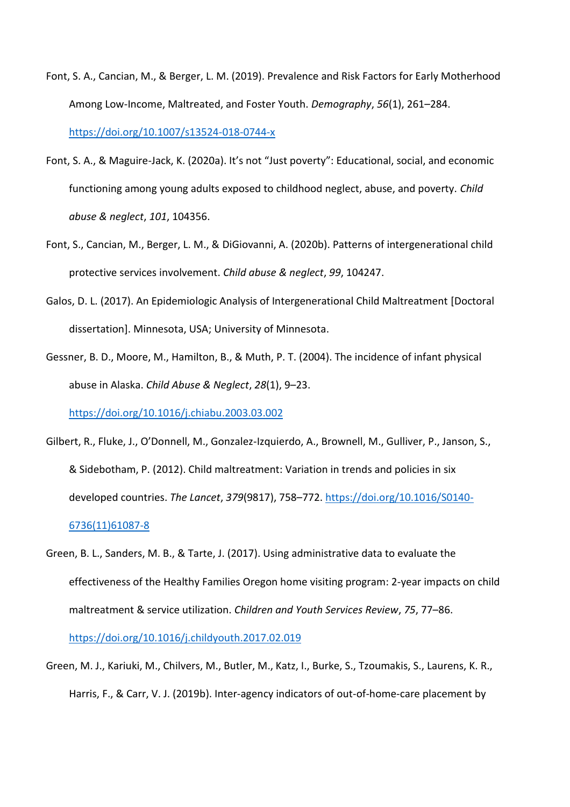- Font, S. A., Cancian, M., & Berger, L. M. (2019). Prevalence and Risk Factors for Early Motherhood Among Low-Income, Maltreated, and Foster Youth. *Demography*, *56*(1), 261–284. <https://doi.org/10.1007/s13524-018-0744-x>
- Font, S. A., & Maguire-Jack, K. (2020a). It's not "Just poverty": Educational, social, and economic functioning among young adults exposed to childhood neglect, abuse, and poverty. *Child abuse & neglect*, *101*, 104356.
- Font, S., Cancian, M., Berger, L. M., & DiGiovanni, A. (2020b). Patterns of intergenerational child protective services involvement. *Child abuse & neglect*, *99*, 104247.
- Galos, D. L. (2017). An Epidemiologic Analysis of Intergenerational Child Maltreatment [Doctoral dissertation]. Minnesota, USA; University of Minnesota.
- Gessner, B. D., Moore, M., Hamilton, B., & Muth, P. T. (2004). The incidence of infant physical abuse in Alaska. *Child Abuse & Neglect*, *28*(1), 9–23.

<https://doi.org/10.1016/j.chiabu.2003.03.002>

- Gilbert, R., Fluke, J., O'Donnell, M., Gonzalez-Izquierdo, A., Brownell, M., Gulliver, P., Janson, S., & Sidebotham, P. (2012). Child maltreatment: Variation in trends and policies in six developed countries. *The Lancet*, *379*(9817), 758–772. [https://doi.org/10.1016/S0140-](https://doi.org/10.1016/S0140-6736(11)61087-8) [6736\(11\)61087-8](https://doi.org/10.1016/S0140-6736(11)61087-8)
- Green, B. L., Sanders, M. B., & Tarte, J. (2017). Using administrative data to evaluate the effectiveness of the Healthy Families Oregon home visiting program: 2-year impacts on child maltreatment & service utilization. *Children and Youth Services Review*, *75*, 77–86.

<https://doi.org/10.1016/j.childyouth.2017.02.019>

Green, M. J., Kariuki, M., Chilvers, M., Butler, M., Katz, I., Burke, S., Tzoumakis, S., Laurens, K. R., Harris, F., & Carr, V. J. (2019b). Inter-agency indicators of out-of-home-care placement by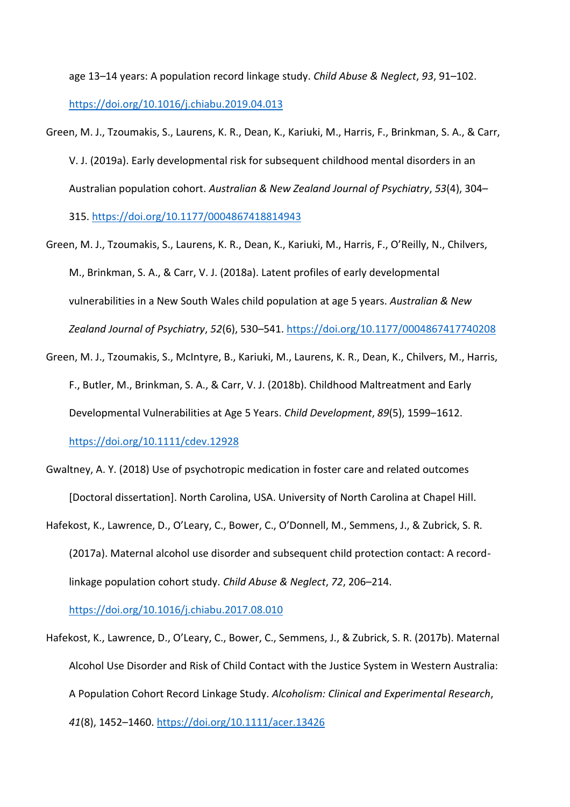age 13–14 years: A population record linkage study. *Child Abuse & Neglect*, *93*, 91–102. <https://doi.org/10.1016/j.chiabu.2019.04.013>

Green, M. J., Tzoumakis, S., Laurens, K. R., Dean, K., Kariuki, M., Harris, F., Brinkman, S. A., & Carr, V. J. (2019a). Early developmental risk for subsequent childhood mental disorders in an Australian population cohort. *Australian & New Zealand Journal of Psychiatry*, *53*(4), 304–

315.<https://doi.org/10.1177/0004867418814943>

- Green, M. J., Tzoumakis, S., Laurens, K. R., Dean, K., Kariuki, M., Harris, F., O'Reilly, N., Chilvers, M., Brinkman, S. A., & Carr, V. J. (2018a). Latent profiles of early developmental vulnerabilities in a New South Wales child population at age 5 years. *Australian & New Zealand Journal of Psychiatry*, *52*(6), 530–541.<https://doi.org/10.1177/0004867417740208>
- Green, M. J., Tzoumakis, S., McIntyre, B., Kariuki, M., Laurens, K. R., Dean, K., Chilvers, M., Harris, F., Butler, M., Brinkman, S. A., & Carr, V. J. (2018b). Childhood Maltreatment and Early Developmental Vulnerabilities at Age 5 Years. *Child Development*, *89*(5), 1599–1612. <https://doi.org/10.1111/cdev.12928>
- Gwaltney, A. Y. (2018) Use of psychotropic medication in foster care and related outcomes [Doctoral dissertation]. North Carolina, USA. University of North Carolina at Chapel Hill.
- Hafekost, K., Lawrence, D., O'Leary, C., Bower, C., O'Donnell, M., Semmens, J., & Zubrick, S. R. (2017a). Maternal alcohol use disorder and subsequent child protection contact: A recordlinkage population cohort study. *Child Abuse & Neglect*, *72*, 206–214.

<https://doi.org/10.1016/j.chiabu.2017.08.010>

Hafekost, K., Lawrence, D., O'Leary, C., Bower, C., Semmens, J., & Zubrick, S. R. (2017b). Maternal Alcohol Use Disorder and Risk of Child Contact with the Justice System in Western Australia: A Population Cohort Record Linkage Study. *Alcoholism: Clinical and Experimental Research*, *41*(8), 1452–1460[. https://doi.org/10.1111/acer.13426](https://doi.org/10.1111/acer.13426)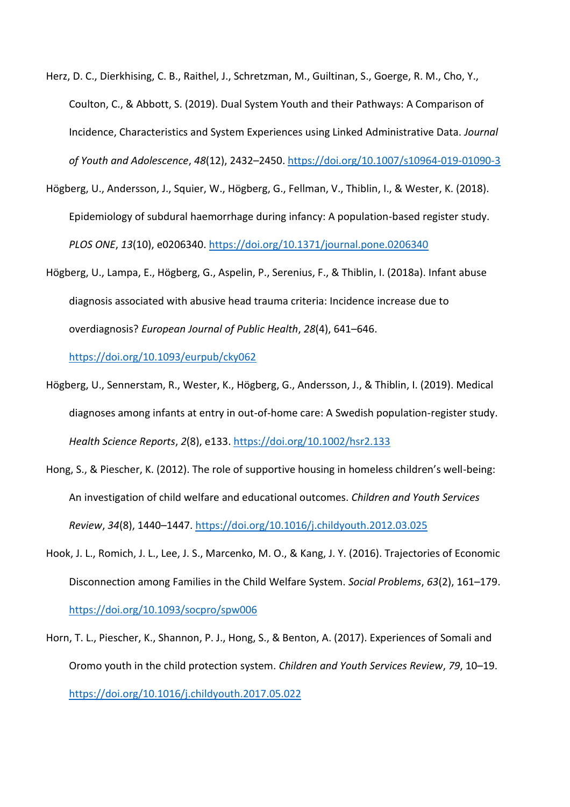- Herz, D. C., Dierkhising, C. B., Raithel, J., Schretzman, M., Guiltinan, S., Goerge, R. M., Cho, Y., Coulton, C., & Abbott, S. (2019). Dual System Youth and their Pathways: A Comparison of Incidence, Characteristics and System Experiences using Linked Administrative Data. *Journal of Youth and Adolescence*, *48*(12), 2432–2450.<https://doi.org/10.1007/s10964-019-01090-3>
- Högberg, U., Andersson, J., Squier, W., Högberg, G., Fellman, V., Thiblin, I., & Wester, K. (2018). Epidemiology of subdural haemorrhage during infancy: A population-based register study. *PLOS ONE*, *13*(10), e0206340.<https://doi.org/10.1371/journal.pone.0206340>
- Högberg, U., Lampa, E., Högberg, G., Aspelin, P., Serenius, F., & Thiblin, I. (2018a). Infant abuse diagnosis associated with abusive head trauma criteria: Incidence increase due to overdiagnosis? *European Journal of Public Health*, *28*(4), 641–646.

<https://doi.org/10.1093/eurpub/cky062>

- Högberg, U., Sennerstam, R., Wester, K., Högberg, G., Andersson, J., & Thiblin, I. (2019). Medical diagnoses among infants at entry in out-of-home care: A Swedish population-register study. *Health Science Reports*, *2*(8), e133[. https://doi.org/10.1002/hsr2.133](https://doi.org/10.1002/hsr2.133)
- Hong, S., & Piescher, K. (2012). The role of supportive housing in homeless children's well-being: An investigation of child welfare and educational outcomes. *Children and Youth Services Review*, *34*(8), 1440–1447.<https://doi.org/10.1016/j.childyouth.2012.03.025>
- Hook, J. L., Romich, J. L., Lee, J. S., Marcenko, M. O., & Kang, J. Y. (2016). Trajectories of Economic Disconnection among Families in the Child Welfare System. *Social Problems*, *63*(2), 161–179. <https://doi.org/10.1093/socpro/spw006>
- Horn, T. L., Piescher, K., Shannon, P. J., Hong, S., & Benton, A. (2017). Experiences of Somali and Oromo youth in the child protection system. *Children and Youth Services Review*, *79*, 10–19. <https://doi.org/10.1016/j.childyouth.2017.05.022>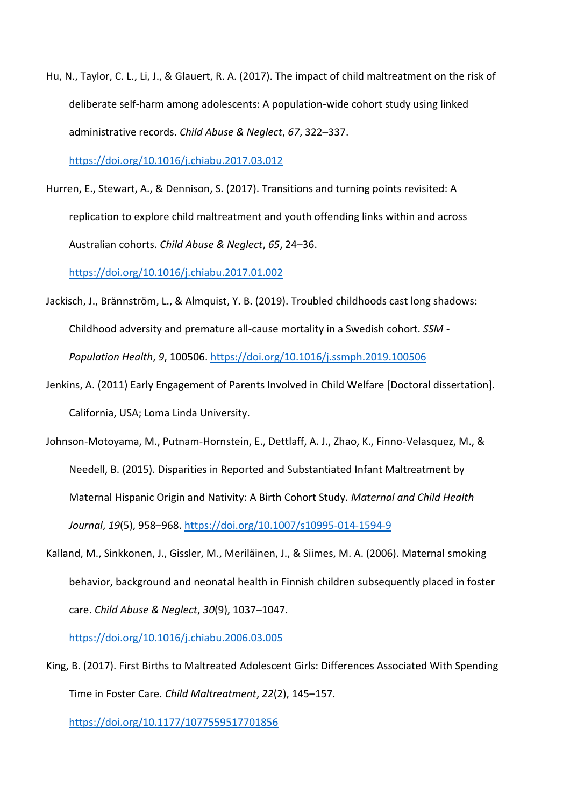Hu, N., Taylor, C. L., Li, J., & Glauert, R. A. (2017). The impact of child maltreatment on the risk of deliberate self-harm among adolescents: A population-wide cohort study using linked administrative records. *Child Abuse & Neglect*, *67*, 322–337.

<https://doi.org/10.1016/j.chiabu.2017.03.012>

Hurren, E., Stewart, A., & Dennison, S. (2017). Transitions and turning points revisited: A replication to explore child maltreatment and youth offending links within and across Australian cohorts. *Child Abuse & Neglect*, *65*, 24–36.

<https://doi.org/10.1016/j.chiabu.2017.01.002>

- Jackisch, J., Brännström, L., & Almquist, Y. B. (2019). Troubled childhoods cast long shadows: Childhood adversity and premature all-cause mortality in a Swedish cohort. *SSM - Population Health*, *9*, 100506.<https://doi.org/10.1016/j.ssmph.2019.100506>
- Jenkins, A. (2011) Early Engagement of Parents Involved in Child Welfare [Doctoral dissertation]. California, USA; Loma Linda University.
- Johnson-Motoyama, M., Putnam-Hornstein, E., Dettlaff, A. J., Zhao, K., Finno-Velasquez, M., & Needell, B. (2015). Disparities in Reported and Substantiated Infant Maltreatment by Maternal Hispanic Origin and Nativity: A Birth Cohort Study. *Maternal and Child Health Journal*, *19*(5), 958–968.<https://doi.org/10.1007/s10995-014-1594-9>
- Kalland, M., Sinkkonen, J., Gissler, M., Meriläinen, J., & Siimes, M. A. (2006). Maternal smoking behavior, background and neonatal health in Finnish children subsequently placed in foster care. *Child Abuse & Neglect*, *30*(9), 1037–1047.

<https://doi.org/10.1016/j.chiabu.2006.03.005>

King, B. (2017). First Births to Maltreated Adolescent Girls: Differences Associated With Spending Time in Foster Care. *Child Maltreatment*, *22*(2), 145–157.

<https://doi.org/10.1177/1077559517701856>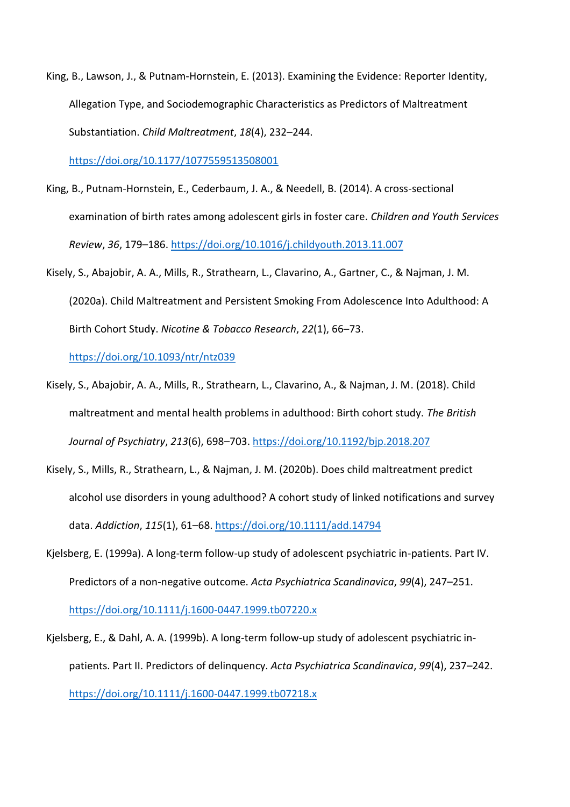King, B., Lawson, J., & Putnam-Hornstein, E. (2013). Examining the Evidence: Reporter Identity, Allegation Type, and Sociodemographic Characteristics as Predictors of Maltreatment Substantiation. *Child Maltreatment*, *18*(4), 232–244.

<https://doi.org/10.1177/1077559513508001>

- King, B., Putnam-Hornstein, E., Cederbaum, J. A., & Needell, B. (2014). A cross-sectional examination of birth rates among adolescent girls in foster care. *Children and Youth Services Review*, *36*, 179–186.<https://doi.org/10.1016/j.childyouth.2013.11.007>
- Kisely, S., Abajobir, A. A., Mills, R., Strathearn, L., Clavarino, A., Gartner, C., & Najman, J. M. (2020a). Child Maltreatment and Persistent Smoking From Adolescence Into Adulthood: A Birth Cohort Study. *Nicotine & Tobacco Research*, *22*(1), 66–73.

<https://doi.org/10.1093/ntr/ntz039>

- Kisely, S., Abajobir, A. A., Mills, R., Strathearn, L., Clavarino, A., & Najman, J. M. (2018). Child maltreatment and mental health problems in adulthood: Birth cohort study. *The British Journal of Psychiatry*, *213*(6), 698–703[. https://doi.org/10.1192/bjp.2018.207](https://doi.org/10.1192/bjp.2018.207)
- Kisely, S., Mills, R., Strathearn, L., & Najman, J. M. (2020b). Does child maltreatment predict alcohol use disorders in young adulthood? A cohort study of linked notifications and survey data. *Addiction*, *115*(1), 61–68. <https://doi.org/10.1111/add.14794>
- Kjelsberg, E. (1999a). A long-term follow-up study of adolescent psychiatric in-patients. Part IV. Predictors of a non-negative outcome. *Acta Psychiatrica Scandinavica*, *99*(4), 247–251.

<https://doi.org/10.1111/j.1600-0447.1999.tb07220.x>

Kjelsberg, E., & Dahl, A. A. (1999b). A long-term follow-up study of adolescent psychiatric inpatients. Part II. Predictors of delinquency. *Acta Psychiatrica Scandinavica*, *99*(4), 237–242. <https://doi.org/10.1111/j.1600-0447.1999.tb07218.x>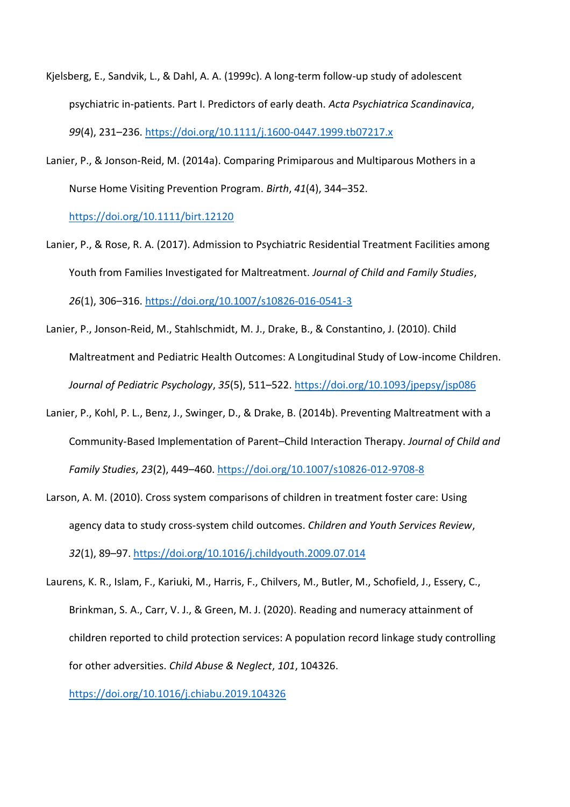- Kjelsberg, E., Sandvik, L., & Dahl, A. A. (1999c). A long-term follow-up study of adolescent psychiatric in-patients. Part I. Predictors of early death. *Acta Psychiatrica Scandinavica*, *99*(4), 231–236.<https://doi.org/10.1111/j.1600-0447.1999.tb07217.x>
- Lanier, P., & Jonson‐Reid, M. (2014a). Comparing Primiparous and Multiparous Mothers in a Nurse Home Visiting Prevention Program. *Birth*, *41*(4), 344–352.

<https://doi.org/10.1111/birt.12120>

- Lanier, P., & Rose, R. A. (2017). Admission to Psychiatric Residential Treatment Facilities among Youth from Families Investigated for Maltreatment. *Journal of Child and Family Studies*, *26*(1), 306–316.<https://doi.org/10.1007/s10826-016-0541-3>
- Lanier, P., Jonson-Reid, M., Stahlschmidt, M. J., Drake, B., & Constantino, J. (2010). Child Maltreatment and Pediatric Health Outcomes: A Longitudinal Study of Low-income Children. *Journal of Pediatric Psychology*, *35*(5), 511–522.<https://doi.org/10.1093/jpepsy/jsp086>
- Lanier, P., Kohl, P. L., Benz, J., Swinger, D., & Drake, B. (2014b). Preventing Maltreatment with a Community-Based Implementation of Parent–Child Interaction Therapy. *Journal of Child and Family Studies*, *23*(2), 449–460.<https://doi.org/10.1007/s10826-012-9708-8>
- Larson, A. M. (2010). Cross system comparisons of children in treatment foster care: Using agency data to study cross-system child outcomes. *Children and Youth Services Review*, *32*(1), 89–97.<https://doi.org/10.1016/j.childyouth.2009.07.014>
- Laurens, K. R., Islam, F., Kariuki, M., Harris, F., Chilvers, M., Butler, M., Schofield, J., Essery, C., Brinkman, S. A., Carr, V. J., & Green, M. J. (2020). Reading and numeracy attainment of children reported to child protection services: A population record linkage study controlling for other adversities. *Child Abuse & Neglect*, *101*, 104326.

<https://doi.org/10.1016/j.chiabu.2019.104326>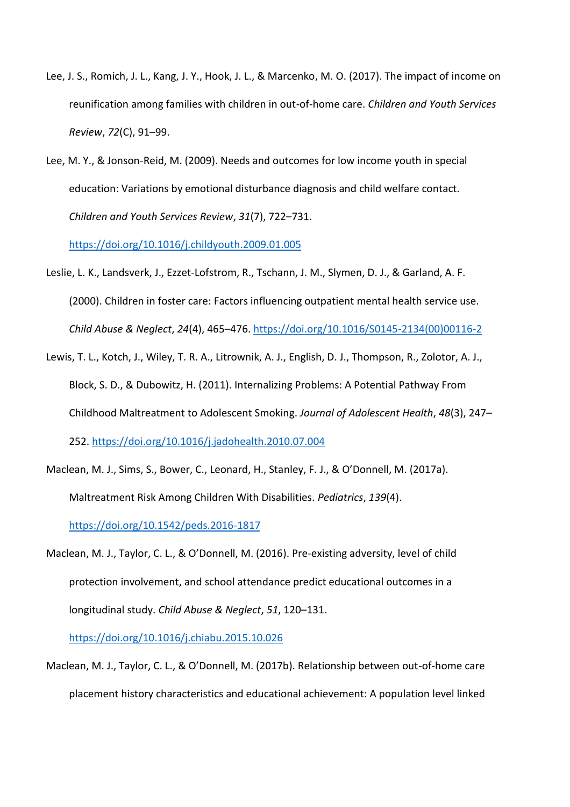- Lee, J. S., Romich, J. L., Kang, J. Y., Hook, J. L., & Marcenko, M. O. (2017). The impact of income on reunification among families with children in out-of-home care. *Children and Youth Services Review*, *72*(C), 91–99.
- Lee, M. Y., & Jonson-Reid, M. (2009). Needs and outcomes for low income youth in special education: Variations by emotional disturbance diagnosis and child welfare contact. *Children and Youth Services Review*, *31*(7), 722–731.

<https://doi.org/10.1016/j.childyouth.2009.01.005>

- Leslie, L. K., Landsverk, J., Ezzet-Lofstrom, R., Tschann, J. M., Slymen, D. J., & Garland, A. F. (2000). Children in foster care: Factors influencing outpatient mental health service use. *Child Abuse & Neglect*, *24*(4), 465–476. [https://doi.org/10.1016/S0145-2134\(00\)00116-2](https://doi.org/10.1016/S0145-2134(00)00116-2)
- Lewis, T. L., Kotch, J., Wiley, T. R. A., Litrownik, A. J., English, D. J., Thompson, R., Zolotor, A. J., Block, S. D., & Dubowitz, H. (2011). Internalizing Problems: A Potential Pathway From Childhood Maltreatment to Adolescent Smoking. *Journal of Adolescent Health*, *48*(3), 247– 252.<https://doi.org/10.1016/j.jadohealth.2010.07.004>
- Maclean, M. J., Sims, S., Bower, C., Leonard, H., Stanley, F. J., & O'Donnell, M. (2017a). Maltreatment Risk Among Children With Disabilities. *Pediatrics*, *139*(4). <https://doi.org/10.1542/peds.2016-1817>
- Maclean, M. J., Taylor, C. L., & O'Donnell, M. (2016). Pre-existing adversity, level of child protection involvement, and school attendance predict educational outcomes in a longitudinal study. *Child Abuse & Neglect*, *51*, 120–131.

<https://doi.org/10.1016/j.chiabu.2015.10.026>

Maclean, M. J., Taylor, C. L., & O'Donnell, M. (2017b). Relationship between out-of-home care placement history characteristics and educational achievement: A population level linked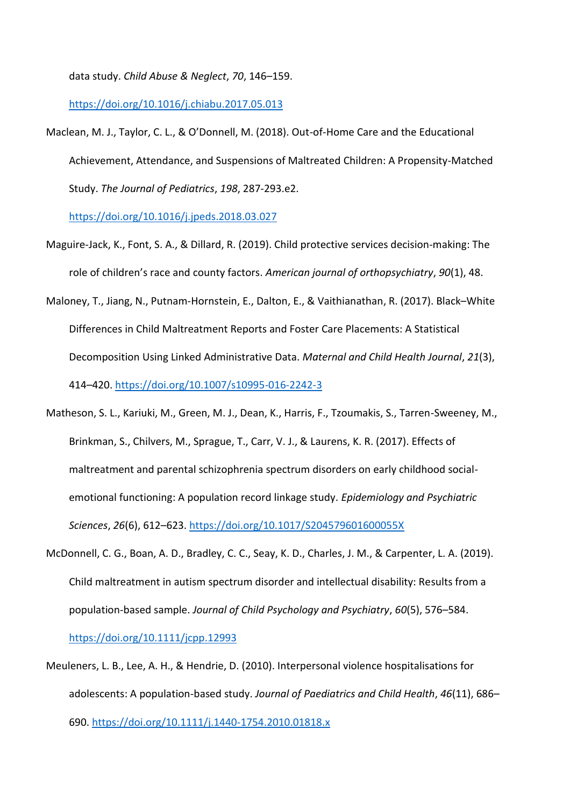data study. *Child Abuse & Neglect*, *70*, 146–159.

<https://doi.org/10.1016/j.chiabu.2017.05.013>

Maclean, M. J., Taylor, C. L., & O'Donnell, M. (2018). Out-of-Home Care and the Educational Achievement, Attendance, and Suspensions of Maltreated Children: A Propensity-Matched Study. *The Journal of Pediatrics*, *198*, 287-293.e2.

<https://doi.org/10.1016/j.jpeds.2018.03.027>

- Maguire-Jack, K., Font, S. A., & Dillard, R. (2019). Child protective services decision-making: The role of children's race and county factors. *American journal of orthopsychiatry*, *90*(1), 48.
- Maloney, T., Jiang, N., Putnam-Hornstein, E., Dalton, E., & Vaithianathan, R. (2017). Black–White Differences in Child Maltreatment Reports and Foster Care Placements: A Statistical Decomposition Using Linked Administrative Data. *Maternal and Child Health Journal*, *21*(3), 414–420.<https://doi.org/10.1007/s10995-016-2242-3>
- Matheson, S. L., Kariuki, M., Green, M. J., Dean, K., Harris, F., Tzoumakis, S., Tarren-Sweeney, M., Brinkman, S., Chilvers, M., Sprague, T., Carr, V. J., & Laurens, K. R. (2017). Effects of maltreatment and parental schizophrenia spectrum disorders on early childhood socialemotional functioning: A population record linkage study. *Epidemiology and Psychiatric Sciences*, *26*(6), 612–623.<https://doi.org/10.1017/S204579601600055X>
- McDonnell, C. G., Boan, A. D., Bradley, C. C., Seay, K. D., Charles, J. M., & Carpenter, L. A. (2019). Child maltreatment in autism spectrum disorder and intellectual disability: Results from a population-based sample. *Journal of Child Psychology and Psychiatry*, *60*(5), 576–584.

<https://doi.org/10.1111/jcpp.12993>

Meuleners, L. B., Lee, A. H., & Hendrie, D. (2010). Interpersonal violence hospitalisations for adolescents: A population-based study. *Journal of Paediatrics and Child Health*, *46*(11), 686– 690.<https://doi.org/10.1111/j.1440-1754.2010.01818.x>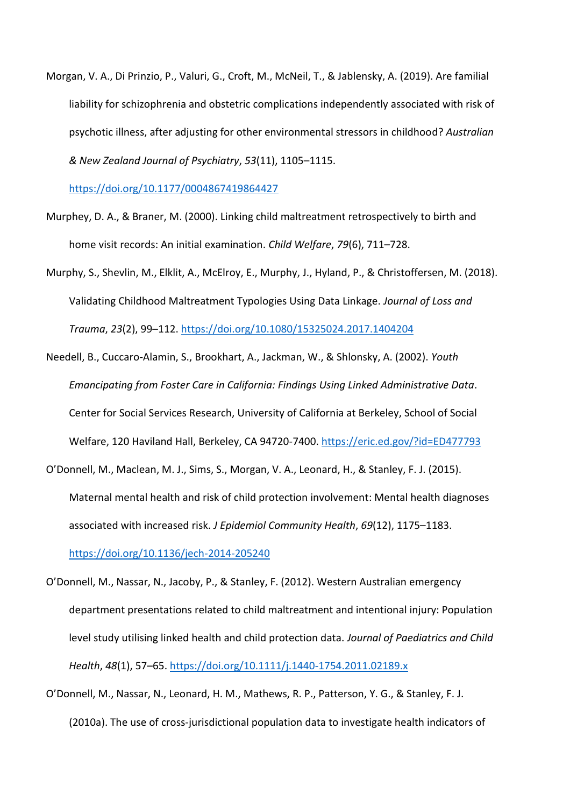Morgan, V. A., Di Prinzio, P., Valuri, G., Croft, M., McNeil, T., & Jablensky, A. (2019). Are familial liability for schizophrenia and obstetric complications independently associated with risk of psychotic illness, after adjusting for other environmental stressors in childhood? *Australian & New Zealand Journal of Psychiatry*, *53*(11), 1105–1115.

<https://doi.org/10.1177/0004867419864427>

- Murphey, D. A., & Braner, M. (2000). Linking child maltreatment retrospectively to birth and home visit records: An initial examination. *Child Welfare*, *79*(6), 711–728.
- Murphy, S., Shevlin, M., Elklit, A., McElroy, E., Murphy, J., Hyland, P., & Christoffersen, M. (2018). Validating Childhood Maltreatment Typologies Using Data Linkage. *Journal of Loss and Trauma*, *23*(2), 99–112.<https://doi.org/10.1080/15325024.2017.1404204>
- Needell, B., Cuccaro-Alamin, S., Brookhart, A., Jackman, W., & Shlonsky, A. (2002). *Youth Emancipating from Foster Care in California: Findings Using Linked Administrative Data*. Center for Social Services Research, University of California at Berkeley, School of Social Welfare, 120 Haviland Hall, Berkeley, CA 94720-7400.<https://eric.ed.gov/?id=ED477793>
- O'Donnell, M., Maclean, M. J., Sims, S., Morgan, V. A., Leonard, H., & Stanley, F. J. (2015). Maternal mental health and risk of child protection involvement: Mental health diagnoses associated with increased risk. *J Epidemiol Community Health*, *69*(12), 1175–1183.

<https://doi.org/10.1136/jech-2014-205240>

- O'Donnell, M., Nassar, N., Jacoby, P., & Stanley, F. (2012). Western Australian emergency department presentations related to child maltreatment and intentional injury: Population level study utilising linked health and child protection data. *Journal of Paediatrics and Child Health*, *48*(1), 57–65.<https://doi.org/10.1111/j.1440-1754.2011.02189.x>
- O'Donnell, M., Nassar, N., Leonard, H. M., Mathews, R. P., Patterson, Y. G., & Stanley, F. J. (2010a). The use of cross-jurisdictional population data to investigate health indicators of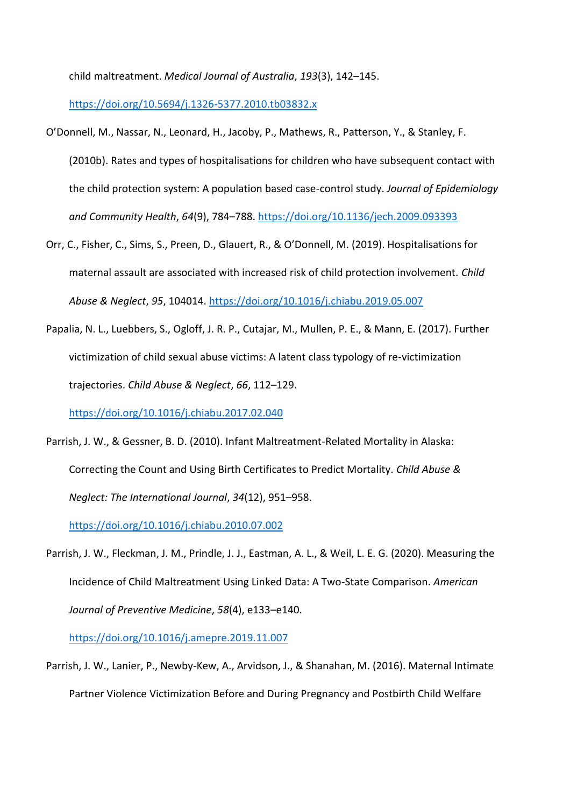child maltreatment. *Medical Journal of Australia*, *193*(3), 142–145.

<https://doi.org/10.5694/j.1326-5377.2010.tb03832.x>

- O'Donnell, M., Nassar, N., Leonard, H., Jacoby, P., Mathews, R., Patterson, Y., & Stanley, F. (2010b). Rates and types of hospitalisations for children who have subsequent contact with the child protection system: A population based case-control study. *Journal of Epidemiology and Community Health*, *64*(9), 784–788.<https://doi.org/10.1136/jech.2009.093393>
- Orr, C., Fisher, C., Sims, S., Preen, D., Glauert, R., & O'Donnell, M. (2019). Hospitalisations for maternal assault are associated with increased risk of child protection involvement. *Child Abuse & Neglect*, *95*, 104014.<https://doi.org/10.1016/j.chiabu.2019.05.007>
- Papalia, N. L., Luebbers, S., Ogloff, J. R. P., Cutajar, M., Mullen, P. E., & Mann, E. (2017). Further victimization of child sexual abuse victims: A latent class typology of re-victimization trajectories. *Child Abuse & Neglect*, *66*, 112–129.

<https://doi.org/10.1016/j.chiabu.2017.02.040>

Parrish, J. W., & Gessner, B. D. (2010). Infant Maltreatment-Related Mortality in Alaska: Correcting the Count and Using Birth Certificates to Predict Mortality. *Child Abuse & Neglect: The International Journal*, *34*(12), 951–958.

<https://doi.org/10.1016/j.chiabu.2010.07.002>

Parrish, J. W., Fleckman, J. M., Prindle, J. J., Eastman, A. L., & Weil, L. E. G. (2020). Measuring the Incidence of Child Maltreatment Using Linked Data: A Two-State Comparison. *American Journal of Preventive Medicine*, *58*(4), e133–e140.

<https://doi.org/10.1016/j.amepre.2019.11.007>

Parrish, J. W., Lanier, P., Newby-Kew, A., Arvidson, J., & Shanahan, M. (2016). Maternal Intimate Partner Violence Victimization Before and During Pregnancy and Postbirth Child Welfare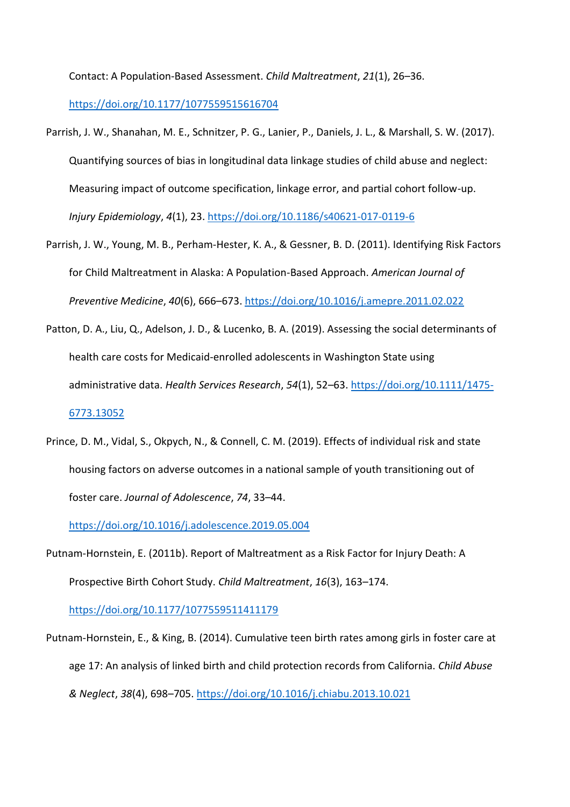Contact: A Population-Based Assessment. *Child Maltreatment*, *21*(1), 26–36.

<https://doi.org/10.1177/1077559515616704>

- Parrish, J. W., Shanahan, M. E., Schnitzer, P. G., Lanier, P., Daniels, J. L., & Marshall, S. W. (2017). Quantifying sources of bias in longitudinal data linkage studies of child abuse and neglect: Measuring impact of outcome specification, linkage error, and partial cohort follow-up. *Injury Epidemiology*, *4*(1), 23[. https://doi.org/10.1186/s40621-017-0119-6](https://doi.org/10.1186/s40621-017-0119-6)
- Parrish, J. W., Young, M. B., Perham-Hester, K. A., & Gessner, B. D. (2011). Identifying Risk Factors for Child Maltreatment in Alaska: A Population-Based Approach. *American Journal of Preventive Medicine*, *40*(6), 666–673.<https://doi.org/10.1016/j.amepre.2011.02.022>
- Patton, D. A., Liu, Q., Adelson, J. D., & Lucenko, B. A. (2019). Assessing the social determinants of health care costs for Medicaid‐enrolled adolescents in Washington State using administrative data. *Health Services Research*, *54*(1), 52–63. [https://doi.org/10.1111/1475-](https://doi.org/10.1111/1475-6773.13052) [6773.13052](https://doi.org/10.1111/1475-6773.13052)
- Prince, D. M., Vidal, S., Okpych, N., & Connell, C. M. (2019). Effects of individual risk and state housing factors on adverse outcomes in a national sample of youth transitioning out of foster care. *Journal of Adolescence*, *74*, 33–44.

<https://doi.org/10.1016/j.adolescence.2019.05.004>

Putnam-Hornstein, E. (2011b). Report of Maltreatment as a Risk Factor for Injury Death: A Prospective Birth Cohort Study. *Child Maltreatment*, *16*(3), 163–174.

<https://doi.org/10.1177/1077559511411179>

Putnam-Hornstein, E., & King, B. (2014). Cumulative teen birth rates among girls in foster care at age 17: An analysis of linked birth and child protection records from California. *Child Abuse & Neglect*, *38*(4), 698–705.<https://doi.org/10.1016/j.chiabu.2013.10.021>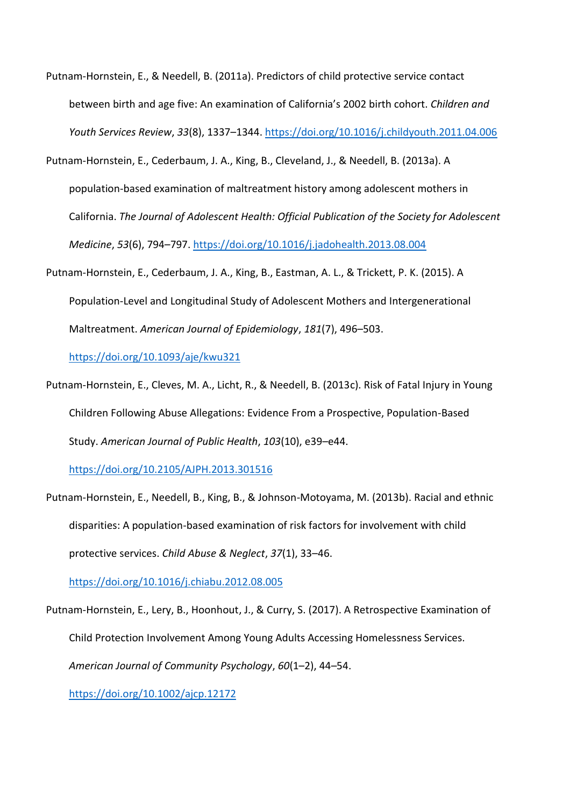- Putnam-Hornstein, E., & Needell, B. (2011a). Predictors of child protective service contact between birth and age five: An examination of California's 2002 birth cohort. *Children and Youth Services Review*, *33*(8), 1337–1344[. https://doi.org/10.1016/j.childyouth.2011.04.006](https://doi.org/10.1016/j.childyouth.2011.04.006)
- Putnam-Hornstein, E., Cederbaum, J. A., King, B., Cleveland, J., & Needell, B. (2013a). A population-based examination of maltreatment history among adolescent mothers in California. *The Journal of Adolescent Health: Official Publication of the Society for Adolescent Medicine*, *53*(6), 794–797.<https://doi.org/10.1016/j.jadohealth.2013.08.004>
- Putnam-Hornstein, E., Cederbaum, J. A., King, B., Eastman, A. L., & Trickett, P. K. (2015). A Population-Level and Longitudinal Study of Adolescent Mothers and Intergenerational Maltreatment. *American Journal of Epidemiology*, *181*(7), 496–503.

<https://doi.org/10.1093/aje/kwu321>

Putnam-Hornstein, E., Cleves, M. A., Licht, R., & Needell, B. (2013c). Risk of Fatal Injury in Young Children Following Abuse Allegations: Evidence From a Prospective, Population-Based Study. *American Journal of Public Health*, *103*(10), e39–e44.

<https://doi.org/10.2105/AJPH.2013.301516>

Putnam-Hornstein, E., Needell, B., King, B., & Johnson-Motoyama, M. (2013b). Racial and ethnic disparities: A population-based examination of risk factors for involvement with child protective services. *Child Abuse & Neglect*, *37*(1), 33–46.

<https://doi.org/10.1016/j.chiabu.2012.08.005>

Putnam‐Hornstein, E., Lery, B., Hoonhout, J., & Curry, S. (2017). A Retrospective Examination of Child Protection Involvement Among Young Adults Accessing Homelessness Services. *American Journal of Community Psychology*, *60*(1–2), 44–54.

<https://doi.org/10.1002/ajcp.12172>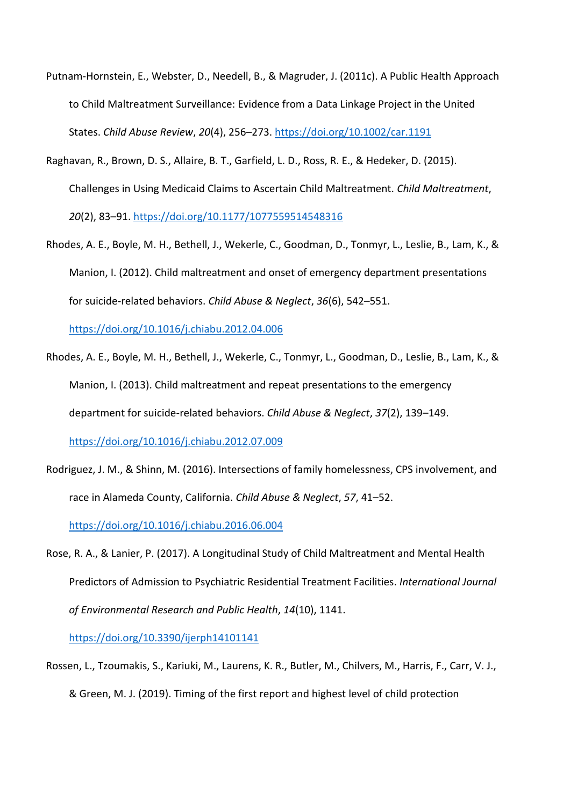- Putnam‐Hornstein, E., Webster, D., Needell, B., & Magruder, J. (2011c). A Public Health Approach to Child Maltreatment Surveillance: Evidence from a Data Linkage Project in the United States. *Child Abuse Review*, *20*(4), 256–273[. https://doi.org/10.1002/car.1191](https://doi.org/10.1002/car.1191)
- Raghavan, R., Brown, D. S., Allaire, B. T., Garfield, L. D., Ross, R. E., & Hedeker, D. (2015). Challenges in Using Medicaid Claims to Ascertain Child Maltreatment. *Child Maltreatment*, *20*(2), 83–91.<https://doi.org/10.1177/1077559514548316>
- Rhodes, A. E., Boyle, M. H., Bethell, J., Wekerle, C., Goodman, D., Tonmyr, L., Leslie, B., Lam, K., & Manion, I. (2012). Child maltreatment and onset of emergency department presentations for suicide-related behaviors. *Child Abuse & Neglect*, *36*(6), 542–551.

<https://doi.org/10.1016/j.chiabu.2012.04.006>

- Rhodes, A. E., Boyle, M. H., Bethell, J., Wekerle, C., Tonmyr, L., Goodman, D., Leslie, B., Lam, K., & Manion, I. (2013). Child maltreatment and repeat presentations to the emergency department for suicide-related behaviors. *Child Abuse & Neglect*, *37*(2), 139–149. <https://doi.org/10.1016/j.chiabu.2012.07.009>
- Rodriguez, J. M., & Shinn, M. (2016). Intersections of family homelessness, CPS involvement, and race in Alameda County, California. *Child Abuse & Neglect*, *57*, 41–52.

<https://doi.org/10.1016/j.chiabu.2016.06.004>

Rose, R. A., & Lanier, P. (2017). A Longitudinal Study of Child Maltreatment and Mental Health Predictors of Admission to Psychiatric Residential Treatment Facilities. *International Journal of Environmental Research and Public Health*, *14*(10), 1141.

<https://doi.org/10.3390/ijerph14101141>

Rossen, L., Tzoumakis, S., Kariuki, M., Laurens, K. R., Butler, M., Chilvers, M., Harris, F., Carr, V. J., & Green, M. J. (2019). Timing of the first report and highest level of child protection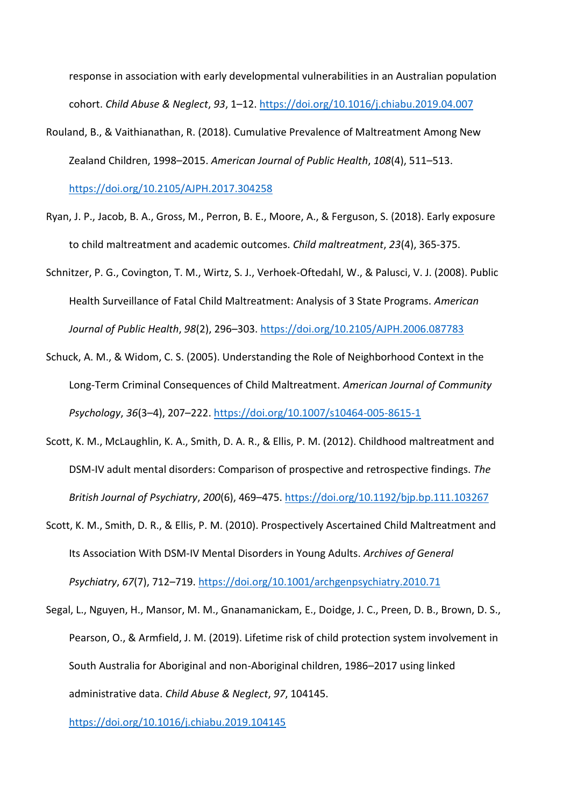response in association with early developmental vulnerabilities in an Australian population cohort. *Child Abuse & Neglect*, *93*, 1–12.<https://doi.org/10.1016/j.chiabu.2019.04.007>

Rouland, B., & Vaithianathan, R. (2018). Cumulative Prevalence of Maltreatment Among New Zealand Children, 1998–2015. *American Journal of Public Health*, *108*(4), 511–513.

<https://doi.org/10.2105/AJPH.2017.304258>

- Ryan, J. P., Jacob, B. A., Gross, M., Perron, B. E., Moore, A., & Ferguson, S. (2018). Early exposure to child maltreatment and academic outcomes. *Child maltreatment*, *23*(4), 365-375.
- Schnitzer, P. G., Covington, T. M., Wirtz, S. J., Verhoek-Oftedahl, W., & Palusci, V. J. (2008). Public Health Surveillance of Fatal Child Maltreatment: Analysis of 3 State Programs. *American Journal of Public Health*, *98*(2), 296–303.<https://doi.org/10.2105/AJPH.2006.087783>
- Schuck, A. M., & Widom, C. S. (2005). Understanding the Role of Neighborhood Context in the Long-Term Criminal Consequences of Child Maltreatment. *American Journal of Community Psychology*, *36*(3–4), 207–222.<https://doi.org/10.1007/s10464-005-8615-1>
- Scott, K. M., McLaughlin, K. A., Smith, D. A. R., & Ellis, P. M. (2012). Childhood maltreatment and DSM-IV adult mental disorders: Comparison of prospective and retrospective findings. *The British Journal of Psychiatry*, *200*(6), 469–475.<https://doi.org/10.1192/bjp.bp.111.103267>
- Scott, K. M., Smith, D. R., & Ellis, P. M. (2010). Prospectively Ascertained Child Maltreatment and Its Association With DSM-IV Mental Disorders in Young Adults. *Archives of General Psychiatry*, *67*(7), 712–719.<https://doi.org/10.1001/archgenpsychiatry.2010.71>
- Segal, L., Nguyen, H., Mansor, M. M., Gnanamanickam, E., Doidge, J. C., Preen, D. B., Brown, D. S., Pearson, O., & Armfield, J. M. (2019). Lifetime risk of child protection system involvement in South Australia for Aboriginal and non-Aboriginal children, 1986–2017 using linked administrative data. *Child Abuse & Neglect*, *97*, 104145.

<https://doi.org/10.1016/j.chiabu.2019.104145>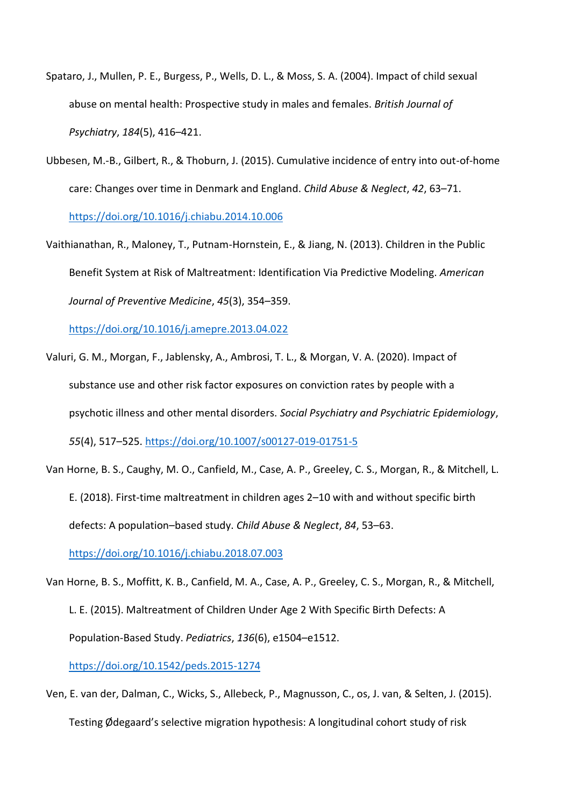- Spataro, J., Mullen, P. E., Burgess, P., Wells, D. L., & Moss, S. A. (2004). Impact of child sexual abuse on mental health: Prospective study in males and females. *British Journal of Psychiatry*, *184*(5), 416–421.
- Ubbesen, M.-B., Gilbert, R., & Thoburn, J. (2015). Cumulative incidence of entry into out-of-home care: Changes over time in Denmark and England. *Child Abuse & Neglect*, *42*, 63–71.

<https://doi.org/10.1016/j.chiabu.2014.10.006>

Vaithianathan, R., Maloney, T., Putnam-Hornstein, E., & Jiang, N. (2013). Children in the Public Benefit System at Risk of Maltreatment: Identification Via Predictive Modeling. *American Journal of Preventive Medicine*, *45*(3), 354–359.

<https://doi.org/10.1016/j.amepre.2013.04.022>

- Valuri, G. M., Morgan, F., Jablensky, A., Ambrosi, T. L., & Morgan, V. A. (2020). Impact of substance use and other risk factor exposures on conviction rates by people with a psychotic illness and other mental disorders. *Social Psychiatry and Psychiatric Epidemiology*, *55*(4), 517–525.<https://doi.org/10.1007/s00127-019-01751-5>
- Van Horne, B. S., Caughy, M. O., Canfield, M., Case, A. P., Greeley, C. S., Morgan, R., & Mitchell, L. E. (2018). First-time maltreatment in children ages 2–10 with and without specific birth defects: A population–based study. *Child Abuse & Neglect*, *84*, 53–63.

<https://doi.org/10.1016/j.chiabu.2018.07.003>

- Van Horne, B. S., Moffitt, K. B., Canfield, M. A., Case, A. P., Greeley, C. S., Morgan, R., & Mitchell, L. E. (2015). Maltreatment of Children Under Age 2 With Specific Birth Defects: A Population-Based Study. *Pediatrics*, *136*(6), e1504–e1512. <https://doi.org/10.1542/peds.2015-1274>
- Ven, E. van der, Dalman, C., Wicks, S., Allebeck, P., Magnusson, C., os, J. van, & Selten, J. (2015). Testing Ødegaard's selective migration hypothesis: A longitudinal cohort study of risk